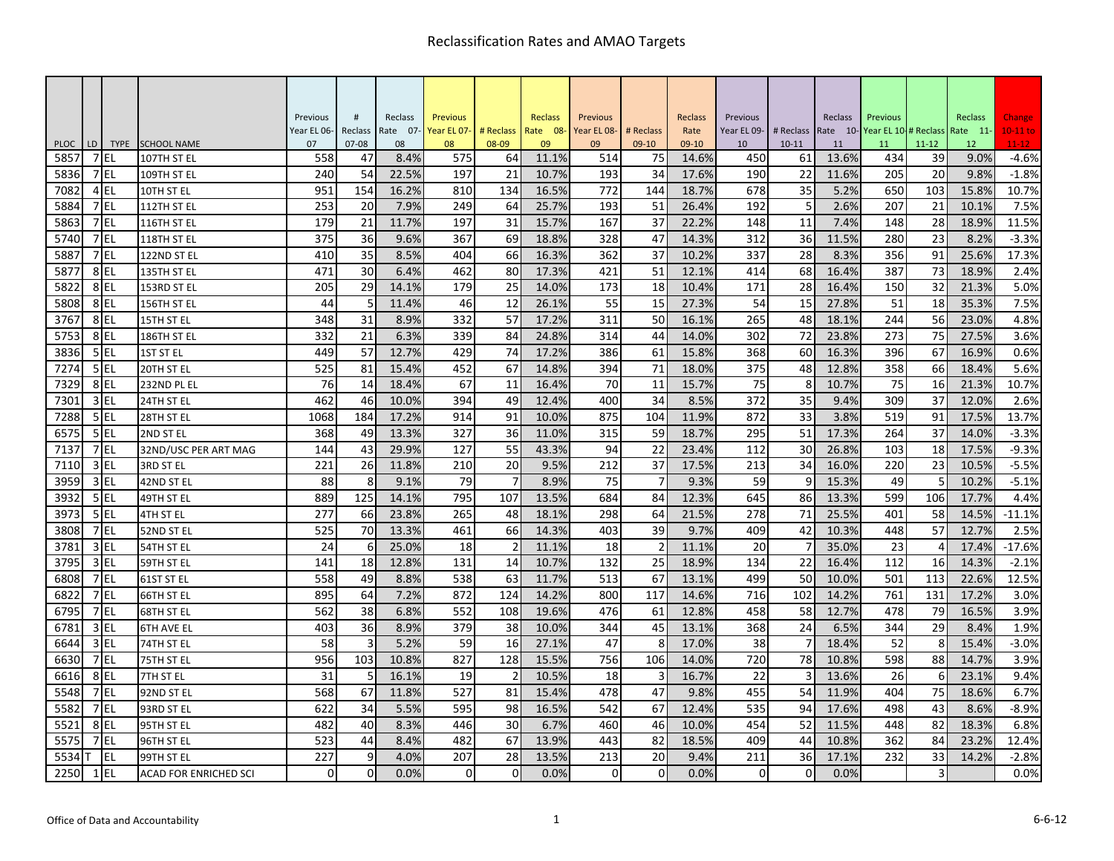|                     |        |          |                                 | Previous    | $\#$            | Reclass    | <b>Previous</b> |                | Reclass     | Previous    |                | Reclass        | Previous    |                 | Reclass     | Previous                     |                 | Reclass                 | Change               |
|---------------------|--------|----------|---------------------------------|-------------|-----------------|------------|-----------------|----------------|-------------|-------------|----------------|----------------|-------------|-----------------|-------------|------------------------------|-----------------|-------------------------|----------------------|
|                     | LD     |          |                                 | Year EL 06- | Reclass         | Rate 07-   | Year EL 07-     | # Reclass      | Rate 08-    | Year EL 08- | # Reclass      | Rate           | Year EL 09- | # Reclass       |             | Rate 10-Year EL 10-# Reclass |                 | Rate 11-                | $10-11$ to           |
| <b>PLOC</b><br>5857 | 7 EL   |          | TYPE SCHOOL NAME<br>107TH ST EL | 07<br>558   | $07 - 08$<br>47 | 08<br>8.4% | 08<br>575       | 08-09<br>64    | 09<br>11.1% | 09<br>514   | $09-10$<br>75  | 09-10<br>14.6% | 10<br>450   | $10 - 11$<br>61 | 11<br>13.6% | 11<br>434                    | $11 - 12$<br>39 | 12 <sup>2</sup><br>9.0% | $11 - 12$<br>$-4.6%$ |
| 5836                |        | 7 EL     | 109TH ST EL                     | 240         | 54              | 22.5%      | 197             | 21             | 10.7%       | 193         | 34             | 17.6%          | 190         | 22              | 11.6%       | 205                          | 20              | 9.8%                    | $-1.8%$              |
| 7082                |        | 4EL      | 10TH ST EL                      | 951         | 154             | 16.2%      | 810             | 134            | 16.5%       | 772         | 144            | 18.7%          | 678         | 35              | 5.2%        | 650                          | 103             | 15.8%                   | 10.7%                |
| 5884                |        | 7EL      | 112TH ST EL                     | 253         | 20              | 7.9%       | 249             | 64             | 25.7%       | 193         | 51             | 26.4%          | 192         | 5               | 2.6%        | 207                          | 21              | 10.1%                   | 7.5%                 |
| 5863                |        | 7EL      | 116TH ST EL                     | 179         | 21              | 11.7%      | 197             | 31             | 15.7%       | 167         | 37             | 22.2%          | 148         | 11              | 7.4%        | 148                          | 28              | 18.9%                   | 11.5%                |
| 5740                |        | 7EL      | 118TH ST EL                     | 375         | 36              | 9.6%       | 367             | 69             | 18.8%       | 328         | 47             | 14.3%          | 312         | 36              | 11.5%       | 280                          | 23              | 8.2%                    | $-3.3%$              |
| 5887                |        | 7E       | 122ND ST EL                     | 410         | 35              | 8.5%       | 404             | 66             | 16.3%       | 362         | 37             | 10.2%          | 337         | 28              | 8.3%        | 356                          | 91              | 25.6%                   | 17.3%                |
| 5877                | 8 EL   |          | 135TH ST EL                     | 471         | 30              | 6.4%       | 462             | 80             | 17.3%       | 421         | 51             | 12.1%          | 414         | 68              | 16.4%       | 387                          | 73              | 18.9%                   | 2.4%                 |
| 5822                |        | 8EL      | 153RD ST EL                     | 205         | 29              | 14.1%      | 179             | 25             | 14.0%       | 173         | 18             | 10.4%          | 171         | 28              | 16.4%       | 150                          | 32              | 21.3%                   | 5.0%                 |
| 5808                | 8EL    |          | 156TH ST EL                     | 44          | 5               | 11.4%      | 46              | 12             | 26.1%       | 55          | 15             | 27.3%          | 54          | 15              | 27.8%       | 51                           | 18              | 35.3%                   | 7.5%                 |
| 3767                | 8EL    |          | 15TH ST EL                      | 348         | 31              | 8.9%       | 332             | 57             | 17.2%       | 311         | 50             | 16.1%          | 265         | 48              | 18.1%       | 244                          | 56              | 23.0%                   | 4.8%                 |
| 5753                |        | 8EL      | 186TH ST EL                     | 332         | 21              | 6.3%       | 339             | 84             | 24.8%       | 314         | 44             | 14.0%          | 302         | 72              | 23.8%       | 273                          | 75              | 27.5%                   | 3.6%                 |
| 3836                |        | 5 EL     | 1ST ST EL                       | 449         | 57              | 12.7%      | 429             | 74             | 17.2%       | 386         | 61             | 15.8%          | 368         | 60              | 16.3%       | 396                          | 67              | 16.9%                   | 0.6%                 |
| 7274                | $5$ EL |          | 20TH ST EL                      | 525         | 81              | 15.4%      | 452             | 67             | 14.8%       | 394         | 71             | 18.0%          | 375         | 48              | 12.8%       | 358                          | 66              | 18.4%                   | 5.6%                 |
| 7329                | 8EL    |          | 232ND PL EL                     | 76          | 14              | 18.4%      | 67              | 11             | 16.4%       | 70          | 11             | 15.7%          | 75          | 8               | 10.7%       | 75                           | 16              | 21.3%                   | 10.7%                |
| 7301                |        | $3$ EL   | 24TH ST EL                      | 462         | 46              | 10.0%      | 394             | 49             | 12.4%       | 400         | 34             | 8.5%           | 372         | 35              | 9.4%        | 309                          | 37              | 12.0%                   | 2.6%                 |
| 7288                |        | 5 EL     | 28TH ST EL                      | 1068        | 184             | 17.2%      | 914             | 91             | 10.0%       | 875         | 104            | 11.9%          | 872         | 33              | 3.8%        | 519                          | 91              | 17.5%                   | 13.7%                |
| 6575                | $5$ EL |          | 2ND ST EL                       | 368         | 49              | 13.3%      | 327             | 36             | 11.0%       | 315         | 59             | 18.7%          | 295         | 51              | 17.3%       | 264                          | 37              | 14.0%                   | $-3.3%$              |
| 7137                |        | 7EL      | 32ND/USC PER ART MAG            | 144         | 43              | 29.9%      | 127             | 55             | 43.3%       | 94          | 22             | 23.4%          | 112         | 30              | 26.8%       | 103                          | 18              | 17.5%                   | $-9.3%$              |
| 7110                |        | $3$ EL   | 3RD ST EL                       | 221         | 26              | 11.8%      | 210             | 20             | 9.5%        | 212         | 37             | 17.5%          | 213         | 34              | 16.0%       | 220                          | 23              | 10.5%                   | $-5.5%$              |
| 3959                | $3$ EL |          | 42ND ST EL                      | 88          | 8               | 9.1%       | 79              |                | 8.9%        | 75          |                | 9.3%           | 59          | 9               | 15.3%       | 49                           |                 | 10.2%                   | $-5.1%$              |
| 3932                |        | 5 EL     | 49TH ST EL                      | 889         | 125             | 14.1%      | 795             | 107            | 13.5%       | 684         | 84             | 12.3%          | 645         | 86              | 13.3%       | 599                          | 106             | 17.7%                   | 4.4%                 |
| 3973                |        | $5$ EL   | 4TH ST EL                       | 277         | 66              | 23.8%      | 265             | 48             | 18.1%       | 298         | 64             | 21.5%          | 278         | 71              | 25.5%       | 401                          | 58              | 14.5%                   | $-11.1%$             |
| 3808                |        | $7$ EL   | 52ND ST EL                      | 525         | 70              | 13.3%      | 461             | 66             | 14.3%       | 403         | 39             | 9.7%           | 409         | 42              | 10.3%       | 448                          | 57              | 12.7%                   | 2.5%                 |
| 3781                |        | $3$ EL   | 54TH ST EL                      | 24          | 6               | 25.0%      | 18              | $\overline{2}$ | 11.1%       | 18          | $\overline{2}$ | 11.1%          | 20          |                 | 35.0%       | 23                           | 4               | 17.4%                   | $-17.6%$             |
| 3795                |        | $3$ EL   | 59TH ST EL                      | 141         | 18              | 12.8%      | 131             | 14             | 10.7%       | 132         | 25             | 18.9%          | 134         | 22              | 16.4%       | 112                          | 16              | 14.3%                   | $-2.1%$              |
| 6808                |        | 7 EL     | 61ST ST EL                      | 558         | 49              | 8.8%       | 538             | 63             | 11.7%       | 513         | 67             | 13.1%          | 499         | 50              | 10.0%       | 501                          | 113             | 22.6%                   | 12.5%                |
| 6822                | 7EL    |          | 66TH ST EL                      | 895         | 64              | 7.2%       | 872             | 124            | 14.2%       | 800         | 117            | 14.6%          | 716         | 102             | 14.2%       | 761                          | 131             | 17.2%                   | 3.0%                 |
| 6795                |        | 7EL      | 68TH ST EL                      | 562         | 38              | 6.8%       | 552             | 108            | 19.6%       | 476         | 61             | 12.8%          | 458         | 58              | 12.7%       | 478                          | 79              | 16.5%                   | 3.9%                 |
| 6781                |        | $3$ EL   | <b>6TH AVE EL</b>               | 403         | 36              | 8.9%       | 379             | 38             | 10.0%       | 344         | 45             | 13.1%          | 368         | 24              | 6.5%        | 344                          | 29              | 8.4%                    | 1.9%                 |
| 6644                | $3$ EL |          | 74TH ST EL                      | 58          | 3               | 5.2%       | 59              | 16             | 27.1%       | 47          | 8              | 17.0%          | 38          |                 | 18.4%       | 52                           | 8               | 15.4%                   | $-3.0%$              |
| 6630                | 7 EL   |          | 75TH ST EL                      | 956         | 103             | 10.8%      | 827             | 128            | 15.5%       | 756         | 106            | 14.0%          | 720         | 78              | 10.8%       | 598                          | 88              | 14.7%                   | 3.9%                 |
| 6616                | 8EL    |          | 7TH ST EL                       | 31          | 5               | 16.1%      | 19              | $\mathcal{P}$  | 10.5%       | 18          |                | 16.7%          | 22          | 3               | 13.6%       | 26                           | 6               | 23.1%                   | 9.4%                 |
| 5548                | 7EL    |          | 92ND ST EL                      | 568         | 67              | 11.8%      | 527             | 81             | 15.4%       | 478         | 47             | 9.8%           | 455         | 54              | 11.9%       | 404                          | 75              | 18.6%                   | 6.7%                 |
| 5582                |        | $7$ EL   | 93RD ST EL                      | 622         | 34              | 5.5%       | 595             | 98             | 16.5%       | 542         | 67             | 12.4%          | 535         | 94              | 17.6%       | 498                          | 43              | 8.6%                    | $-8.9%$              |
| 5521                |        | 8EL      | 95TH ST EL                      | 482         | 40              | 8.3%       | 446             | 30             | 6.7%        | 460         | 46             | 10.0%          | 454         | 52              | 11.5%       | 448                          | 82              | 18.3%                   | 6.8%                 |
| 5575                |        | 7 EL     | 96TH ST EL                      | 523         | 44              | 8.4%       | 482             | 67             | 13.9%       | 443         | 82             | 18.5%          | 409         | 44              | 10.8%       | 362                          | 84              | 23.2%                   | 12.4%                |
| 5534                |        | EL       | 99TH ST EL                      | 227         | 9               | 4.0%       | 207             | 28             | 13.5%       | 213         | 20             | 9.4%           | 211         | 36              | 17.1%       | 232                          | 33              | 14.2%                   | $-2.8%$              |
| 2250                |        | $1$ $EL$ | <b>ACAD FOR ENRICHED SCI</b>    | Οl          | $\overline{0}$  | 0.0%       | $\Omega$        | $\overline{0}$ | 0.0%        | 0           | 0              | 0.0%           | $\Omega$    | $\mathbf 0$     | 0.0%        |                              | 3               |                         | 0.0%                 |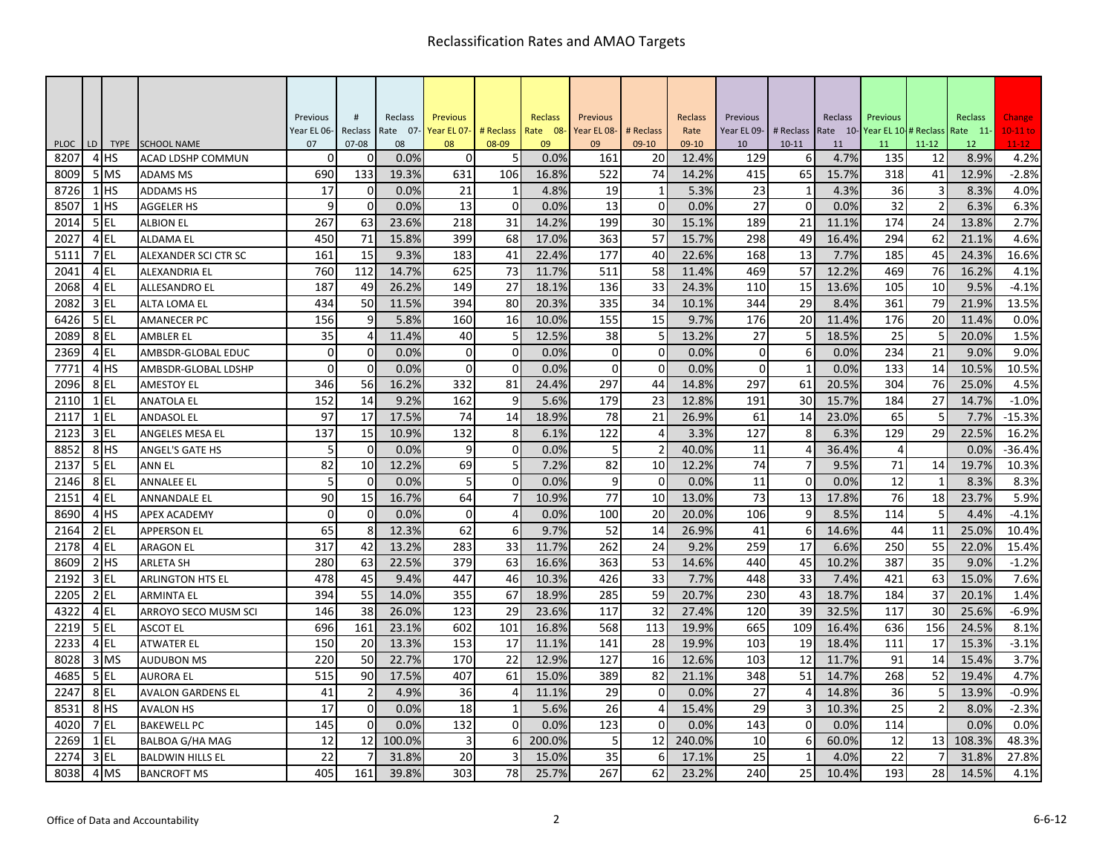|                     |    |                     |                                         | Previous       | #              | Reclass    | <b>Previous</b> |                | Reclass    | Previous    |                | Reclass        | Previous    |                | Reclass    | Previous    |                 | Reclass                 | Change            |
|---------------------|----|---------------------|-----------------------------------------|----------------|----------------|------------|-----------------|----------------|------------|-------------|----------------|----------------|-------------|----------------|------------|-------------|-----------------|-------------------------|-------------------|
|                     |    |                     |                                         | Year EL 06-    | Reclass        | Rate 07-   | Year EL 07-     | # Reclass      | Rate 08-   | Year EL 08- | # Reclass      | Rate           | Year EL 09- | # Reclass      | Rate 10-   | Year EL 10- |                 | # Reclass Rate 11-      | $10-11$ to        |
| <b>PLOC</b><br>8207 | LD | <b>TYPE</b><br>4 HS | <b>SCHOOL NAME</b><br>ACAD LDSHP COMMUN | 07<br>$\Omega$ | $07 - 08$<br>0 | 08<br>0.0% | 08<br>$\Omega$  | 08-09<br>5     | 09<br>0.0% | 09<br>161   | $09-10$<br>20  | 09-10<br>12.4% | 10<br>129   | $10 - 11$<br>6 | 11<br>4.7% | 11<br>135   | $11 - 12$<br>12 | 12 <sup>2</sup><br>8.9% | $11 - 12$<br>4.2% |
| 8009                |    | 5 MS                | <b>ADAMS MS</b>                         | 690            | 133            | 19.3%      | 631             | 106            | 16.8%      | 522         | 74             | 14.2%          | 415         | 65             | 15.7%      | 318         | 41              | 12.9%                   | $-2.8%$           |
| 8726                |    | $1$ HS              | <b>ADDAMS HS</b>                        | 17             | $\overline{0}$ | 0.0%       | 21              | 1              | 4.8%       | 19          | 1              | 5.3%           | 23          | 1              | 4.3%       | 36          | 3               | 8.3%                    | 4.0%              |
| 8507                |    | $1$ HS              | <b>AGGELER HS</b>                       | 9              | $\overline{0}$ | 0.0%       | 13              | $\Omega$       | 0.0%       | 13          | $\overline{0}$ | 0.0%           | 27          | $\Omega$       | 0.0%       | 32          | $\overline{2}$  | 6.3%                    | 6.3%              |
| 2014                |    | $5$ EL              | <b>ALBION EL</b>                        | 267            | 63             | 23.6%      | 218             | 31             | 14.2%      | 199         | 30             | 15.1%          | 189         | 21             | 11.1%      | 174         | 24              | 13.8%                   | 2.7%              |
| 2027                |    | 4EL                 | <b>ALDAMA EL</b>                        | 450            | 71             | 15.8%      | 399             | 68             | 17.0%      | 363         | 57             | 15.7%          | 298         | 49             | 16.4%      | 294         | 62              | 21.1%                   | 4.6%              |
| 5111                |    | 7EL                 | ALEXANDER SCI CTR SC                    | 161            | 15             | 9.3%       | 183             | 41             | 22.4%      | 177         | 40             | 22.6%          | 168         | 13             | 7.7%       | 185         | 45              | 24.3%                   | 16.6%             |
| 2041                |    | $4$ EL              | <b>ALEXANDRIA EL</b>                    | 760            | 112            | 14.7%      | 625             | 73             | 11.7%      | 511         | 58             | 11.4%          | 469         | 57             | 12.2%      | 469         | 76              | 16.2%                   | 4.1%              |
| 2068                |    | 4 EL                | <b>ALLESANDRO EL</b>                    | 187            | 49             | 26.2%      | 149             | 27             | 18.1%      | 136         | 33             | 24.3%          | 110         | 15             | 13.6%      | 105         | 10              | 9.5%                    | $-4.1%$           |
| 2082                |    | 3 EL                | ALTA LOMA EL                            | 434            | 50             | 11.5%      | 394             | 80             | 20.3%      | 335         | 34             | 10.1%          | 344         | 29             | 8.4%       | 361         | 79              | 21.9%                   | 13.5%             |
| 6426                |    | 5EL                 | <b>AMANECER PC</b>                      | 156            | 9              | 5.8%       | 160             | 16             | 10.0%      | 155         | 15             | 9.7%           | 176         | 20             | 11.4%      | 176         | 20              | 11.4%                   | 0.0%              |
| 2089                |    | 8EL                 | <b>AMBLER EL</b>                        | 35             | 4              | 11.4%      | 40              | 5              | 12.5%      | 38          | 5              | 13.2%          | 27          | 5              | 18.5%      | 25          | 5               | 20.0%                   | 1.5%              |
| 2369                |    | 4 EL                | AMBSDR-GLOBAL EDUC                      | $\overline{0}$ | $\overline{0}$ | 0.0%       | $\mathbf 0$     | $\mathbf{0}$   | 0.0%       | $\mathbf 0$ | $\mathbf 0$    | 0.0%           | $\mathbf 0$ | 6              | 0.0%       | 234         | 21              | 9.0%                    | 9.0%              |
| 7771                |    | 4 <sup>HS</sup>     | AMBSDR-GLOBAL LDSHP                     | $\overline{0}$ | $\overline{0}$ | 0.0%       | $\Omega$        | $\mathbf 0$    | 0.0%       | $\Omega$    | $\overline{0}$ | 0.0%           | $\Omega$    | $\mathbf{1}$   | 0.0%       | 133         | 14              | 10.5%                   | 10.5%             |
| 2096                |    | 8EL                 | <b>AMESTOY EL</b>                       | 346            | 56             | 16.2%      | 332             | 81             | 24.4%      | 297         | 44             | 14.8%          | 297         | 61             | 20.5%      | 304         | 76              | 25.0%                   | 4.5%              |
| 2110                |    | $1$ EL              | <b>ANATOLA EL</b>                       | 152            | 14             | 9.2%       | 162             | 9              | 5.6%       | 179         | 23             | 12.8%          | 191         | 30             | 15.7%      | 184         | 27              | 14.7%                   | $-1.0%$           |
| 2117                |    | $1$ EL              | <b>ANDASOL EL</b>                       | 97             | 17             | 17.5%      | 74              | 14             | 18.9%      | 78          | 21             | 26.9%          | 61          | 14             | 23.0%      | 65          | 5               | 7.7%                    | $-15.3%$          |
| 2123                |    | $3$ EL              | ANGELES MESA EL                         | 137            | 15             | 10.9%      | 132             | 8              | 6.1%       | 122         | 4              | 3.3%           | 127         | 8              | 6.3%       | 129         | 29              | 22.5%                   | 16.2%             |
| 8852                |    | 8 <sup>HS</sup>     | ANGEL'S GATE HS                         | 5              | $\overline{0}$ | 0.0%       | 9               | $\mathbf 0$    | 0.0%       | 5           | $\overline{2}$ | 40.0%          | 11          | 4              | 36.4%      | 4           |                 | 0.0%                    | $-36.4%$          |
| 2137                |    | $5$ EL              | <b>ANN EL</b>                           | 82             | 10             | 12.2%      | 69              | 5              | 7.2%       | 82          | 10             | 12.2%          | 74          | $\overline{7}$ | 9.5%       | 71          | 14              | 19.7%                   | 10.3%             |
| 2146                |    | 8EL                 | <b>ANNALEE EL</b>                       | 5              | $\Omega$       | 0.0%       | 5               | $\Omega$       | 0.0%       | 9           | $\Omega$       | 0.0%           | 11          | $\Omega$       | 0.0%       | 12          | $\mathbf{1}$    | 8.3%                    | 8.3%              |
| 2151                |    | 4 EL                | ANNANDALE EL                            | 90             | 15             | 16.7%      | 64              | $\overline{7}$ | 10.9%      | 77          | 10             | 13.0%          | 73          | 13             | 17.8%      | 76          | 18              | 23.7%                   | 5.9%              |
| 8690                |    | 4H <sub>5</sub>     | <b>APEX ACADEMY</b>                     | $\mathbf 0$    | $\overline{0}$ | 0.0%       | $\mathbf 0$     | 4              | 0.0%       | 100         | 20             | 20.0%          | 106         | 9              | 8.5%       | 114         | 5               | 4.4%                    | $-4.1%$           |
| 2164                |    | $2$ EL              | APPERSON EL                             | 65             | 8              | 12.3%      | 62              | 6              | 9.7%       | 52          | 14             | 26.9%          | 41          | 6              | 14.6%      | 44          | 11              | 25.0%                   | 10.4%             |
| 2178                |    | 4 EL                | <b>ARAGON EL</b>                        | 317            | 42             | 13.2%      | 283             | 33             | 11.7%      | 262         | 24             | 9.2%           | 259         | 17             | 6.6%       | 250         | 55              | 22.0%                   | 15.4%             |
| 8609                |    | $2$ HS              | <b>ARLETA SH</b>                        | 280            | 63             | 22.5%      | 379             | 63             | 16.6%      | 363         | 53             | 14.6%          | 440         | 45             | 10.2%      | 387         | 35              | 9.0%                    | $-1.2%$           |
| 2192                |    | 3 EL                | <b>ARLINGTON HTS EL</b>                 | 478            | 45             | 9.4%       | 447             | 46             | 10.3%      | 426         | 33             | 7.7%           | 448         | 33             | 7.4%       | 421         | 63              | 15.0%                   | 7.6%              |
| 2205                |    | $2$ EL              | <b>ARMINTA EL</b>                       | 394            | 55             | 14.0%      | 355             | 67             | 18.9%      | 285         | 59             | 20.7%          | 230         | 43             | 18.7%      | 184         | 37              | 20.1%                   | 1.4%              |
| 4322                |    | 4EL                 | ARROYO SECO MUSM SCI                    | 146            | 38             | 26.0%      | 123             | 29             | 23.6%      | 117         | 32             | 27.4%          | 120         | 39             | 32.5%      | 117         | 30              | 25.6%                   | $-6.9%$           |
| 2219                |    | 5EL                 | <b>ASCOT EL</b>                         | 696            | 161            | 23.1%      | 602             | 101            | 16.8%      | 568         | 113            | 19.9%          | 665         | 109            | 16.4%      | 636         | 156             | 24.5%                   | 8.1%              |
| 2233                |    | 4EL                 | ATWATER EL                              | 150            | 20             | 13.3%      | 153             | 17             | 11.1%      | 141         | 28             | 19.9%          | 103         | 19             | 18.4%      | 111         | 17              | 15.3%                   | $-3.1%$           |
| 8028                |    | 3 MS                | <b>AUDUBON MS</b>                       | 220            | 50             | 22.7%      | 170             | 22             | 12.9%      | 127         | 16             | 12.6%          | 103         | 12             | 11.7%      | 91          | 14              | 15.4%                   | 3.7%              |
| 4685                |    | 5 EL                | AURORA EL                               | 515            | 90             | 17.5%      | 407             | 61             | 15.0%      | 389         | 82             | 21.1%          | 348         | 51             | 14.7%      | 268         | 52              | 19.4%                   | 4.7%              |
| 2247                |    | 8EL                 | <b>AVALON GARDENS EL</b>                | 41             | $\overline{2}$ | 4.9%       | 36              | $\overline{4}$ | 11.1%      | 29          | $\Omega$       | 0.0%           | 27          | Δ              | 14.8%      | 36          | 5               | 13.9%                   | $-0.9%$           |
| 8531                |    | 8 <sup>HS</sup>     | <b>AVALON HS</b>                        | 17             | $\overline{0}$ | 0.0%       | 18              | $\mathbf{1}$   | 5.6%       | 26          | $\overline{4}$ | 15.4%          | 29          | 3              | 10.3%      | 25          | $\overline{2}$  | 8.0%                    | $-2.3%$           |
| 4020                |    | 7EL                 | <b>BAKEWELL PC</b>                      | 145            | $\Omega$       | 0.0%       | 132             | $\Omega$       | 0.0%       | 123         | $\Omega$       | 0.0%           | 143         | $\Omega$       | 0.0%       | 114         |                 | 0.0%                    | 0.0%              |
| 2269                |    | $1$ EL              | <b>BALBOA G/HA MAG</b>                  | 12             | 12             | 100.0%     | 3               | 6              | 200.0%     | 5           | 12             | 240.0%         | 10          | 6              | 60.0%      | 12          | 13              | 108.3%                  | 48.3%             |
| 2274                |    | 3 EL                | <b>BALDWIN HILLS EL</b>                 | 22             |                | 31.8%      | 20              | 3              | 15.0%      | 35          | 6              | 17.1%          | 25          | $\mathbf{1}$   | 4.0%       | 22          |                 | 31.8%                   | 27.8%             |
| 8038                |    | 4 MS                | <b>BANCROFT MS</b>                      | 405            | 161            | 39.8%      | 303             | 78             | 25.7%      | 267         | 62             | 23.2%          | 240         | 25             | 10.4%      | 193         | 28              | 14.5%                   | 4.1%              |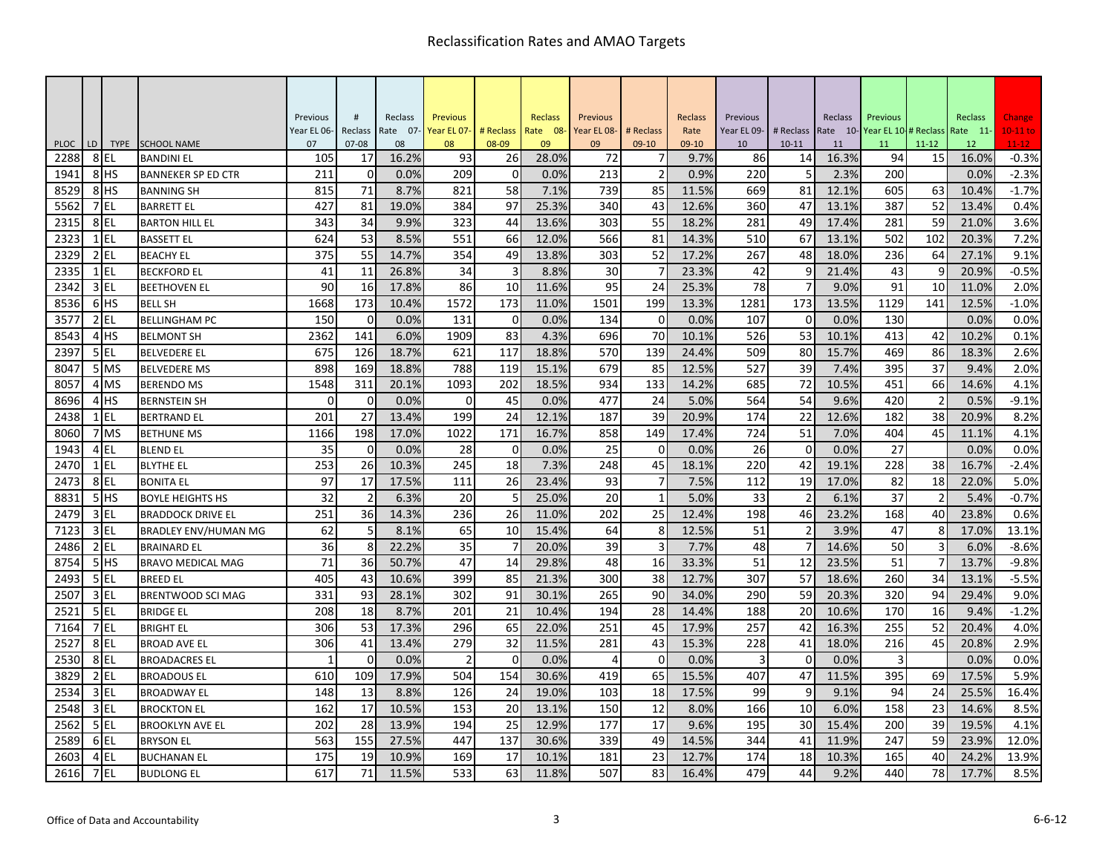|                     |    |                        |                                                | Previous    | #                    | Reclass     | <b>Previous</b> |                   | Reclass       | Previous    |                | Reclass       | Previous    |                | Reclass       | Previous    |                 | Reclass     | Change               |
|---------------------|----|------------------------|------------------------------------------------|-------------|----------------------|-------------|-----------------|-------------------|---------------|-------------|----------------|---------------|-------------|----------------|---------------|-------------|-----------------|-------------|----------------------|
|                     |    |                        |                                                | Year EL 06- | Reclass              | Rate 07-    | Year EL 07-     | # Reclass         | Rate 08-      | Year EL 08- | # Reclass      | Rate          | Year EL 09- | # Reclass      | Rate 10-      | Year EL 10- | # Reclass       | Rate 11-    | $10-11$ to           |
| <b>PLOC</b><br>2288 | LD |                        | TYPE SCHOOL NAME                               | 07<br>105   | $07 - 08$            | 08<br>16.2% | 08<br>93        | 08-09             | 09            | 09<br>72    | $09-10$        | 09-10<br>9.7% | 10<br>86    | $10 - 11$      | 11            | 11<br>94    | $11 - 12$<br>15 | 12<br>16.0% | $11 - 12$<br>$-0.3%$ |
| 1941                |    | 8EL<br>8 <sup>HS</sup> | <b>BANDINI EL</b><br><b>BANNEKER SP ED CTR</b> | 211         | 17<br>$\overline{0}$ | 0.0%        | 209             | 26<br>$\mathbf 0$ | 28.0%<br>0.0% | 213         | $\overline{2}$ | 0.9%          | 220         | 14<br>5        | 16.3%<br>2.3% | 200         |                 | 0.0%        | $-2.3%$              |
| 8529                |    | 8 <sup>HS</sup>        | <b>BANNING SH</b>                              | 815         | 71                   | 8.7%        | 821             | 58                | 7.1%          | 739         | 85             | 11.5%         | 669         | 81             | 12.1%         | 605         | 63              | 10.4%       | $-1.7%$              |
| 5562                |    | 7EL                    | <b>BARRETT EL</b>                              | 427         | 81                   | 19.0%       | 384             | 97                | 25.3%         | 340         | 43             | 12.6%         | 360         | 47             | 13.1%         | 387         | 52              | 13.4%       | 0.4%                 |
| 2315                |    | 8EL                    | <b>BARTON HILL EL</b>                          | 343         | 34                   | 9.9%        | 323             | 44                | 13.6%         | 303         | 55             | 18.2%         | 281         | 49             | 17.4%         | 281         | 59              | 21.0%       | 3.6%                 |
| 2323                |    | $1$ EL                 | <b>BASSETT EL</b>                              | 624         | 53                   | 8.5%        | 551             | 66                | 12.0%         | 566         | 81             | 14.3%         | 510         | 67             | 13.1%         | 502         | 102             | 20.3%       | 7.2%                 |
| 2329                |    | $2$ EL                 | <b>BEACHY EL</b>                               | 375         | 55                   | 14.7%       | 354             | 49                | 13.8%         | 303         | 52             | 17.2%         | 267         | 48             | 18.0%         | 236         | 64              | 27.1%       | 9.1%                 |
| 2335                |    | $1$ EL                 | <b>BECKFORD EL</b>                             | 41          | 11                   | 26.8%       | 34              | $\overline{3}$    | 8.8%          | 30          | 7              | 23.3%         | 42          | 9              | 21.4%         | 43          | 9               | 20.9%       | $-0.5%$              |
| 2342                |    | 3 EL                   | <b>BEETHOVEN EL</b>                            | 90          | 16                   | 17.8%       | 86              | 10                | 11.6%         | 95          | 24             | 25.3%         | 78          | 7              | 9.0%          | 91          | 10              | 11.0%       | 2.0%                 |
| 8536                |    | 6 <sup>HS</sup>        | <b>BELL SH</b>                                 | 1668        | 173                  | 10.4%       | 1572            | 173               | 11.0%         | 1501        | 199            | 13.3%         | 1281        | 173            | 13.5%         | 1129        | 141             | 12.5%       | $-1.0%$              |
| 3577                |    | $2$ EL                 | <b>BELLINGHAM PC</b>                           | 150         | $\Omega$             | 0.0%        | 131             | $\Omega$          | 0.0%          | 134         | $\Omega$       | 0.0%          | 107         | $\Omega$       | 0.0%          | 130         |                 | 0.0%        | 0.0%                 |
| 8543                |    | 4H <sub>S</sub>        | <b>BELMONT SH</b>                              | 2362        | 141                  | 6.0%        | 1909            | 83                | 4.3%          | 696         | 70             | 10.1%         | 526         | 53             | 10.1%         | 413         | 42              | 10.2%       | 0.1%                 |
| 2397                |    | 5 EL                   | <b>BELVEDERE EL</b>                            | 675         | 126                  | 18.7%       | 621             | 117               | 18.8%         | 570         | 139            | 24.4%         | 509         | 80             | 15.7%         | 469         | 86              | 18.3%       | 2.6%                 |
| 8047                |    | 5 MS                   | <b>BELVEDERE MS</b>                            | 898         | 169                  | 18.8%       | 788             | 119               | 15.1%         | 679         | 85             | 12.5%         | 527         | 39             | 7.4%          | 395         | 37              | 9.4%        | 2.0%                 |
| 8057                |    | 4 MS                   | <b>BERENDO MS</b>                              | 1548        | 311                  | 20.1%       | 1093            | 202               | 18.5%         | 934         | 133            | 14.2%         | 685         | 72             | 10.5%         | 451         | 66              | 14.6%       | 4.1%                 |
| 8696                |    | 4 <sub>HS</sub>        | <b>BERNSTEIN SH</b>                            | $\Omega$    | $\mathbf 0$          | 0.0%        | 0               | 45                | 0.0%          | 477         | 24             | 5.0%          | 564         | 54             | 9.6%          | 420         | $\overline{2}$  | 0.5%        | $-9.1%$              |
| 2438                |    | $1$ EL                 | <b>BERTRAND EL</b>                             | 201         | 27                   | 13.4%       | 199             | 24                | 12.1%         | 187         | 39             | 20.9%         | 174         | 22             | 12.6%         | 182         | 38              | 20.9%       | 8.2%                 |
| 8060                |    | 7 MS                   | <b>BETHUNE MS</b>                              | 1166        | 198                  | 17.0%       | 1022            | 171               | 16.7%         | 858         | 149            | 17.4%         | 724         | 51             | 7.0%          | 404         | 45              | 11.1%       | 4.1%                 |
| 1943                |    | 4 EL                   | <b>BLEND EL</b>                                | 35          | $\overline{0}$       | 0.0%        | 28              | $\mathbf 0$       | 0.0%          | 25          | $\Omega$       | 0.0%          | 26          | $\Omega$       | 0.0%          | 27          |                 | 0.0%        | 0.0%                 |
| 2470                |    | $1$ EL                 | <b>BLYTHE EL</b>                               | 253         | 26                   | 10.3%       | 245             | 18                | 7.3%          | 248         | 45             | 18.1%         | 220         | 42             | 19.1%         | 228         | 38              | 16.7%       | $-2.4%$              |
| 2473                |    | 8EL                    | <b>BONITA EL</b>                               | 97          | 17                   | 17.5%       | 111             | 26                | 23.4%         | 93          |                | 7.5%          | 112         | 19             | 17.0%         | 82          | 18              | 22.0%       | 5.0%                 |
| 8831                |    | 5 <sup>HS</sup>        | <b>BOYLE HEIGHTS HS</b>                        | 32          | $\overline{2}$       | 6.3%        | 20              | 5                 | 25.0%         | 20          | 1              | 5.0%          | 33          | $\overline{2}$ | 6.1%          | 37          | $\overline{2}$  | 5.4%        | $-0.7%$              |
| 2479                |    | 3 EL                   | <b>BRADDOCK DRIVE EL</b>                       | 251         | 36                   | 14.3%       | 236             | 26                | 11.0%         | 202         | 25             | 12.4%         | 198         | 46             | 23.2%         | 168         | 40              | 23.8%       | 0.6%                 |
| 7123                |    | $3$ EL                 | BRADLEY ENV/HUMAN MG                           | 62          | 5                    | 8.1%        | 65              | 10                | 15.4%         | 64          | 8              | 12.5%         | 51          | $\overline{2}$ | 3.9%          | 47          | 8               | 17.0%       | 13.1%                |
| 2486                |    | $2$ EL                 | <b>BRAINARD EL</b>                             | 36          | 8                    | 22.2%       | 35              | 7                 | 20.0%         | 39          | 3              | 7.7%          | 48          |                | 14.6%         | 50          | $\overline{3}$  | 6.0%        | $-8.6%$              |
| 8754                |    | 5H                     | <b>BRAVO MEDICAL MAG</b>                       | 71          | 36                   | 50.7%       | 47              | 14                | 29.8%         | 48          | 16             | 33.3%         | 51          | 12             | 23.5%         | 51          | 7               | 13.7%       | $-9.8%$              |
| 2493                |    | 5 EL                   | <b>BREED EL</b>                                | 405         | 43                   | 10.6%       | 399             | 85                | 21.3%         | 300         | 38             | 12.7%         | 307         | 57             | 18.6%         | 260         | 34              | 13.1%       | $-5.5%$              |
| 2507                |    | $3$ EL                 | <b>BRENTWOOD SCI MAG</b>                       | 331         | 93                   | 28.1%       | 302             | 91                | 30.1%         | 265         | 90             | 34.0%         | 290         | 59             | 20.3%         | 320         | 94              | 29.4%       | 9.0%                 |
| 252.                |    | 5 EL                   | <b>BRIDGE EL</b>                               | 208         | 18                   | 8.7%        | 201             | 21                | 10.4%         | 194         | 28             | 14.4%         | 188         | 20             | 10.6%         | 170         | 16              | 9.4%        | $-1.2%$              |
| 7164                |    | 7EL                    | <b>BRIGHT EL</b>                               | 306         | 53                   | 17.3%       | 296             | 65                | 22.0%         | 251         | 45             | 17.9%         | 257         | 42             | 16.3%         | 255         | 52              | 20.4%       | 4.0%                 |
| 2527                |    | 8EL                    | <b>BROAD AVE EL</b>                            | 306         | 41                   | 13.4%       | 279             | 32                | 11.5%         | 281         | 43             | 15.3%         | 228         | 41             | 18.0%         | 216         | 45              | 20.8%       | 2.9%                 |
| 2530                |    | 8EL                    | <b>BROADACRES EL</b>                           | 1           | $\Omega$             | 0.0%        | $\mathcal{P}$   | $\Omega$          | 0.0%          | 4           | $\Omega$       | 0.0%          | Е           | $\Omega$       | 0.0%          | 3           |                 | 0.0%        | 0.0%                 |
| 3829                |    | $2$ EL                 | <b>BROADOUS EL</b>                             | 610         | 109                  | 17.9%       | 504             | 154               | 30.6%         | 419         | 65             | 15.5%         | 407         | 47             | 11.5%         | 395         | 69              | 17.5%       | 5.9%                 |
| 2534                |    | $3$ EL                 | <b>BROADWAY EL</b>                             | 148         | 13                   | 8.8%        | 126             | 24                | 19.0%         | 103         | 18             | 17.5%         | 99          | 9              | 9.1%          | 94          | 24              | 25.5%       | 16.4%                |
| 2548                |    | $3$ EL                 | <b>BROCKTON EL</b>                             | 162         | 17                   | 10.5%       | 153             | 20                | 13.1%         | 150         | 12             | 8.0%          | 166         | 10             | 6.0%          | 158         | 23              | 14.6%       | 8.5%                 |
| 2562                |    | 5 EL                   | <b>BROOKLYN AVE EL</b>                         | 202         | 28                   | 13.9%       | 194             | 25                | 12.9%         | 177         | 17             | 9.6%          | 195         | 30             | 15.4%         | 200         | 39              | 19.5%       | 4.1%                 |
| 2589                |    | 6EL                    | <b>BRYSON EL</b>                               | 563         | 155                  | 27.5%       | 447             | 137               | 30.6%         | 339         | 49             | 14.5%         | 344         | 41             | 11.9%         | 247         | 59              | 23.9%       | 12.0%                |
| 2603                |    | 4 EL                   | <b>BUCHANAN EL</b>                             | 175         | 19                   | 10.9%       | 169             | 17                | 10.1%         | 181         | 23             | 12.7%         | 174         | 18             | 10.3%         | 165         | 40              | 24.2%       | 13.9%                |
| 2616                |    | 7 EL                   | <b>BUDLONG EL</b>                              | 617         | 71                   | 11.5%       | 533             | 63                | 11.8%         | 507         | 83             | 16.4%         | 479         | 44             | 9.2%          | 440         | 78              | 17.7%       | 8.5%                 |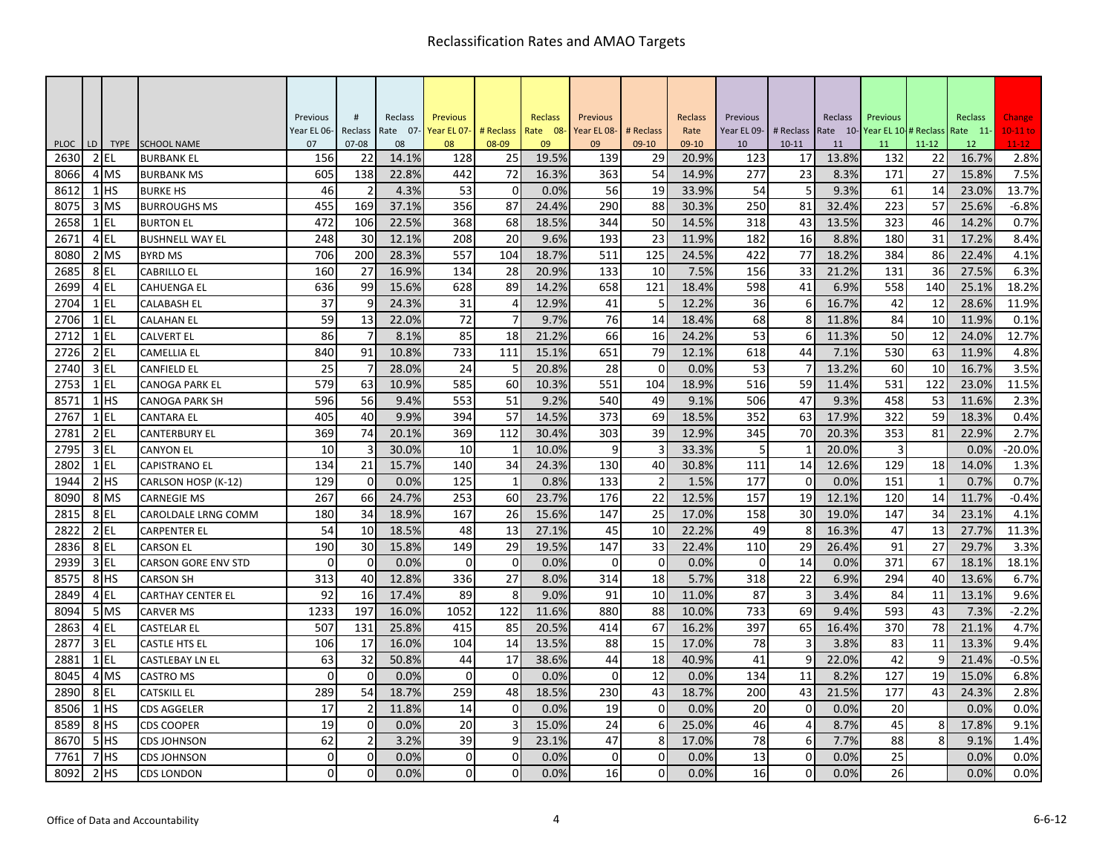| #<br>Previous<br>Reclass<br><b>Previous</b><br>Reclass<br>Previous<br>Reclass<br>Previous<br>Reclass<br>Previous<br>Reclass<br># Reclass<br># Reclass<br>Rate 10-Year EL 10-# Reclass<br>Year EL 06-<br>Reclass<br>Rate 07-<br>Year EL 07-<br>Rate 08-<br>Year EL 08-<br># Reclass<br>Rate<br>Year EL 09-<br>Rate 11-<br>LD<br><b>SCHOOL NAME</b><br>08-09<br>$11 - 12$<br>$11 - 12$<br><b>PLOC</b><br><b>TYPE</b><br>07<br>$07 - 08$<br>08<br>08<br>09<br>09<br>$09-10$<br>09-10<br>10<br>$10 - 11$<br>12<br>11<br>11<br>$2$ EL<br>128<br>19.5%<br>139<br>123<br>16.7%<br>2.8%<br>2630<br>156<br>22<br>14.1%<br>25<br>29<br>20.9%<br>17<br>13.8%<br>132<br>22<br><b>BURBANK EL</b><br>72<br>23<br>27<br>8066<br>605<br>138<br>22.8%<br>442<br>16.3%<br>363<br>54<br>14.9%<br>277<br>8.3%<br>171<br>15.8%<br>7.5%<br>4 MS<br><b>BURBANK MS</b><br>5<br>$1$ HS<br>53<br>0<br>54<br>13.7%<br>8612<br>46<br>2<br>4.3%<br>0.0%<br>56<br>19<br>33.9%<br>9.3%<br>61<br>14<br>23.0%<br><b>BURKE HS</b><br>356<br>87<br>290<br>88<br>250<br>81<br>223<br>25.6%<br>3 MS<br>455<br>169<br>37.1%<br>24.4%<br>32.4%<br>57<br>$-6.8%$<br>8075<br>30.3%<br><b>BURROUGHS MS</b><br>2658<br>$1$ EL<br>472<br>106<br>22.5%<br>368<br>68<br>18.5%<br>344<br>50<br>14.5%<br>318<br>43<br>13.5%<br>323<br>46<br>14.2%<br>0.7%<br><b>BURTON EL</b><br>4EL<br>20<br>182<br>31<br>2671<br>248<br>30<br>12.1%<br>208<br>9.6%<br>193<br>23<br>11.9%<br>16<br>8.8%<br>180<br>17.2%<br>8.4%<br><b>BUSHNELL WAY EL</b><br>77<br>706<br>200<br>557<br>104<br>18.7%<br>125<br>422<br>384<br>86<br>8080<br>2 MS<br>28.3%<br>511<br>24.5%<br>18.2%<br>22.4%<br>4.1%<br><b>BYRD MS</b><br>27<br>33<br>27.5%<br>6.3%<br>2685<br>8EL<br>160<br>16.9%<br>134<br>28<br>20.9%<br>133<br>10<br>7.5%<br>156<br>21.2%<br>131<br>36<br><b>CABRILLO EL</b><br>2699<br>$4$ EL<br>99<br>89<br>658<br>41<br>6.9%<br>140<br>25.1%<br>18.2%<br>636<br>15.6%<br>628<br>14.2%<br>121<br>18.4%<br>598<br>558<br><b>CAHUENGA EL</b><br>$1$ EL<br>37<br>9<br>31<br>12.9%<br>36<br>6<br>42<br>28.6%<br>11.9%<br>2704<br>24.3%<br>$\overline{4}$<br>41<br>5<br>12.2%<br>16.7%<br>12<br><b>CALABASH EL</b><br>59<br>13<br>72<br>10<br>11.9%<br>2706<br>$1$ EL<br>22.0%<br>9.7%<br>76<br>14<br>18.4%<br>68<br>8<br>11.8%<br>84<br>0.1%<br><b>CALAHAN EL</b><br>$\overline{7}$<br>18<br>2712<br>$1$ EL<br>86<br>8.1%<br>85<br>66<br>24.2%<br>53<br>11.3%<br>50<br>12<br>24.0%<br>12.7%<br>21.2%<br>16<br>6<br><b>CALVERT EL</b><br>$2$ EL<br>2726<br>840<br>91<br>10.8%<br>733<br>111<br>15.1%<br>651<br>79<br>618<br>44<br>7.1%<br>530<br>63<br>11.9%<br>4.8%<br>12.1%<br><b>CAMELLIA EL</b><br>$3$ EL<br>25<br>24<br>28<br>53<br>60<br>10<br>7<br>28.0%<br>5<br>20.8%<br>$\Omega$<br>0.0%<br>13.2%<br>16.7%<br>3.5%<br>2740<br><b>CANFIELD EL</b><br>60<br>59<br>579<br>585<br>551<br>516<br>531<br>122<br>23.0%<br>11.5%<br>2753<br>$1$ EL<br>63<br>10.9%<br>10.3%<br>104<br>18.9%<br>11.4%<br>CANOGA PARK EL<br>51<br>47<br>8571<br>$1$ HS<br>596<br>56<br>9.4%<br>553<br>9.2%<br>540<br>49<br>9.1%<br>506<br>9.3%<br>458<br>53<br>11.6%<br>2.3%<br><b>CANOGA PARK SH</b><br>57<br>405<br>40<br>394<br>373<br>69<br>352<br>63<br>322<br>59<br>2767<br>$1$ EL<br>9.9%<br>14.5%<br>18.5%<br>17.9%<br>18.3%<br>0.4%<br>CANTARA EL<br>2781<br>$2$ EL<br>369<br>74<br>20.1%<br>369<br>112<br>30.4%<br>303<br>39<br>12.9%<br>345<br>70<br>20.3%<br>353<br>81<br>22.9%<br>2.7%<br><b>CANTERBURY EL</b><br>2795<br>3 EL<br>10<br>3<br>30.0%<br>10<br>10.0%<br>9<br>20.0%<br>3<br>0.0%<br>$-20.0%$<br><b>CANYON EL</b><br>$\mathbf{1}$<br>33.3%<br>5<br>$1$ EL<br>134<br>21<br>140<br>34<br>14<br>12.6%<br>129<br>1.3%<br>2802<br>15.7%<br>24.3%<br>130<br>40<br>30.8%<br>111<br>18<br>14.0%<br><b>CAPISTRANO EL</b><br>$\Omega$<br>$2$ $HS$<br>129<br>0.0%<br>125<br>$\mathbf{1}$<br>0.8%<br>133<br>1.5%<br>177<br>$\Omega$<br>0.0%<br>151<br>0.7%<br>0.7%<br>1944<br>CARLSON HOSP (K-12)<br>60<br>157<br>19<br>8090<br>267<br>66<br>24.7%<br>253<br>23.7%<br>176<br>22<br>12.5%<br>12.1%<br>120<br>14<br>11.7%<br>$-0.4%$<br>8 MS<br><b>CARNEGIE MS</b><br>2815<br>8EL<br>180<br>34<br>18.9%<br>167<br>26<br>15.6%<br>147<br>25<br>17.0%<br>158<br>30<br>19.0%<br>147<br>34<br>23.1%<br>4.1%<br>CAROLDALE LRNG COMM<br>13<br>$2$ EL<br>54<br>10<br>48<br>13<br>45<br>10<br>22.2%<br>49<br>47<br>27.7%<br>11.3%<br>2822<br>18.5%<br>27.1%<br>8<br>16.3%<br><b>CARPENTER EL</b><br>8EL<br>190<br>149<br>29<br>110<br>29<br>27<br>29.7%<br>3.3%<br>2836<br>30<br>15.8%<br>19.5%<br>147<br>33<br>22.4%<br>26.4%<br>91<br><b>CARSON EL</b><br>$\Omega$<br>2939<br>$3$ EL<br>$\Omega$<br>14<br>371<br>67<br>18.1%<br>$\Omega$<br>0.0%<br>$\Omega$<br>0.0%<br>$\Omega$<br>$\Omega$<br>0.0%<br>$\Omega$<br>0.0%<br>18.1%<br><b>CARSON GORE ENV STD</b><br>40<br>27<br>318<br>22<br>294<br>40<br>6.7%<br>8575<br>8 <sup>HS</sup><br>313<br>12.8%<br>336<br>8.0%<br>314<br>18<br>5.7%<br>6.9%<br>13.6%<br>CARSON SH<br>8<br>$\overline{3}$<br>4EL<br>92<br>16<br>89<br>91<br>10<br>87<br>11<br>9.6%<br>2849<br>17.4%<br>9.0%<br>11.0%<br>3.4%<br>84<br>13.1%<br><b>CARTHAY CENTER EL</b><br>197<br>1052<br>122<br>880<br>733<br>69<br>593<br>43<br>8094<br>5 MS<br>1233<br>16.0%<br>11.6%<br>88<br>10.0%<br>9.4%<br>7.3%<br>$-2.2%$<br><b>CARVER MS</b><br>507<br>131<br>20.5%<br>67<br>397<br>65<br>370<br>78<br>21.1%<br>4 EL<br>25.8%<br>85<br>414<br>16.2%<br>16.4%<br>2863<br>415<br>CASTELAR EL<br>$3$ EL<br>14<br>3<br>83<br>11<br>2877<br>106<br>17<br>16.0%<br>104<br>13.5%<br>88<br>15<br>17.0%<br>78<br>3.8%<br>13.3%<br>9.4%<br>CASTLE HTS EL<br>2881<br>$1$ EL<br>63<br>32<br>17<br>38.6%<br>44<br>40.9%<br>9<br>22.0%<br>42<br>q<br>21.4%<br>50.8%<br>44<br>18<br>41<br>CASTLEBAY LN EL<br>$\mathbf 0$<br>$\Omega$<br>8045<br>4 MS<br>$\Omega$<br>$\mathbf 0$<br>0.0%<br>$\Omega$<br>0.0%<br>12<br>134<br>11<br>8.2%<br>127<br>19<br>15.0%<br>0.0%<br><b>CASTRO MS</b><br>54<br>289<br>259<br>48<br>230<br>200<br>43<br>43<br>2890<br>8EL<br>18.7%<br>18.5%<br>43<br>18.7%<br>21.5%<br>177<br>24.3%<br>CATSKILL EL<br>$\mathbf 0$<br>17<br>$\mathbf 0$<br>$\mathbf 0$<br>$1$ HS<br>$\overline{2}$<br>11.8%<br>14<br>19<br>0.0%<br>20<br>0.0%<br>20<br>0.0%<br>8506<br>0.0%<br><b>CDS AGGELER</b><br>$\overline{3}$<br>8589<br>8 <sup>HS</sup><br>19<br>$\mathbf 0$<br>20<br>24<br>6<br>4<br>45<br>8<br>0.0%<br>15.0%<br>25.0%<br>46<br>8.7%<br>17.8%<br><b>CDS COOPER</b><br>62<br>$\overline{2}$<br>39<br>78<br>88<br>5HS<br>3.2%<br>9<br>23.1%<br>47<br>8<br>17.0%<br>6<br>7.7%<br>8<br>9.1%<br>8670<br><b>CDS JOHNSON</b><br>7 <sup>HS</sup> |      |  |                    |          |          |      |          |          |      |          |          |      |    |             |      |    |      |            |
|----------------------------------------------------------------------------------------------------------------------------------------------------------------------------------------------------------------------------------------------------------------------------------------------------------------------------------------------------------------------------------------------------------------------------------------------------------------------------------------------------------------------------------------------------------------------------------------------------------------------------------------------------------------------------------------------------------------------------------------------------------------------------------------------------------------------------------------------------------------------------------------------------------------------------------------------------------------------------------------------------------------------------------------------------------------------------------------------------------------------------------------------------------------------------------------------------------------------------------------------------------------------------------------------------------------------------------------------------------------------------------------------------------------------------------------------------------------------------------------------------------------------------------------------------------------------------------------------------------------------------------------------------------------------------------------------------------------------------------------------------------------------------------------------------------------------------------------------------------------------------------------------------------------------------------------------------------------------------------------------------------------------------------------------------------------------------------------------------------------------------------------------------------------------------------------------------------------------------------------------------------------------------------------------------------------------------------------------------------------------------------------------------------------------------------------------------------------------------------------------------------------------------------------------------------------------------------------------------------------------------------------------------------------------------------------------------------------------------------------------------------------------------------------------------------------------------------------------------------------------------------------------------------------------------------------------------------------------------------------------------------------------------------------------------------------------------------------------------------------------------------------------------------------------------------------------------------------------------------------------------------------------------------------------------------------------------------------------------------------------------------------------------------------------------------------------------------------------------------------------------------------------------------------------------------------------------------------------------------------------------------------------------------------------------------------------------------------------------------------------------------------------------------------------------------------------------------------------------------------------------------------------------------------------------------------------------------------------------------------------------------------------------------------------------------------------------------------------------------------------------------------------------------------------------------------------------------------------------------------------------------------------------------------------------------------------------------------------------------------------------------------------------------------------------------------------------------------------------------------------------------------------------------------------------------------------------------------------------------------------------------------------------------------------------------------------------------------------------------------------------------------------------------------------------------------------------------------------------------------------------------------------------------------------------------------------------------------------------------------------------------------------------------------------------------------------------------------------------------------------------------------------------------------------------------------------------------------------------------------------------------------------------------------------------------------------------------------------------------------------------------------------------------------------------------------------------------------------------------------------------------------------------------------------------------------------------------------------------------------------------------------------------------------------------------------------------------------------------------------------------------------------------------------------------------------------------------------------------------------------------------------------------------------------------------------------------------------------------------------------------------------------------------------------------------------------------------------------------------------------------------------------------------------------------------------------------------------------------------------------------------------------------------------------------------------------------------------------------------------------------------------------------------------------------------------------------------------------------------------------------------------------------------------------------------------------------------------|------|--|--------------------|----------|----------|------|----------|----------|------|----------|----------|------|----|-------------|------|----|------|------------|
|                                                                                                                                                                                                                                                                                                                                                                                                                                                                                                                                                                                                                                                                                                                                                                                                                                                                                                                                                                                                                                                                                                                                                                                                                                                                                                                                                                                                                                                                                                                                                                                                                                                                                                                                                                                                                                                                                                                                                                                                                                                                                                                                                                                                                                                                                                                                                                                                                                                                                                                                                                                                                                                                                                                                                                                                                                                                                                                                                                                                                                                                                                                                                                                                                                                                                                                                                                                                                                                                                                                                                                                                                                                                                                                                                                                                                                                                                                                                                                                                                                                                                                                                                                                                                                                                                                                                                                                                                                                                                                                                                                                                                                                                                                                                                                                                                                                                                                                                                                                                                                                                                                                                                                                                                                                                                                                                                                                                                                                                                                                                                                                                                                                                                                                                                                                                                                                                                                                                                                                                                                                                                                                                                                                                                                                                                                                                                                                                                                                                                                                                                                                        |      |  |                    |          |          |      |          |          |      |          |          |      |    |             |      |    |      | Change     |
|                                                                                                                                                                                                                                                                                                                                                                                                                                                                                                                                                                                                                                                                                                                                                                                                                                                                                                                                                                                                                                                                                                                                                                                                                                                                                                                                                                                                                                                                                                                                                                                                                                                                                                                                                                                                                                                                                                                                                                                                                                                                                                                                                                                                                                                                                                                                                                                                                                                                                                                                                                                                                                                                                                                                                                                                                                                                                                                                                                                                                                                                                                                                                                                                                                                                                                                                                                                                                                                                                                                                                                                                                                                                                                                                                                                                                                                                                                                                                                                                                                                                                                                                                                                                                                                                                                                                                                                                                                                                                                                                                                                                                                                                                                                                                                                                                                                                                                                                                                                                                                                                                                                                                                                                                                                                                                                                                                                                                                                                                                                                                                                                                                                                                                                                                                                                                                                                                                                                                                                                                                                                                                                                                                                                                                                                                                                                                                                                                                                                                                                                                                                        |      |  |                    |          |          |      |          |          |      |          |          |      |    |             |      |    |      | $10-11$ to |
|                                                                                                                                                                                                                                                                                                                                                                                                                                                                                                                                                                                                                                                                                                                                                                                                                                                                                                                                                                                                                                                                                                                                                                                                                                                                                                                                                                                                                                                                                                                                                                                                                                                                                                                                                                                                                                                                                                                                                                                                                                                                                                                                                                                                                                                                                                                                                                                                                                                                                                                                                                                                                                                                                                                                                                                                                                                                                                                                                                                                                                                                                                                                                                                                                                                                                                                                                                                                                                                                                                                                                                                                                                                                                                                                                                                                                                                                                                                                                                                                                                                                                                                                                                                                                                                                                                                                                                                                                                                                                                                                                                                                                                                                                                                                                                                                                                                                                                                                                                                                                                                                                                                                                                                                                                                                                                                                                                                                                                                                                                                                                                                                                                                                                                                                                                                                                                                                                                                                                                                                                                                                                                                                                                                                                                                                                                                                                                                                                                                                                                                                                                                        |      |  |                    |          |          |      |          |          |      |          |          |      |    |             |      |    |      |            |
|                                                                                                                                                                                                                                                                                                                                                                                                                                                                                                                                                                                                                                                                                                                                                                                                                                                                                                                                                                                                                                                                                                                                                                                                                                                                                                                                                                                                                                                                                                                                                                                                                                                                                                                                                                                                                                                                                                                                                                                                                                                                                                                                                                                                                                                                                                                                                                                                                                                                                                                                                                                                                                                                                                                                                                                                                                                                                                                                                                                                                                                                                                                                                                                                                                                                                                                                                                                                                                                                                                                                                                                                                                                                                                                                                                                                                                                                                                                                                                                                                                                                                                                                                                                                                                                                                                                                                                                                                                                                                                                                                                                                                                                                                                                                                                                                                                                                                                                                                                                                                                                                                                                                                                                                                                                                                                                                                                                                                                                                                                                                                                                                                                                                                                                                                                                                                                                                                                                                                                                                                                                                                                                                                                                                                                                                                                                                                                                                                                                                                                                                                                                        |      |  |                    |          |          |      |          |          |      |          |          |      |    |             |      |    |      |            |
|                                                                                                                                                                                                                                                                                                                                                                                                                                                                                                                                                                                                                                                                                                                                                                                                                                                                                                                                                                                                                                                                                                                                                                                                                                                                                                                                                                                                                                                                                                                                                                                                                                                                                                                                                                                                                                                                                                                                                                                                                                                                                                                                                                                                                                                                                                                                                                                                                                                                                                                                                                                                                                                                                                                                                                                                                                                                                                                                                                                                                                                                                                                                                                                                                                                                                                                                                                                                                                                                                                                                                                                                                                                                                                                                                                                                                                                                                                                                                                                                                                                                                                                                                                                                                                                                                                                                                                                                                                                                                                                                                                                                                                                                                                                                                                                                                                                                                                                                                                                                                                                                                                                                                                                                                                                                                                                                                                                                                                                                                                                                                                                                                                                                                                                                                                                                                                                                                                                                                                                                                                                                                                                                                                                                                                                                                                                                                                                                                                                                                                                                                                                        |      |  |                    |          |          |      |          |          |      |          |          |      |    |             |      |    |      |            |
|                                                                                                                                                                                                                                                                                                                                                                                                                                                                                                                                                                                                                                                                                                                                                                                                                                                                                                                                                                                                                                                                                                                                                                                                                                                                                                                                                                                                                                                                                                                                                                                                                                                                                                                                                                                                                                                                                                                                                                                                                                                                                                                                                                                                                                                                                                                                                                                                                                                                                                                                                                                                                                                                                                                                                                                                                                                                                                                                                                                                                                                                                                                                                                                                                                                                                                                                                                                                                                                                                                                                                                                                                                                                                                                                                                                                                                                                                                                                                                                                                                                                                                                                                                                                                                                                                                                                                                                                                                                                                                                                                                                                                                                                                                                                                                                                                                                                                                                                                                                                                                                                                                                                                                                                                                                                                                                                                                                                                                                                                                                                                                                                                                                                                                                                                                                                                                                                                                                                                                                                                                                                                                                                                                                                                                                                                                                                                                                                                                                                                                                                                                                        |      |  |                    |          |          |      |          |          |      |          |          |      |    |             |      |    |      |            |
|                                                                                                                                                                                                                                                                                                                                                                                                                                                                                                                                                                                                                                                                                                                                                                                                                                                                                                                                                                                                                                                                                                                                                                                                                                                                                                                                                                                                                                                                                                                                                                                                                                                                                                                                                                                                                                                                                                                                                                                                                                                                                                                                                                                                                                                                                                                                                                                                                                                                                                                                                                                                                                                                                                                                                                                                                                                                                                                                                                                                                                                                                                                                                                                                                                                                                                                                                                                                                                                                                                                                                                                                                                                                                                                                                                                                                                                                                                                                                                                                                                                                                                                                                                                                                                                                                                                                                                                                                                                                                                                                                                                                                                                                                                                                                                                                                                                                                                                                                                                                                                                                                                                                                                                                                                                                                                                                                                                                                                                                                                                                                                                                                                                                                                                                                                                                                                                                                                                                                                                                                                                                                                                                                                                                                                                                                                                                                                                                                                                                                                                                                                                        |      |  |                    |          |          |      |          |          |      |          |          |      |    |             |      |    |      |            |
|                                                                                                                                                                                                                                                                                                                                                                                                                                                                                                                                                                                                                                                                                                                                                                                                                                                                                                                                                                                                                                                                                                                                                                                                                                                                                                                                                                                                                                                                                                                                                                                                                                                                                                                                                                                                                                                                                                                                                                                                                                                                                                                                                                                                                                                                                                                                                                                                                                                                                                                                                                                                                                                                                                                                                                                                                                                                                                                                                                                                                                                                                                                                                                                                                                                                                                                                                                                                                                                                                                                                                                                                                                                                                                                                                                                                                                                                                                                                                                                                                                                                                                                                                                                                                                                                                                                                                                                                                                                                                                                                                                                                                                                                                                                                                                                                                                                                                                                                                                                                                                                                                                                                                                                                                                                                                                                                                                                                                                                                                                                                                                                                                                                                                                                                                                                                                                                                                                                                                                                                                                                                                                                                                                                                                                                                                                                                                                                                                                                                                                                                                                                        |      |  |                    |          |          |      |          |          |      |          |          |      |    |             |      |    |      |            |
|                                                                                                                                                                                                                                                                                                                                                                                                                                                                                                                                                                                                                                                                                                                                                                                                                                                                                                                                                                                                                                                                                                                                                                                                                                                                                                                                                                                                                                                                                                                                                                                                                                                                                                                                                                                                                                                                                                                                                                                                                                                                                                                                                                                                                                                                                                                                                                                                                                                                                                                                                                                                                                                                                                                                                                                                                                                                                                                                                                                                                                                                                                                                                                                                                                                                                                                                                                                                                                                                                                                                                                                                                                                                                                                                                                                                                                                                                                                                                                                                                                                                                                                                                                                                                                                                                                                                                                                                                                                                                                                                                                                                                                                                                                                                                                                                                                                                                                                                                                                                                                                                                                                                                                                                                                                                                                                                                                                                                                                                                                                                                                                                                                                                                                                                                                                                                                                                                                                                                                                                                                                                                                                                                                                                                                                                                                                                                                                                                                                                                                                                                                                        |      |  |                    |          |          |      |          |          |      |          |          |      |    |             |      |    |      |            |
|                                                                                                                                                                                                                                                                                                                                                                                                                                                                                                                                                                                                                                                                                                                                                                                                                                                                                                                                                                                                                                                                                                                                                                                                                                                                                                                                                                                                                                                                                                                                                                                                                                                                                                                                                                                                                                                                                                                                                                                                                                                                                                                                                                                                                                                                                                                                                                                                                                                                                                                                                                                                                                                                                                                                                                                                                                                                                                                                                                                                                                                                                                                                                                                                                                                                                                                                                                                                                                                                                                                                                                                                                                                                                                                                                                                                                                                                                                                                                                                                                                                                                                                                                                                                                                                                                                                                                                                                                                                                                                                                                                                                                                                                                                                                                                                                                                                                                                                                                                                                                                                                                                                                                                                                                                                                                                                                                                                                                                                                                                                                                                                                                                                                                                                                                                                                                                                                                                                                                                                                                                                                                                                                                                                                                                                                                                                                                                                                                                                                                                                                                                                        |      |  |                    |          |          |      |          |          |      |          |          |      |    |             |      |    |      |            |
|                                                                                                                                                                                                                                                                                                                                                                                                                                                                                                                                                                                                                                                                                                                                                                                                                                                                                                                                                                                                                                                                                                                                                                                                                                                                                                                                                                                                                                                                                                                                                                                                                                                                                                                                                                                                                                                                                                                                                                                                                                                                                                                                                                                                                                                                                                                                                                                                                                                                                                                                                                                                                                                                                                                                                                                                                                                                                                                                                                                                                                                                                                                                                                                                                                                                                                                                                                                                                                                                                                                                                                                                                                                                                                                                                                                                                                                                                                                                                                                                                                                                                                                                                                                                                                                                                                                                                                                                                                                                                                                                                                                                                                                                                                                                                                                                                                                                                                                                                                                                                                                                                                                                                                                                                                                                                                                                                                                                                                                                                                                                                                                                                                                                                                                                                                                                                                                                                                                                                                                                                                                                                                                                                                                                                                                                                                                                                                                                                                                                                                                                                                                        |      |  |                    |          |          |      |          |          |      |          |          |      |    |             |      |    |      |            |
|                                                                                                                                                                                                                                                                                                                                                                                                                                                                                                                                                                                                                                                                                                                                                                                                                                                                                                                                                                                                                                                                                                                                                                                                                                                                                                                                                                                                                                                                                                                                                                                                                                                                                                                                                                                                                                                                                                                                                                                                                                                                                                                                                                                                                                                                                                                                                                                                                                                                                                                                                                                                                                                                                                                                                                                                                                                                                                                                                                                                                                                                                                                                                                                                                                                                                                                                                                                                                                                                                                                                                                                                                                                                                                                                                                                                                                                                                                                                                                                                                                                                                                                                                                                                                                                                                                                                                                                                                                                                                                                                                                                                                                                                                                                                                                                                                                                                                                                                                                                                                                                                                                                                                                                                                                                                                                                                                                                                                                                                                                                                                                                                                                                                                                                                                                                                                                                                                                                                                                                                                                                                                                                                                                                                                                                                                                                                                                                                                                                                                                                                                                                        |      |  |                    |          |          |      |          |          |      |          |          |      |    |             |      |    |      |            |
|                                                                                                                                                                                                                                                                                                                                                                                                                                                                                                                                                                                                                                                                                                                                                                                                                                                                                                                                                                                                                                                                                                                                                                                                                                                                                                                                                                                                                                                                                                                                                                                                                                                                                                                                                                                                                                                                                                                                                                                                                                                                                                                                                                                                                                                                                                                                                                                                                                                                                                                                                                                                                                                                                                                                                                                                                                                                                                                                                                                                                                                                                                                                                                                                                                                                                                                                                                                                                                                                                                                                                                                                                                                                                                                                                                                                                                                                                                                                                                                                                                                                                                                                                                                                                                                                                                                                                                                                                                                                                                                                                                                                                                                                                                                                                                                                                                                                                                                                                                                                                                                                                                                                                                                                                                                                                                                                                                                                                                                                                                                                                                                                                                                                                                                                                                                                                                                                                                                                                                                                                                                                                                                                                                                                                                                                                                                                                                                                                                                                                                                                                                                        |      |  |                    |          |          |      |          |          |      |          |          |      |    |             |      |    |      |            |
|                                                                                                                                                                                                                                                                                                                                                                                                                                                                                                                                                                                                                                                                                                                                                                                                                                                                                                                                                                                                                                                                                                                                                                                                                                                                                                                                                                                                                                                                                                                                                                                                                                                                                                                                                                                                                                                                                                                                                                                                                                                                                                                                                                                                                                                                                                                                                                                                                                                                                                                                                                                                                                                                                                                                                                                                                                                                                                                                                                                                                                                                                                                                                                                                                                                                                                                                                                                                                                                                                                                                                                                                                                                                                                                                                                                                                                                                                                                                                                                                                                                                                                                                                                                                                                                                                                                                                                                                                                                                                                                                                                                                                                                                                                                                                                                                                                                                                                                                                                                                                                                                                                                                                                                                                                                                                                                                                                                                                                                                                                                                                                                                                                                                                                                                                                                                                                                                                                                                                                                                                                                                                                                                                                                                                                                                                                                                                                                                                                                                                                                                                                                        |      |  |                    |          |          |      |          |          |      |          |          |      |    |             |      |    |      |            |
|                                                                                                                                                                                                                                                                                                                                                                                                                                                                                                                                                                                                                                                                                                                                                                                                                                                                                                                                                                                                                                                                                                                                                                                                                                                                                                                                                                                                                                                                                                                                                                                                                                                                                                                                                                                                                                                                                                                                                                                                                                                                                                                                                                                                                                                                                                                                                                                                                                                                                                                                                                                                                                                                                                                                                                                                                                                                                                                                                                                                                                                                                                                                                                                                                                                                                                                                                                                                                                                                                                                                                                                                                                                                                                                                                                                                                                                                                                                                                                                                                                                                                                                                                                                                                                                                                                                                                                                                                                                                                                                                                                                                                                                                                                                                                                                                                                                                                                                                                                                                                                                                                                                                                                                                                                                                                                                                                                                                                                                                                                                                                                                                                                                                                                                                                                                                                                                                                                                                                                                                                                                                                                                                                                                                                                                                                                                                                                                                                                                                                                                                                                                        |      |  |                    |          |          |      |          |          |      |          |          |      |    |             |      |    |      |            |
|                                                                                                                                                                                                                                                                                                                                                                                                                                                                                                                                                                                                                                                                                                                                                                                                                                                                                                                                                                                                                                                                                                                                                                                                                                                                                                                                                                                                                                                                                                                                                                                                                                                                                                                                                                                                                                                                                                                                                                                                                                                                                                                                                                                                                                                                                                                                                                                                                                                                                                                                                                                                                                                                                                                                                                                                                                                                                                                                                                                                                                                                                                                                                                                                                                                                                                                                                                                                                                                                                                                                                                                                                                                                                                                                                                                                                                                                                                                                                                                                                                                                                                                                                                                                                                                                                                                                                                                                                                                                                                                                                                                                                                                                                                                                                                                                                                                                                                                                                                                                                                                                                                                                                                                                                                                                                                                                                                                                                                                                                                                                                                                                                                                                                                                                                                                                                                                                                                                                                                                                                                                                                                                                                                                                                                                                                                                                                                                                                                                                                                                                                                                        |      |  |                    |          |          |      |          |          |      |          |          |      |    |             |      |    |      |            |
|                                                                                                                                                                                                                                                                                                                                                                                                                                                                                                                                                                                                                                                                                                                                                                                                                                                                                                                                                                                                                                                                                                                                                                                                                                                                                                                                                                                                                                                                                                                                                                                                                                                                                                                                                                                                                                                                                                                                                                                                                                                                                                                                                                                                                                                                                                                                                                                                                                                                                                                                                                                                                                                                                                                                                                                                                                                                                                                                                                                                                                                                                                                                                                                                                                                                                                                                                                                                                                                                                                                                                                                                                                                                                                                                                                                                                                                                                                                                                                                                                                                                                                                                                                                                                                                                                                                                                                                                                                                                                                                                                                                                                                                                                                                                                                                                                                                                                                                                                                                                                                                                                                                                                                                                                                                                                                                                                                                                                                                                                                                                                                                                                                                                                                                                                                                                                                                                                                                                                                                                                                                                                                                                                                                                                                                                                                                                                                                                                                                                                                                                                                                        |      |  |                    |          |          |      |          |          |      |          |          |      |    |             |      |    |      |            |
|                                                                                                                                                                                                                                                                                                                                                                                                                                                                                                                                                                                                                                                                                                                                                                                                                                                                                                                                                                                                                                                                                                                                                                                                                                                                                                                                                                                                                                                                                                                                                                                                                                                                                                                                                                                                                                                                                                                                                                                                                                                                                                                                                                                                                                                                                                                                                                                                                                                                                                                                                                                                                                                                                                                                                                                                                                                                                                                                                                                                                                                                                                                                                                                                                                                                                                                                                                                                                                                                                                                                                                                                                                                                                                                                                                                                                                                                                                                                                                                                                                                                                                                                                                                                                                                                                                                                                                                                                                                                                                                                                                                                                                                                                                                                                                                                                                                                                                                                                                                                                                                                                                                                                                                                                                                                                                                                                                                                                                                                                                                                                                                                                                                                                                                                                                                                                                                                                                                                                                                                                                                                                                                                                                                                                                                                                                                                                                                                                                                                                                                                                                                        |      |  |                    |          |          |      |          |          |      |          |          |      |    |             |      |    |      |            |
|                                                                                                                                                                                                                                                                                                                                                                                                                                                                                                                                                                                                                                                                                                                                                                                                                                                                                                                                                                                                                                                                                                                                                                                                                                                                                                                                                                                                                                                                                                                                                                                                                                                                                                                                                                                                                                                                                                                                                                                                                                                                                                                                                                                                                                                                                                                                                                                                                                                                                                                                                                                                                                                                                                                                                                                                                                                                                                                                                                                                                                                                                                                                                                                                                                                                                                                                                                                                                                                                                                                                                                                                                                                                                                                                                                                                                                                                                                                                                                                                                                                                                                                                                                                                                                                                                                                                                                                                                                                                                                                                                                                                                                                                                                                                                                                                                                                                                                                                                                                                                                                                                                                                                                                                                                                                                                                                                                                                                                                                                                                                                                                                                                                                                                                                                                                                                                                                                                                                                                                                                                                                                                                                                                                                                                                                                                                                                                                                                                                                                                                                                                                        |      |  |                    |          |          |      |          |          |      |          |          |      |    |             |      |    |      |            |
|                                                                                                                                                                                                                                                                                                                                                                                                                                                                                                                                                                                                                                                                                                                                                                                                                                                                                                                                                                                                                                                                                                                                                                                                                                                                                                                                                                                                                                                                                                                                                                                                                                                                                                                                                                                                                                                                                                                                                                                                                                                                                                                                                                                                                                                                                                                                                                                                                                                                                                                                                                                                                                                                                                                                                                                                                                                                                                                                                                                                                                                                                                                                                                                                                                                                                                                                                                                                                                                                                                                                                                                                                                                                                                                                                                                                                                                                                                                                                                                                                                                                                                                                                                                                                                                                                                                                                                                                                                                                                                                                                                                                                                                                                                                                                                                                                                                                                                                                                                                                                                                                                                                                                                                                                                                                                                                                                                                                                                                                                                                                                                                                                                                                                                                                                                                                                                                                                                                                                                                                                                                                                                                                                                                                                                                                                                                                                                                                                                                                                                                                                                                        |      |  |                    |          |          |      |          |          |      |          |          |      |    |             |      |    |      |            |
|                                                                                                                                                                                                                                                                                                                                                                                                                                                                                                                                                                                                                                                                                                                                                                                                                                                                                                                                                                                                                                                                                                                                                                                                                                                                                                                                                                                                                                                                                                                                                                                                                                                                                                                                                                                                                                                                                                                                                                                                                                                                                                                                                                                                                                                                                                                                                                                                                                                                                                                                                                                                                                                                                                                                                                                                                                                                                                                                                                                                                                                                                                                                                                                                                                                                                                                                                                                                                                                                                                                                                                                                                                                                                                                                                                                                                                                                                                                                                                                                                                                                                                                                                                                                                                                                                                                                                                                                                                                                                                                                                                                                                                                                                                                                                                                                                                                                                                                                                                                                                                                                                                                                                                                                                                                                                                                                                                                                                                                                                                                                                                                                                                                                                                                                                                                                                                                                                                                                                                                                                                                                                                                                                                                                                                                                                                                                                                                                                                                                                                                                                                                        |      |  |                    |          |          |      |          |          |      |          |          |      |    |             |      |    |      |            |
|                                                                                                                                                                                                                                                                                                                                                                                                                                                                                                                                                                                                                                                                                                                                                                                                                                                                                                                                                                                                                                                                                                                                                                                                                                                                                                                                                                                                                                                                                                                                                                                                                                                                                                                                                                                                                                                                                                                                                                                                                                                                                                                                                                                                                                                                                                                                                                                                                                                                                                                                                                                                                                                                                                                                                                                                                                                                                                                                                                                                                                                                                                                                                                                                                                                                                                                                                                                                                                                                                                                                                                                                                                                                                                                                                                                                                                                                                                                                                                                                                                                                                                                                                                                                                                                                                                                                                                                                                                                                                                                                                                                                                                                                                                                                                                                                                                                                                                                                                                                                                                                                                                                                                                                                                                                                                                                                                                                                                                                                                                                                                                                                                                                                                                                                                                                                                                                                                                                                                                                                                                                                                                                                                                                                                                                                                                                                                                                                                                                                                                                                                                                        |      |  |                    |          |          |      |          |          |      |          |          |      |    |             |      |    |      |            |
|                                                                                                                                                                                                                                                                                                                                                                                                                                                                                                                                                                                                                                                                                                                                                                                                                                                                                                                                                                                                                                                                                                                                                                                                                                                                                                                                                                                                                                                                                                                                                                                                                                                                                                                                                                                                                                                                                                                                                                                                                                                                                                                                                                                                                                                                                                                                                                                                                                                                                                                                                                                                                                                                                                                                                                                                                                                                                                                                                                                                                                                                                                                                                                                                                                                                                                                                                                                                                                                                                                                                                                                                                                                                                                                                                                                                                                                                                                                                                                                                                                                                                                                                                                                                                                                                                                                                                                                                                                                                                                                                                                                                                                                                                                                                                                                                                                                                                                                                                                                                                                                                                                                                                                                                                                                                                                                                                                                                                                                                                                                                                                                                                                                                                                                                                                                                                                                                                                                                                                                                                                                                                                                                                                                                                                                                                                                                                                                                                                                                                                                                                                                        |      |  |                    |          |          |      |          |          |      |          |          |      |    |             |      |    |      |            |
|                                                                                                                                                                                                                                                                                                                                                                                                                                                                                                                                                                                                                                                                                                                                                                                                                                                                                                                                                                                                                                                                                                                                                                                                                                                                                                                                                                                                                                                                                                                                                                                                                                                                                                                                                                                                                                                                                                                                                                                                                                                                                                                                                                                                                                                                                                                                                                                                                                                                                                                                                                                                                                                                                                                                                                                                                                                                                                                                                                                                                                                                                                                                                                                                                                                                                                                                                                                                                                                                                                                                                                                                                                                                                                                                                                                                                                                                                                                                                                                                                                                                                                                                                                                                                                                                                                                                                                                                                                                                                                                                                                                                                                                                                                                                                                                                                                                                                                                                                                                                                                                                                                                                                                                                                                                                                                                                                                                                                                                                                                                                                                                                                                                                                                                                                                                                                                                                                                                                                                                                                                                                                                                                                                                                                                                                                                                                                                                                                                                                                                                                                                                        |      |  |                    |          |          |      |          |          |      |          |          |      |    |             |      |    |      |            |
|                                                                                                                                                                                                                                                                                                                                                                                                                                                                                                                                                                                                                                                                                                                                                                                                                                                                                                                                                                                                                                                                                                                                                                                                                                                                                                                                                                                                                                                                                                                                                                                                                                                                                                                                                                                                                                                                                                                                                                                                                                                                                                                                                                                                                                                                                                                                                                                                                                                                                                                                                                                                                                                                                                                                                                                                                                                                                                                                                                                                                                                                                                                                                                                                                                                                                                                                                                                                                                                                                                                                                                                                                                                                                                                                                                                                                                                                                                                                                                                                                                                                                                                                                                                                                                                                                                                                                                                                                                                                                                                                                                                                                                                                                                                                                                                                                                                                                                                                                                                                                                                                                                                                                                                                                                                                                                                                                                                                                                                                                                                                                                                                                                                                                                                                                                                                                                                                                                                                                                                                                                                                                                                                                                                                                                                                                                                                                                                                                                                                                                                                                                                        |      |  |                    |          |          |      |          |          |      |          |          |      |    |             |      |    |      |            |
|                                                                                                                                                                                                                                                                                                                                                                                                                                                                                                                                                                                                                                                                                                                                                                                                                                                                                                                                                                                                                                                                                                                                                                                                                                                                                                                                                                                                                                                                                                                                                                                                                                                                                                                                                                                                                                                                                                                                                                                                                                                                                                                                                                                                                                                                                                                                                                                                                                                                                                                                                                                                                                                                                                                                                                                                                                                                                                                                                                                                                                                                                                                                                                                                                                                                                                                                                                                                                                                                                                                                                                                                                                                                                                                                                                                                                                                                                                                                                                                                                                                                                                                                                                                                                                                                                                                                                                                                                                                                                                                                                                                                                                                                                                                                                                                                                                                                                                                                                                                                                                                                                                                                                                                                                                                                                                                                                                                                                                                                                                                                                                                                                                                                                                                                                                                                                                                                                                                                                                                                                                                                                                                                                                                                                                                                                                                                                                                                                                                                                                                                                                                        |      |  |                    |          |          |      |          |          |      |          |          |      |    |             |      |    |      |            |
|                                                                                                                                                                                                                                                                                                                                                                                                                                                                                                                                                                                                                                                                                                                                                                                                                                                                                                                                                                                                                                                                                                                                                                                                                                                                                                                                                                                                                                                                                                                                                                                                                                                                                                                                                                                                                                                                                                                                                                                                                                                                                                                                                                                                                                                                                                                                                                                                                                                                                                                                                                                                                                                                                                                                                                                                                                                                                                                                                                                                                                                                                                                                                                                                                                                                                                                                                                                                                                                                                                                                                                                                                                                                                                                                                                                                                                                                                                                                                                                                                                                                                                                                                                                                                                                                                                                                                                                                                                                                                                                                                                                                                                                                                                                                                                                                                                                                                                                                                                                                                                                                                                                                                                                                                                                                                                                                                                                                                                                                                                                                                                                                                                                                                                                                                                                                                                                                                                                                                                                                                                                                                                                                                                                                                                                                                                                                                                                                                                                                                                                                                                                        |      |  |                    |          |          |      |          |          |      |          |          |      |    |             |      |    |      |            |
|                                                                                                                                                                                                                                                                                                                                                                                                                                                                                                                                                                                                                                                                                                                                                                                                                                                                                                                                                                                                                                                                                                                                                                                                                                                                                                                                                                                                                                                                                                                                                                                                                                                                                                                                                                                                                                                                                                                                                                                                                                                                                                                                                                                                                                                                                                                                                                                                                                                                                                                                                                                                                                                                                                                                                                                                                                                                                                                                                                                                                                                                                                                                                                                                                                                                                                                                                                                                                                                                                                                                                                                                                                                                                                                                                                                                                                                                                                                                                                                                                                                                                                                                                                                                                                                                                                                                                                                                                                                                                                                                                                                                                                                                                                                                                                                                                                                                                                                                                                                                                                                                                                                                                                                                                                                                                                                                                                                                                                                                                                                                                                                                                                                                                                                                                                                                                                                                                                                                                                                                                                                                                                                                                                                                                                                                                                                                                                                                                                                                                                                                                                                        |      |  |                    |          |          |      |          |          |      |          |          |      |    |             |      |    |      |            |
|                                                                                                                                                                                                                                                                                                                                                                                                                                                                                                                                                                                                                                                                                                                                                                                                                                                                                                                                                                                                                                                                                                                                                                                                                                                                                                                                                                                                                                                                                                                                                                                                                                                                                                                                                                                                                                                                                                                                                                                                                                                                                                                                                                                                                                                                                                                                                                                                                                                                                                                                                                                                                                                                                                                                                                                                                                                                                                                                                                                                                                                                                                                                                                                                                                                                                                                                                                                                                                                                                                                                                                                                                                                                                                                                                                                                                                                                                                                                                                                                                                                                                                                                                                                                                                                                                                                                                                                                                                                                                                                                                                                                                                                                                                                                                                                                                                                                                                                                                                                                                                                                                                                                                                                                                                                                                                                                                                                                                                                                                                                                                                                                                                                                                                                                                                                                                                                                                                                                                                                                                                                                                                                                                                                                                                                                                                                                                                                                                                                                                                                                                                                        |      |  |                    |          |          |      |          |          |      |          |          |      |    |             |      |    |      |            |
|                                                                                                                                                                                                                                                                                                                                                                                                                                                                                                                                                                                                                                                                                                                                                                                                                                                                                                                                                                                                                                                                                                                                                                                                                                                                                                                                                                                                                                                                                                                                                                                                                                                                                                                                                                                                                                                                                                                                                                                                                                                                                                                                                                                                                                                                                                                                                                                                                                                                                                                                                                                                                                                                                                                                                                                                                                                                                                                                                                                                                                                                                                                                                                                                                                                                                                                                                                                                                                                                                                                                                                                                                                                                                                                                                                                                                                                                                                                                                                                                                                                                                                                                                                                                                                                                                                                                                                                                                                                                                                                                                                                                                                                                                                                                                                                                                                                                                                                                                                                                                                                                                                                                                                                                                                                                                                                                                                                                                                                                                                                                                                                                                                                                                                                                                                                                                                                                                                                                                                                                                                                                                                                                                                                                                                                                                                                                                                                                                                                                                                                                                                                        |      |  |                    |          |          |      |          |          |      |          |          |      |    |             |      |    |      |            |
|                                                                                                                                                                                                                                                                                                                                                                                                                                                                                                                                                                                                                                                                                                                                                                                                                                                                                                                                                                                                                                                                                                                                                                                                                                                                                                                                                                                                                                                                                                                                                                                                                                                                                                                                                                                                                                                                                                                                                                                                                                                                                                                                                                                                                                                                                                                                                                                                                                                                                                                                                                                                                                                                                                                                                                                                                                                                                                                                                                                                                                                                                                                                                                                                                                                                                                                                                                                                                                                                                                                                                                                                                                                                                                                                                                                                                                                                                                                                                                                                                                                                                                                                                                                                                                                                                                                                                                                                                                                                                                                                                                                                                                                                                                                                                                                                                                                                                                                                                                                                                                                                                                                                                                                                                                                                                                                                                                                                                                                                                                                                                                                                                                                                                                                                                                                                                                                                                                                                                                                                                                                                                                                                                                                                                                                                                                                                                                                                                                                                                                                                                                                        |      |  |                    |          |          |      |          |          |      |          |          |      |    |             |      |    |      |            |
|                                                                                                                                                                                                                                                                                                                                                                                                                                                                                                                                                                                                                                                                                                                                                                                                                                                                                                                                                                                                                                                                                                                                                                                                                                                                                                                                                                                                                                                                                                                                                                                                                                                                                                                                                                                                                                                                                                                                                                                                                                                                                                                                                                                                                                                                                                                                                                                                                                                                                                                                                                                                                                                                                                                                                                                                                                                                                                                                                                                                                                                                                                                                                                                                                                                                                                                                                                                                                                                                                                                                                                                                                                                                                                                                                                                                                                                                                                                                                                                                                                                                                                                                                                                                                                                                                                                                                                                                                                                                                                                                                                                                                                                                                                                                                                                                                                                                                                                                                                                                                                                                                                                                                                                                                                                                                                                                                                                                                                                                                                                                                                                                                                                                                                                                                                                                                                                                                                                                                                                                                                                                                                                                                                                                                                                                                                                                                                                                                                                                                                                                                                                        |      |  |                    |          |          |      |          |          |      |          |          |      |    |             |      |    |      | 4.7%       |
|                                                                                                                                                                                                                                                                                                                                                                                                                                                                                                                                                                                                                                                                                                                                                                                                                                                                                                                                                                                                                                                                                                                                                                                                                                                                                                                                                                                                                                                                                                                                                                                                                                                                                                                                                                                                                                                                                                                                                                                                                                                                                                                                                                                                                                                                                                                                                                                                                                                                                                                                                                                                                                                                                                                                                                                                                                                                                                                                                                                                                                                                                                                                                                                                                                                                                                                                                                                                                                                                                                                                                                                                                                                                                                                                                                                                                                                                                                                                                                                                                                                                                                                                                                                                                                                                                                                                                                                                                                                                                                                                                                                                                                                                                                                                                                                                                                                                                                                                                                                                                                                                                                                                                                                                                                                                                                                                                                                                                                                                                                                                                                                                                                                                                                                                                                                                                                                                                                                                                                                                                                                                                                                                                                                                                                                                                                                                                                                                                                                                                                                                                                                        |      |  |                    |          |          |      |          |          |      |          |          |      |    |             |      |    |      |            |
|                                                                                                                                                                                                                                                                                                                                                                                                                                                                                                                                                                                                                                                                                                                                                                                                                                                                                                                                                                                                                                                                                                                                                                                                                                                                                                                                                                                                                                                                                                                                                                                                                                                                                                                                                                                                                                                                                                                                                                                                                                                                                                                                                                                                                                                                                                                                                                                                                                                                                                                                                                                                                                                                                                                                                                                                                                                                                                                                                                                                                                                                                                                                                                                                                                                                                                                                                                                                                                                                                                                                                                                                                                                                                                                                                                                                                                                                                                                                                                                                                                                                                                                                                                                                                                                                                                                                                                                                                                                                                                                                                                                                                                                                                                                                                                                                                                                                                                                                                                                                                                                                                                                                                                                                                                                                                                                                                                                                                                                                                                                                                                                                                                                                                                                                                                                                                                                                                                                                                                                                                                                                                                                                                                                                                                                                                                                                                                                                                                                                                                                                                                                        |      |  |                    |          |          |      |          |          |      |          |          |      |    |             |      |    |      | $-0.5%$    |
|                                                                                                                                                                                                                                                                                                                                                                                                                                                                                                                                                                                                                                                                                                                                                                                                                                                                                                                                                                                                                                                                                                                                                                                                                                                                                                                                                                                                                                                                                                                                                                                                                                                                                                                                                                                                                                                                                                                                                                                                                                                                                                                                                                                                                                                                                                                                                                                                                                                                                                                                                                                                                                                                                                                                                                                                                                                                                                                                                                                                                                                                                                                                                                                                                                                                                                                                                                                                                                                                                                                                                                                                                                                                                                                                                                                                                                                                                                                                                                                                                                                                                                                                                                                                                                                                                                                                                                                                                                                                                                                                                                                                                                                                                                                                                                                                                                                                                                                                                                                                                                                                                                                                                                                                                                                                                                                                                                                                                                                                                                                                                                                                                                                                                                                                                                                                                                                                                                                                                                                                                                                                                                                                                                                                                                                                                                                                                                                                                                                                                                                                                                                        |      |  |                    |          |          |      |          |          |      |          |          |      |    |             |      |    |      | 6.8%       |
|                                                                                                                                                                                                                                                                                                                                                                                                                                                                                                                                                                                                                                                                                                                                                                                                                                                                                                                                                                                                                                                                                                                                                                                                                                                                                                                                                                                                                                                                                                                                                                                                                                                                                                                                                                                                                                                                                                                                                                                                                                                                                                                                                                                                                                                                                                                                                                                                                                                                                                                                                                                                                                                                                                                                                                                                                                                                                                                                                                                                                                                                                                                                                                                                                                                                                                                                                                                                                                                                                                                                                                                                                                                                                                                                                                                                                                                                                                                                                                                                                                                                                                                                                                                                                                                                                                                                                                                                                                                                                                                                                                                                                                                                                                                                                                                                                                                                                                                                                                                                                                                                                                                                                                                                                                                                                                                                                                                                                                                                                                                                                                                                                                                                                                                                                                                                                                                                                                                                                                                                                                                                                                                                                                                                                                                                                                                                                                                                                                                                                                                                                                                        |      |  |                    |          |          |      |          |          |      |          |          |      |    |             |      |    |      | 2.8%       |
|                                                                                                                                                                                                                                                                                                                                                                                                                                                                                                                                                                                                                                                                                                                                                                                                                                                                                                                                                                                                                                                                                                                                                                                                                                                                                                                                                                                                                                                                                                                                                                                                                                                                                                                                                                                                                                                                                                                                                                                                                                                                                                                                                                                                                                                                                                                                                                                                                                                                                                                                                                                                                                                                                                                                                                                                                                                                                                                                                                                                                                                                                                                                                                                                                                                                                                                                                                                                                                                                                                                                                                                                                                                                                                                                                                                                                                                                                                                                                                                                                                                                                                                                                                                                                                                                                                                                                                                                                                                                                                                                                                                                                                                                                                                                                                                                                                                                                                                                                                                                                                                                                                                                                                                                                                                                                                                                                                                                                                                                                                                                                                                                                                                                                                                                                                                                                                                                                                                                                                                                                                                                                                                                                                                                                                                                                                                                                                                                                                                                                                                                                                                        |      |  |                    |          |          |      |          |          |      |          |          |      |    |             |      |    |      | 0.0%       |
|                                                                                                                                                                                                                                                                                                                                                                                                                                                                                                                                                                                                                                                                                                                                                                                                                                                                                                                                                                                                                                                                                                                                                                                                                                                                                                                                                                                                                                                                                                                                                                                                                                                                                                                                                                                                                                                                                                                                                                                                                                                                                                                                                                                                                                                                                                                                                                                                                                                                                                                                                                                                                                                                                                                                                                                                                                                                                                                                                                                                                                                                                                                                                                                                                                                                                                                                                                                                                                                                                                                                                                                                                                                                                                                                                                                                                                                                                                                                                                                                                                                                                                                                                                                                                                                                                                                                                                                                                                                                                                                                                                                                                                                                                                                                                                                                                                                                                                                                                                                                                                                                                                                                                                                                                                                                                                                                                                                                                                                                                                                                                                                                                                                                                                                                                                                                                                                                                                                                                                                                                                                                                                                                                                                                                                                                                                                                                                                                                                                                                                                                                                                        |      |  |                    |          |          |      |          |          |      |          |          |      |    |             |      |    |      | 9.1%       |
|                                                                                                                                                                                                                                                                                                                                                                                                                                                                                                                                                                                                                                                                                                                                                                                                                                                                                                                                                                                                                                                                                                                                                                                                                                                                                                                                                                                                                                                                                                                                                                                                                                                                                                                                                                                                                                                                                                                                                                                                                                                                                                                                                                                                                                                                                                                                                                                                                                                                                                                                                                                                                                                                                                                                                                                                                                                                                                                                                                                                                                                                                                                                                                                                                                                                                                                                                                                                                                                                                                                                                                                                                                                                                                                                                                                                                                                                                                                                                                                                                                                                                                                                                                                                                                                                                                                                                                                                                                                                                                                                                                                                                                                                                                                                                                                                                                                                                                                                                                                                                                                                                                                                                                                                                                                                                                                                                                                                                                                                                                                                                                                                                                                                                                                                                                                                                                                                                                                                                                                                                                                                                                                                                                                                                                                                                                                                                                                                                                                                                                                                                                                        |      |  |                    |          |          |      |          |          |      |          |          |      |    |             |      |    |      | 1.4%       |
|                                                                                                                                                                                                                                                                                                                                                                                                                                                                                                                                                                                                                                                                                                                                                                                                                                                                                                                                                                                                                                                                                                                                                                                                                                                                                                                                                                                                                                                                                                                                                                                                                                                                                                                                                                                                                                                                                                                                                                                                                                                                                                                                                                                                                                                                                                                                                                                                                                                                                                                                                                                                                                                                                                                                                                                                                                                                                                                                                                                                                                                                                                                                                                                                                                                                                                                                                                                                                                                                                                                                                                                                                                                                                                                                                                                                                                                                                                                                                                                                                                                                                                                                                                                                                                                                                                                                                                                                                                                                                                                                                                                                                                                                                                                                                                                                                                                                                                                                                                                                                                                                                                                                                                                                                                                                                                                                                                                                                                                                                                                                                                                                                                                                                                                                                                                                                                                                                                                                                                                                                                                                                                                                                                                                                                                                                                                                                                                                                                                                                                                                                                                        | 7762 |  | <b>CDS JOHNSON</b> | $\Omega$ | $\Omega$ | 0.0% | $\Omega$ | $\Omega$ | 0.0% | $\Omega$ | $\Omega$ | 0.0% | 13 | $\mathbf 0$ | 0.0% | 25 | 0.0% | 0.0%       |
| $\Omega$<br>$\overline{0}$<br>$\overline{0}$<br>$\mathbf{0}$<br>8092<br>2 <sup>HS</sup><br>$\Omega$<br>0.0%<br>$\Omega$<br>16<br>26<br>0.0%<br>0.0%<br>0.0%<br>16<br>0.0%<br><b>CDS LONDON</b>                                                                                                                                                                                                                                                                                                                                                                                                                                                                                                                                                                                                                                                                                                                                                                                                                                                                                                                                                                                                                                                                                                                                                                                                                                                                                                                                                                                                                                                                                                                                                                                                                                                                                                                                                                                                                                                                                                                                                                                                                                                                                                                                                                                                                                                                                                                                                                                                                                                                                                                                                                                                                                                                                                                                                                                                                                                                                                                                                                                                                                                                                                                                                                                                                                                                                                                                                                                                                                                                                                                                                                                                                                                                                                                                                                                                                                                                                                                                                                                                                                                                                                                                                                                                                                                                                                                                                                                                                                                                                                                                                                                                                                                                                                                                                                                                                                                                                                                                                                                                                                                                                                                                                                                                                                                                                                                                                                                                                                                                                                                                                                                                                                                                                                                                                                                                                                                                                                                                                                                                                                                                                                                                                                                                                                                                                                                                                                                         |      |  |                    |          |          |      |          |          |      |          |          |      |    |             |      |    |      | 0.0%       |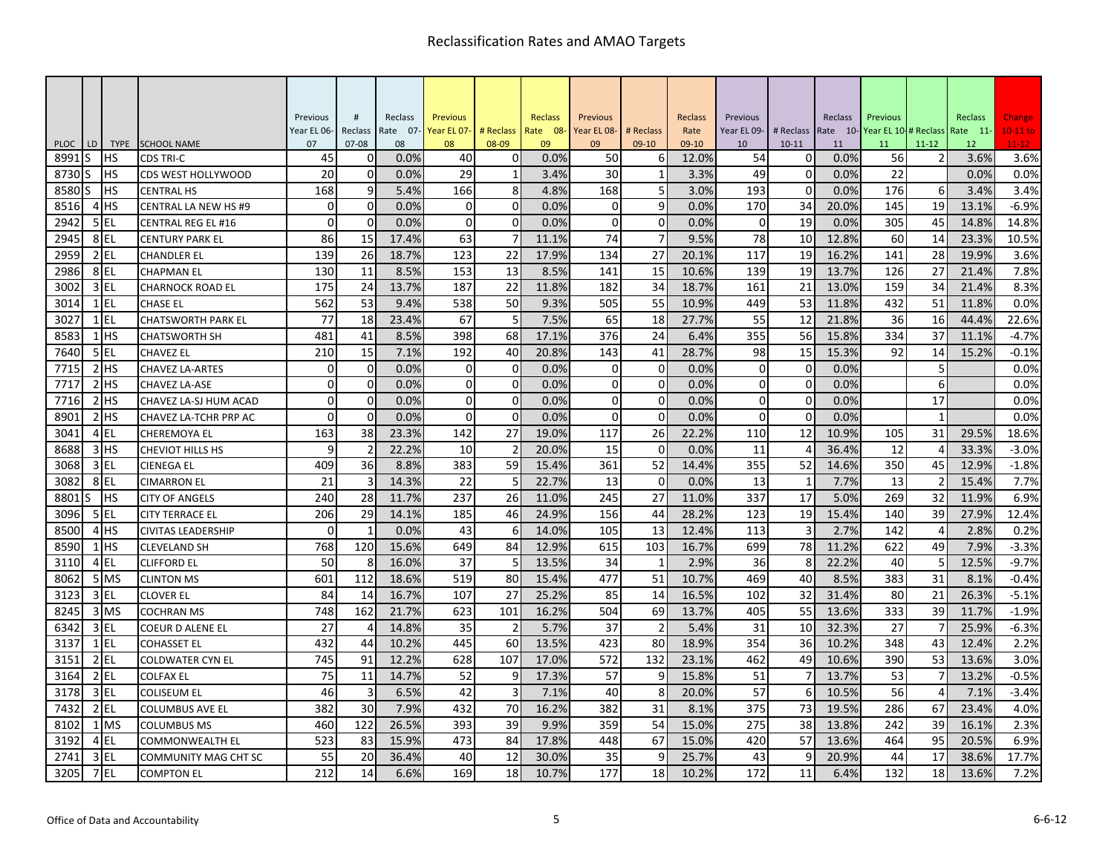|              |    |                         |                                              | Previous                   | #                       | Reclass       | Previous             |                         | <b>Reclass</b> | Previous             |                | Reclass        | Previous        |              | Reclass        | Previous                     |           | Reclass         | Change           |
|--------------|----|-------------------------|----------------------------------------------|----------------------------|-------------------------|---------------|----------------------|-------------------------|----------------|----------------------|----------------|----------------|-----------------|--------------|----------------|------------------------------|-----------|-----------------|------------------|
|              |    |                         |                                              | Year EL 06-                | Reclass                 | Rate 07-      | Year EL 07-          | # Reclass               | Rate 08-       | Year EL 08-          | # Reclass      | Rate           | Year EL 09-     | # Reclass    |                | Rate 10-Year EL 10-# Reclass |           | Rate 11-        | $10-11$ to       |
| <b>PLOC</b>  | LD | <b>TYPE</b>             | <b>SCHOOL NAME</b>                           | 07                         | $07 - 08$               | 08            | 08                   | 08-09                   | 09             | 09                   | 09-10          | 09-10          | 10              | $10 - 11$    | 11             | 11                           | $11 - 12$ | 12 <sup>2</sup> | $11-12$          |
| 8991         | S. | нs                      | <b>CDS TRI-C</b>                             | 45                         | $\Omega$                | 0.0%          | 40                   | $\mathbf 0$             | 0.0%           | 50                   | 6              | 12.0%          | 54              | 0            | 0.0%           | 56                           |           | 3.6%            | 3.6%             |
| 8730         |    | HS                      | CDS WEST HOLLYWOOD                           | 20                         | $\mathbf 0$             | 0.0%          | 29                   | $\mathbf{1}$            | 3.4%           | 30                   | 1              | 3.3%           | 49              | $\mathbf 0$  | 0.0%           | 22                           |           | 0.0%            | 0.0%             |
| 8580         |    | <b>HS</b>               | <b>CENTRAL HS</b>                            | 168                        | 9                       | 5.4%          | 166                  | 8                       | 4.8%           | 168                  | 5              | 3.0%           | 193             | $\mathbf 0$  | 0.0%           | 176                          | 6         | 3.4%            | 3.4%             |
| 8516<br>2942 |    | 4 <sup>HS</sup><br>5 EL | CENTRAL LA NEW HS #9                         | $\overline{0}$<br>$\Omega$ | $\mathbf 0$<br>$\Omega$ | 0.0%<br>0.0%  | $\Omega$<br>$\Omega$ | $\mathbf 0$<br>$\Omega$ | 0.0%<br>0.0%   | $\Omega$<br>$\Omega$ | 9<br>$\Omega$  | 0.0%<br>0.0%   | 170<br>$\Omega$ | 34<br>19     | 20.0%<br>0.0%  | 145<br>305                   | 19<br>45  | 13.1%<br>14.8%  | $-6.9%$<br>14.8% |
| 2945         |    | 8EL                     | <b>CENTRAL REG EL #16</b>                    | 86                         | 15                      | 17.4%         | 63                   | 7                       | 11.1%          | 74                   | 7              | 9.5%           | 78              | 10           | 12.8%          | 60                           | 14        |                 | 10.5%            |
| 2959         |    | $2$ EL                  | <b>CENTURY PARK EL</b>                       | 139                        |                         |               | 123                  | 22                      |                | 134                  | 27             |                | 117             | 19           |                |                              | 28        | 23.3%<br>19.9%  |                  |
| 2986         |    | 8 EL                    | <b>CHANDLER EL</b>                           | 130                        | 26<br>11                | 18.7%<br>8.5% | 153                  | 13                      | 17.9%<br>8.5%  | 141                  | 15             | 20.1%<br>10.6% | 139             | 19           | 16.2%<br>13.7% | 141<br>126                   | 27        | 21.4%           | 3.6%<br>7.8%     |
| 3002         |    | 3 EL                    | <b>CHAPMAN EL</b><br><b>CHARNOCK ROAD EL</b> | 175                        | 24                      | 13.7%         | 187                  | 22                      | 11.8%          | 182                  | 34             | 18.7%          | 161             | 21           | 13.0%          | 159                          | 34        | 21.4%           | 8.3%             |
| 3014         |    | $1$ EL                  | <b>CHASE EL</b>                              | 562                        | 53                      | 9.4%          | 538                  | 50                      | 9.3%           | 505                  | 55             | 10.9%          | 449             | 53           | 11.8%          | 432                          | 51        | 11.8%           | 0.0%             |
| 3027         |    | $1$ EL                  | <b>CHATSWORTH PARK EL</b>                    | 77                         | 18                      | 23.4%         | 67                   | 5                       | 7.5%           | 65                   | 18             | 27.7%          | 55              | 12           | 21.8%          | 36                           | 16        | 44.4%           | 22.6%            |
| 8583         |    | $1$ $HS$                | <b>CHATSWORTH SH</b>                         | 481                        | 41                      | 8.5%          | 398                  | 68                      | 17.1%          | 376                  | 24             | 6.4%           | 355             | 56           | 15.8%          | 334                          | 37        | 11.1%           | $-4.7%$          |
| 7640         |    | 5 EL                    | <b>CHAVEZ EL</b>                             | 210                        | 15                      | 7.1%          | 192                  | 40                      | 20.8%          | 143                  | 41             | 28.7%          | 98              | 15           | 15.3%          | 92                           | 14        | 15.2%           | $-0.1%$          |
| 7715         |    | $2$ HS                  | <b>CHAVEZ LA-ARTES</b>                       | $\overline{0}$             | $\mathbf 0$             | 0.0%          | $\mathbf 0$          | $\mathbf 0$             | 0.0%           | $\mathbf 0$          | $\Omega$       | 0.0%           | $\mathbf 0$     | $\mathbf 0$  | 0.0%           |                              | 5         |                 | 0.0%             |
| 7717         |    | 2H <sub>5</sub>         | <b>CHAVEZ LA-ASE</b>                         | $\Omega$                   | $\mathbf 0$             | 0.0%          | $\Omega$             | $\mathbf 0$             | 0.0%           | $\Omega$             | 0              | 0.0%           | $\Omega$        | $\mathbf{0}$ | 0.0%           |                              | 6         |                 | 0.0%             |
| 7716         |    | $2$ $HS$                | CHAVEZ LA-SJ HUM ACAD                        | $\Omega$                   | $\mathbf 0$             | 0.0%          | $\mathbf 0$          | $\mathbf 0$             | 0.0%           | $\Omega$             | 0              | 0.0%           | $\mathbf 0$     | $\mathbf 0$  | 0.0%           |                              | 17        |                 | 0.0%             |
| 8901         |    | 2H <sub>5</sub>         | CHAVEZ LA-TCHR PRP AC                        | $\Omega$                   | $\Omega$                | 0.0%          | $\Omega$             | $\mathbf 0$             | 0.0%           | $\Omega$             | $\Omega$       | 0.0%           | $\Omega$        | $\mathbf{0}$ | 0.0%           |                              |           |                 | 0.0%             |
| 3041         |    | 4EL                     | CHEREMOYA EL                                 | 163                        | 38                      | 23.3%         | 142                  | 27                      | 19.0%          | 117                  | 26             | 22.2%          | 110             | 12           | 10.9%          | 105                          | 31        | 29.5%           | 18.6%            |
| 8688         |    | $3$ HS                  | <b>CHEVIOT HILLS HS</b>                      | 9                          | $\overline{2}$          | 22.2%         | 10                   | $\overline{2}$          | 20.0%          | 15                   | $\Omega$       | 0.0%           | 11              | 4            | 36.4%          | 12                           |           | 33.3%           | $-3.0%$          |
| 3068         |    | $3$ EL                  | <b>CIENEGA EL</b>                            | 409                        | 36                      | 8.8%          | 383                  | 59                      | 15.4%          | 361                  | 52             | 14.4%          | 355             | 52           | 14.6%          | 350                          | 45        | 12.9%           | $-1.8%$          |
| 3082         |    | 8EL                     | <b>CIMARRON EL</b>                           | 21                         | 3                       | 14.3%         | 22                   |                         | 22.7%          | 13                   | $\Omega$       | 0.0%           | 13              |              | 7.7%           | 13                           |           | 15.4%           | 7.7%             |
| 8801         |    | <b>IHS</b>              | <b>CITY OF ANGELS</b>                        | 240                        | 28                      | 11.7%         | 237                  | 26                      | 11.0%          | 245                  | 27             | 11.0%          | 337             | 17           | 5.0%           | 269                          | 32        | 11.9%           | 6.9%             |
| 3096         |    | 5 EL                    | <b>CITY TERRACE EL</b>                       | 206                        | 29                      | 14.1%         | 185                  | 46                      | 24.9%          | 156                  | 44             | 28.2%          | 123             | 19           | 15.4%          | 140                          | 39        | 27.9%           | 12.4%            |
| 8500         |    | 4 <sup>HS</sup>         | <b>CIVITAS LEADERSHIP</b>                    | $\Omega$                   | -1                      | 0.0%          | 43                   | 6                       | 14.0%          | 105                  | 13             | 12.4%          | 113             | 3            | 2.7%           | 142                          | 4         | 2.8%            | 0.2%             |
| 8590         |    | $1$ HS                  | <b>CLEVELAND SH</b>                          | 768                        | 120                     | 15.6%         | 649                  | 84                      | 12.9%          | 615                  | 103            | 16.7%          | 699             | 78           | 11.2%          | 622                          | 49        | 7.9%            | $-3.3%$          |
| 3110         |    | 4 EL                    | <b>CLIFFORD EL</b>                           | 50                         | 8                       | 16.0%         | 37                   | 5                       | 13.5%          | 34                   |                | 2.9%           | 36              | 8            | 22.2%          | 40                           | 5         | 12.5%           | $-9.7%$          |
| 8062         |    | 5 MS                    | <b>CLINTON MS</b>                            | 601                        | 112                     | 18.6%         | 519                  | 80                      | 15.4%          | 477                  | 51             | 10.7%          | 469             | 40           | 8.5%           | 383                          | 31        | 8.1%            | $-0.4%$          |
| 3123         |    | $3$ EL                  | <b>CLOVER EL</b>                             | 84                         | 14                      | 16.7%         | 107                  | 27                      | 25.2%          | 85                   | 14             | 16.5%          | 102             | 32           | 31.4%          | 80                           | 21        | 26.3%           | $-5.1%$          |
| 8245         |    | 3 MS                    | <b>COCHRAN MS</b>                            | 748                        | 162                     | 21.7%         | 623                  | 101                     | 16.2%          | 504                  | 69             | 13.7%          | 405             | 55           | 13.6%          | 333                          | 39        | 11.7%           | $-1.9%$          |
| 6342         |    | 3 EL                    | <b>COEUR D ALENE EL</b>                      | 27                         | 4                       | 14.8%         | 35                   | $\overline{2}$          | 5.7%           | 37                   | $\overline{2}$ | 5.4%           | 31              | 10           | 32.3%          | 27                           |           | 25.9%           | $-6.3%$          |
| 3137         |    | $1$ EL                  | COHASSET EL                                  | 432                        | 44                      | 10.2%         | 445                  | 60                      | 13.5%          | 423                  | 80             | 18.9%          | 354             | 36           | 10.2%          | 348                          | 43        | 12.4%           | 2.2%             |
| 3151         |    | $2$ EL                  | COLDWATER CYN EL                             | 745                        | 91                      | 12.2%         | 628                  | 107                     | 17.0%          | 572                  | 132            | 23.1%          | 462             | 49           | 10.6%          | 390                          | 53        | 13.6%           | 3.0%             |
| 3164         |    | $2$ EL                  | <b>COLFAX EL</b>                             | 75                         | 11                      | 14.7%         | 52                   | 9                       | 17.3%          | 57                   |                | 15.8%          | 51              |              | 13.7%          | 53                           |           | 13.2%           | $-0.5%$          |
| 3178         |    | $3$ EL                  | COLISEUM EL                                  | 46                         | $\overline{3}$          | 6.5%          | 42                   | 3                       | 7.1%           | 40                   | 8              | 20.0%          | 57              | 6            | 10.5%          | 56                           | $\Delta$  | 7.1%            | $-3.4%$          |
| 7432         |    | $2$ EL                  | <b>COLUMBUS AVE EL</b>                       | 382                        | 30                      | 7.9%          | 432                  | 70                      | 16.2%          | 382                  | 31             | 8.1%           | 375             | 73           | 19.5%          | 286                          | 67        | 23.4%           | 4.0%             |
| 8102         |    | 1 MS                    | <b>COLUMBUS MS</b>                           | 460                        | 122                     | 26.5%         | 393                  | 39                      | 9.9%           | 359                  | 54             | 15.0%          | 275             | 38           | 13.8%          | 242                          | 39        | 16.1%           | 2.3%             |
| 3192         |    | 4EL                     | COMMONWEALTH EL                              | 523                        | 83                      | 15.9%         | 473                  | 84                      | 17.8%          | 448                  | 67             | 15.0%          | 420             | 57           | 13.6%          | 464                          | 95        | 20.5%           | 6.9%             |
| 2743         |    | 3 EL                    | <b>COMMUNITY MAG CHT SC</b>                  | 55                         | 20                      | 36.4%         | 40                   | 12                      | 30.0%          | 35                   |                | 25.7%          | 43              | 9            | 20.9%          | 44                           | 17        | 38.6%           | 17.7%            |
| 3205         |    | 7 EL                    | <b>COMPTON EL</b>                            | 212                        | 14                      | 6.6%          | 169                  | 18                      | 10.7%          | 177                  | 18             | 10.2%          | 172             | 11           | 6.4%           | 132                          | 18        | 13.6%           | 7.2%             |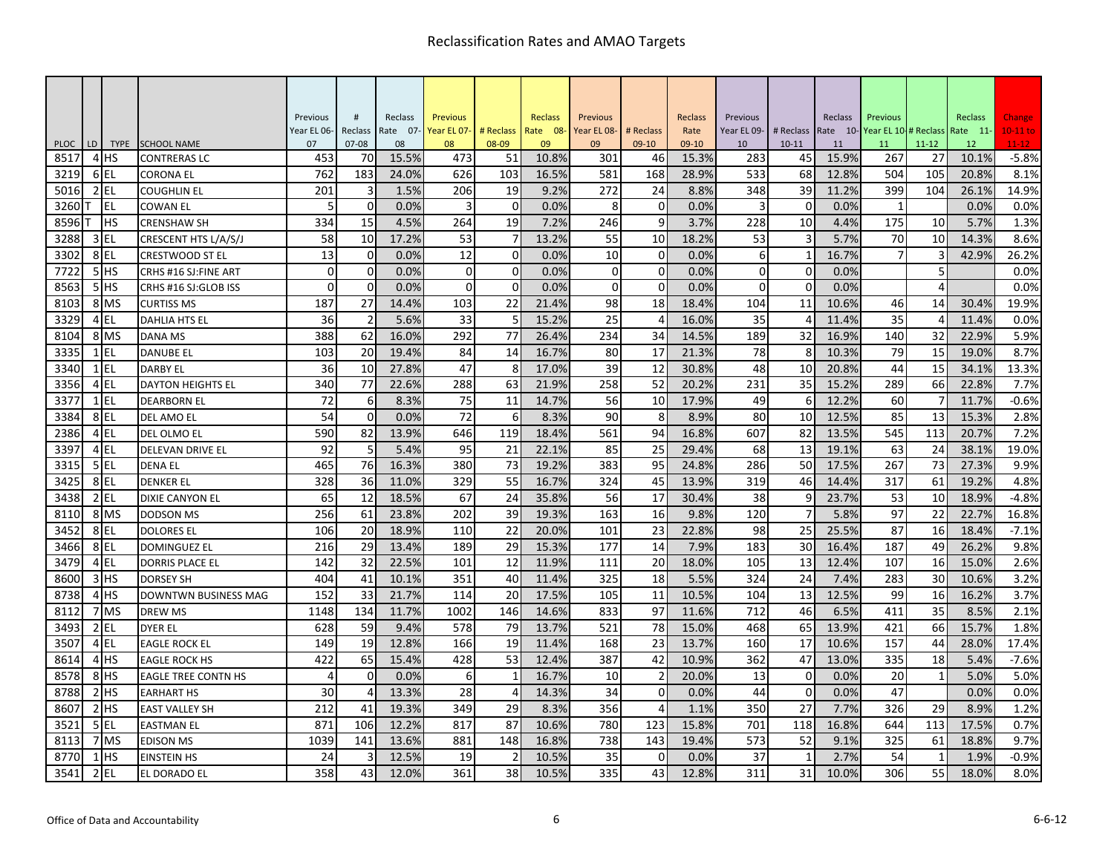| #<br>Reclass<br>Reclass<br>Reclass<br><b>Previous</b><br>Reclass<br>Previous<br>Previous<br>Reclass<br>Previous<br>Previous<br>Year EL 06-<br>Reclass<br>Rate 07-<br>Year EL 07-<br># Reclass<br>Rate 08-<br>Year EL 08-<br># Reclass<br>Rate<br>Year EL 09-<br># Reclass<br>Rate 10-<br>Year EL 10-<br># Reclass<br>Rate 11-<br>LD<br><b>TYPE</b><br><b>SCHOOL NAME</b><br>08-09<br>$11 - 12$<br><b>PLOC</b><br>07<br>$07 - 08$<br>08<br>08<br>09<br>09<br>$09-10$<br>09-10<br>10<br>$10 - 11$<br>12<br>11<br>11<br>453<br>70<br>15.5%<br>473<br>301<br>15.9%<br>10.1%<br>8517<br>4 HS<br>51<br>10.8%<br>15.3%<br>283<br>45<br>267<br>27<br>46<br><b>CONTRERAS LC</b><br>762<br>105<br>3219<br>6EL<br>183<br>24.0%<br>626<br>103<br>16.5%<br>581<br>168<br>28.9%<br>533<br>68<br>12.8%<br>504<br>20.8%<br><b>CORONA EL</b><br>$2$ EL<br>201<br>19<br>39<br>5016<br>3<br>1.5%<br>206<br>9.2%<br>272<br>24<br>8.8%<br>348<br>11.2%<br>399<br>104<br>26.1%<br><b>COUGHLIN EL</b><br>$\overline{0}$<br>$\overline{3}$<br>$\mathbf 0$<br>8<br>$\mathbf 0$<br>0.0%<br><b>EL</b><br>5<br>0.0%<br>0.0%<br>0.0%<br>$\mathbf 0$<br>0.0%<br>3260<br>3<br>$\mathbf{1}$<br><b>COWAN EL</b><br>15<br>19<br>9<br>10<br>8596<br><b>IHS</b><br>334<br>4.5%<br>264<br>7.2%<br>246<br>3.7%<br>228<br>4.4%<br>175<br>10<br>5.7%<br><b>CRENSHAW SH</b><br>3EL<br>53<br>55<br>$\overline{3}$<br>3288<br>58<br>10<br>17.2%<br>$\overline{7}$<br>13.2%<br>10<br>18.2%<br>53<br>5.7%<br>70<br>10<br>14.3%<br>CRESCENT HTS L/A/S/J<br>13<br>12<br>8EL<br>$\overline{0}$<br>$\mathbf 0$<br>10<br>0<br>3302<br>0.0%<br>0.0%<br>0.0%<br>6<br>16.7%<br>42.9%<br>1<br>7<br>3<br><b>CRESTWOOD ST EL</b><br>5<br>5HS<br>$\overline{0}$<br>$\overline{0}$<br>$\mathbf{0}$<br>$\mathbf 0$<br>$\mathbf 0$<br>7722<br>0.0%<br>$\mathbf 0$<br>0.0%<br>$\mathbf 0$<br>0.0%<br>$\Omega$<br>0.0%<br>CRHS #16 SJ: FINE ART<br>$\Omega$<br>$\Omega$<br>8563<br>$5$ HS<br>$\Omega$<br>$\Omega$<br>$\Omega$<br>$\Omega$<br>$\Omega$<br>$\overline{4}$<br>0.0%<br>0.0%<br>0.0%<br>$\Omega$<br>0.0%<br>CRHS #16 SJ:GLOB ISS<br>187<br>27<br>22<br>98<br>18<br>11<br>8103<br>8 MS<br>14.4%<br>103<br>21.4%<br>18.4%<br>104<br>10.6%<br>14<br>30.4%<br>46<br><b>CURTISS MS</b><br>$\overline{2}$<br>25<br>3329<br>$4$ EL<br>36<br>5.6%<br>33<br>15.2%<br>16.0%<br>35<br>11.4%<br>35<br>11.4%<br><b>DAHLIA HTS EL</b><br>8104<br>388<br>62<br>16.0%<br>292<br>77<br>26.4%<br>234<br>189<br>32<br>16.9%<br>140<br>32<br>22.9%<br>8 MS<br>34<br>14.5%<br><b>DANA MS</b><br>15<br>3335<br>$1$ EL<br>103<br>20<br>84<br>14<br>16.7%<br>80<br>17<br>21.3%<br>78<br>8<br>10.3%<br>79<br>19.0%<br>19.4%<br><b>DANUBE EL</b><br>$1$ EL<br>47<br>8<br>39<br>12<br>15<br>3340<br>36<br>10<br>27.8%<br>17.0%<br>48<br>10<br>44<br>34.1%<br>30.8%<br>20.8%<br><b>DARBY EL</b><br>4 EL<br>340<br>77<br>63<br>258<br>52<br>35<br>66<br>22.8%<br>3356<br>22.6%<br>288<br>21.9%<br>20.2%<br>231<br>15.2%<br>289<br><b>DAYTON HEIGHTS EL</b><br>3377<br>$1$ EL<br>72<br>6<br>8.3%<br>75<br>11<br>56<br>10<br>17.9%<br>6<br>12.2%<br>60<br>11.7%<br>14.7%<br>49<br><b>DEARBORN EL</b><br>72<br>54<br>$\Omega$<br>6<br>90<br>8<br>80<br>10<br>3384<br>8EL<br>0.0%<br>8.3%<br>8.9%<br>12.5%<br>85<br>13<br>15.3%<br>DEL AMO EL<br>2386<br>$4$ EL<br>590<br>82<br>13.9%<br>119<br>561<br>94<br>16.8%<br>607<br>82<br>13.5%<br>545<br>113<br>20.7%<br>646<br>18.4%<br>DEL OLMO EL<br>3397<br>$4$ EL<br>5<br>25<br>13<br>24<br>92<br>5.4%<br>95<br>21<br>22.1%<br>85<br>29.4%<br>68<br>19.1%<br>63<br>38.1%<br>DELEVAN DRIVE EL<br>$5$ EL<br>465<br>76<br>16.3%<br>380<br>73<br>383<br>95<br>286<br>50<br>17.5%<br>267<br>73<br>27.3%<br>3315<br>19.2%<br>24.8%<br><b>DENA EL</b><br>55<br>8EL<br>328<br>36<br>329<br>16.7%<br>324<br>45<br>13.9%<br>319<br>46<br>317<br>61<br>19.2%<br>3425<br>11.0%<br>14.4%<br><b>DENKER EL</b><br>12<br>10<br>3438<br>2 EL<br>65<br>18.5%<br>67<br>24<br>35.8%<br>56<br>17<br>30.4%<br>38<br>9<br>23.7%<br>53<br>18.9%<br><b>DIXIE CANYON EL</b><br>7<br>8110<br>8 MS<br>256<br>61<br>23.8%<br>202<br>39<br>19.3%<br>163<br>16<br>120<br>5.8%<br>97<br>22<br>22.7%<br>9.8%<br><b>DODSON MS</b><br>110<br>22<br>25<br>87<br>16<br>8EL<br>106<br>20<br>20.0%<br>101<br>23<br>98<br>25.5%<br>18.4%<br>3452<br>18.9%<br>22.8%<br><b>DOLORES EL</b><br>49<br>8EL<br>216<br>29<br>29<br>177<br>30<br>26.2%<br>3466<br>13.4%<br>189<br>15.3%<br>14<br>7.9%<br>183<br>16.4%<br>187<br><b>DOMINGUEZ EL</b><br>16<br>3479<br>4 EL<br>142<br>32<br>101<br>12<br>13<br>107<br>22.5%<br>11.9%<br>111<br>20<br>18.0%<br>105<br>12.4%<br>15.0%<br><b>DORRIS PLACE EL</b><br>3H <sub>5</sub><br>404<br>41<br>351<br>40<br>325<br>18<br>324<br>24<br>30<br>8600<br>10.1%<br>11.4%<br>5.5%<br>7.4%<br>283<br>10.6%<br><b>DORSEY SH</b><br>4H <sub>5</sub><br>152<br>33<br>20<br>11<br>13<br>16<br>8738<br>21.7%<br>114<br>17.5%<br>105<br>10.5%<br>104<br>12.5%<br>99<br>16.2%<br><b>DOWNTWN BUSINESS MAG</b> |              |                |      |     |       |      |     |       |     |    |       |     |    |      |     |    |      |                         |
|---------------------------------------------------------------------------------------------------------------------------------------------------------------------------------------------------------------------------------------------------------------------------------------------------------------------------------------------------------------------------------------------------------------------------------------------------------------------------------------------------------------------------------------------------------------------------------------------------------------------------------------------------------------------------------------------------------------------------------------------------------------------------------------------------------------------------------------------------------------------------------------------------------------------------------------------------------------------------------------------------------------------------------------------------------------------------------------------------------------------------------------------------------------------------------------------------------------------------------------------------------------------------------------------------------------------------------------------------------------------------------------------------------------------------------------------------------------------------------------------------------------------------------------------------------------------------------------------------------------------------------------------------------------------------------------------------------------------------------------------------------------------------------------------------------------------------------------------------------------------------------------------------------------------------------------------------------------------------------------------------------------------------------------------------------------------------------------------------------------------------------------------------------------------------------------------------------------------------------------------------------------------------------------------------------------------------------------------------------------------------------------------------------------------------------------------------------------------------------------------------------------------------------------------------------------------------------------------------------------------------------------------------------------------------------------------------------------------------------------------------------------------------------------------------------------------------------------------------------------------------------------------------------------------------------------------------------------------------------------------------------------------------------------------------------------------------------------------------------------------------------------------------------------------------------------------------------------------------------------------------------------------------------------------------------------------------------------------------------------------------------------------------------------------------------------------------------------------------------------------------------------------------------------------------------------------------------------------------------------------------------------------------------------------------------------------------------------------------------------------------------------------------------------------------------------------------------------------------------------------------------------------------------------------------------------------------------------------------------------------------------------------------------------------------------------------------------------------------------------------------------------------------------------------------------------------------------------------------------------------------------------------------------------------------------------------------------------------------------------------------------------------------------------------------------------------------------------------------------------------------------------------------------------------------------------------------------------------------------------------------------------------------------------------------------------------------------------------------------------------------------------------------------------------------------------------------------------------------------------------------------------------------------------------------------------------------------|--------------|----------------|------|-----|-------|------|-----|-------|-----|----|-------|-----|----|------|-----|----|------|-------------------------|
|                                                                                                                                                                                                                                                                                                                                                                                                                                                                                                                                                                                                                                                                                                                                                                                                                                                                                                                                                                                                                                                                                                                                                                                                                                                                                                                                                                                                                                                                                                                                                                                                                                                                                                                                                                                                                                                                                                                                                                                                                                                                                                                                                                                                                                                                                                                                                                                                                                                                                                                                                                                                                                                                                                                                                                                                                                                                                                                                                                                                                                                                                                                                                                                                                                                                                                                                                                                                                                                                                                                                                                                                                                                                                                                                                                                                                                                                                                                                                                                                                                                                                                                                                                                                                                                                                                                                                                                                                                                                                                                                                                                                                                                                                                                                                                                                                                                                                                                                                         |              |                |      |     |       |      |     |       |     |    |       |     |    |      |     |    |      | Change                  |
|                                                                                                                                                                                                                                                                                                                                                                                                                                                                                                                                                                                                                                                                                                                                                                                                                                                                                                                                                                                                                                                                                                                                                                                                                                                                                                                                                                                                                                                                                                                                                                                                                                                                                                                                                                                                                                                                                                                                                                                                                                                                                                                                                                                                                                                                                                                                                                                                                                                                                                                                                                                                                                                                                                                                                                                                                                                                                                                                                                                                                                                                                                                                                                                                                                                                                                                                                                                                                                                                                                                                                                                                                                                                                                                                                                                                                                                                                                                                                                                                                                                                                                                                                                                                                                                                                                                                                                                                                                                                                                                                                                                                                                                                                                                                                                                                                                                                                                                                                         |              |                |      |     |       |      |     |       |     |    |       |     |    |      |     |    |      | $10-11$ to<br>$11 - 12$ |
|                                                                                                                                                                                                                                                                                                                                                                                                                                                                                                                                                                                                                                                                                                                                                                                                                                                                                                                                                                                                                                                                                                                                                                                                                                                                                                                                                                                                                                                                                                                                                                                                                                                                                                                                                                                                                                                                                                                                                                                                                                                                                                                                                                                                                                                                                                                                                                                                                                                                                                                                                                                                                                                                                                                                                                                                                                                                                                                                                                                                                                                                                                                                                                                                                                                                                                                                                                                                                                                                                                                                                                                                                                                                                                                                                                                                                                                                                                                                                                                                                                                                                                                                                                                                                                                                                                                                                                                                                                                                                                                                                                                                                                                                                                                                                                                                                                                                                                                                                         |              |                |      |     |       |      |     |       |     |    |       |     |    |      |     |    |      | $-5.8%$                 |
|                                                                                                                                                                                                                                                                                                                                                                                                                                                                                                                                                                                                                                                                                                                                                                                                                                                                                                                                                                                                                                                                                                                                                                                                                                                                                                                                                                                                                                                                                                                                                                                                                                                                                                                                                                                                                                                                                                                                                                                                                                                                                                                                                                                                                                                                                                                                                                                                                                                                                                                                                                                                                                                                                                                                                                                                                                                                                                                                                                                                                                                                                                                                                                                                                                                                                                                                                                                                                                                                                                                                                                                                                                                                                                                                                                                                                                                                                                                                                                                                                                                                                                                                                                                                                                                                                                                                                                                                                                                                                                                                                                                                                                                                                                                                                                                                                                                                                                                                                         |              |                |      |     |       |      |     |       |     |    |       |     |    |      |     |    |      | 8.1%                    |
|                                                                                                                                                                                                                                                                                                                                                                                                                                                                                                                                                                                                                                                                                                                                                                                                                                                                                                                                                                                                                                                                                                                                                                                                                                                                                                                                                                                                                                                                                                                                                                                                                                                                                                                                                                                                                                                                                                                                                                                                                                                                                                                                                                                                                                                                                                                                                                                                                                                                                                                                                                                                                                                                                                                                                                                                                                                                                                                                                                                                                                                                                                                                                                                                                                                                                                                                                                                                                                                                                                                                                                                                                                                                                                                                                                                                                                                                                                                                                                                                                                                                                                                                                                                                                                                                                                                                                                                                                                                                                                                                                                                                                                                                                                                                                                                                                                                                                                                                                         |              |                |      |     |       |      |     |       |     |    |       |     |    |      |     |    |      | 14.9%                   |
|                                                                                                                                                                                                                                                                                                                                                                                                                                                                                                                                                                                                                                                                                                                                                                                                                                                                                                                                                                                                                                                                                                                                                                                                                                                                                                                                                                                                                                                                                                                                                                                                                                                                                                                                                                                                                                                                                                                                                                                                                                                                                                                                                                                                                                                                                                                                                                                                                                                                                                                                                                                                                                                                                                                                                                                                                                                                                                                                                                                                                                                                                                                                                                                                                                                                                                                                                                                                                                                                                                                                                                                                                                                                                                                                                                                                                                                                                                                                                                                                                                                                                                                                                                                                                                                                                                                                                                                                                                                                                                                                                                                                                                                                                                                                                                                                                                                                                                                                                         |              |                |      |     |       |      |     |       |     |    |       |     |    |      |     |    |      | 0.0%                    |
|                                                                                                                                                                                                                                                                                                                                                                                                                                                                                                                                                                                                                                                                                                                                                                                                                                                                                                                                                                                                                                                                                                                                                                                                                                                                                                                                                                                                                                                                                                                                                                                                                                                                                                                                                                                                                                                                                                                                                                                                                                                                                                                                                                                                                                                                                                                                                                                                                                                                                                                                                                                                                                                                                                                                                                                                                                                                                                                                                                                                                                                                                                                                                                                                                                                                                                                                                                                                                                                                                                                                                                                                                                                                                                                                                                                                                                                                                                                                                                                                                                                                                                                                                                                                                                                                                                                                                                                                                                                                                                                                                                                                                                                                                                                                                                                                                                                                                                                                                         |              |                |      |     |       |      |     |       |     |    |       |     |    |      |     |    |      | 1.3%                    |
|                                                                                                                                                                                                                                                                                                                                                                                                                                                                                                                                                                                                                                                                                                                                                                                                                                                                                                                                                                                                                                                                                                                                                                                                                                                                                                                                                                                                                                                                                                                                                                                                                                                                                                                                                                                                                                                                                                                                                                                                                                                                                                                                                                                                                                                                                                                                                                                                                                                                                                                                                                                                                                                                                                                                                                                                                                                                                                                                                                                                                                                                                                                                                                                                                                                                                                                                                                                                                                                                                                                                                                                                                                                                                                                                                                                                                                                                                                                                                                                                                                                                                                                                                                                                                                                                                                                                                                                                                                                                                                                                                                                                                                                                                                                                                                                                                                                                                                                                                         |              |                |      |     |       |      |     |       |     |    |       |     |    |      |     |    |      | 8.6%                    |
|                                                                                                                                                                                                                                                                                                                                                                                                                                                                                                                                                                                                                                                                                                                                                                                                                                                                                                                                                                                                                                                                                                                                                                                                                                                                                                                                                                                                                                                                                                                                                                                                                                                                                                                                                                                                                                                                                                                                                                                                                                                                                                                                                                                                                                                                                                                                                                                                                                                                                                                                                                                                                                                                                                                                                                                                                                                                                                                                                                                                                                                                                                                                                                                                                                                                                                                                                                                                                                                                                                                                                                                                                                                                                                                                                                                                                                                                                                                                                                                                                                                                                                                                                                                                                                                                                                                                                                                                                                                                                                                                                                                                                                                                                                                                                                                                                                                                                                                                                         |              |                |      |     |       |      |     |       |     |    |       |     |    |      |     |    |      | 26.2%                   |
|                                                                                                                                                                                                                                                                                                                                                                                                                                                                                                                                                                                                                                                                                                                                                                                                                                                                                                                                                                                                                                                                                                                                                                                                                                                                                                                                                                                                                                                                                                                                                                                                                                                                                                                                                                                                                                                                                                                                                                                                                                                                                                                                                                                                                                                                                                                                                                                                                                                                                                                                                                                                                                                                                                                                                                                                                                                                                                                                                                                                                                                                                                                                                                                                                                                                                                                                                                                                                                                                                                                                                                                                                                                                                                                                                                                                                                                                                                                                                                                                                                                                                                                                                                                                                                                                                                                                                                                                                                                                                                                                                                                                                                                                                                                                                                                                                                                                                                                                                         |              |                |      |     |       |      |     |       |     |    |       |     |    |      |     |    |      | 0.0%                    |
|                                                                                                                                                                                                                                                                                                                                                                                                                                                                                                                                                                                                                                                                                                                                                                                                                                                                                                                                                                                                                                                                                                                                                                                                                                                                                                                                                                                                                                                                                                                                                                                                                                                                                                                                                                                                                                                                                                                                                                                                                                                                                                                                                                                                                                                                                                                                                                                                                                                                                                                                                                                                                                                                                                                                                                                                                                                                                                                                                                                                                                                                                                                                                                                                                                                                                                                                                                                                                                                                                                                                                                                                                                                                                                                                                                                                                                                                                                                                                                                                                                                                                                                                                                                                                                                                                                                                                                                                                                                                                                                                                                                                                                                                                                                                                                                                                                                                                                                                                         |              |                |      |     |       |      |     |       |     |    |       |     |    |      |     |    |      | 0.0%                    |
|                                                                                                                                                                                                                                                                                                                                                                                                                                                                                                                                                                                                                                                                                                                                                                                                                                                                                                                                                                                                                                                                                                                                                                                                                                                                                                                                                                                                                                                                                                                                                                                                                                                                                                                                                                                                                                                                                                                                                                                                                                                                                                                                                                                                                                                                                                                                                                                                                                                                                                                                                                                                                                                                                                                                                                                                                                                                                                                                                                                                                                                                                                                                                                                                                                                                                                                                                                                                                                                                                                                                                                                                                                                                                                                                                                                                                                                                                                                                                                                                                                                                                                                                                                                                                                                                                                                                                                                                                                                                                                                                                                                                                                                                                                                                                                                                                                                                                                                                                         |              |                |      |     |       |      |     |       |     |    |       |     |    |      |     |    |      | 19.9%                   |
|                                                                                                                                                                                                                                                                                                                                                                                                                                                                                                                                                                                                                                                                                                                                                                                                                                                                                                                                                                                                                                                                                                                                                                                                                                                                                                                                                                                                                                                                                                                                                                                                                                                                                                                                                                                                                                                                                                                                                                                                                                                                                                                                                                                                                                                                                                                                                                                                                                                                                                                                                                                                                                                                                                                                                                                                                                                                                                                                                                                                                                                                                                                                                                                                                                                                                                                                                                                                                                                                                                                                                                                                                                                                                                                                                                                                                                                                                                                                                                                                                                                                                                                                                                                                                                                                                                                                                                                                                                                                                                                                                                                                                                                                                                                                                                                                                                                                                                                                                         |              |                |      |     |       |      |     |       |     |    |       |     |    |      |     |    |      | 0.0%                    |
|                                                                                                                                                                                                                                                                                                                                                                                                                                                                                                                                                                                                                                                                                                                                                                                                                                                                                                                                                                                                                                                                                                                                                                                                                                                                                                                                                                                                                                                                                                                                                                                                                                                                                                                                                                                                                                                                                                                                                                                                                                                                                                                                                                                                                                                                                                                                                                                                                                                                                                                                                                                                                                                                                                                                                                                                                                                                                                                                                                                                                                                                                                                                                                                                                                                                                                                                                                                                                                                                                                                                                                                                                                                                                                                                                                                                                                                                                                                                                                                                                                                                                                                                                                                                                                                                                                                                                                                                                                                                                                                                                                                                                                                                                                                                                                                                                                                                                                                                                         |              |                |      |     |       |      |     |       |     |    |       |     |    |      |     |    |      | 5.9%                    |
|                                                                                                                                                                                                                                                                                                                                                                                                                                                                                                                                                                                                                                                                                                                                                                                                                                                                                                                                                                                                                                                                                                                                                                                                                                                                                                                                                                                                                                                                                                                                                                                                                                                                                                                                                                                                                                                                                                                                                                                                                                                                                                                                                                                                                                                                                                                                                                                                                                                                                                                                                                                                                                                                                                                                                                                                                                                                                                                                                                                                                                                                                                                                                                                                                                                                                                                                                                                                                                                                                                                                                                                                                                                                                                                                                                                                                                                                                                                                                                                                                                                                                                                                                                                                                                                                                                                                                                                                                                                                                                                                                                                                                                                                                                                                                                                                                                                                                                                                                         |              |                |      |     |       |      |     |       |     |    |       |     |    |      |     |    |      | 8.7%                    |
|                                                                                                                                                                                                                                                                                                                                                                                                                                                                                                                                                                                                                                                                                                                                                                                                                                                                                                                                                                                                                                                                                                                                                                                                                                                                                                                                                                                                                                                                                                                                                                                                                                                                                                                                                                                                                                                                                                                                                                                                                                                                                                                                                                                                                                                                                                                                                                                                                                                                                                                                                                                                                                                                                                                                                                                                                                                                                                                                                                                                                                                                                                                                                                                                                                                                                                                                                                                                                                                                                                                                                                                                                                                                                                                                                                                                                                                                                                                                                                                                                                                                                                                                                                                                                                                                                                                                                                                                                                                                                                                                                                                                                                                                                                                                                                                                                                                                                                                                                         |              |                |      |     |       |      |     |       |     |    |       |     |    |      |     |    |      | 13.3%                   |
|                                                                                                                                                                                                                                                                                                                                                                                                                                                                                                                                                                                                                                                                                                                                                                                                                                                                                                                                                                                                                                                                                                                                                                                                                                                                                                                                                                                                                                                                                                                                                                                                                                                                                                                                                                                                                                                                                                                                                                                                                                                                                                                                                                                                                                                                                                                                                                                                                                                                                                                                                                                                                                                                                                                                                                                                                                                                                                                                                                                                                                                                                                                                                                                                                                                                                                                                                                                                                                                                                                                                                                                                                                                                                                                                                                                                                                                                                                                                                                                                                                                                                                                                                                                                                                                                                                                                                                                                                                                                                                                                                                                                                                                                                                                                                                                                                                                                                                                                                         |              |                |      |     |       |      |     |       |     |    |       |     |    |      |     |    |      | 7.7%                    |
|                                                                                                                                                                                                                                                                                                                                                                                                                                                                                                                                                                                                                                                                                                                                                                                                                                                                                                                                                                                                                                                                                                                                                                                                                                                                                                                                                                                                                                                                                                                                                                                                                                                                                                                                                                                                                                                                                                                                                                                                                                                                                                                                                                                                                                                                                                                                                                                                                                                                                                                                                                                                                                                                                                                                                                                                                                                                                                                                                                                                                                                                                                                                                                                                                                                                                                                                                                                                                                                                                                                                                                                                                                                                                                                                                                                                                                                                                                                                                                                                                                                                                                                                                                                                                                                                                                                                                                                                                                                                                                                                                                                                                                                                                                                                                                                                                                                                                                                                                         |              |                |      |     |       |      |     |       |     |    |       |     |    |      |     |    |      | $-0.6%$                 |
|                                                                                                                                                                                                                                                                                                                                                                                                                                                                                                                                                                                                                                                                                                                                                                                                                                                                                                                                                                                                                                                                                                                                                                                                                                                                                                                                                                                                                                                                                                                                                                                                                                                                                                                                                                                                                                                                                                                                                                                                                                                                                                                                                                                                                                                                                                                                                                                                                                                                                                                                                                                                                                                                                                                                                                                                                                                                                                                                                                                                                                                                                                                                                                                                                                                                                                                                                                                                                                                                                                                                                                                                                                                                                                                                                                                                                                                                                                                                                                                                                                                                                                                                                                                                                                                                                                                                                                                                                                                                                                                                                                                                                                                                                                                                                                                                                                                                                                                                                         |              |                |      |     |       |      |     |       |     |    |       |     |    |      |     |    |      | 2.8%                    |
|                                                                                                                                                                                                                                                                                                                                                                                                                                                                                                                                                                                                                                                                                                                                                                                                                                                                                                                                                                                                                                                                                                                                                                                                                                                                                                                                                                                                                                                                                                                                                                                                                                                                                                                                                                                                                                                                                                                                                                                                                                                                                                                                                                                                                                                                                                                                                                                                                                                                                                                                                                                                                                                                                                                                                                                                                                                                                                                                                                                                                                                                                                                                                                                                                                                                                                                                                                                                                                                                                                                                                                                                                                                                                                                                                                                                                                                                                                                                                                                                                                                                                                                                                                                                                                                                                                                                                                                                                                                                                                                                                                                                                                                                                                                                                                                                                                                                                                                                                         |              |                |      |     |       |      |     |       |     |    |       |     |    |      |     |    |      | 7.2%                    |
|                                                                                                                                                                                                                                                                                                                                                                                                                                                                                                                                                                                                                                                                                                                                                                                                                                                                                                                                                                                                                                                                                                                                                                                                                                                                                                                                                                                                                                                                                                                                                                                                                                                                                                                                                                                                                                                                                                                                                                                                                                                                                                                                                                                                                                                                                                                                                                                                                                                                                                                                                                                                                                                                                                                                                                                                                                                                                                                                                                                                                                                                                                                                                                                                                                                                                                                                                                                                                                                                                                                                                                                                                                                                                                                                                                                                                                                                                                                                                                                                                                                                                                                                                                                                                                                                                                                                                                                                                                                                                                                                                                                                                                                                                                                                                                                                                                                                                                                                                         |              |                |      |     |       |      |     |       |     |    |       |     |    |      |     |    |      | 19.0%                   |
|                                                                                                                                                                                                                                                                                                                                                                                                                                                                                                                                                                                                                                                                                                                                                                                                                                                                                                                                                                                                                                                                                                                                                                                                                                                                                                                                                                                                                                                                                                                                                                                                                                                                                                                                                                                                                                                                                                                                                                                                                                                                                                                                                                                                                                                                                                                                                                                                                                                                                                                                                                                                                                                                                                                                                                                                                                                                                                                                                                                                                                                                                                                                                                                                                                                                                                                                                                                                                                                                                                                                                                                                                                                                                                                                                                                                                                                                                                                                                                                                                                                                                                                                                                                                                                                                                                                                                                                                                                                                                                                                                                                                                                                                                                                                                                                                                                                                                                                                                         |              |                |      |     |       |      |     |       |     |    |       |     |    |      |     |    |      | 9.9%                    |
|                                                                                                                                                                                                                                                                                                                                                                                                                                                                                                                                                                                                                                                                                                                                                                                                                                                                                                                                                                                                                                                                                                                                                                                                                                                                                                                                                                                                                                                                                                                                                                                                                                                                                                                                                                                                                                                                                                                                                                                                                                                                                                                                                                                                                                                                                                                                                                                                                                                                                                                                                                                                                                                                                                                                                                                                                                                                                                                                                                                                                                                                                                                                                                                                                                                                                                                                                                                                                                                                                                                                                                                                                                                                                                                                                                                                                                                                                                                                                                                                                                                                                                                                                                                                                                                                                                                                                                                                                                                                                                                                                                                                                                                                                                                                                                                                                                                                                                                                                         |              |                |      |     |       |      |     |       |     |    |       |     |    |      |     |    |      | 4.8%                    |
|                                                                                                                                                                                                                                                                                                                                                                                                                                                                                                                                                                                                                                                                                                                                                                                                                                                                                                                                                                                                                                                                                                                                                                                                                                                                                                                                                                                                                                                                                                                                                                                                                                                                                                                                                                                                                                                                                                                                                                                                                                                                                                                                                                                                                                                                                                                                                                                                                                                                                                                                                                                                                                                                                                                                                                                                                                                                                                                                                                                                                                                                                                                                                                                                                                                                                                                                                                                                                                                                                                                                                                                                                                                                                                                                                                                                                                                                                                                                                                                                                                                                                                                                                                                                                                                                                                                                                                                                                                                                                                                                                                                                                                                                                                                                                                                                                                                                                                                                                         |              |                |      |     |       |      |     |       |     |    |       |     |    |      |     |    |      | $-4.8%$                 |
|                                                                                                                                                                                                                                                                                                                                                                                                                                                                                                                                                                                                                                                                                                                                                                                                                                                                                                                                                                                                                                                                                                                                                                                                                                                                                                                                                                                                                                                                                                                                                                                                                                                                                                                                                                                                                                                                                                                                                                                                                                                                                                                                                                                                                                                                                                                                                                                                                                                                                                                                                                                                                                                                                                                                                                                                                                                                                                                                                                                                                                                                                                                                                                                                                                                                                                                                                                                                                                                                                                                                                                                                                                                                                                                                                                                                                                                                                                                                                                                                                                                                                                                                                                                                                                                                                                                                                                                                                                                                                                                                                                                                                                                                                                                                                                                                                                                                                                                                                         |              |                |      |     |       |      |     |       |     |    |       |     |    |      |     |    |      | 16.8%                   |
|                                                                                                                                                                                                                                                                                                                                                                                                                                                                                                                                                                                                                                                                                                                                                                                                                                                                                                                                                                                                                                                                                                                                                                                                                                                                                                                                                                                                                                                                                                                                                                                                                                                                                                                                                                                                                                                                                                                                                                                                                                                                                                                                                                                                                                                                                                                                                                                                                                                                                                                                                                                                                                                                                                                                                                                                                                                                                                                                                                                                                                                                                                                                                                                                                                                                                                                                                                                                                                                                                                                                                                                                                                                                                                                                                                                                                                                                                                                                                                                                                                                                                                                                                                                                                                                                                                                                                                                                                                                                                                                                                                                                                                                                                                                                                                                                                                                                                                                                                         |              |                |      |     |       |      |     |       |     |    |       |     |    |      |     |    |      | $-7.1%$                 |
|                                                                                                                                                                                                                                                                                                                                                                                                                                                                                                                                                                                                                                                                                                                                                                                                                                                                                                                                                                                                                                                                                                                                                                                                                                                                                                                                                                                                                                                                                                                                                                                                                                                                                                                                                                                                                                                                                                                                                                                                                                                                                                                                                                                                                                                                                                                                                                                                                                                                                                                                                                                                                                                                                                                                                                                                                                                                                                                                                                                                                                                                                                                                                                                                                                                                                                                                                                                                                                                                                                                                                                                                                                                                                                                                                                                                                                                                                                                                                                                                                                                                                                                                                                                                                                                                                                                                                                                                                                                                                                                                                                                                                                                                                                                                                                                                                                                                                                                                                         |              |                |      |     |       |      |     |       |     |    |       |     |    |      |     |    |      | 9.8%                    |
|                                                                                                                                                                                                                                                                                                                                                                                                                                                                                                                                                                                                                                                                                                                                                                                                                                                                                                                                                                                                                                                                                                                                                                                                                                                                                                                                                                                                                                                                                                                                                                                                                                                                                                                                                                                                                                                                                                                                                                                                                                                                                                                                                                                                                                                                                                                                                                                                                                                                                                                                                                                                                                                                                                                                                                                                                                                                                                                                                                                                                                                                                                                                                                                                                                                                                                                                                                                                                                                                                                                                                                                                                                                                                                                                                                                                                                                                                                                                                                                                                                                                                                                                                                                                                                                                                                                                                                                                                                                                                                                                                                                                                                                                                                                                                                                                                                                                                                                                                         |              |                |      |     |       |      |     |       |     |    |       |     |    |      |     |    |      | 2.6%<br>3.2%            |
|                                                                                                                                                                                                                                                                                                                                                                                                                                                                                                                                                                                                                                                                                                                                                                                                                                                                                                                                                                                                                                                                                                                                                                                                                                                                                                                                                                                                                                                                                                                                                                                                                                                                                                                                                                                                                                                                                                                                                                                                                                                                                                                                                                                                                                                                                                                                                                                                                                                                                                                                                                                                                                                                                                                                                                                                                                                                                                                                                                                                                                                                                                                                                                                                                                                                                                                                                                                                                                                                                                                                                                                                                                                                                                                                                                                                                                                                                                                                                                                                                                                                                                                                                                                                                                                                                                                                                                                                                                                                                                                                                                                                                                                                                                                                                                                                                                                                                                                                                         |              |                |      |     |       |      |     |       |     |    |       |     |    |      |     |    |      | 3.7%                    |
|                                                                                                                                                                                                                                                                                                                                                                                                                                                                                                                                                                                                                                                                                                                                                                                                                                                                                                                                                                                                                                                                                                                                                                                                                                                                                                                                                                                                                                                                                                                                                                                                                                                                                                                                                                                                                                                                                                                                                                                                                                                                                                                                                                                                                                                                                                                                                                                                                                                                                                                                                                                                                                                                                                                                                                                                                                                                                                                                                                                                                                                                                                                                                                                                                                                                                                                                                                                                                                                                                                                                                                                                                                                                                                                                                                                                                                                                                                                                                                                                                                                                                                                                                                                                                                                                                                                                                                                                                                                                                                                                                                                                                                                                                                                                                                                                                                                                                                                                                         | 8112<br>7 MS | <b>DREW MS</b> | 1148 | 134 | 11.7% | 1002 | 146 | 14.6% | 833 | 97 | 11.6% | 712 | 46 | 6.5% | 411 | 35 | 8.5% | 2.1%                    |
| $2$ EL<br>628<br>59<br>578<br>79<br>13.7%<br>78<br>65<br>13.9%<br>66<br>3493<br>9.4%<br>521<br>15.0%<br>468<br>421<br>15.7%<br><b>DYER EL</b>                                                                                                                                                                                                                                                                                                                                                                                                                                                                                                                                                                                                                                                                                                                                                                                                                                                                                                                                                                                                                                                                                                                                                                                                                                                                                                                                                                                                                                                                                                                                                                                                                                                                                                                                                                                                                                                                                                                                                                                                                                                                                                                                                                                                                                                                                                                                                                                                                                                                                                                                                                                                                                                                                                                                                                                                                                                                                                                                                                                                                                                                                                                                                                                                                                                                                                                                                                                                                                                                                                                                                                                                                                                                                                                                                                                                                                                                                                                                                                                                                                                                                                                                                                                                                                                                                                                                                                                                                                                                                                                                                                                                                                                                                                                                                                                                           |              |                |      |     |       |      |     |       |     |    |       |     |    |      |     |    |      | 1.8%                    |
| 4EL<br>12.8%<br>19<br>23<br>28.0%<br>3507<br>149<br>19<br>166<br>11.4%<br>168<br>13.7%<br>160<br>17<br>10.6%<br>157<br>44<br><b>EAGLE ROCK EL</b>                                                                                                                                                                                                                                                                                                                                                                                                                                                                                                                                                                                                                                                                                                                                                                                                                                                                                                                                                                                                                                                                                                                                                                                                                                                                                                                                                                                                                                                                                                                                                                                                                                                                                                                                                                                                                                                                                                                                                                                                                                                                                                                                                                                                                                                                                                                                                                                                                                                                                                                                                                                                                                                                                                                                                                                                                                                                                                                                                                                                                                                                                                                                                                                                                                                                                                                                                                                                                                                                                                                                                                                                                                                                                                                                                                                                                                                                                                                                                                                                                                                                                                                                                                                                                                                                                                                                                                                                                                                                                                                                                                                                                                                                                                                                                                                                       |              |                |      |     |       |      |     |       |     |    |       |     |    |      |     |    |      | 17.4%                   |
| 8614<br>4H <sub>5</sub><br>422<br>65<br>428<br>53<br>12.4%<br>387<br>42<br>10.9%<br>47<br>13.0%<br>335<br>18<br>15.4%<br>362<br>5.4%<br><b>EAGLE ROCK HS</b>                                                                                                                                                                                                                                                                                                                                                                                                                                                                                                                                                                                                                                                                                                                                                                                                                                                                                                                                                                                                                                                                                                                                                                                                                                                                                                                                                                                                                                                                                                                                                                                                                                                                                                                                                                                                                                                                                                                                                                                                                                                                                                                                                                                                                                                                                                                                                                                                                                                                                                                                                                                                                                                                                                                                                                                                                                                                                                                                                                                                                                                                                                                                                                                                                                                                                                                                                                                                                                                                                                                                                                                                                                                                                                                                                                                                                                                                                                                                                                                                                                                                                                                                                                                                                                                                                                                                                                                                                                                                                                                                                                                                                                                                                                                                                                                            |              |                |      |     |       |      |     |       |     |    |       |     |    |      |     |    |      | $-7.6%$                 |
| 8HS<br>8578<br>$\overline{0}$<br>0.0%<br>$\mathbf{1}$<br>10<br>$\overline{2}$<br>20.0%<br>13<br>$\mathbf 0$<br>20<br>$\mathbf{1}$<br>5.0%<br>4<br>6<br>16.7%<br>0.0%<br><b>EAGLE TREE CONTN HS</b>                                                                                                                                                                                                                                                                                                                                                                                                                                                                                                                                                                                                                                                                                                                                                                                                                                                                                                                                                                                                                                                                                                                                                                                                                                                                                                                                                                                                                                                                                                                                                                                                                                                                                                                                                                                                                                                                                                                                                                                                                                                                                                                                                                                                                                                                                                                                                                                                                                                                                                                                                                                                                                                                                                                                                                                                                                                                                                                                                                                                                                                                                                                                                                                                                                                                                                                                                                                                                                                                                                                                                                                                                                                                                                                                                                                                                                                                                                                                                                                                                                                                                                                                                                                                                                                                                                                                                                                                                                                                                                                                                                                                                                                                                                                                                      |              |                |      |     |       |      |     |       |     |    |       |     |    |      |     |    |      | 5.0%                    |
| 2H <sub>5</sub><br>30<br>28<br>34<br>$\mathbf 0$<br>$\mathbf 0$<br>8788<br>13.3%<br>$\overline{4}$<br>14.3%<br>0.0%<br>44<br>0.0%<br>47<br>0.0%<br>4<br><b>EARHART HS</b>                                                                                                                                                                                                                                                                                                                                                                                                                                                                                                                                                                                                                                                                                                                                                                                                                                                                                                                                                                                                                                                                                                                                                                                                                                                                                                                                                                                                                                                                                                                                                                                                                                                                                                                                                                                                                                                                                                                                                                                                                                                                                                                                                                                                                                                                                                                                                                                                                                                                                                                                                                                                                                                                                                                                                                                                                                                                                                                                                                                                                                                                                                                                                                                                                                                                                                                                                                                                                                                                                                                                                                                                                                                                                                                                                                                                                                                                                                                                                                                                                                                                                                                                                                                                                                                                                                                                                                                                                                                                                                                                                                                                                                                                                                                                                                               |              |                |      |     |       |      |     |       |     |    |       |     |    |      |     |    |      | 0.0%                    |
| $2$ HS<br>29<br>$\overline{a}$<br>27<br>29<br>212<br>41<br>349<br>356<br>350<br>7.7%<br>326<br>8.9%<br>8607<br>19.3%<br>8.3%<br>1.1%<br><b>EAST VALLEY SH</b>                                                                                                                                                                                                                                                                                                                                                                                                                                                                                                                                                                                                                                                                                                                                                                                                                                                                                                                                                                                                                                                                                                                                                                                                                                                                                                                                                                                                                                                                                                                                                                                                                                                                                                                                                                                                                                                                                                                                                                                                                                                                                                                                                                                                                                                                                                                                                                                                                                                                                                                                                                                                                                                                                                                                                                                                                                                                                                                                                                                                                                                                                                                                                                                                                                                                                                                                                                                                                                                                                                                                                                                                                                                                                                                                                                                                                                                                                                                                                                                                                                                                                                                                                                                                                                                                                                                                                                                                                                                                                                                                                                                                                                                                                                                                                                                           |              |                |      |     |       |      |     |       |     |    |       |     |    |      |     |    |      | 1.2%                    |
| 3521<br>5 <sub>EL</sub><br>871<br>817<br>87<br>780<br>123<br>701<br>118<br>113<br>106<br>12.2%<br>10.6%<br>15.8%<br>16.8%<br>644<br>17.5%<br><b>EASTMAN EL</b>                                                                                                                                                                                                                                                                                                                                                                                                                                                                                                                                                                                                                                                                                                                                                                                                                                                                                                                                                                                                                                                                                                                                                                                                                                                                                                                                                                                                                                                                                                                                                                                                                                                                                                                                                                                                                                                                                                                                                                                                                                                                                                                                                                                                                                                                                                                                                                                                                                                                                                                                                                                                                                                                                                                                                                                                                                                                                                                                                                                                                                                                                                                                                                                                                                                                                                                                                                                                                                                                                                                                                                                                                                                                                                                                                                                                                                                                                                                                                                                                                                                                                                                                                                                                                                                                                                                                                                                                                                                                                                                                                                                                                                                                                                                                                                                          |              |                |      |     |       |      |     |       |     |    |       |     |    |      |     |    |      | 0.7%                    |
| 52<br>8113<br>7 MS<br>1039<br>141<br>13.6%<br>881<br>148<br>16.8%<br>738<br>143<br>19.4%<br>573<br>9.1%<br>325<br>61<br>18.8%<br><b>EDISON MS</b>                                                                                                                                                                                                                                                                                                                                                                                                                                                                                                                                                                                                                                                                                                                                                                                                                                                                                                                                                                                                                                                                                                                                                                                                                                                                                                                                                                                                                                                                                                                                                                                                                                                                                                                                                                                                                                                                                                                                                                                                                                                                                                                                                                                                                                                                                                                                                                                                                                                                                                                                                                                                                                                                                                                                                                                                                                                                                                                                                                                                                                                                                                                                                                                                                                                                                                                                                                                                                                                                                                                                                                                                                                                                                                                                                                                                                                                                                                                                                                                                                                                                                                                                                                                                                                                                                                                                                                                                                                                                                                                                                                                                                                                                                                                                                                                                       |              |                |      |     |       |      |     |       |     |    |       |     |    |      |     |    |      | 9.7%                    |
| $1$ HS<br>24<br>19<br>35<br>$\Omega$<br>37<br>1.9%<br>8770<br>3<br>12.5%<br>$\mathcal{P}$<br>10.5%<br>0.0%<br>$\mathbf{1}$<br>2.7%<br>54<br>$\mathbf{1}$<br><b>EINSTEIN HS</b>                                                                                                                                                                                                                                                                                                                                                                                                                                                                                                                                                                                                                                                                                                                                                                                                                                                                                                                                                                                                                                                                                                                                                                                                                                                                                                                                                                                                                                                                                                                                                                                                                                                                                                                                                                                                                                                                                                                                                                                                                                                                                                                                                                                                                                                                                                                                                                                                                                                                                                                                                                                                                                                                                                                                                                                                                                                                                                                                                                                                                                                                                                                                                                                                                                                                                                                                                                                                                                                                                                                                                                                                                                                                                                                                                                                                                                                                                                                                                                                                                                                                                                                                                                                                                                                                                                                                                                                                                                                                                                                                                                                                                                                                                                                                                                          |              |                |      |     |       |      |     |       |     |    |       |     |    |      |     |    |      | $-0.9%$                 |
| 3541<br>2 EL<br>358<br>43<br>361<br>38<br>335<br>311<br>31<br>10.0%<br>306<br>55<br>18.0%<br>12.0%<br>10.5%<br>43<br>12.8%<br>EL DORADO EL                                                                                                                                                                                                                                                                                                                                                                                                                                                                                                                                                                                                                                                                                                                                                                                                                                                                                                                                                                                                                                                                                                                                                                                                                                                                                                                                                                                                                                                                                                                                                                                                                                                                                                                                                                                                                                                                                                                                                                                                                                                                                                                                                                                                                                                                                                                                                                                                                                                                                                                                                                                                                                                                                                                                                                                                                                                                                                                                                                                                                                                                                                                                                                                                                                                                                                                                                                                                                                                                                                                                                                                                                                                                                                                                                                                                                                                                                                                                                                                                                                                                                                                                                                                                                                                                                                                                                                                                                                                                                                                                                                                                                                                                                                                                                                                                              |              |                |      |     |       |      |     |       |     |    |       |     |    |      |     |    |      | 8.0%                    |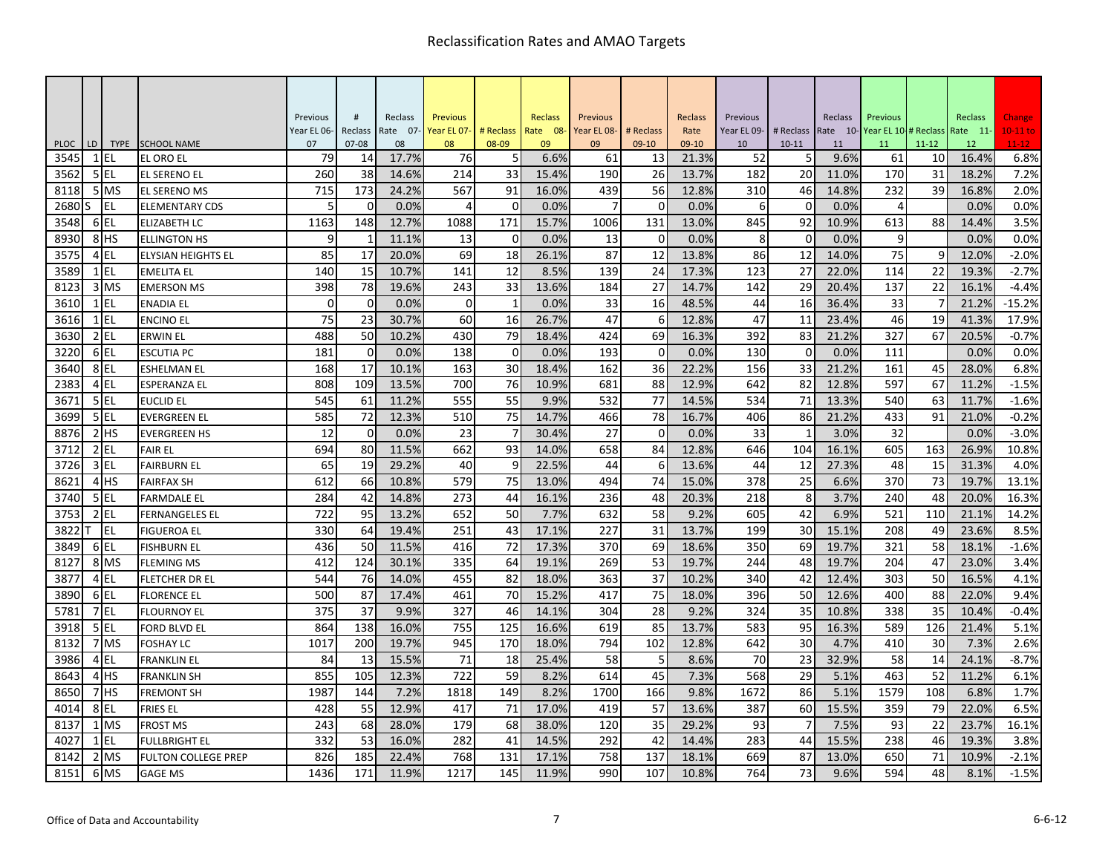|                     |              |                 |                                         | Previous    | #               | Reclass     | <b>Previous</b> |                | Reclass    | Previous       |             | Reclass        | Previous    |                | Reclass    | Previous                     |           | Reclass     | Change       |
|---------------------|--------------|-----------------|-----------------------------------------|-------------|-----------------|-------------|-----------------|----------------|------------|----------------|-------------|----------------|-------------|----------------|------------|------------------------------|-----------|-------------|--------------|
|                     |              |                 |                                         | Year EL 06- | Reclass         | Rate 07-    | Year EL 07-     | # Reclass      | Rate 08-   | Year EL 08-    | # Reclass   | Rate           | Year EL 09- | # Reclass      |            | Rate 10-Year EL 10-# Reclass |           | Rate 11-    | $10-11$ to   |
| <b>PLOC</b><br>3545 | LD<br>1 IEL  |                 | TYPE SCHOOL NAME                        | 07<br>79    | $07 - 08$<br>14 | 08<br>17.7% | 08<br>76        | 08-09<br>5     | 09<br>6.6% | 09<br>61       | $09-10$     | 09-10<br>21.3% | 10          | $10 - 11$<br>5 | 11<br>9.6% | 11<br>61                     | $11 - 12$ | 12<br>16.4% | $11-12$      |
| 3562                |              | 5 EL            | <b>EL ORO EL</b><br><b>EL SERENO EL</b> | 260         | 38              | 14.6%       | 214             | 33             | 15.4%      | 190            | 13<br>26    | 13.7%          | 52<br>182   | 20             | 11.0%      | 170                          | 10<br>31  | 18.2%       | 6.8%<br>7.2% |
| 8118                |              | 5 MS            | <b>EL SERENO MS</b>                     | 715         | 173             | 24.2%       | 567             | 91             | 16.0%      | 439            | 56          | 12.8%          | 310         | 46             | 14.8%      | 232                          | 39        | 16.8%       | 2.0%         |
| 2680                | lS.          | EL.             | <b>ELEMENTARY CDS</b>                   | 5           | $\Omega$        | 0.0%        | $\overline{4}$  | $\Omega$       | 0.0%       | $\overline{7}$ | $\Omega$    | 0.0%           | 6           | $\Omega$       | 0.0%       | 4                            |           | 0.0%        | 0.0%         |
| 3548                |              | 6EL             | <b>ELIZABETH LC</b>                     | 1163        | 148             | 12.7%       | 1088            | 171            | 15.7%      | 1006           | 131         | 13.0%          | 845         | 92             | 10.9%      | 613                          | 88        | 14.4%       | 3.5%         |
| 8930                |              | 8 <sup>HS</sup> | <b>ELLINGTON HS</b>                     | 9           | $\mathbf{1}$    | 11.1%       | 13              | $\mathbf 0$    | 0.0%       | 13             | $\Omega$    | 0.0%           | 8           | $\mathbf 0$    | 0.0%       | 9                            |           | 0.0%        | 0.0%         |
| 3575                |              | 4 EL            | ELYSIAN HEIGHTS EL                      | 85          | 17              | 20.0%       | 69              | 18             | 26.1%      | 87             | 12          | 13.8%          | 86          | 12             | 14.0%      | 75                           | 9         | 12.0%       | $-2.0%$      |
| 3589                | $\mathbf{1}$ | lel             | <b>EMELITA EL</b>                       | 140         | 15              | 10.7%       | 141             | 12             | 8.5%       | 139            | 24          | 17.3%          | 123         | 27             | 22.0%      | 114                          | 22        | 19.3%       | $-2.7%$      |
| 8123                |              | 3 MS            | <b>EMERSON MS</b>                       | 398         | 78              | 19.6%       | 243             | 33             | 13.6%      | 184            | 27          | 14.7%          | 142         | 29             | 20.4%      | 137                          | 22        | 16.1%       | $-4.4%$      |
| 3610                | $1$ EL       |                 | <b>ENADIA EL</b>                        | $\Omega$    | $\mathbf 0$     | 0.0%        | $\Omega$        | $\mathbf{1}$   | 0.0%       | 33             | 16          | 48.5%          | 44          | 16             | 36.4%      | 33                           |           | 21.2%       | $-15.2%$     |
| 3616                | $1$ EL       |                 | <b>ENCINO EL</b>                        | 75          | 23              | 30.7%       | 60              | 16             | 26.7%      | 47             | 6           | 12.8%          | 47          | 11             | 23.4%      | 46                           | 19        | 41.3%       | 17.9%        |
| 3630                |              | $2$ EL          | <b>ERWIN EL</b>                         | 488         | 50              | 10.2%       | 430             | 79             | 18.4%      | 424            | 69          | 16.3%          | 392         | 83             | 21.2%      | 327                          | 67        | 20.5%       | $-0.7%$      |
| 3220                | 6EL          |                 | <b>ESCUTIA PC</b>                       | 181         | $\mathbf 0$     | 0.0%        | 138             | $\overline{0}$ | 0.0%       | 193            | $\mathbf 0$ | 0.0%           | 130         | $\mathbf 0$    | 0.0%       | 111                          |           | 0.0%        | 0.0%         |
| 3640                | 8EL          |                 | <b>ESHELMAN EL</b>                      | 168         | 17              | 10.1%       | 163             | 30             | 18.4%      | 162            | 36          | 22.2%          | 156         | 33             | 21.2%      | 161                          | 45        | 28.0%       | 6.8%         |
| 2383                |              | 4 EL            | <b>ESPERANZA EL</b>                     | 808         | 109             | 13.5%       | 700             | 76             | 10.9%      | 681            | 88          | 12.9%          | 642         | 82             | 12.8%      | 597                          | 67        | 11.2%       | $-1.5%$      |
| 3671                | 5 EL         |                 | <b>EUCLID EL</b>                        | 545         | 61              | 11.2%       | 555             | 55             | 9.9%       | 532            | 77          | 14.5%          | 534         | 71             | 13.3%      | 540                          | 63        | 11.7%       | $-1.6%$      |
| 3699                | 5 EL         |                 | EVERGREEN EL                            | 585         | 72              | 12.3%       | 510             | 75             | 14.7%      | 466            | 78          | 16.7%          | 406         | 86             | 21.2%      | 433                          | 91        | 21.0%       | $-0.2%$      |
| 8876                |              | $2$ HS          | <b>EVERGREEN HS</b>                     | 12          | $\overline{0}$  | 0.0%        | 23              | 7              | 30.4%      | 27             | $\Omega$    | 0.0%           | 33          | -1             | 3.0%       | 32                           |           | 0.0%        | $-3.0%$      |
| 3712                |              | $2$ EL          | <b>FAIR EL</b>                          | 694         | 80              | 11.5%       | 662             | 93             | 14.0%      | 658            | 84          | 12.8%          | 646         | 104            | 16.1%      | 605                          | 163       | 26.9%       | 10.8%        |
| 3726                |              | $3$ EL          | <b>FAIRBURN EL</b>                      | 65          | 19              | 29.2%       | 40              | 9              | 22.5%      | 44             | 6           | 13.6%          | 44          | 12             | 27.3%      | 48                           | 15        | 31.3%       | 4.0%         |
| 8621                |              | 4 <sup>HS</sup> | <b>FAIRFAX SH</b>                       | 612         | 66              | 10.8%       | 579             | 75             | 13.0%      | 494            | 74          | 15.0%          | 378         | 25             | 6.6%       | 370                          | 73        | 19.7%       | 13.1%        |
| 3740                |              | 5 EL            | <b>FARMDALE EL</b>                      | 284         | 42              | 14.8%       | 273             | 44             | 16.1%      | 236            | 48          | 20.3%          | 218         | 8              | 3.7%       | 240                          | 48        | 20.0%       | 16.3%        |
| 3753                | $2$ EL       |                 | <b>FERNANGELES EL</b>                   | 722         | 95              | 13.2%       | 652             | 50             | 7.7%       | 632            | 58          | 9.2%           | 605         | 42             | 6.9%       | 521                          | 110       | 21.1%       | 14.2%        |
| 3822                |              | EL              | <b>FIGUEROA EL</b>                      | 330         | 64              | 19.4%       | 251             | 43             | 17.1%      | 227            | 31          | 13.7%          | 199         | 30             | 15.1%      | 208                          | 49        | 23.6%       | 8.5%         |
| 3849                |              | 6EL             | <b>FISHBURN EL</b>                      | 436         | 50              | 11.5%       | 416             | 72             | 17.3%      | 370            | 69          | 18.6%          | 350         | 69             | 19.7%      | 321                          | 58        | 18.1%       | $-1.6%$      |
| 8127                |              | 8 MS            | <b>FLEMING MS</b>                       | 412         | 124             | 30.1%       | 335             | 64             | 19.1%      | 269            | 53          | 19.7%          | 244         | 48             | 19.7%      | 204                          | 47        | 23.0%       | 3.4%         |
| 3877                |              | 4 EL            | <b>FLETCHER DR EL</b>                   | 544         | 76              | 14.0%       | 455             | 82             | 18.0%      | 363            | 37          | 10.2%          | 340         | 42             | 12.4%      | 303                          | 50        | 16.5%       | 4.1%         |
| 3890                | 6 EL         |                 | <b>FLORENCE EL</b>                      | 500         | 87              | 17.4%       | 461             | 70             | 15.2%      | 417            | 75          | 18.0%          | 396         | 50             | 12.6%      | 400                          | 88        | 22.0%       | 9.4%         |
| 5781                |              | 7 EL            | <b>FLOURNOY EL</b>                      | 375         | 37              | 9.9%        | 327             | 46             | 14.1%      | 304            | 28          | 9.2%           | 324         | 35             | 10.8%      | 338                          | 35        | 10.4%       | $-0.4%$      |
| 3918                |              | 5 EL            | <b>FORD BLVD EL</b>                     | 864         | 138             | 16.0%       | 755             | 125            | 16.6%      | 619            | 85          | 13.7%          | 583         | 95             | 16.3%      | 589                          | 126       | 21.4%       | 5.1%         |
| 8132                |              | 7 MS            | <b>FOSHAY LC</b>                        | 1017        | 200             | 19.7%       | 945             | 170            | 18.0%      | 794            | 102         | 12.8%          | 642         | 30             | 4.7%       | 410                          | 30        | 7.3%        | 2.6%         |
| 3986                |              | 4 EL            | <b>FRANKLIN EL</b>                      | 84          | 13              | 15.5%       | 71              | 18             | 25.4%      | 58             | 5           | 8.6%           | 70          | 23             | 32.9%      | 58                           | 14        | 24.1%       | $-8.7%$      |
| 8643                |              | 4H <sub>S</sub> | <b>FRANKLIN SH</b>                      | 855         | 105             | 12.3%       | 722             | 59             | 8.2%       | 614            | 45          | 7.3%           | 568         | 29             | 5.1%       | 463                          | 52        | 11.2%       | 6.1%         |
| 8650                |              | 7 <sup>HS</sup> | <b>FREMONT SH</b>                       | 1987        | 144             | 7.2%        | 1818            | 149            | 8.2%       | 1700           | 166         | 9.8%           | 1672        | 86             | 5.1%       | 1579                         | 108       | 6.8%        | 1.7%         |
| 4014                |              | 8EL             | <b>FRIES EL</b>                         | 428         | 55              | 12.9%       | 417             | 71             | 17.0%      | 419            | 57          | 13.6%          | 387         | 60             | 15.5%      | 359                          | 79        | 22.0%       | 6.5%         |
| 8137                |              | $1$ MS          | <b>FROST MS</b>                         | 243         | 68              | 28.0%       | 179             | 68             | 38.0%      | 120            | 35          | 29.2%          | 93          | $\overline{7}$ | 7.5%       | 93                           | 22        | 23.7%       | 16.1%        |
| 4027                |              | 1 EL            | FULLBRIGHT EL                           | 332         | 53              | 16.0%       | 282             | 41             | 14.5%      | 292            | 42          | 14.4%          | 283         | 44             | 15.5%      | 238                          | 46        | 19.3%       | 3.8%         |
| 8142                |              | 2 MS            | <b>FULTON COLLEGE PREP</b>              | 826         | 185             | 22.4%       | 768             | 131            | 17.1%      | 758            | 137         | 18.1%          | 669         | 87             | 13.0%      | 650                          | 71        | 10.9%       | $-2.1%$      |
| 8151                |              | 6 MS            | <b>GAGE MS</b>                          | 1436        | 171             | 11.9%       | 1217            | 145            | 11.9%      | 990            | 107         | 10.8%          | 764         | 73             | 9.6%       | 594                          | 48        | 8.1%        | $-1.5%$      |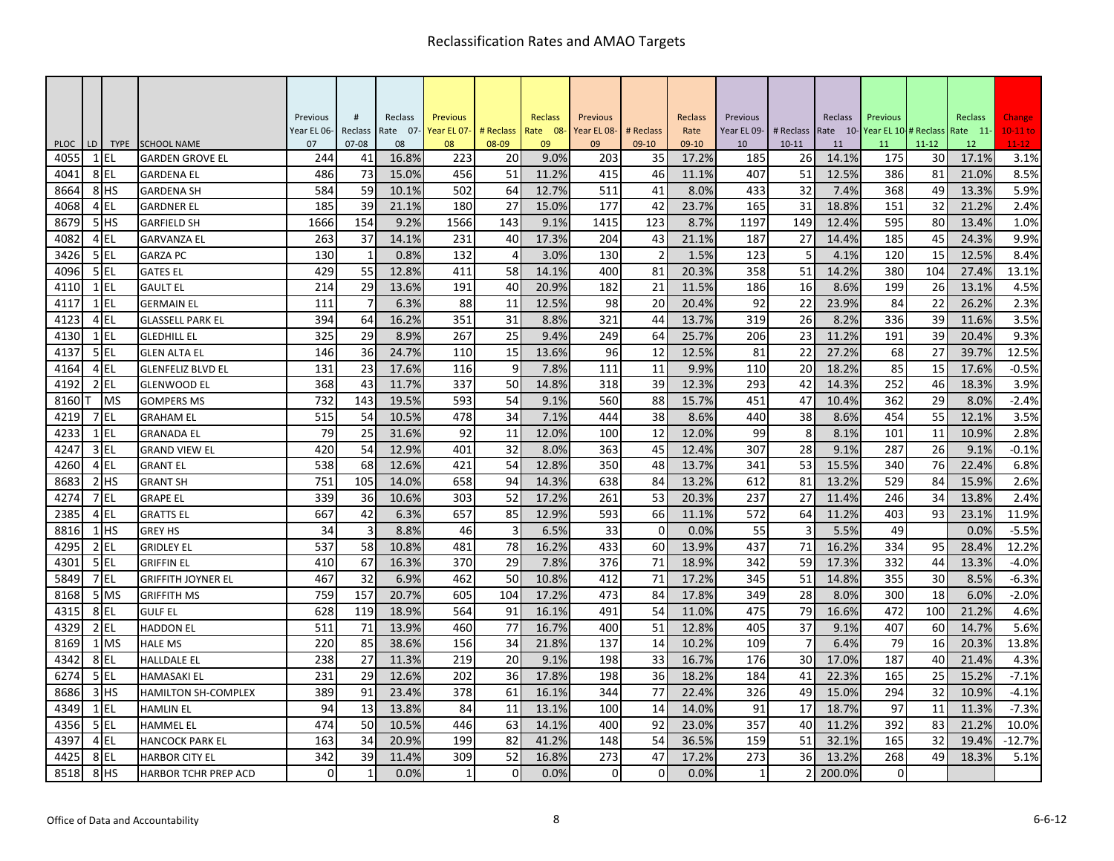|             |        |                 |                             | Previous       | #              | Reclass  | <b>Previous</b> |           | Reclass  | Previous    |           | Reclass | Previous    |           | Reclass | Previous                     |           | Reclass  | Change     |
|-------------|--------|-----------------|-----------------------------|----------------|----------------|----------|-----------------|-----------|----------|-------------|-----------|---------|-------------|-----------|---------|------------------------------|-----------|----------|------------|
|             |        |                 |                             | Year EL 06-    | Reclass        | Rate 07- | Year EL 07-     | # Reclass | Rate 08- | Year EL 08- | # Reclass | Rate    | Year EL 09- | # Reclass |         | Rate 10-Year EL 10-# Reclass |           | Rate 11- | $10-11$ to |
| <b>PLOC</b> | LD     | <b>TYPE</b>     | <b>SCHOOL NAME</b>          | 07             | $07 - 08$      | 08       | 08              | 08-09     | 09       | 09          | $09-10$   | 09-10   | 10          | $10 - 11$ | 11      | 11                           | $11 - 12$ | 12       | $11 - 12$  |
| 4055        | 1 EL   |                 | <b>GARDEN GROVE EL</b>      | 244            | 41             | 16.8%    | 223             | 20        | 9.0%     | 203         | 35        | 17.2%   | 185         | 26        | 14.1%   | 175                          | 30        | 17.1%    | 3.1%       |
| 4041        | 8EL    |                 | <b>GARDENA EL</b>           | 486            | 73             | 15.0%    | 456             | 51        | 11.2%    | 415         | 46        | 11.1%   | 407         | 51        | 12.5%   | 386                          | 81        | 21.0%    | 8.5%       |
| 8664        |        | 8 <sup>HS</sup> | <b>GARDENA SH</b>           | 584            | 59             | 10.1%    | 502             | 64        | 12.7%    | 511         | 41        | 8.0%    | 433         | 32        | 7.4%    | 368                          | 49        | 13.3%    | 5.9%       |
| 4068        | 4EL    |                 | <b>GARDNER EL</b>           | 185            | 39             | 21.1%    | 180             | 27        | 15.0%    | 177         | 42        | 23.7%   | 165         | 31        | 18.8%   | 151                          | 32        | 21.2%    | 2.4%       |
| 8679        |        | 5HS             | <b>GARFIELD SH</b>          | 1666           | 154            | 9.2%     | 1566            | 143       | 9.1%     | 1415        | 123       | 8.7%    | 1197        | 149       | 12.4%   | 595                          | 80        | 13.4%    | 1.0%       |
| 4082        |        | 4 EL            | <b>GARVANZA EL</b>          | 263            | 37             | 14.1%    | 231             | 40        | 17.3%    | 204         | 43        | 21.1%   | 187         | 27        | 14.4%   | 185                          | 45        | 24.3%    | 9.9%       |
| 3426        | $5$ EL |                 | <b>GARZA PC</b>             | 130            | $\mathbf{1}$   | 0.8%     | 132             | 4         | 3.0%     | 130         | 2         | 1.5%    | 123         | 5         | 4.1%    | 120                          | 15        | 12.5%    | 8.4%       |
| 4096        | 5EL    |                 | <b>GATES EL</b>             | 429            | 55             | 12.8%    | 411             | 58        | 14.1%    | 400         | 81        | 20.3%   | 358         | 51        | 14.2%   | 380                          | 104       | 27.4%    | 13.1%      |
| 4110        | $1$ EL |                 | <b>GAULT EL</b>             | 214            | 29             | 13.6%    | 191             | 40        | 20.9%    | 182         | 21        | 11.5%   | 186         | 16        | 8.6%    | 199                          | 26        | 13.1%    | 4.5%       |
| 4117        | $1$ EL |                 | <b>GERMAIN EL</b>           | 111            | $\overline{7}$ | 6.3%     | 88              | 11        | 12.5%    | 98          | 20        | 20.4%   | 92          | 22        | 23.9%   | 84                           | 22        | 26.2%    | 2.3%       |
| 4123        | 4EL    |                 | <b>GLASSELL PARK EL</b>     | 394            | 64             | 16.2%    | 351             | 31        | 8.8%     | 321         | 44        | 13.7%   | 319         | 26        | 8.2%    | 336                          | 39        | 11.6%    | 3.5%       |
| 4130        | $1$ EL |                 | <b>GLEDHILL EL</b>          | 325            | 29             | 8.9%     | 267             | 25        | 9.4%     | 249         | 64        | 25.7%   | 206         | 23        | 11.2%   | 191                          | 39        | 20.4%    | 9.3%       |
| 4137        | 5EL    |                 | <b>GLEN ALTA EL</b>         | 146            | 36             | 24.7%    | 110             | 15        | 13.6%    | 96          | 12        | 12.5%   | 81          | 22        | 27.2%   | 68                           | 27        | 39.7%    | 12.5%      |
| 4164        | 4EL    |                 | <b>GLENFELIZ BLVD EL</b>    | 131            | 23             | 17.6%    | 116             | 9         | 7.8%     | 111         | 11        | 9.9%    | 110         | 20        | 18.2%   | 85                           | 15        | 17.6%    | $-0.5%$    |
| 4192        | $2$ EL |                 | <b>GLENWOOD EL</b>          | 368            | 43             | 11.7%    | 337             | 50        | 14.8%    | 318         | 39        | 12.3%   | 293         | 42        | 14.3%   | 252                          | 46        | 18.3%    | 3.9%       |
| 8160        |        | <b>MS</b>       | <b>GOMPERS MS</b>           | 732            | 143            | 19.5%    | 593             | 54        | 9.1%     | 560         | 88        | 15.7%   | 451         | 47        | 10.4%   | 362                          | 29        | 8.0%     | $-2.4%$    |
| 4219        | 7 EL   |                 | <b>GRAHAM EL</b>            | 515            | 54             | 10.5%    | 478             | 34        | 7.1%     | 444         | 38        | 8.6%    | 440         | 38        | 8.6%    | 454                          | 55        | 12.1%    | 3.5%       |
| 4233        | $1$ EL |                 | <b>GRANADA EL</b>           | 79             | 25             | 31.6%    | 92              | 11        | 12.0%    | 100         | 12        | 12.0%   | 99          | 8         | 8.1%    | 101                          | 11        | 10.9%    | 2.8%       |
| 4247        |        | 3 EL            | <b>GRAND VIEW EL</b>        | 420            | 54             | 12.9%    | 401             | 32        | 8.0%     | 363         | 45        | 12.4%   | 307         | 28        | 9.1%    | 287                          | 26        | 9.1%     | $-0.1%$    |
| 4260        | 4EL    |                 | <b>GRANT EL</b>             | 538            | 68             | 12.6%    | 421             | 54        | 12.8%    | 350         | 48        | 13.7%   | 341         | 53        | 15.5%   | 340                          | 76        | 22.4%    | 6.8%       |
| 8683        |        | $2$ $HS$        | <b>GRANT SH</b>             | 751            | 105            | 14.0%    | 658             | 94        | 14.3%    | 638         | 84        | 13.2%   | 612         | 81        | 13.2%   | 529                          | 84        | 15.9%    | 2.6%       |
| 4274        |        | 7 EL            | <b>GRAPE EL</b>             | 339            | 36             | 10.6%    | 303             | 52        | 17.2%    | 261         | 53        | 20.3%   | 237         | 27        | 11.4%   | 246                          | 34        | 13.8%    | 2.4%       |
| 2385        |        | $4$ EL          | <b>GRATTS EL</b>            | 667            | 42             | 6.3%     | 657             | 85        | 12.9%    | 593         | 66        | 11.1%   | 572         | 64        | 11.2%   | 403                          | 93        | 23.1%    | 11.9%      |
| 8816        |        | $1$ HS          | <b>GREY HS</b>              | 34             | 3              | 8.8%     | 46              | 3         | 6.5%     | 33          | $\Omega$  | 0.0%    | 55          | 3         | 5.5%    | 49                           |           | 0.0%     | $-5.5%$    |
| 4295        | $2$ EL |                 | <b>GRIDLEY EL</b>           | 537            | 58             | 10.8%    | 481             | 78        | 16.2%    | 433         | 60        | 13.9%   | 437         | 71        | 16.2%   | 334                          | 95        | 28.4%    | 12.2%      |
| 4301        | $5$ EL |                 | <b>GRIFFIN EL</b>           | 410            | 67             | 16.3%    | 370             | 29        | 7.8%     | 376         | 71        | 18.9%   | 342         | 59        | 17.3%   | 332                          | 44        | 13.3%    | $-4.0%$    |
| 5849        | 7 EL   |                 | <b>GRIFFITH JOYNER EL</b>   | 467            | 32             | 6.9%     | 462             | 50        | 10.8%    | 412         | 71        | 17.2%   | 345         | 51        | 14.8%   | 355                          | 30        | 8.5%     | $-6.3%$    |
| 8168        |        | 5 MS            | <b>GRIFFITH MS</b>          | 759            | 157            | 20.7%    | 605             | 104       | 17.2%    | 473         | 84        | 17.8%   | 349         | 28        | 8.0%    | 300                          | 18        | 6.0%     | $-2.0%$    |
| 4315        | 8EL    |                 | <b>GULF EL</b>              | 628            | 119            | 18.9%    | 564             | 91        | 16.1%    | 491         | 54        | 11.0%   | 475         | 79        | 16.6%   | 472                          | 100       | 21.2%    | 4.6%       |
| 4329        | $2$ EL |                 | <b>HADDON EL</b>            | 511            | 71             | 13.9%    | 460             | 77        | 16.7%    | 400         | 51        | 12.8%   | 405         | 37        | 9.1%    | 407                          | 60        | 14.7%    | 5.6%       |
| 8169        |        | 1 MS            | <b>HALE MS</b>              | 220            | 85             | 38.6%    | 156             | 34        | 21.8%    | 137         | 14        | 10.2%   | 109         |           | 6.4%    | 79                           | 16        | 20.3%    | 13.8%      |
| 4342        | 8EL    |                 | <b>HALLDALE EL</b>          | 238            | 27             | 11.3%    | 219             | 20        | 9.1%     | 198         | 33        | 16.7%   | 176         | 30        | 17.0%   | 187                          | 40        | 21.4%    | 4.3%       |
| 6274        |        | 5 EL            | <b>HAMASAKI EL</b>          | 231            | 29             | 12.6%    | 202             | 36        | 17.8%    | 198         | 36        | 18.2%   | 184         | 41        | 22.3%   | 165                          | 25        | 15.2%    | $-7.1%$    |
| 8686        |        | $3$ HS          | <b>HAMILTON SH-COMPLEX</b>  | 389            | 91             | 23.4%    | 378             | 61        | 16.1%    | 344         | 77        | 22.4%   | 326         | 49        | 15.0%   | 294                          | 32        | 10.9%    | $-4.1%$    |
| 4349        | $1$ EL |                 | <b>HAMLIN EL</b>            | 94             | 13             | 13.8%    | 84              | 11        | 13.1%    | 100         | 14        | 14.0%   | 91          | 17        | 18.7%   | 97                           | 11        | 11.3%    | $-7.3%$    |
| 4356        | 5EL    |                 | <b>HAMMEL EL</b>            | 474            | 50             | 10.5%    | 446             | 63        | 14.1%    | 400         | 92        | 23.0%   | 357         | 40        | 11.2%   | 392                          | 83        | 21.2%    | 10.0%      |
| 4397        | 4EL    |                 | <b>HANCOCK PARK EL</b>      | 163            | 34             | 20.9%    | 199             | 82        | 41.2%    | 148         | 54        | 36.5%   | 159         | 51        | 32.1%   | 165                          | 32        | 19.4%    | $-12.7%$   |
| 4425        | 8EL    |                 | <b>HARBOR CITY EL</b>       | 342            | 39             | 11.4%    | 309             | 52        | 16.8%    | 273         | 47        | 17.2%   | 273         | 36        | 13.2%   | 268                          | 49        | 18.3%    | 5.1%       |
| 8518        |        | 8 <sup>HS</sup> | <b>HARBOR TCHR PREP ACD</b> | $\overline{0}$ | $\mathbf{1}$   | 0.0%     | -1              | $\Omega$  | 0.0%     | $\Omega$    | $\Omega$  | 0.0%    | -1          |           | 200.0%  | 0                            |           |          |            |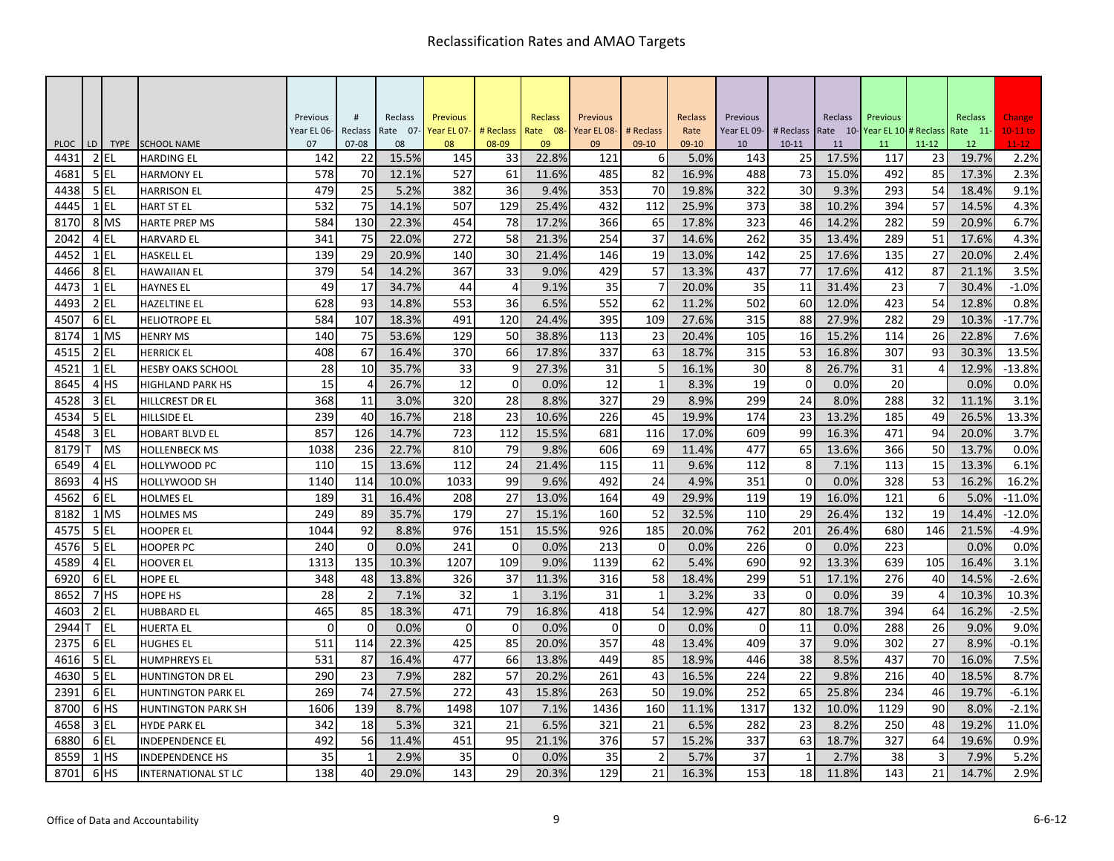|                     |      |                       |                                         | Previous    | #               | Reclass     | <b>Previous</b> |                | Reclass     | Previous    |               | Reclass       | Previous    |                 | Reclass     | Previous    |                 | Reclass     | Change            |
|---------------------|------|-----------------------|-----------------------------------------|-------------|-----------------|-------------|-----------------|----------------|-------------|-------------|---------------|---------------|-------------|-----------------|-------------|-------------|-----------------|-------------|-------------------|
|                     |      |                       |                                         | Year EL 06- | Reclass         | Rate 07-    | Year EL 07-     | # Reclass      | Rate 08-    | Year EL 08- | # Reclass     | Rate          | Year EL 09- | # Reclass       | Rate 10-    | Year EL 10- | # Reclass       | Rate 11-    | $10-11$ to        |
| <b>PLOC</b><br>4431 | LD   | <b>TYPE</b><br>$2$ EL | <b>SCHOOL NAME</b><br><b>HARDING EL</b> | 07<br>142   | $07 - 08$<br>22 | 08<br>15.5% | 08<br>145       | 08-09<br>33    | 09<br>22.8% | 09<br>121   | $09-10$<br>6  | 09-10<br>5.0% | 10<br>143   | $10 - 11$<br>25 | 11<br>17.5% | 11<br>117   | $11 - 12$<br>23 | 12<br>19.7% | $11 - 12$<br>2.2% |
| 4681                |      | 5EL                   | <b>HARMONY EL</b>                       | 578         | 70              | 12.1%       | 527             | 61             | 11.6%       | 485         | 82            | 16.9%         | 488         | 73              | 15.0%       | 492         | 85              | 17.3%       | 2.3%              |
| 4438                |      | $5$ EL                | <b>HARRISON EL</b>                      | 479         | 25              | 5.2%        | 382             | 36             | 9.4%        | 353         | 70            | 19.8%         | 322         | 30              | 9.3%        | 293         | 54              | 18.4%       | 9.1%              |
| 4445                |      | $1$ EL                | <b>HART ST EL</b>                       | 532         | 75              | 14.1%       | 507             | 129            | 25.4%       | 432         | 112           | 25.9%         | 373         | 38              | 10.2%       | 394         | 57              | 14.5%       | 4.3%              |
| 8170                |      | 8 MS                  | <b>HARTE PREP MS</b>                    | 584         | 130             | 22.3%       | 454             | 78             | 17.2%       | 366         | 65            | 17.8%         | 323         | 46              | 14.2%       | 282         | 59              | 20.9%       | 6.7%              |
| 2042                |      | 4 EL                  | <b>HARVARD EL</b>                       | 341         | 75              | 22.0%       | 272             | 58             | 21.3%       | 254         | 37            | 14.6%         | 262         | 35              | 13.4%       | 289         | 51              | 17.6%       | 4.3%              |
| 4452                |      | $1$ EL                | <b>HASKELL EL</b>                       | 139         | 29              | 20.9%       | 140             | 30             | 21.4%       | 146         | 19            | 13.0%         | 142         | 25              | 17.6%       | 135         | 27              | 20.0%       | 2.4%              |
| 4466                | 8 EL |                       | <b>HAWAIIAN EL</b>                      | 379         | 54              | 14.2%       | 367             | 33             | 9.0%        | 429         | 57            | 13.3%         | 437         | 77              | 17.6%       | 412         | 87              | 21.1%       | 3.5%              |
| 4473                |      | $1$ EL                | <b>HAYNES EL</b>                        | 49          | 17              | 34.7%       | 44              | $\overline{4}$ | 9.1%        | 35          |               | 20.0%         | 35          | 11              | 31.4%       | 23          |                 | 30.4%       | $-1.0%$           |
| 4493                |      | $2$ EL                | <b>HAZELTINE EL</b>                     | 628         | 93              | 14.8%       | 553             | 36             | 6.5%        | 552         | 62            | 11.2%         | 502         | 60              | 12.0%       | 423         | 54              | 12.8%       | 0.8%              |
| 4507                |      | 6EL                   | HELIOTROPE EL                           | 584         | 107             | 18.3%       | 491             | 120            | 24.4%       | 395         | 109           | 27.6%         | 315         | 88              | 27.9%       | 282         | 29              | 10.3%       | $-17.7%$          |
| 8174                |      | 1 MS                  | <b>HENRY MS</b>                         | 140         | 75              | 53.6%       | 129             | 50             | 38.8%       | 113         | 23            | 20.4%         | 105         | 16              | 15.2%       | 114         | 26              | 22.8%       | 7.6%              |
| 4515                |      | $2$ EL                | <b>HERRICK EL</b>                       | 408         | 67              | 16.4%       | 370             | 66             | 17.8%       | 337         | 63            | 18.7%         | 315         | 53              | 16.8%       | 307         | 93              | 30.3%       | 13.5%             |
| 4521                |      | $1$ EL                | <b>HESBY OAKS SCHOOL</b>                | 28          | 10              | 35.7%       | 33              | 9              | 27.3%       | 31          | 5             | 16.1%         | 30          | 8               | 26.7%       | 31          | $\Delta$        | 12.9%       | $-13.8%$          |
| 8645                |      | 4 <sup>HS</sup>       | <b>HIGHLAND PARK HS</b>                 | 15          | $\overline{4}$  | 26.7%       | 12              | $\mathbf 0$    | 0.0%        | 12          | $\mathbf{1}$  | 8.3%          | 19          | $\Omega$        | 0.0%        | 20          |                 | 0.0%        | 0.0%              |
| 4528                |      | $3$ EL                | HILLCREST DR EL                         | 368         | 11              | 3.0%        | 320             | 28             | 8.8%        | 327         | 29            | 8.9%          | 299         | 24              | 8.0%        | 288         | 32              | 11.1%       | 3.1%              |
| 4534                |      | 5 EL                  | <b>HILLSIDE EL</b>                      | 239         | 40              | 16.7%       | 218             | 23             | 10.6%       | 226         | 45            | 19.9%         | 174         | 23              | 13.2%       | 185         | 49              | 26.5%       | 13.3%             |
| 4548                |      | $3$ EL                | <b>HOBART BLVD EL</b>                   | 857         | 126             | 14.7%       | 723             | 112            | 15.5%       | 681         | 116           | 17.0%         | 609         | 99              | 16.3%       | 471         | 94              | 20.0%       | 3.7%              |
| 8179                |      | <b>MS</b>             | <b>HOLLENBECK MS</b>                    | 1038        | 236             | 22.7%       | 810             | 79             | 9.8%        | 606         | 69            | 11.4%         | 477         | 65              | 13.6%       | 366         | 50              | 13.7%       | 0.0%              |
| 6549                |      | $4$ EL                | HOLLYWOOD PC                            | 110         | 15              | 13.6%       | 112             | 24             | 21.4%       | 115         | 11            | 9.6%          | 112         | 8               | 7.1%        | 113         | 15              | 13.3%       | 6.1%              |
| 8693                |      | 4 <sup>HS</sup>       | HOLLYWOOD SH                            | 1140        | 114             | 10.0%       | 1033            | 99             | 9.6%        | 492         | 24            | 4.9%          | 351         | $\Omega$        | 0.0%        | 328         | 53              | 16.2%       | 16.2%             |
| 4562                |      | 6EL                   | HOLMES EL                               | 189         | 31              | 16.4%       | 208             | 27             | 13.0%       | 164         | 49            | 29.9%         | 119         | 19              | 16.0%       | 121         | 6               | 5.0%        | $-11.0%$          |
| 8182                |      | 1 MS                  | <b>HOLMES MS</b>                        | 249         | 89              | 35.7%       | 179             | 27             | 15.1%       | 160         | 52            | 32.5%         | 110         | 29              | 26.4%       | 132         | 19              | 14.4%       | $-12.0%$          |
| 4575                |      | $5$ EL                | HOOPER EL                               | 1044        | 92              | 8.8%        | 976             | 151            | 15.5%       | 926         | 185           | 20.0%         | 762         | 201             | 26.4%       | 680         | 146             | 21.5%       | $-4.9%$           |
| 4576                |      | 5EL                   | <b>HOOPER PC</b>                        | 240         | $\overline{0}$  | 0.0%        | 241             | $\mathbf 0$    | 0.0%        | 213         | $\mathbf 0$   | 0.0%          | 226         | $\mathbf 0$     | 0.0%        | 223         |                 | 0.0%        | 0.0%              |
| 4589                |      | 4 EL                  | <b>HOOVER EL</b>                        | 1313        | 135             | 10.3%       | 1207            | 109            | 9.0%        | 1139        | 62            | 5.4%          | 690         | 92              | 13.3%       | 639         | 105             | 16.4%       | 3.1%              |
| 6920                |      | 6EL                   | HOPE EL                                 | 348         | 48              | 13.8%       | 326             | 37             | 11.3%       | 316         | 58            | 18.4%         | 299         | 51              | 17.1%       | 276         | 40              | 14.5%       | $-2.6%$           |
| 8652                |      | 7HS                   | <b>HOPE HS</b>                          | 28          | $\overline{2}$  | 7.1%        | 32              | $\mathbf{1}$   | 3.1%        | 31          | $\mathbf{1}$  | 3.2%          | 33          | $\Omega$        | 0.0%        | 39          | 4               | 10.3%       | 10.3%             |
| 4603                |      | $2$ EL                | <b>HUBBARD EL</b>                       | 465         | 85              | 18.3%       | 471             | 79             | 16.8%       | 418         | 54            | 12.9%         | 427         | 80              | 18.7%       | 394         | 64              | 16.2%       | $-2.5%$           |
| 2944                |      | l EL                  | <b>HUERTA EL</b>                        | $\Omega$    | $\Omega$        | 0.0%        | $\Omega$        | $\mathbf 0$    | 0.0%        | $\mathbf 0$ | $\mathbf 0$   | 0.0%          | $\Omega$    | 11              | 0.0%        | 288         | 26              | 9.0%        | 9.0%              |
| 2375                |      | 6EL                   | HUGHES EL                               | 511         | 114             | 22.3%       | 425             | 85             | 20.0%       | 357         | 48            | 13.4%         | 409         | 37              | 9.0%        | 302         | 27              | 8.9%        | $-0.1%$           |
| 4616                |      | 5 EL                  | HUMPHREYS EL                            | 531         | 87              | 16.4%       | 477             | 66             | 13.8%       | 449         | 85            | 18.9%         | 446         | 38              | 8.5%        | 437         | 70              | 16.0%       | 7.5%              |
| 4630                |      | 5 <sub>EL</sub>       | HUNTINGTON DR EL                        | 290         | 23              | 7.9%        | 282             | 57             | 20.2%       | 261         | 43            | 16.5%         | 224         | 22              | 9.8%        | 216         | 40              | 18.5%       | 8.7%              |
| 2391                |      | 6EL                   | <b>HUNTINGTON PARK EL</b>               | 269         | 74              | 27.5%       | 272             | 43             | 15.8%       | 263         | 50            | 19.0%         | 252         | 65              | 25.8%       | 234         | 46              | 19.7%       | $-6.1%$           |
| 8700                |      | 6 <sup>HS</sup>       | <b>HUNTINGTON PARK SH</b>               | 1606        | 139             | 8.7%        | 1498            | 107            | 7.1%        | 1436        | 160           | 11.1%         | 1317        | 132             | 10.0%       | 1129        | 90              | 8.0%        | $-2.1%$           |
| 4658                |      | 3 EL                  | <b>HYDE PARK EL</b>                     | 342         | 18              | 5.3%        | 321             | 21             | 6.5%        | 321         | 21            | 6.5%          | 282         | 23              | 8.2%        | 250         | 48              | 19.2%       | 11.0%             |
| 6880                |      | 6EL                   | <b>INDEPENDENCE EL</b>                  | 492         | 56              | 11.4%       | 451             | 95             | 21.1%       | 376         | 57            | 15.2%         | 337         | 63              | 18.7%       | 327         | 64              | 19.6%       | 0.9%              |
| 8559                |      | $1$ HS                | <b>INDEPENDENCE HS</b>                  | 35          | $\mathbf{1}$    | 2.9%        | 35              | $\Omega$       | 0.0%        | 35          | $\mathcal{P}$ | 5.7%          | 37          |                 | 2.7%        | 38          | 3               | 7.9%        | 5.2%              |
| 8701                |      | 6 <sup>HS</sup>       | <b>INTERNATIONAL ST LC</b>              | 138         | 40              | 29.0%       | 143             | 29             | 20.3%       | 129         | 21            | 16.3%         | 153         | 18              | 11.8%       | 143         | 21              | 14.7%       | 2.9%              |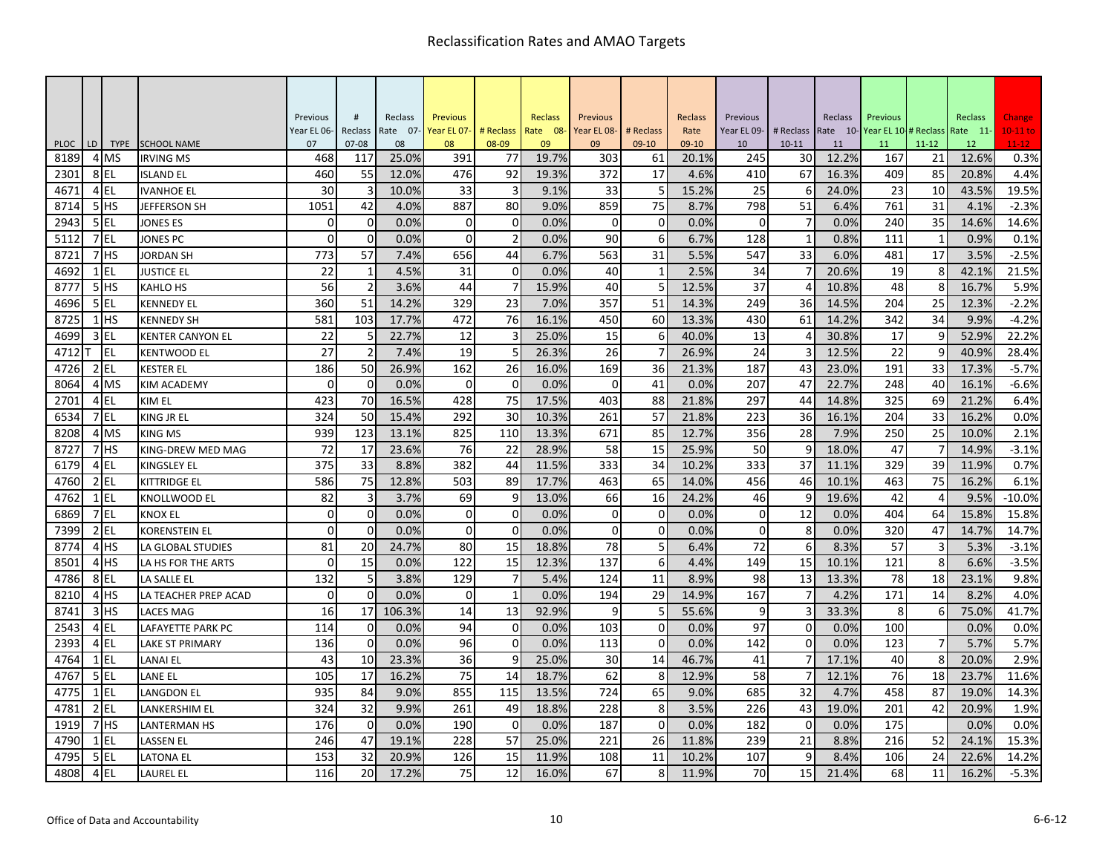|             |    |                 |                         | Previous          | #                    | Reclass        | <b>Previous</b>   |                    | <b>Reclass</b> | Previous          |                      | Reclass       | Previous          |                        | Reclass        | Previous                   |              | Reclass        | Change                |
|-------------|----|-----------------|-------------------------|-------------------|----------------------|----------------|-------------------|--------------------|----------------|-------------------|----------------------|---------------|-------------------|------------------------|----------------|----------------------------|--------------|----------------|-----------------------|
| <b>PLOC</b> | LD | <b>TYPE</b>     | <b>SCHOOL NAME</b>      | Year EL 06-<br>07 | Reclass<br>$07 - 08$ | Rate 07-<br>08 | Year EL 07-<br>08 | # Reclass<br>08-09 | Rate 08-<br>09 | Year EL 08-<br>09 | # Reclass<br>$09-10$ | Rate<br>09-10 | Year EL 09-<br>10 | # Reclass<br>$10 - 11$ | Rate 10-<br>11 | Year EL 10-# Reclass<br>11 | $11 - 12$    | Rate 11-<br>12 | $10-11$ to<br>$11-12$ |
| 8189        |    | 4 MS            | <b>IRVING MS</b>        | 468               | 117                  | 25.0%          | 391               | 77                 | 19.7%          | 303               | 61                   | 20.1%         | 245               | 30                     | 12.2%          | 167                        | 21           | 12.6%          | 0.3%                  |
| 2301        |    | 8 EL            | <b>ISLAND EL</b>        | 460               | 55                   | 12.0%          | 476               | 92                 | 19.3%          | 372               | 17                   | 4.6%          | 410               | 67                     | 16.3%          | 409                        | 85           | 20.8%          | 4.4%                  |
| 4671        |    | 4EL             | <b>IVANHOE EL</b>       | 30                | 3                    | 10.0%          | 33                | 3                  | 9.1%           | 33                | 5                    | 15.2%         | 25                | 6                      | 24.0%          | 23                         | 10           | 43.5%          | 19.5%                 |
| 8714        |    | 5HS             | <b>JEFFERSON SH</b>     | 1051              | 42                   | 4.0%           | 887               | 80                 | 9.0%           | 859               | 75                   | 8.7%          | 798               | 51                     | 6.4%           | 761                        | 31           | 4.1%           | $-2.3%$               |
| 2943        |    | 5 EL            | <b>JONES ES</b>         | $\Omega$          | $\Omega$             | 0.0%           | $\Omega$          | $\pmb{0}$          | 0.0%           | $\Omega$          | 0                    | 0.0%          | $\Omega$          | $\overline{7}$         | 0.0%           | 240                        | 35           | 14.6%          | 14.6%                 |
| 5112        |    | 7EL             | JONES PC                | $\Omega$          | $\mathbf 0$          | 0.0%           | $\mathbf 0$       | $\overline{2}$     | 0.0%           | 90                | 6                    | 6.7%          | 128               | $\mathbf{1}$           | 0.8%           | 111                        | $\mathbf{1}$ | 0.9%           | 0.1%                  |
| 8721        |    | 7HS             | JORDAN SH               | 773               | 57                   | 7.4%           | 656               | 44                 | 6.7%           | 563               | 31                   | 5.5%          | 547               | 33                     | 6.0%           | 481                        | 17           | 3.5%           | $-2.5%$               |
| 4692        |    | 1 EL            | <b>JUSTICE EL</b>       | 22                | $\mathbf{1}$         | 4.5%           | 31                | $\mathbf{0}$       | 0.0%           | 40                | 1                    | 2.5%          | 34                |                        | 20.6%          | 19                         | 8            | 42.1%          | 21.5%                 |
| 8777        |    | 5 <sup>HS</sup> | KAHLO HS                | 56                | $\overline{2}$       | 3.6%           | 44                | $\overline{7}$     | 15.9%          | 40                | 5                    | 12.5%         | 37                | $\overline{4}$         | 10.8%          | 48                         | 8            | 16.7%          | 5.9%                  |
| 4696        |    | 5EL             | <b>KENNEDY EL</b>       | 360               | 51                   | 14.2%          | 329               | 23                 | 7.0%           | 357               | 51                   | 14.3%         | 249               | 36                     | 14.5%          | 204                        | 25           | 12.3%          | $-2.2%$               |
| 8725        |    | $1$ HS          | <b>KENNEDY SH</b>       | 581               | 103                  | 17.7%          | 472               | 76                 | 16.1%          | 450               | 60                   | 13.3%         | 430               | 61                     | 14.2%          | 342                        | 34           | 9.9%           | $-4.2%$               |
| 4699        |    | 3 EL            | <b>KENTER CANYON EL</b> | 22                | 5                    | 22.7%          | 12                | 3                  | 25.0%          | 15                | 6                    | 40.0%         | 13                | $\Delta$               | 30.8%          | 17                         | 9            | 52.9%          | 22.2%                 |
| 4712        |    | <b>EL</b>       | KENTWOOD EL             | 27                | $\overline{2}$       | 7.4%           | 19                | 5                  | 26.3%          | 26                | 7                    | 26.9%         | 24                | 3                      | 12.5%          | 22                         | 9            | 40.9%          | 28.4%                 |
| 4726        |    | $2$ EL          | KESTER EL               | 186               | 50                   | 26.9%          | 162               | 26                 | 16.0%          | 169               | 36                   | 21.3%         | 187               | 43                     | 23.0%          | 191                        | 33           | 17.3%          | $-5.7%$               |
| 8064        |    | 4 MS            | <b>KIM ACADEMY</b>      | $\Omega$          | $\Omega$             | 0.0%           | $\Omega$          | $\Omega$           | 0.0%           | $\mathbf 0$       | 41                   | 0.0%          | 207               | 47                     | 22.7%          | 248                        | 40           | 16.1%          | $-6.6%$               |
| 2701        |    | 4EL             | KIM EL                  | 423               | 70                   | 16.5%          | 428               | 75                 | 17.5%          | 403               | 88                   | 21.8%         | 297               | 44                     | 14.8%          | 325                        | 69           | 21.2%          | 6.4%                  |
| 6534        |    | 7 EL            | KING JR EL              | 324               | 50                   | 15.4%          | 292               | 30                 | 10.3%          | 261               | 57                   | 21.8%         | 223               | 36                     | 16.1%          | 204                        | 33           | 16.2%          | 0.0%                  |
| 8208        |    | 4 MS            | <b>KING MS</b>          | 939               | 123                  | 13.1%          | 825               | 110                | 13.3%          | 671               | 85                   | 12.7%         | 356               | 28                     | 7.9%           | 250                        | 25           | 10.0%          | 2.1%                  |
| 8727        |    | 7 <sup>HS</sup> | KING-DREW MED MAG       | 72                | 17                   | 23.6%          | 76                | 22                 | 28.9%          | 58                | 15                   | 25.9%         | 50                | 9                      | 18.0%          | 47                         |              | 14.9%          | $-3.1%$               |
| 6179        |    | 4EL             | KINGSLEY EL             | 375               | 33                   | 8.8%           | 382               | 44                 | 11.5%          | 333               | 34                   | 10.2%         | 333               | 37                     | 11.1%          | 329                        | 39           | 11.9%          | 0.7%                  |
| 4760        |    | $2$ EL          | <b>KITTRIDGE EL</b>     | 586               | 75                   | 12.8%          | 503               | 89                 | 17.7%          | 463               | 65                   | 14.0%         | 456               | 46                     | 10.1%          | 463                        | 75           | 16.2%          | 6.1%                  |
| 4762        |    | $1$ EL          | KNOLLWOOD EL            | 82                | 3                    | 3.7%           | 69                | 9                  | 13.0%          | 66                | 16                   | 24.2%         | 46                | 9                      | 19.6%          | 42                         | $\Delta$     | 9.5%           | $-10.0%$              |
| 6869        |    | 7 EL            | <b>KNOX EL</b>          | $\Omega$          | $\overline{0}$       | 0.0%           | $\mathbf 0$       | $\mathbf 0$        | 0.0%           | $\mathbf 0$       | 0                    | 0.0%          | $\mathbf 0$       | 12                     | 0.0%           | 404                        | 64           | 15.8%          | 15.8%                 |
| 7399        |    | $2$ EL          | KORENSTEIN EL           | $\Omega$          | $\Omega$             | 0.0%           | $\Omega$          | $\Omega$           | 0.0%           | $\Omega$          | $\boldsymbol{0}$     | 0.0%          | $\Omega$          | 8                      | 0.0%           | 320                        | 47           | 14.7%          | 14.7%                 |
| 8774        |    | 4 <sup>HS</sup> | LA GLOBAL STUDIES       | 81                | 20                   | 24.7%          | 80                | 15                 | 18.8%          | 78                | 5                    | 6.4%          | 72                | 6                      | 8.3%           | 57                         | 3            | 5.3%           | $-3.1%$               |
| 8501        |    | 4 <sup>HS</sup> | LA HS FOR THE ARTS      | $\Omega$          | 15                   | 0.0%           | 122               | 15                 | 12.3%          | 137               | 6                    | 4.4%          | 149               | 15                     | 10.1%          | 121                        | 8            | 6.6%           | $-3.5%$               |
| 4786        |    | 8 EL            | LA SALLE EL             | 132               | 5                    | 3.8%           | 129               | $\overline{7}$     | 5.4%           | 124               | 11                   | 8.9%          | 98                | 13                     | 13.3%          | 78                         | 18           | 23.1%          | 9.8%                  |
| 8210        |    | 4 HS            | LA TEACHER PREP ACAD    | $\Omega$          | $\Omega$             | 0.0%           | $\Omega$          | $\mathbf{1}$       | 0.0%           | 194               | 29                   | 14.9%         | 167               | $\overline{7}$         | 4.2%           | 171                        | 14           | 8.2%           | 4.0%                  |
| 8741        |    | 3 <sup>HS</sup> | <b>LACES MAG</b>        | 16                | 17                   | 106.3%         | 14                | 13                 | 92.9%          | 9                 |                      | 55.6%         | 9                 | 3                      | 33.3%          | 8                          | 6            | 75.0%          | 41.7%                 |
| 2543        |    | 4EL             | LAFAYETTE PARK PC       | 114               | $\overline{0}$       | 0.0%           | 94                | $\mathbf{0}$       | 0.0%           | 103               | $\mathbf 0$          | 0.0%          | 97                | $\mathbf 0$            | 0.0%           | 100                        |              | 0.0%           | 0.0%                  |
| 2393        |    | 4EL             | LAKE ST PRIMARY         | 136               | $\Omega$             | 0.0%           | 96                | $\mathbf 0$        | 0.0%           | 113               | $\mathbf 0$          | 0.0%          | 142               | $\mathbf 0$            | 0.0%           | 123                        |              | 5.7%           | 5.7%                  |
| 4764        |    | $1$ EL          | <b>LANAI EL</b>         | 43                | 10                   | 23.3%          | 36                | 9                  | 25.0%          | 30                | 14                   | 46.7%         | 41                | $\overline{7}$         | 17.1%          | 40                         | 8            | 20.0%          | 2.9%                  |
| 4767        |    | 5 EL            | LANE EL                 | 105               | 17                   | 16.2%          | 75                | 14                 | 18.7%          | 62                | 8                    | 12.9%         | 58                |                        | 12.1%          | 76                         | 18           | 23.7%          | 11.6%                 |
| 4775        |    | 1 EL            | LANGDON EL              | 935               | 84                   | 9.0%           | 855               | 115                | 13.5%          | 724               | 65                   | 9.0%          | 685               | 32                     | 4.7%           | 458                        | 87           | 19.0%          | 14.3%                 |
| 4781        |    | $2$ EL          | LANKERSHIM EL           | 324               | 32                   | 9.9%           | 261               | 49                 | 18.8%          | 228               | 8                    | 3.5%          | 226               | 43                     | 19.0%          | 201                        | 42           | 20.9%          | 1.9%                  |
| 1919        |    | 7 <sup>HS</sup> | <b>LANTERMAN HS</b>     | 176               | $\Omega$             | 0.0%           | 190               | $\Omega$           | 0.0%           | 187               | $\Omega$             | 0.0%          | 182               | $\Omega$               | 0.0%           | 175                        |              | 0.0%           | 0.0%                  |
| 4790        |    | 1 EL            | <b>LASSEN EL</b>        | 246               | 47                   | 19.1%          | 228               | 57                 | 25.0%          | 221               | 26                   | 11.8%         | 239               | 21                     | 8.8%           | 216                        | 52           | 24.1%          | 15.3%                 |
| 4795        |    | 5EL             | LATONA EL               | 153               | 32                   | 20.9%          | 126               | 15                 | 11.9%          | 108               | 11                   | 10.2%         | 107               | 9                      | 8.4%           | 106                        | 24           | 22.6%          | 14.2%                 |
| 4808        |    | 4 EL            | LAUREL EL               | 116               | 20                   | 17.2%          | 75                | 12                 | 16.0%          | 67                | 8                    | 11.9%         | 70                | 15                     | 21.4%          | 68                         | 11           | 16.2%          | $-5.3%$               |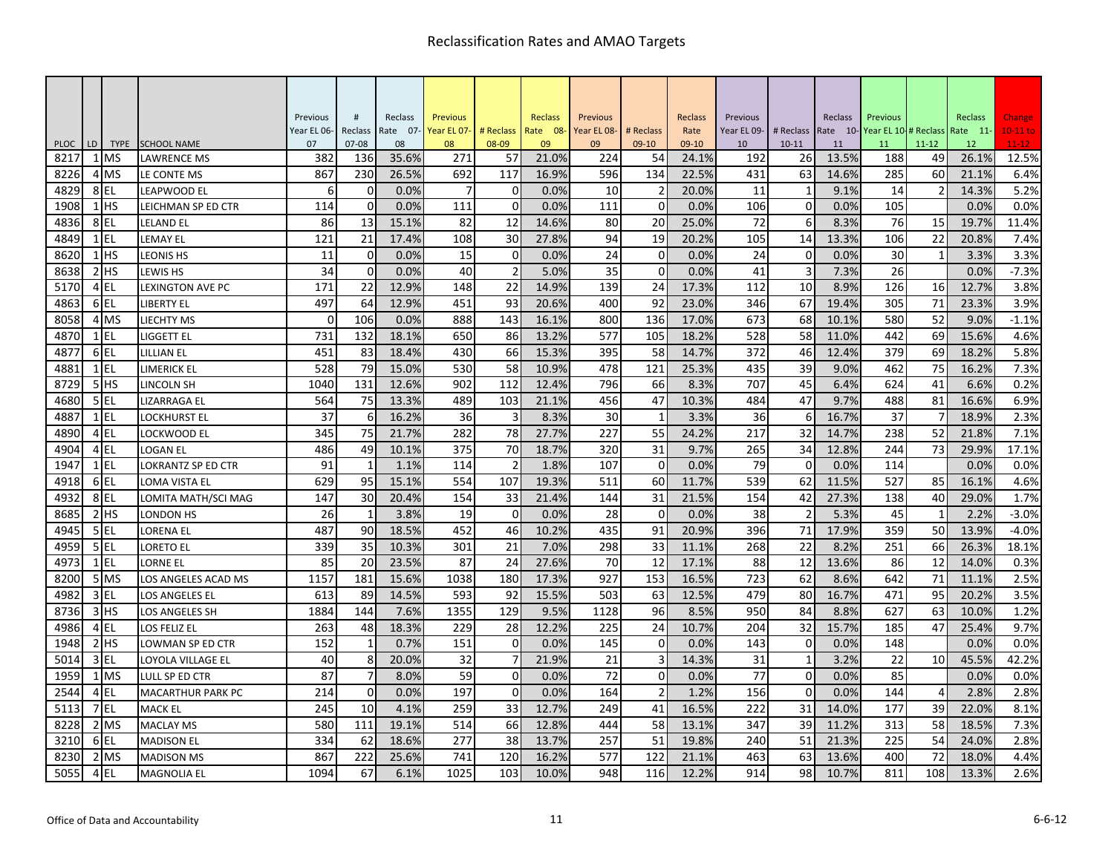|                     |    |                     |                                   | Previous    | #                | Reclass     | <b>Previous</b> |                | <b>Reclass</b> | Previous    |                | Reclass        | Previous    |                | Reclass        | Previous                     |                 | Reclass        | Change           |
|---------------------|----|---------------------|-----------------------------------|-------------|------------------|-------------|-----------------|----------------|----------------|-------------|----------------|----------------|-------------|----------------|----------------|------------------------------|-----------------|----------------|------------------|
|                     |    |                     |                                   | Year EL 06- | Reclass          | Rate 07-    | Year EL 07-     | # Reclass      | Rate 08-       | Year EL 08- | # Reclass      | Rate           | Year EL 09- | # Reclass      |                | Rate 10-Year EL 10-# Reclass |                 | Rate 11-       | $10-11$ to       |
| <b>PLOC</b><br>8217 | LD | <b>TYPE</b><br>1 MS | <b>SCHOOL NAME</b>                | 07<br>382   | $07 - 08$<br>136 | 08<br>35.6% | 08<br>271       | 08-09          | 09<br>21.0%    | 09<br>224   | 09-10<br>54    | 09-10<br>24.1% | 10<br>192   | $10 - 11$      | 11             | 11<br>188                    | $11 - 12$<br>49 | 12             | $11-12$<br>12.5% |
| 8226                |    | 4 MS                | <b>LAWRENCE MS</b><br>LE CONTE MS | 867         | 230              | 26.5%       | 692             | 57<br>117      | 16.9%          | 596         | 134            | 22.5%          | 431         | 26<br>63       | 13.5%<br>14.6% | 285                          | 60              | 26.1%<br>21.1% | 6.4%             |
| 4829                |    | 8EL                 | LEAPWOOD EL                       | 6           | 0                | 0.0%        | $\overline{7}$  | 0              | 0.0%           | 10          | 2              | 20.0%          | 11          | 1              | 9.1%           | 14                           | 2               | 14.3%          | 5.2%             |
| 1908                |    | $1$ HS              | LEICHMAN SP ED CTR                | 114         | $\mathbf 0$      | 0.0%        | 111             | $\mathbf 0$    | 0.0%           | 111         | $\Omega$       | 0.0%           | 106         | $\mathbf 0$    | 0.0%           | 105                          |                 | 0.0%           | 0.0%             |
| 4836                |    | 8EL                 | <b>LELAND EL</b>                  | 86          | 13               | 15.1%       | 82              | 12             | 14.6%          | 80          | 20             | 25.0%          | 72          | 6              | 8.3%           | 76                           | 15              | 19.7%          | 11.4%            |
| 4849                |    | $1$ EL              | <b>LEMAY EL</b>                   | 121         | 21               | 17.4%       | 108             | 30             | 27.8%          | 94          | 19             | 20.2%          | 105         | 14             | 13.3%          | 106                          | 22              | 20.8%          | 7.4%             |
| 8620                |    | $1$ HS              | LEONIS HS                         | 11          | $\mathbf 0$      | 0.0%        | 15              | $\mathbf 0$    | 0.0%           | 24          | $\Omega$       | 0.0%           | 24          | $\mathbf 0$    | 0.0%           | 30                           |                 | 3.3%           | 3.3%             |
| 8638                |    | 2H <sub>5</sub>     | LEWIS HS                          | 34          | $\mathbf 0$      | 0.0%        | 40              | $\overline{2}$ | 5.0%           | 35          | $\Omega$       | 0.0%           | 41          | 3              | 7.3%           | 26                           |                 | 0.0%           | $-7.3%$          |
| 5170                |    | $4$ EL              | <b>LEXINGTON AVE PC</b>           | 171         | 22               | 12.9%       | 148             | 22             | 14.9%          | 139         | 24             | 17.3%          | 112         | 10             | 8.9%           | 126                          | 16              | 12.7%          | 3.8%             |
| 4863                |    | 6EL                 | <b>LIBERTY EL</b>                 | 497         | 64               | 12.9%       | 451             | 93             | 20.6%          | 400         | 92             | 23.0%          | 346         | 67             | 19.4%          | 305                          | 71              | 23.3%          | 3.9%             |
| 8058                |    | 4 MS                | LIECHTY MS                        | $\Omega$    | 106              | 0.0%        | 888             | 143            | 16.1%          | 800         | 136            | 17.0%          | 673         | 68             | 10.1%          | 580                          | 52              | 9.0%           | $-1.1%$          |
| 4870                |    | $1$ EL              | <b>LIGGETT EL</b>                 | 731         | 132              | 18.1%       | 650             | 86             | 13.2%          | 577         | 105            | 18.2%          | 528         | 58             | 11.0%          | 442                          | 69              | 15.6%          | 4.6%             |
| 4877                |    | 6EL                 | LILLIAN EL                        | 451         | 83               | 18.4%       | 430             | 66             | 15.3%          | 395         | 58             | 14.7%          | 372         | 46             | 12.4%          | 379                          | 69              | 18.2%          | 5.8%             |
| 4881                |    | $1$ EL              | LIMERICK EL                       | 528         | 79               | 15.0%       | 530             | 58             | 10.9%          | 478         | 121            | 25.3%          | 435         | 39             | 9.0%           | 462                          | 75              | 16.2%          | 7.3%             |
| 8729                |    | 5HS                 | LINCOLN SH                        | 1040        | 131              | 12.6%       | 902             | 112            | 12.4%          | 796         | 66             | 8.3%           | 707         | 45             | 6.4%           | 624                          | 41              | 6.6%           | 0.2%             |
| 4680                |    | $5$ EL              | LIZARRAGA EL                      | 564         | 75               | 13.3%       | 489             | 103            | 21.1%          | 456         | 47             | 10.3%          | 484         | 47             | 9.7%           | 488                          | 81              | 16.6%          | 6.9%             |
| 4887                |    | $1$ EL              | LOCKHURST EL                      | 37          | 6                | 16.2%       | 36              | 3              | 8.3%           | 30          | 1              | 3.3%           | 36          | 6              | 16.7%          | 37                           |                 | 18.9%          | 2.3%             |
| 4890                |    | 4EL                 | LOCKWOOD EL                       | 345         | 75               | 21.7%       | 282             | 78             | 27.7%          | 227         | 55             | 24.2%          | 217         | 32             | 14.7%          | 238                          | 52              | 21.8%          | 7.1%             |
| 4904                |    | $4$ EL              | <b>LOGAN EL</b>                   | 486         | 49               | 10.1%       | 375             | 70             | 18.7%          | 320         | 31             | 9.7%           | 265         | 34             | 12.8%          | 244                          | 73              | 29.9%          | 17.1%            |
| 1947                |    | $1$ EL              | LOKRANTZ SP ED CTR                | 91          | $\mathbf{1}$     | 1.1%        | 114             | $\overline{2}$ | 1.8%           | 107         | $\mathbf 0$    | 0.0%           | 79          | $\mathbf{0}$   | 0.0%           | 114                          |                 | 0.0%           | 0.0%             |
| 4918                |    | 6EL                 | LOMA VISTA EL                     | 629         | 95               | 15.1%       | 554             | 107            | 19.3%          | 511         | 60             | 11.7%          | 539         | 62             | 11.5%          | 527                          | 85              | 16.1%          | 4.6%             |
| 4932                |    | 8EL                 | LOMITA MATH/SCI MAG               | 147         | 30               | 20.4%       | 154             | 33             | 21.4%          | 144         | 31             | 21.5%          | 154         | 42             | 27.3%          | 138                          | 40              | 29.0%          | 1.7%             |
| 8685                |    | $2$ $HS$            | LONDON HS                         | 26          | $\mathbf{1}$     | 3.8%        | 19              | $\mathbf 0$    | 0.0%           | 28          | $\mathbf 0$    | 0.0%           | 38          | $\overline{2}$ | 5.3%           | 45                           | 1               | 2.2%           | $-3.0%$          |
| 4945                |    | $5$ EL              | LORENA EL                         | 487         | 90               | 18.5%       | 452             | 46             | 10.2%          | 435         | 91             | 20.9%          | 396         | 71             | 17.9%          | 359                          | 50              | 13.9%          | $-4.0%$          |
| 4959                |    | 5EL                 | <b>LORETO EL</b>                  | 339         | 35               | 10.3%       | 301             | 21             | 7.0%           | 298         | 33             | 11.1%          | 268         | 22             | 8.2%           | 251                          | 66              | 26.3%          | 18.1%            |
| 4973                |    | $1$ EL              | LORNE EL                          | 85          | 20               | 23.5%       | 87              | 24             | 27.6%          | 70          | 12             | 17.1%          | 88          | 12             | 13.6%          | 86                           | 12              | 14.0%          | 0.3%             |
| 8200                |    | 5 MS                | LOS ANGELES ACAD MS               | 1157        | 181              | 15.6%       | 1038            | 180            | 17.3%          | 927         | 153            | 16.5%          | 723         | 62             | 8.6%           | 642                          | 71              | 11.1%          | 2.5%             |
| 4982                |    | $3$ EL              | LOS ANGELES EL                    | 613         | 89               | 14.5%       | 593             | 92             | 15.5%          | 503         | 63             | 12.5%          | 479         | 80             | 16.7%          | 471                          | 95              | 20.2%          | 3.5%             |
| 8736                |    | $3$ HS              | LOS ANGELES SH                    | 1884        | 144              | 7.6%        | 1355            | 129            | 9.5%           | 1128        | 96             | 8.5%           | 950         | 84             | 8.8%           | 627                          | 63              | 10.0%          | 1.2%             |
| 4986                |    | $4$ EL              | LOS FELIZ EL                      | 263         | 48               | 18.3%       | 229             | 28             | 12.2%          | 225         | 24             | 10.7%          | 204         | 32             | 15.7%          | 185                          | 47              | 25.4%          | 9.7%             |
| 1948                |    | $2$ HS              | LOWMAN SP ED CTR                  | 152         | $\mathbf{1}$     | 0.7%        | 151             | $\mathbf 0$    | 0.0%           | 145         | $\Omega$       | 0.0%           | 143         | $\mathbf 0$    | 0.0%           | 148                          |                 | 0.0%           | 0.0%             |
| 5014                |    | $3$ EL              | LOYOLA VILLAGE EL                 | 40          | 8                | 20.0%       | 32              | 7              | 21.9%          | 21          |                | 14.3%          | 31          | $\mathbf{1}$   | 3.2%           | 22                           | 10              | 45.5%          | 42.2%            |
| 1959                |    | 1 MS                | LULL SP ED CTR                    | 87          | $\overline{7}$   | 8.0%        | 59              | $\mathbf 0$    | 0.0%           | 72          | 0              | 0.0%           | 77          | $\mathbf{0}$   | 0.0%           | 85                           |                 | 0.0%           | 0.0%             |
| 2544                |    | 4EL                 | <b>MACARTHUR PARK PC</b>          | 214         | $\overline{0}$   | 0.0%        | 197             | $\mathbf 0$    | 0.0%           | 164         | $\overline{2}$ | 1.2%           | 156         | $\mathbf{0}$   | 0.0%           | 144                          | $\Delta$        | 2.8%           | 2.8%             |
| 5113                |    | 7EL                 | <b>MACK EL</b>                    | 245         | 10               | 4.1%        | 259             | 33             | 12.7%          | 249         | 41             | 16.5%          | 222         | 31             | 14.0%          | 177                          | 39              | 22.0%          | 8.1%             |
| 8228                |    | 2 MS                | <b>MACLAY MS</b>                  | 580<br>334  | 111              | 19.1%       | 514<br>277      | 66             | 12.8%          | 444         | 58             | 13.1%          | 347         | 39             | 11.2%          | 313                          | 58<br>54        | 18.5%          | 7.3%             |
| 3210                |    | 6EL<br>2 MS         | <b>MADISON EL</b>                 | 867         | 62               | 18.6%       |                 | 38<br>120      | 13.7%          | 257         | 51             | 19.8%<br>21.1% | 240         | 51<br>63       | 21.3%          | 225<br>400                   |                 | 24.0%          | 2.8%<br>4.4%     |
| 8230                |    |                     | <b>MADISON MS</b>                 |             | 222              | 25.6%       | 741             |                | 16.2%          | 577         | 122            |                | 463         |                | 13.6%          |                              | 72              | 18.0%          |                  |
| 5055                |    | 4 EL                | <b>MAGNOLIA EL</b>                | 1094        | 67               | 6.1%        | 1025            | 103            | 10.0%          | 948         | 116            | 12.2%          | 914         | 98             | 10.7%          | 811                          | 108             | 13.3%          | 2.6%             |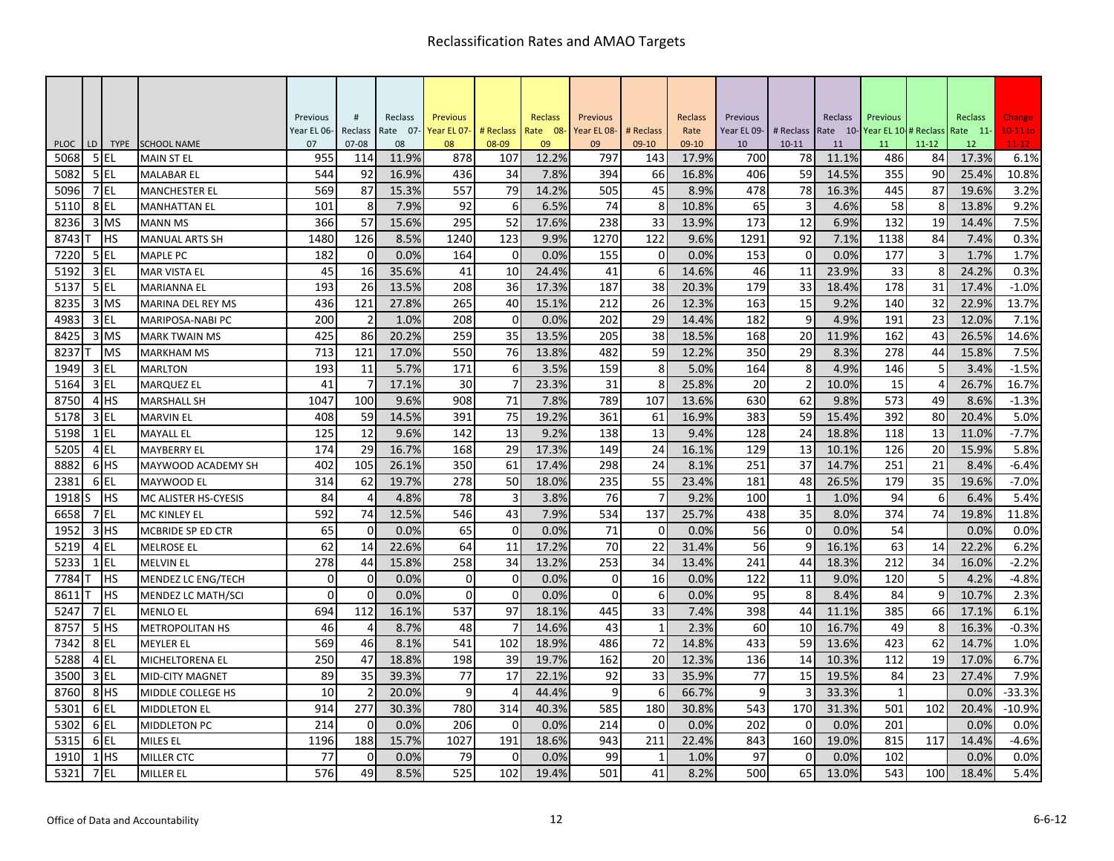|                     |    |                    |                                         | Previous    | #                        | Reclass     | <b>Previous</b> |                | Reclass     | Previous    |                | Reclass        | Previous    |                 | Reclass     | Previous    |                 | Reclass     | Change            |
|---------------------|----|--------------------|-----------------------------------------|-------------|--------------------------|-------------|-----------------|----------------|-------------|-------------|----------------|----------------|-------------|-----------------|-------------|-------------|-----------------|-------------|-------------------|
|                     |    |                    |                                         | Year EL 06- | Reclass                  | Rate 07-    | Year EL 07-     | # Reclass      | Rate 08-    | Year EL 08- | # Reclass      | Rate           | Year EL 09- | # Reclass       | Rate 10-    | Year EL 10- | # Reclass       | Rate 11-    | $10-11$ to        |
| <b>PLOC</b><br>5068 | LD | <b>TYPE</b><br>5EL | <b>SCHOOL NAME</b><br><b>MAIN ST EL</b> | 07<br>955   | $07 - 08$<br>114         | 08<br>11.9% | 08<br>878       | 08-09<br>107   | 09<br>12.2% | 09<br>797   | $09-10$<br>143 | 09-10<br>17.9% | 10<br>700   | $10 - 11$<br>78 | 11<br>11.1% | 11<br>486   | $11 - 12$<br>84 | 12<br>17.3% | $11 - 12$<br>6.1% |
| 5082                |    | 5 EL               | <b>MALABAR EL</b>                       | 544         | 92                       | 16.9%       | 436             | 34             | 7.8%        | 394         | 66             | 16.8%          | 406         | 59              | 14.5%       | 355         | 90              | 25.4%       | 10.8%             |
| 5096                |    | 7EL                | <b>MANCHESTER EL</b>                    | 569         | 87                       | 15.3%       | 557             | 79             | 14.2%       | 505         | 45             | 8.9%           | 478         | 78              | 16.3%       | 445         | 87              | 19.6%       | 3.2%              |
| 5110                |    | 8EL                | <b>MANHATTAN EL</b>                     | 101         | 8                        | 7.9%        | 92              | 6              | 6.5%        | 74          | 8              | 10.8%          | 65          | 3               | 4.6%        | 58          | 8               | 13.8%       | 9.2%              |
| 8236                |    | 3 MS               | <b>MANN MS</b>                          | 366         | 57                       | 15.6%       | 295             | 52             | 17.6%       | 238         | 33             | 13.9%          | 173         | 12              | 6.9%        | 132         | 19              | 14.4%       | 7.5%              |
| 8743                |    | <b>IHS</b>         | <b>MANUAL ARTS SH</b>                   | 1480        | 126                      | 8.5%        | 1240            | 123            | 9.9%        | 1270        | 122            | 9.6%           | 1291        | 92              | 7.1%        | 1138        | 84              | 7.4%        | 0.3%              |
| 7220                |    | 5EL                | <b>MAPLE PC</b>                         | 182         | $\overline{0}$           | 0.0%        | 164             | $\mathbf 0$    | 0.0%        | 155         | $\Omega$       | 0.0%           | 153         | $\mathbf 0$     | 0.0%        | 177         | 3               | 1.7%        | 1.7%              |
| 5192                |    | $3$ EL             | <b>MAR VISTA EL</b>                     | 45          | 16                       | 35.6%       | 41              | 10             | 24.4%       | 41          | 6              | 14.6%          | 46          | 11              | 23.9%       | 33          | 8               | 24.2%       | 0.3%              |
| 5137                |    | 5EL                | <b>MARIANNA EL</b>                      | 193         | 26                       | 13.5%       | 208             | 36             | 17.3%       | 187         | 38             | 20.3%          | 179         | 33              | 18.4%       | 178         | 31              | 17.4%       | $-1.0%$           |
| 8235                |    | 3 MS               | <b>MARINA DEL REY MS</b>                | 436         | 121                      | 27.8%       | 265             | 40             | 15.1%       | 212         | 26             | 12.3%          | 163         | 15              | 9.2%        | 140         | 32              | 22.9%       | 13.7%             |
| 4983                | 3  | l EL               | MARIPOSA-NABI PC                        | 200         | $\overline{\phantom{a}}$ | 1.0%        | 208             | $\Omega$       | 0.0%        | 202         | 29             | 14.4%          | 182         | 9               | 4.9%        | 191         | 23              | 12.0%       | 7.1%              |
| 8425                |    | 3 MS               | <b>MARK TWAIN MS</b>                    | 425         | 86                       | 20.2%       | 259             | 35             | 13.5%       | 205         | 38             | 18.5%          | 168         | 20              | 11.9%       | 162         | 43              | 26.5%       | 14.6%             |
| 8237                |    | IMS                | <b>MARKHAM MS</b>                       | 713         | 121                      | 17.0%       | 550             | 76             | 13.8%       | 482         | 59             | 12.2%          | 350         | 29              | 8.3%        | 278         | 44              | 15.8%       | 7.5%              |
| 1949                |    | $3$ EL             | <b>MARLTON</b>                          | 193         | 11                       | 5.7%        | 171             | 6              | 3.5%        | 159         | 8              | 5.0%           | 164         | 8               | 4.9%        | 146         | 5               | 3.4%        | $-1.5%$           |
| 5164                |    | $3$ EL             | <b>MARQUEZ EL</b>                       | 41          | $\overline{7}$           | 17.1%       | 30              | $\overline{7}$ | 23.3%       | 31          | 8              | 25.8%          | 20          | $\overline{2}$  | 10.0%       | 15          | $\overline{4}$  | 26.7%       | 16.7%             |
| 8750                |    | 4 <sub>HS</sub>    | <b>MARSHALL SH</b>                      | 1047        | 100                      | 9.6%        | 908             | 71             | 7.8%        | 789         | 107            | 13.6%          | 630         | 62              | 9.8%        | 573         | 49              | 8.6%        | $-1.3%$           |
| 5178                |    | 3 EL               | <b>MARVIN EL</b>                        | 408         | 59                       | 14.5%       | 391             | 75             | 19.2%       | 361         | 61             | 16.9%          | 383         | 59              | 15.4%       | 392         | 80              | 20.4%       | 5.0%              |
| 5198                |    | $1$ EL             | <b>MAYALL EL</b>                        | 125         | 12                       | 9.6%        | 142             | 13             | 9.2%        | 138         | 13             | 9.4%           | 128         | 24              | 18.8%       | 118         | 13              | 11.0%       | -7.7%             |
| 5205                |    | $4$ EL             | <b>MAYBERRY EL</b>                      | 174         | 29                       | 16.7%       | 168             | 29             | 17.3%       | 149         | 24             | 16.1%          | 129         | 13              | 10.1%       | 126         | 20              | 15.9%       | 5.8%              |
| 8882                |    | 6 <sup>HS</sup>    | MAYWOOD ACADEMY SH                      | 402         | 105                      | 26.1%       | 350             | 61             | 17.4%       | 298         | 24             | 8.1%           | 251         | 37              | 14.7%       | 251         | 21              | 8.4%        | $-6.4%$           |
| 2381                |    | 6EL                | <b>MAYWOOD EL</b>                       | 314         | 62                       | 19.7%       | 278             | 50             | 18.0%       | 235         | 55             | 23.4%          | 181         | 48              | 26.5%       | 179         | 35              | 19.6%       | $-7.0%$           |
| 1918                |    | <b>IHS</b>         | MC ALISTER HS-CYESIS                    | 84          | $\overline{4}$           | 4.8%        | 78              | 3              | 3.8%        | 76          | 7              | 9.2%           | 100         | 1               | 1.0%        | 94          | 6               | 6.4%        | 5.4%              |
| 6658                |    | 7 EL               | <b>MC KINLEY EL</b>                     | 592         | 74                       | 12.5%       | 546             | 43             | 7.9%        | 534         | 137            | 25.7%          | 438         | 35              | 8.0%        | 374         | 74              | 19.8%       | 11.8%             |
| 1952                |    | $3$ HS             | MCBRIDE SP ED CTR                       | 65          | $\Omega$                 | 0.0%        | 65              | $\Omega$       | 0.0%        | 71          | $\Omega$       | 0.0%           | 56          | 0               | 0.0%        | 54          |                 | 0.0%        | 0.0%              |
| 5219                |    | 4 EL               | <b>MELROSE EL</b>                       | 62          | 14                       | 22.6%       | 64              | 11             | 17.2%       | 70          | 22             | 31.4%          | 56          | 9               | 16.1%       | 63          | 14              | 22.2%       | 6.2%              |
| 5233                |    | $1$ EL             | <b>MELVIN EL</b>                        | 278         | 44                       | 15.8%       | 258             | 34             | 13.2%       | 253         | 34             | 13.4%          | 241         | 44              | 18.3%       | 212         | 34              | 16.0%       | $-2.2%$           |
| 7784                |    | <b>IHS</b>         | MENDEZ LC ENG/TECH                      | $\mathbf 0$ | $\overline{0}$           | 0.0%        | $\mathbf 0$     | $\mathbf 0$    | 0.0%        | $\mathbf 0$ | 16             | 0.0%           | 122         | 11              | 9.0%        | 120         | 5               | 4.2%        | $-4.8%$           |
| 8611                |    | <b>IHS</b>         | <b>MENDEZ LC MATH/SCI</b>               | $\Omega$    | $\Omega$                 | 0.0%        | $\Omega$        | $\Omega$       | 0.0%        | $\Omega$    | 6              | 0.0%           | 95          | 8               | 8.4%        | 84          | 9               | 10.7%       | 2.3%              |
| 5247                |    | 7EL                | <b>MENLO EL</b>                         | 694         | 112                      | 16.1%       | 537             | 97             | 18.1%       | 445         | 33             | 7.4%           | 398         | 44              | 11.1%       | 385         | 66              | 17.1%       | 6.1%              |
| 8757                |    | 5HS                | <b>METROPOLITAN HS</b>                  | 46          | 4                        | 8.7%        | 48              | 7              | 14.6%       | 43          | $\mathbf{1}$   | 2.3%           | 60          | 10              | 16.7%       | 49          | 8               | 16.3%       | $-0.3%$           |
| 7342                |    | 8EL                | <b>MEYLER EL</b>                        | 569         | 46                       | 8.1%        | 541             | 102            | 18.9%       | 486         | 72             | 14.8%          | 433         | 59              | 13.6%       | 423         | 62              | 14.7%       | 1.0%              |
| 5288                |    | 4EL                | <b>MICHELTORENA EL</b>                  | 250         | 47                       | 18.8%       | 198             | 39             | 19.7%       | 162         | 20             | 12.3%          | 136         | 14              | 10.3%       | 112         | 19              | 17.0%       | 6.7%              |
| 3500                |    | 3 EL               | <b>MID-CITY MAGNET</b>                  | 89          | 35                       | 39.3%       | 77              | 17             | 22.1%       | 92          | 33             | 35.9%          | 77          | 15              | 19.5%       | 84          | 23              | 27.4%       | 7.9%              |
| 8760                |    | 8HS                | MIDDLE COLLEGE HS                       | 10          |                          | 20.0%       | 9               | $\Delta$       | 44.4%       | 9           | 6              | 66.7%          | 9           |                 | 33.3%       | -1          |                 | 0.0%        | $-33.3%$          |
| 5301                |    | 6EL                | <b>MIDDLETON EL</b>                     | 914         | 277                      | 30.3%       | 780             | 314            | 40.3%       | 585         | 180            | 30.8%          | 543         | 170             | 31.3%       | 501         | 102             | 20.4%       | $-10.9%$          |
| 5302                |    | 6EL                | <b>MIDDLETON PC</b>                     | 214         | $\Omega$                 | 0.0%        | 206             | $\Omega$       | 0.0%        | 214         | $\Omega$       | 0.0%           | 202         | $\Omega$        | 0.0%        | 201         |                 | 0.0%        | 0.0%              |
| 5315                |    | 6EL                | <b>MILES EL</b>                         | 1196        | 188                      | 15.7%       | 1027            | 191            | 18.6%       | 943         | 211            | 22.4%          | 843         | 160             | 19.0%       | 815         | 117             | 14.4%       | $-4.6%$           |
| 1910                |    | $1$ HS             | <b>MILLER CTC</b>                       | 77          | $\Omega$                 | 0.0%        | 79              | $\Omega$       | 0.0%        | 99          | $\mathbf{1}$   | 1.0%           | 97          | $\Omega$        | 0.0%        | 102         |                 | 0.0%        | 0.0%              |
| 5321                |    | 7 EL               | <b>MILLER EL</b>                        | 576         | 49                       | 8.5%        | 525             | 102            | 19.4%       | 501         | 41             | 8.2%           | 500         | 65              | 13.0%       | 543         | 100             | 18.4%       | 5.4%              |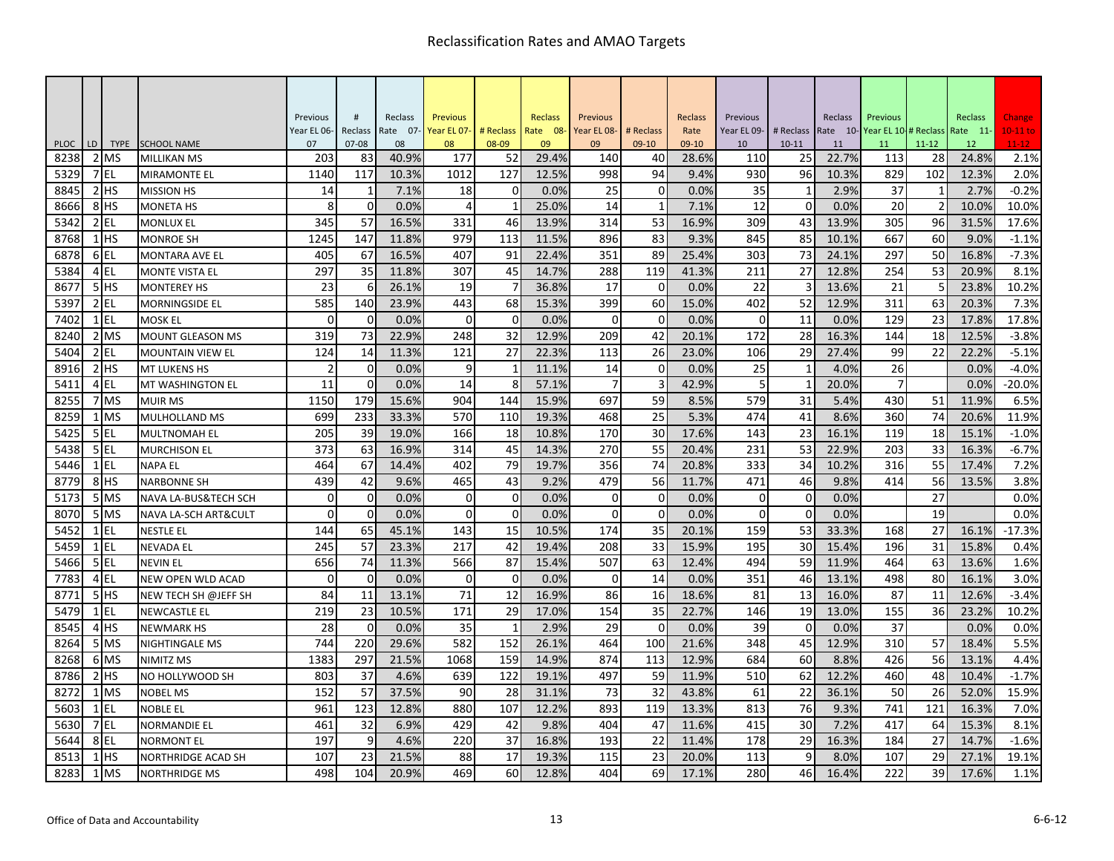|                     |    |                     |                                           | Previous       | #               | Reclass     | <b>Previous</b> |              | Reclass     | Previous    |                | Reclass       | Previous       |             | Reclass     | Previous   |                 | Reclass     | Change            |
|---------------------|----|---------------------|-------------------------------------------|----------------|-----------------|-------------|-----------------|--------------|-------------|-------------|----------------|---------------|----------------|-------------|-------------|------------|-----------------|-------------|-------------------|
|                     |    |                     |                                           | Year EL 06-    | Reclass         | Rate 07-    | Year EL 07-     | # Reclass    | Rate 08-    | Year EL 08- | # Reclass      | Rate          | Year EL 09-    | # Reclass   | Rate 10-    | Year EL 10 | # Reclass       | Rate 11-    | $10-11$ to        |
| <b>PLOC</b><br>8238 | LD | <b>TYPE</b><br>2 MS | <b>SCHOOL NAME</b>                        | 07<br>203      | $07 - 08$<br>83 | 08<br>40.9% | 08<br>177       | 08-09        | 09<br>29.4% | 09<br>140   | $09-10$        | 09-10         | 10<br>110      | $10 - 11$   | 11<br>22.7% | 11<br>113  | $11 - 12$<br>28 | 12<br>24.8% | $11 - 12$<br>2.1% |
| 5329                |    | 7 EL                | <b>MILLIKAN MS</b><br><b>MIRAMONTE EL</b> | 1140           | 117             | 10.3%       | 1012            | 52<br>127    | 12.5%       | 998         | 40<br>94       | 28.6%<br>9.4% | 930            | 25<br>96    | 10.3%       | 829        | 102             | 12.3%       | 2.0%              |
| 8845                |    | $2$ HS              | <b>MISSION HS</b>                         | 14             | $\mathbf{1}$    | 7.1%        | 18              | 0            | 0.0%        | 25          | 0              | 0.0%          | 35             | 1           | 2.9%        | 37         | -1              | 2.7%        | $-0.2%$           |
| 8666                |    | 8 <sup>HS</sup>     | <b>MONETA HS</b>                          | 8              | $\Omega$        | 0.0%        | $\overline{4}$  | $\mathbf{1}$ | 25.0%       | 14          | $\mathbf{1}$   | 7.1%          | 12             | $\mathbf 0$ | 0.0%        | 20         | $\overline{2}$  | 10.0%       | 10.0%             |
| 5342                |    | $2$ EL              | <b>MONLUX EL</b>                          | 345            | 57              | 16.5%       | 331             | 46           | 13.9%       | 314         | 53             | 16.9%         | 309            | 43          | 13.9%       | 305        | 96              | 31.5%       | 17.6%             |
| 8768                |    | $1$ HS              | <b>MONROE SH</b>                          | 1245           | 147             | 11.8%       | 979             | 113          | 11.5%       | 896         | 83             | 9.3%          | 845            | 85          | 10.1%       | 667        | 60              | 9.0%        | $-1.1%$           |
| 6878                |    | 6EL                 | <b>MONTARA AVE EL</b>                     | 405            | 67              | 16.5%       | 407             | 91           | 22.4%       | 351         | 89             | 25.4%         | 303            | 73          | 24.1%       | 297        | 50              | 16.8%       | $-7.3%$           |
| 5384                |    | $4$ EL              | <b>MONTE VISTA EL</b>                     | 297            | 35              | 11.8%       | 307             | 45           | 14.7%       | 288         | 119            | 41.3%         | 211            | 27          | 12.8%       | 254        | 53              | 20.9%       | 8.1%              |
| 8677                |    | $5$ HS              | <b>MONTEREY HS</b>                        | 23             | 6               | 26.1%       | 19              |              | 36.8%       | 17          | $\Omega$       | 0.0%          | 22             |             | 13.6%       | 21         | 5               | 23.8%       | 10.2%             |
| 5397                |    | $2$ EL              | <b>MORNINGSIDE EL</b>                     | 585            | 140             | 23.9%       | 443             | 68           | 15.3%       | 399         | 60             | 15.0%         | 402            | 52          | 12.9%       | 311        | 63              | 20.3%       | 7.3%              |
| 7402                |    | $1$ EL              | <b>MOSK EL</b>                            | $\Omega$       | $\Omega$        | 0.0%        | $\Omega$        | $\Omega$     | 0.0%        | $\Omega$    | $\Omega$       | 0.0%          | $\Omega$       | 11          | 0.0%        | 129        | 23              | 17.8%       | 17.8%             |
| 8240                |    | 2 MS                | <b>MOUNT GLEASON MS</b>                   | 319            | 73              | 22.9%       | 248             | 32           | 12.9%       | 209         | 42             | 20.1%         | 172            | 28          | 16.3%       | 144        | 18              | 12.5%       | $-3.8%$           |
| 5404                |    | 2 EL                | <b>MOUNTAIN VIEW EL</b>                   | 124            | 14              | 11.3%       | 121             | 27           | 22.3%       | 113         | 26             | 23.0%         | 106            | 29          | 27.4%       | 99         | 22              | 22.2%       | $-5.1%$           |
| 8916                |    | $2$ HS              | <b>MT LUKENS HS</b>                       | $\overline{2}$ | $\overline{0}$  | 0.0%        | 9               | $\mathbf{1}$ | 11.1%       | 14          | $\mathbf 0$    | 0.0%          | 25             |             | 4.0%        | 26         |                 | 0.0%        | $-4.0%$           |
| 5411                |    | 4 EL                | <b>MT WASHINGTON EL</b>                   | 11             | $\Omega$        | 0.0%        | 14              | 8            | 57.1%       | 7           | 3              | 42.9%         | $\overline{5}$ |             | 20.0%       | 7          |                 | 0.0%        | $-20.0%$          |
| 8255                |    | 7 MS                | <b>MUIR MS</b>                            | 1150           | 179             | 15.6%       | 904             | 144          | 15.9%       | 697         | 59             | 8.5%          | 579            | 31          | 5.4%        | 430        | 51              | 11.9%       | 6.5%              |
| 8259                |    | 1 MS                | <b>MULHOLLAND MS</b>                      | 699            | 233             | 33.3%       | 570             | 110          | 19.3%       | 468         | 25             | 5.3%          | 474            | 41          | 8.6%        | 360        | 74              | 20.6%       | 11.9%             |
| 5425                |    | 5EL                 | <b>MULTNOMAH EL</b>                       | 205            | 39              | 19.0%       | 166             | 18           | 10.8%       | 170         | 30             | 17.6%         | 143            | 23          | 16.1%       | 119        | 18              | 15.1%       | $-1.0%$           |
| 5438                |    | 5 <sub>EL</sub>     | <b>MURCHISON EL</b>                       | 373            | 63              | 16.9%       | 314             | 45           | 14.3%       | 270         | 55             | 20.4%         | 231            | 53          | 22.9%       | 203        | 33              | 16.3%       | $-6.7%$           |
| 5446                |    | $1$ EL              | <b>NAPA EL</b>                            | 464            | 67              | 14.4%       | 402             | 79           | 19.7%       | 356         | 74             | 20.8%         | 333            | 34          | 10.2%       | 316        | 55              | 17.4%       | 7.2%              |
| 8779                |    | 8 <sup>HS</sup>     | <b>NARBONNE SH</b>                        | 439            | 42              | 9.6%        | 465             | 43           | 9.2%        | 479         | 56             | 11.7%         | 471            | 46          | 9.8%        | 414        | 56              | 13.5%       | 3.8%              |
| 5173                |    | 5 MS                | <b>NAVA LA-BUS&amp;TECH SCH</b>           | $\Omega$       | $\overline{0}$  | 0.0%        | 0               | $\mathbf 0$  | 0.0%        | $\mathbf 0$ | 0              | 0.0%          | $\Omega$       | $\mathbf 0$ | 0.0%        |            | 27              |             | 0.0%              |
| 8070                |    | 5 MS                | <b>NAVA LA-SCH ART&amp;CULT</b>           | $\Omega$       | $\overline{0}$  | 0.0%        | 0               | $\mathbf{0}$ | 0.0%        | $\Omega$    | $\overline{0}$ | 0.0%          | $\Omega$       | $\mathbf 0$ | 0.0%        |            | 19              |             | 0.0%              |
| 5452                |    | $1$ EL              | <b>NESTLE EL</b>                          | 144            | 65              | 45.1%       | 143             | 15           | 10.5%       | 174         | 35             | 20.1%         | 159            | 53          | 33.3%       | 168        | 27              | 16.1%       | $-17.3%$          |
| 5459                |    | $1$ EL              | <b>NEVADA EL</b>                          | 245            | 57              | 23.3%       | 217             | 42           | 19.4%       | 208         | 33             | 15.9%         | 195            | 30          | 15.4%       | 196        | 31              | 15.8%       | 0.4%              |
| 5466                |    | $5$ EL              | <b>NEVIN EL</b>                           | 656            | 74              | 11.3%       | 566             | 87           | 15.4%       | 507         | 63             | 12.4%         | 494            | 59          | 11.9%       | 464        | 63              | 13.6%       | 1.6%              |
| 7783                |    | 4 EL                | <b>NEW OPEN WLD ACAD</b>                  | $\Omega$       | $\overline{0}$  | 0.0%        | $\mathbf 0$     | $\mathbf 0$  | 0.0%        | $\mathbf 0$ | 14             | 0.0%          | 351            | 46          | 13.1%       | 498        | 80              | 16.1%       | 3.0%              |
| 8771                |    | 5HS                 | NEW TECH SH @JEFF SH                      | 84             | 11              | 13.1%       | 71              | 12           | 16.9%       | 86          | 16             | 18.6%         | 81             | 13          | 16.0%       | 87         | 11              | 12.6%       | $-3.4%$           |
| 5479                |    | $1$ EL              | <b>NEWCASTLE EL</b>                       | 219            | 23              | 10.5%       | 171             | 29           | 17.0%       | 154         | 35             | 22.7%         | 146            | 19          | 13.0%       | 155        | 36              | 23.2%       | 10.2%             |
| 8545                |    | 4 <sup>HS</sup>     | <b>NEWMARK HS</b>                         | 28             | $\Omega$        | 0.0%        | 35              | $\mathbf{1}$ | 2.9%        | 29          | $\mathbf 0$    | 0.0%          | 39             | $\mathbf 0$ | 0.0%        | 37         |                 | 0.0%        | 0.0%              |
| 8264                |    | 5 MS                | <b>NIGHTINGALE MS</b>                     | 744            | 220             | 29.6%       | 582             | 152          | 26.1%       | 464         | 100            | 21.6%         | 348            | 45          | 12.9%       | 310        | 57              | 18.4%       | 5.5%              |
| 8268                |    | 6 MS                | NIMITZ MS                                 | 1383           | 297             | 21.5%       | 1068            | 159          | 14.9%       | 874         | 113            | 12.9%         | 684            | 60          | 8.8%        | 426        | 56              | 13.1%       | 4.4%              |
| 8786                |    | $2$ $HS$            | NO HOLLYWOOD SH                           | 803            | 37              | 4.6%        | 639             | 122          | 19.1%       | 497         | 59             | 11.9%         | 510            | 62          | 12.2%       | 460        | 48              | 10.4%       | $-1.7%$           |
| 8272                |    | 1 MS                | <b>NOBEL MS</b>                           | 152            | 57              | 37.5%       | 90              | 28           | 31.1%       | 73          | 32             | 43.8%         | 61             | 22          | 36.1%       | 50         | 26              | 52.0%       | 15.9%             |
| 5603                |    | $1$ EL              | <b>NOBLE EL</b>                           | 961            | 123             | 12.8%       | 880             | 107          | 12.2%       | 893         | 119            | 13.3%         | 813            | 76          | 9.3%        | 741        | 121             | 16.3%       | 7.0%              |
| 5630                |    | 7 <sub>EL</sub>     | <b>NORMANDIE EL</b>                       | 461            | 32              | 6.9%        | 429             | 42           | 9.8%        | 404         | 47             | 11.6%         | 415            | 30          | 7.2%        | 417        | 64              | 15.3%       | 8.1%              |
| 5644                |    | 8EL                 | <b>NORMONT EL</b>                         | 197            | 9               | 4.6%        | 220             | 37           | 16.8%       | 193         | 22             | 11.4%         | 178            | 29          | 16.3%       | 184        | 27              | 14.7%       | $-1.6%$           |
| 8513                |    | $1$ HS              | <b>NORTHRIDGE ACAD SH</b>                 | 107            | 23              | 21.5%       | 88              | 17           | 19.3%       | 115         | 23             | 20.0%         | 113            | 9           | 8.0%        | 107        | 29              | 27.1%       | 19.1%             |
| 8283                |    | 1 MS                | <b>NORTHRIDGE MS</b>                      | 498            | 104             | 20.9%       | 469             | 60           | 12.8%       | 404         | 69             | 17.1%         | 280            | 46          | 16.4%       | 222        | 39              | 17.6%       | 1.1%              |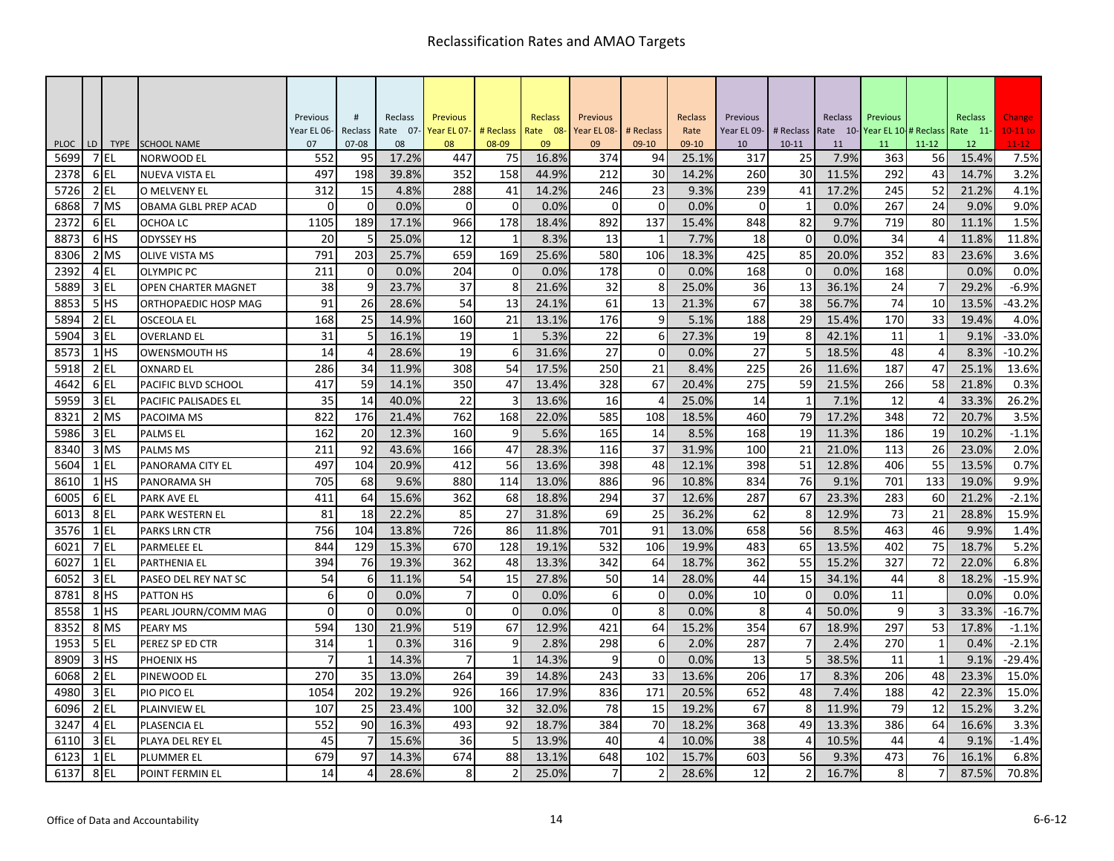|                     |    |                     |                                  | Previous       | #               | Reclass     | <b>Previous</b> |               | <b>Reclass</b> | Previous    |               | Reclass          | Previous    |                          | Reclass    | Previous    |                 | <b>Reclass</b> | Change            |
|---------------------|----|---------------------|----------------------------------|----------------|-----------------|-------------|-----------------|---------------|----------------|-------------|---------------|------------------|-------------|--------------------------|------------|-------------|-----------------|----------------|-------------------|
|                     |    |                     |                                  | Year EL 06-    | Reclass         | Rate 07-    | Year EL 07-     | # Reclass     | Rate 08-       | Year EL 08- | # Reclass     | Rate             | Year EL 09- | # Reclass                | Rate 10-   | Year EL 10- | # Reclass       | Rate 11-       | $10-11$ to        |
| <b>PLOC</b><br>5699 | LD | <b>TYPE</b><br>7 EL | <b>SCHOOL NAME</b><br>NORWOOD EL | 07<br>552      | $07 - 08$<br>95 | 08<br>17.2% | 08<br>447       | 08-09<br>75   | 09<br>16.8%    | 09<br>374   | $09-10$<br>94 | $09-10$<br>25.1% | 10<br>317   | $10 - 11$<br>25          | 11<br>7.9% | 11<br>363   | $11 - 12$<br>56 | 12<br>15.4%    | $11 - 12$<br>7.5% |
| 2378                |    | 6EL                 | <b>NUEVA VISTA EL</b>            | 497            | 198             | 39.8%       | 352             | 158           | 44.9%          | 212         | 30            | 14.2%            | 260         | 30                       | 11.5%      | 292         | 43              | 14.7%          | 3.2%              |
| 5726                |    | $2$ EL              | O MELVENY EL                     | 312            | 15              | 4.8%        | 288             | 41            | 14.2%          | 246         | 23            | 9.3%             | 239         | 41                       | 17.2%      | 245         | 52              | 21.2%          | 4.1%              |
| 6868                |    | 7 MS                | OBAMA GLBL PREP ACAD             | $\Omega$       | $\Omega$        | 0.0%        | $\Omega$        | $\mathbf 0$   | 0.0%           | $\Omega$    | $\Omega$      | 0.0%             | $\Omega$    | $\overline{1}$           | 0.0%       | 267         | 24              | 9.0%           | 9.0%              |
| 2372                |    | 6EL                 | OCHOA LC                         | 1105           | 189             | 17.1%       | 966             | 178           | 18.4%          | 892         | 137           | 15.4%            | 848         | 82                       | 9.7%       | 719         | 80              | 11.1%          | 1.5%              |
| 8873                |    | 6 <sup>HS</sup>     | <b>ODYSSEY HS</b>                | 20             | 5               | 25.0%       | 12              | $\mathbf{1}$  | 8.3%           | 13          | $\mathbf{1}$  | 7.7%             | 18          | $\mathbf 0$              | 0.0%       | 34          | 4               | 11.8%          | 11.8%             |
| 8306                |    | $2$ MS              | <b>OLIVE VISTA MS</b>            | 791            | 203             | 25.7%       | 659             | 169           | 25.6%          | 580         | 106           | 18.3%            | 425         | 85                       | 20.0%      | 352         | 83              | 23.6%          | 3.6%              |
| 2392                |    | 4EL                 | <b>OLYMPIC PC</b>                | 211            | $\overline{0}$  | 0.0%        | 204             | $\mathbf 0$   | 0.0%           | 178         | $\mathbf 0$   | 0.0%             | 168         | $\mathbf 0$              | 0.0%       | 168         |                 | 0.0%           | 0.0%              |
| 5889                |    | 3 EL                | <b>OPEN CHARTER MAGNET</b>       | 38             | 9               | 23.7%       | 37              | 8             | 21.6%          | 32          | 8             | 25.0%            | 36          | 13                       | 36.1%      | 24          |                 | 29.2%          | $-6.9%$           |
| 8853                |    | 5HS                 | <b>ORTHOPAEDIC HOSP MAG</b>      | 91             | 26              | 28.6%       | 54              | 13            | 24.1%          | 61          | 13            | 21.3%            | 67          | 38                       | 56.7%      | 74          | 10              | 13.5%          | $-43.2%$          |
| 5894                |    | $2$ EL              | <b>OSCEOLA EL</b>                | 168            | 25              | 14.9%       | 160             | 21            | 13.1%          | 176         | 9             | 5.1%             | 188         | 29                       | 15.4%      | 170         | 33              | 19.4%          | 4.0%              |
| 5904                |    | 3 EL                | <b>OVERLAND EL</b>               | 31             | 5               | 16.1%       | 19              | 1             | 5.3%           | 22          | 6             | 27.3%            | 19          | 8                        | 42.1%      | 11          | 1               | 9.1%           | $-33.0%$          |
| 8573                |    | $1$ HS              | <b>OWENSMOUTH HS</b>             | 14             | 4               | 28.6%       | 19              | 6             | 31.6%          | 27          | $\mathbf 0$   | 0.0%             | 27          | 5                        | 18.5%      | 48          | $\overline{4}$  | 8.3%           | $-10.2%$          |
| 5918                |    | $2$ EL              | <b>OXNARD EL</b>                 | 286            | 34              | 11.9%       | 308             | 54            | 17.5%          | 250         | 21            | 8.4%             | 225         | 26                       | 11.6%      | 187         | 47              | 25.1%          | 13.6%             |
| 4642                |    | 6EL                 | <b>PACIFIC BLVD SCHOOL</b>       | 417            | 59              | 14.1%       | 350             | 47            | 13.4%          | 328         | 67            | 20.4%            | 275         | 59                       | 21.5%      | 266         | 58              | 21.8%          | 0.3%              |
| 595 <sup>9</sup>    |    | 3 EL                | <b>PACIFIC PALISADES EL</b>      | 35             | 14              | 40.0%       | 22              | 3             | 13.6%          | 16          |               | 25.0%            | 14          | $\mathbf{1}$             | 7.1%       | 12          | $\Delta$        | 33.3%          | 26.2%             |
| 8321                |    | 2 MS                | PACOIMA MS                       | 822            | 176             | 21.4%       | 762             | 168           | 22.0%          | 585         | 108           | 18.5%            | 460         | 79                       | 17.2%      | 348         | 72              | 20.7%          | 3.5%              |
| 5986                |    | $3$ EL              | <b>PALMS EL</b>                  | 162            | 20              | 12.3%       | 160             | 9             | 5.6%           | 165         | 14            | 8.5%             | 168         | 19                       | 11.3%      | 186         | 19              | 10.2%          | $-1.1%$           |
| 8340                |    | 3 MS                | <b>PALMS MS</b>                  | 211            | 92              | 43.6%       | 166             | 47            | 28.3%          | 116         | 37            | 31.9%            | 100         | 21                       | 21.0%      | 113         | 26              | 23.0%          | 2.0%              |
| 5604                |    | 1 EL                | PANORAMA CITY EL                 | 497            | 104             | 20.9%       | 412             | 56            | 13.6%          | 398         | 48            | 12.1%            | 398         | 51                       | 12.8%      | 406         | 55              | 13.5%          | 0.7%              |
| 8610                |    | $1$ HS              | PANORAMA SH                      | 705            | 68              | 9.6%        | 880             | 114           | 13.0%          | 886         | 96            | 10.8%            | 834         | 76                       | 9.1%       | 701         | 133             | 19.0%          | 9.9%              |
| 6005                |    | 6EL                 | <b>PARK AVE EL</b>               | 411            | 64              | 15.6%       | 362             | 68            | 18.8%          | 294         | 37            | 12.6%            | 287         | 67                       | 23.3%      | 283         | 60              | 21.2%          | $-2.1%$           |
| 6013                |    | 8EL                 | <b>PARK WESTERN EL</b>           | 81             | 18              | 22.2%       | 85              | 27            | 31.8%          | 69          | 25            | 36.2%            | 62          | 8                        | 12.9%      | 73          | 21              | 28.8%          | 15.9%             |
| 3576                |    | $1$ EL              | <b>PARKS LRN CTR</b>             | 756            | 104             | 13.8%       | 726             | 86            | 11.8%          | 701         | 91            | 13.0%            | 658         | 56                       | 8.5%       | 463         | 46              | 9.9%           | 1.4%              |
| 602                 |    | 7EL                 | <b>PARMELEE EL</b>               | 844            | 129             | 15.3%       | 670             | 128           | 19.1%          | 532         | 106           | 19.9%            | 483         | 65                       | 13.5%      | 402         | 75              | 18.7%          | 5.2%              |
| 6027                |    | $1$ EL              | <b>PARTHENIA EL</b>              | 394            | 76              | 19.3%       | 362             | 48            | 13.3%          | 342         | 64            | 18.7%            | 362         | 55                       | 15.2%      | 327         | 72              | 22.0%          | 6.8%              |
| 6052                |    | 3 EL                | PASEO DEL REY NAT SC             | 54             | 6               | 11.1%       | 54              | 15            | 27.8%          | 50          | 14            | 28.0%            | 44          | 15                       | 34.1%      | 44          | 8               | 18.2%          | $-15.9%$          |
| 8781                |    | 8HS                 | <b>PATTON HS</b>                 | 6              | $\Omega$        | 0.0%        | $\overline{7}$  | $\Omega$      | 0.0%           | 6           | $\Omega$      | 0.0%             | 10          | $\Omega$                 | 0.0%       | 11          |                 | 0.0%           | 0.0%              |
| 8558                |    | $1$ $HS$            | PEARL JOURN/COMM MAG             | $\Omega$       | $\Omega$        | 0.0%        | $\Omega$        | $\Omega$      | 0.0%           | $\Omega$    | 8             | 0.0%             | 8           | $\Delta$                 | 50.0%      | 9           | 3               | 33.3%          | $-16.7%$          |
| 8352                |    | 8 MS                | <b>PEARY MS</b>                  | 594            | 130             | 21.9%       | 519             | 67            | 12.9%          | 421         | 64            | 15.2%            | 354         | 67                       | 18.9%      | 297         | 53              | 17.8%          | $-1.1%$           |
| 1953                |    | $5$ EL              | PEREZ SP ED CTR                  | 314            | $\mathbf{1}$    | 0.3%        | 316             | 9             | 2.8%           | 298         | 6             | 2.0%             | 287         |                          | 2.4%       | 270         | $\mathbf{1}$    | 0.4%           | $-2.1%$           |
| 8909                |    | $3$ $HS$            | <b>PHOENIX HS</b>                | $\overline{7}$ | $\mathbf{1}$    | 14.3%       | 7               | $\mathbf{1}$  | 14.3%          | 9           | $\Omega$      | 0.0%             | 13          |                          | 38.5%      | 11          | $\mathbf{1}$    | 9.1%           | $-29.4%$          |
| 6068                |    | $2$ EL              | PINEWOOD EL                      | 270            | 35              | 13.0%       | 264             | 39            | 14.8%          | 243         | 33            | 13.6%            | 206         | 17                       | 8.3%       | 206         | 48              | 23.3%          | 15.0%             |
| 4980                |    | $3$ EL              | <b>PIO PICO EL</b>               | 1054           | 202             | 19.2%       | 926             | 166           | 17.9%          | 836         | 171           | 20.5%            | 652         | 48                       | 7.4%       | 188         | 42              | 22.3%          | 15.0%             |
| 6096                |    | $2$ EL              | <b>PLAINVIEW EL</b>              | 107            | 25              | 23.4%       | 100             | 32            | 32.0%          | 78          | 15            | 19.2%            | 67          | 8                        | 11.9%      | 79          | 12              | 15.2%          | 3.2%              |
| 3247                |    | 4 EL                | <b>PLASENCIA EL</b>              | 552            | 90              | 16.3%       | 493             | 92            | 18.7%          | 384         | 70            | 18.2%            | 368         | 49                       | 13.3%      | 386         | 64              | 16.6%          | 3.3%              |
| 6110                |    | $3$ EL              | PLAYA DEL REY EL                 | 45             | $\overline{7}$  | 15.6%       | 36              | 5             | 13.9%          | 40          | 4             | 10.0%            | 38          | Δ                        | 10.5%      | 44          | 4               | 9.1%           | $-1.4%$           |
| 6123                |    | $1$ EL              | <b>PLUMMER EL</b>                | 679            | 97              | 14.3%       | 674             | 88            | 13.1%          | 648         | 102           | 15.7%            | 603         | 56                       | 9.3%       | 473         | 76              | 16.1%          | 6.8%              |
| 6137                |    | 8EL                 | POINT FERMIN EL                  | 14             | 4               | 28.6%       | 8               | $\mathcal{P}$ | 25.0%          | 7           |               | 28.6%            | 12          | $\overline{\phantom{0}}$ | 16.7%      | 8           | $\overline{7}$  | 87.5%          | 70.8%             |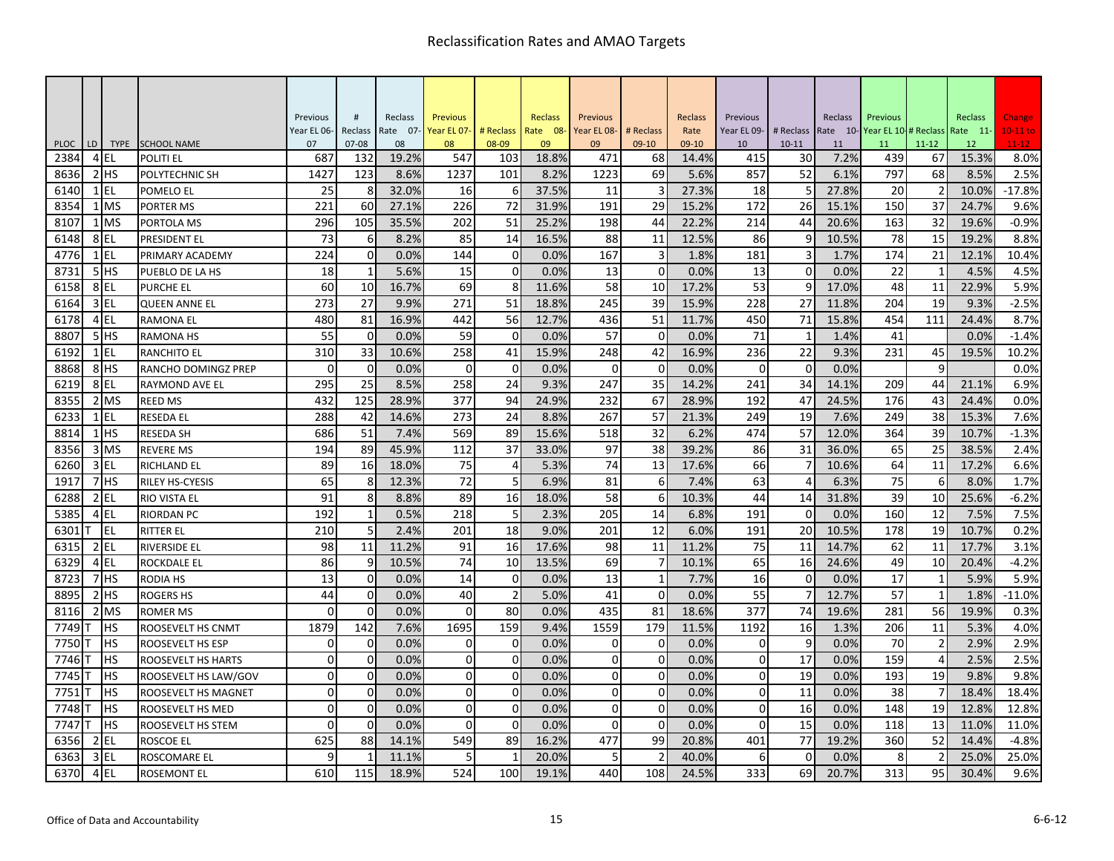|                     |                |                     |                                 | Previous    | $\#$             | Reclass     | <b>Previous</b> |                | Reclass       | Previous    |               | Reclass        | Previous    |             | Reclass    | Previous                     |                          | Reclass     | Change            |
|---------------------|----------------|---------------------|---------------------------------|-------------|------------------|-------------|-----------------|----------------|---------------|-------------|---------------|----------------|-------------|-------------|------------|------------------------------|--------------------------|-------------|-------------------|
|                     |                |                     |                                 | Year EL 06- | Reclass          | Rate 07-    | Year EL 07-     | # Reclass      | Rate 08-      | Year EL 08- | # Reclass     | Rate           | Year EL 09- | # Reclass   |            | Rate 10-Year EL 10-# Reclass |                          | Rate 11-    | $10-11$ to        |
| <b>PLOC</b><br>2384 | LD             | <b>TYPE</b><br>4 EL | <b>SCHOOL NAME</b><br>POLITI EL | 07<br>687   | $07 - 08$<br>132 | 08<br>19.2% | 08<br>547       | 08-09<br>103   | 09            | 09<br>471   | $09-10$       | 09-10<br>14.4% | 10<br>415   | $10 - 11$   | 11<br>7.2% | 11                           | $11 - 12$<br>67          | 12<br>15.3% | $11 - 12$<br>8.0% |
| 8636                | $\overline{2}$ | <b>IHS</b>          | POLYTECHNIC SH                  | 1427        | 123              | 8.6%        | 1237            | 101            | 18.8%<br>8.2% | 1223        | 68<br>69      | 5.6%           | 857         | 30<br>52    | 6.1%       | 439<br>797                   | 68                       | 8.5%        | 2.5%              |
| 6140                |                | $1$ EL              | POMELO EL                       | 25          | 8                | 32.0%       | 16              | 6              | 37.5%         | 11          | 3             | 27.3%          | 18          | 5           | 27.8%      | 20                           | $\overline{2}$           | 10.0%       | $-17.8%$          |
| 8354                |                | $1$ MS              | <b>PORTER MS</b>                | 221         | 60               | 27.1%       | 226             | 72             | 31.9%         | 191         | 29            | 15.2%          | 172         | 26          | 15.1%      | 150                          | 37                       | 24.7%       | 9.6%              |
| 8107                |                | $1$ MS              | PORTOLA MS                      | 296         | 105              | 35.5%       | 202             | 51             | 25.2%         | 198         | 44            | 22.2%          | 214         | 44          | 20.6%      | 163                          | 32                       | 19.6%       | $-0.9%$           |
| 6148                |                | 8EL                 | PRESIDENT EL                    | 73          | 6                | 8.2%        | 85              | 14             | 16.5%         | 88          | 11            | 12.5%          | 86          | 9           | 10.5%      | 78                           | 15                       | 19.2%       | 8.8%              |
| 4776                |                | 1 EL                | PRIMARY ACADEMY                 | 224         | $\Omega$         | 0.0%        | 144             | $\mathbf 0$    | 0.0%          | 167         | 3             | 1.8%           | 181         | 3           | 1.7%       | 174                          | 21                       | 12.1%       | 10.4%             |
| 8731                |                | 5 <sup>HS</sup>     | PUEBLO DE LA HS                 | 18          | $\mathbf{1}$     | 5.6%        | 15              | $\mathbf 0$    | 0.0%          | 13          | $\mathbf 0$   | 0.0%           | 13          | $\mathbf 0$ | 0.0%       | 22                           | $\mathbf{1}$             | 4.5%        | 4.5%              |
| 6158                |                | 8EL                 | <b>PURCHE EL</b>                | 60          | 10               | 16.7%       | 69              | 8              | 11.6%         | 58          | 10            | 17.2%          | 53          | 9           | 17.0%      | 48                           | 11                       | 22.9%       | 5.9%              |
| 6164                |                | 3 EL                | <b>QUEEN ANNE EL</b>            | 273         | 27               | 9.9%        | 271             | 51             | 18.8%         | 245         | 39            | 15.9%          | 228         | 27          | 11.8%      | 204                          | 19                       | 9.3%        | $-2.5%$           |
| 6178                |                | 4 EL                | <b>RAMONA EL</b>                | 480         | 81               | 16.9%       | 442             | 56             | 12.7%         | 436         | 51            | 11.7%          | 450         | 71          | 15.8%      | 454                          | 111                      | 24.4%       | 8.7%              |
| 8807                |                | 5H                  | RAMONA HS                       | 55          | $\mathbf 0$      | 0.0%        | 59              | 0              | 0.0%          | 57          | $\mathbf 0$   | 0.0%           | 71          | 1           | 1.4%       | 41                           |                          | 0.0%        | $-1.4%$           |
| 6192                | 1              | lel                 | <b>RANCHITO EL</b>              | 310         | 33               | 10.6%       | 258             | 41             | 15.9%         | 248         | 42            | 16.9%          | 236         | 22          | 9.3%       | 231                          | 45                       | 19.5%       | 10.2%             |
| 8868                |                | $8$ $HS$            | RANCHO DOMINGZ PREP             | $\mathbf 0$ | $\mathbf 0$      | 0.0%        | $\Omega$        | $\mathbf 0$    | 0.0%          | $\mathbf 0$ | $\mathbf 0$   | 0.0%           | 0           | $\mathbf 0$ | 0.0%       |                              | 9                        |             | 0.0%              |
| 6219                |                | 8EL                 | RAYMOND AVE EL                  | 295         | 25               | 8.5%        | 258             | 24             | 9.3%          | 247         | 35            | 14.2%          | 241         | 34          | 14.1%      | 209                          | 44                       | 21.1%       | 6.9%              |
| 8355                |                | 2 MS                | <b>REED MS</b>                  | 432         | 125              | 28.9%       | 377             | 94             | 24.9%         | 232         | 67            | 28.9%          | 192         | 47          | 24.5%      | 176                          | 43                       | 24.4%       | 0.0%              |
| 6233                |                | $1$ EL              | <b>RESEDA EL</b>                | 288         | 42               | 14.6%       | 273             | 24             | 8.8%          | 267         | 57            | 21.3%          | 249         | 19          | 7.6%       | 249                          | 38                       | 15.3%       | 7.6%              |
| 8814                | 1              | <b>HS</b>           | <b>RESEDA SH</b>                | 686         | 51               | 7.4%        | 569             | 89             | 15.6%         | 518         | 32            | 6.2%           | 474         | 57          | 12.0%      | 364                          | 39                       | 10.7%       | $-1.3%$           |
| 8356                |                | 3 MS                | <b>REVERE MS</b>                | 194         | 89               | 45.9%       | 112             | 37             | 33.0%         | 97          | 38            | 39.2%          | 86          | 31          | 36.0%      | 65                           | 25                       | 38.5%       | 2.4%              |
| 6260                |                | $3$ EL              | RICHLAND EL                     | 89          | 16               | 18.0%       | 75              | 4              | 5.3%          | 74          | 13            | 17.6%          | 66          | 7           | 10.6%      | 64                           | 11                       | 17.2%       | 6.6%              |
| 1917                |                | 7 <sup>HS</sup>     | RILEY HS-CYESIS                 | 65          | 8                | 12.3%       | 72              | 5              | 6.9%          | 81          | 6             | 7.4%           | 63          | 4           | 6.3%       | 75                           | 6                        | 8.0%        | 1.7%              |
| 6288                |                | 2 EL                | RIO VISTA EL                    | 91          | 8                | 8.8%        | 89              | 16             | 18.0%         | 58          | 6             | 10.3%          | 44          | 14          | 31.8%      | 39                           | 10                       | 25.6%       | $-6.2%$           |
| 5385                |                | 4 EL                | RIORDAN PC                      | 192         | $\mathbf{1}$     | 0.5%        | 218             | 5              | 2.3%          | 205         | 14            | 6.8%           | 191         | $\Omega$    | 0.0%       | 160                          | 12                       | 7.5%        | 7.5%              |
| 6301                |                | EL                  | RITTER EL                       | 210         | 5                | 2.4%        | 201             | 18             | 9.0%          | 201         | 12            | 6.0%           | 191         | 20          | 10.5%      | 178                          | 19                       | 10.7%       | 0.2%              |
| 6315                |                | $2$ EL              | <b>RIVERSIDE EL</b>             | 98          | 11               | 11.2%       | 91              | 16             | 17.6%         | 98          | 11            | 11.2%          | 75          | 11          | 14.7%      | 62                           | 11                       | 17.7%       | 3.1%              |
| 6329                |                | 4EL                 | ROCKDALE EL                     | 86          | 9                | 10.5%       | 74              | 10             | 13.5%         | 69          |               | 10.1%          | 65          | 16          | 24.6%      | 49                           | 10                       | 20.4%       | $-4.2%$           |
| 8723                |                | 7 <sup>HS</sup>     | <b>RODIA HS</b>                 | 13          | $\overline{0}$   | 0.0%        | 14              | $\mathbf 0$    | 0.0%          | 13          | 1             | 7.7%           | 16          | $\mathbf 0$ | 0.0%       | 17                           | $\mathbf{1}$             | 5.9%        | 5.9%              |
| 8895                |                | $2$ $HS$            | <b>ROGERS HS</b>                | 44          | $\Omega$         | 0.0%        | 40              | $\overline{2}$ | 5.0%          | 41          | $\Omega$      | 0.0%           | 55          |             | 12.7%      | 57                           | $\mathbf{1}$             | 1.8%        | $-11.0%$          |
| 8116                |                | <b>MS</b>           | ROMER MS                        | $\Omega$    | $\Omega$         | 0.0%        | $\Omega$        | 80             | 0.0%          | 435         | 81            | 18.6%          | 377         | 74          | 19.6%      | 281                          | 56                       | 19.9%       | 0.3%              |
| 7749                |                | <b>HS</b>           | ROOSEVELT HS CNMT               | 1879        | 142              | 7.6%        | 1695            | 159            | 9.4%          | 1559        | 179           | 11.5%          | 1192        | 16          | 1.3%       | 206                          | 11                       | 5.3%        | 4.0%              |
| 7750                |                | HS                  | ROOSEVELT HS ESP                | $\Omega$    | $\Omega$         | 0.0%        | 0               | $\mathbf 0$    | 0.0%          | $\Omega$    | $\mathbf 0$   | 0.0%           | $\Omega$    | 9           | 0.0%       | 70                           | $\overline{2}$           | 2.9%        | 2.9%              |
| 7746                |                | HS                  | ROOSEVELT HS HARTS              | $\Omega$    | $\Omega$         | 0.0%        | $\Omega$        | $\Omega$       | 0.0%          | $\Omega$    | $\mathbf 0$   | 0.0%           | $\Omega$    | 17          | 0.0%       | 159                          | $\overline{4}$           | 2.5%        | 2.5%              |
| 7745                |                | HS                  | ROOSEVELT HS LAW/GOV            | $\Omega$    | $\mathbf 0$      | 0.0%        | $\mathbf 0$     | $\mathbf 0$    | 0.0%          | $\mathbf 0$ | $\mathbf 0$   | 0.0%           | $\Omega$    | 19          | 0.0%       | 193                          | 19                       | 9.8%        | 9.8%              |
| 7751                |                | HS                  | ROOSEVELT HS MAGNET             | $\Omega$    | $\mathbf 0$      | 0.0%        | $\Omega$        | $\mathbf 0$    | 0.0%          | $\mathbf 0$ | $\mathbf{0}$  | 0.0%           | $\Omega$    | 11          | 0.0%       | 38                           | 7                        | 18.4%       | 18.4%             |
| 7748                |                | HS                  | ROOSEVELT HS MED                | $\Omega$    | $\mathbf 0$      | 0.0%        | $\mathbf 0$     | $\mathbf 0$    | 0.0%          | $\mathbf 0$ | $\mathbf 0$   | 0.0%           | 0           | 16          | 0.0%       | 148                          | 19                       | 12.8%       | 12.8%             |
| 7747                |                | <b>HS</b>           | ROOSEVELT HS STEM               | $\Omega$    | $\Omega$         | 0.0%        | $\Omega$        | $\Omega$       | 0.0%          | $\Omega$    | $\Omega$      | 0.0%           | $\Omega$    | 15          | 0.0%       | 118                          | 13                       | 11.0%       | 11.0%             |
| 6356                |                | $2$ EL              | ROSCOE EL                       | 625         | 88               | 14.1%       | 549             | 89             | 16.2%         | 477         | 99            | 20.8%          | 401         | 77          | 19.2%      | 360                          | 52                       | 14.4%       | $-4.8%$           |
| 6363                |                | 3 EL                | ROSCOMARE EL                    | q           |                  | 11.1%       | 5               |                | 20.0%         | 5           | $\mathcal{P}$ | 40.0%          | 6           | $\Omega$    | 0.0%       | 8                            | $\overline{\phantom{a}}$ | 25.0%       | 25.0%             |
| 6370                |                | 4 EL                | <b>ROSEMONT EL</b>              | 610         | 115              | 18.9%       | 524             | 100            | 19.1%         | 440         | 108           | 24.5%          | 333         | 69          | 20.7%      | 313                          | 95                       | 30.4%       | 9.6%              |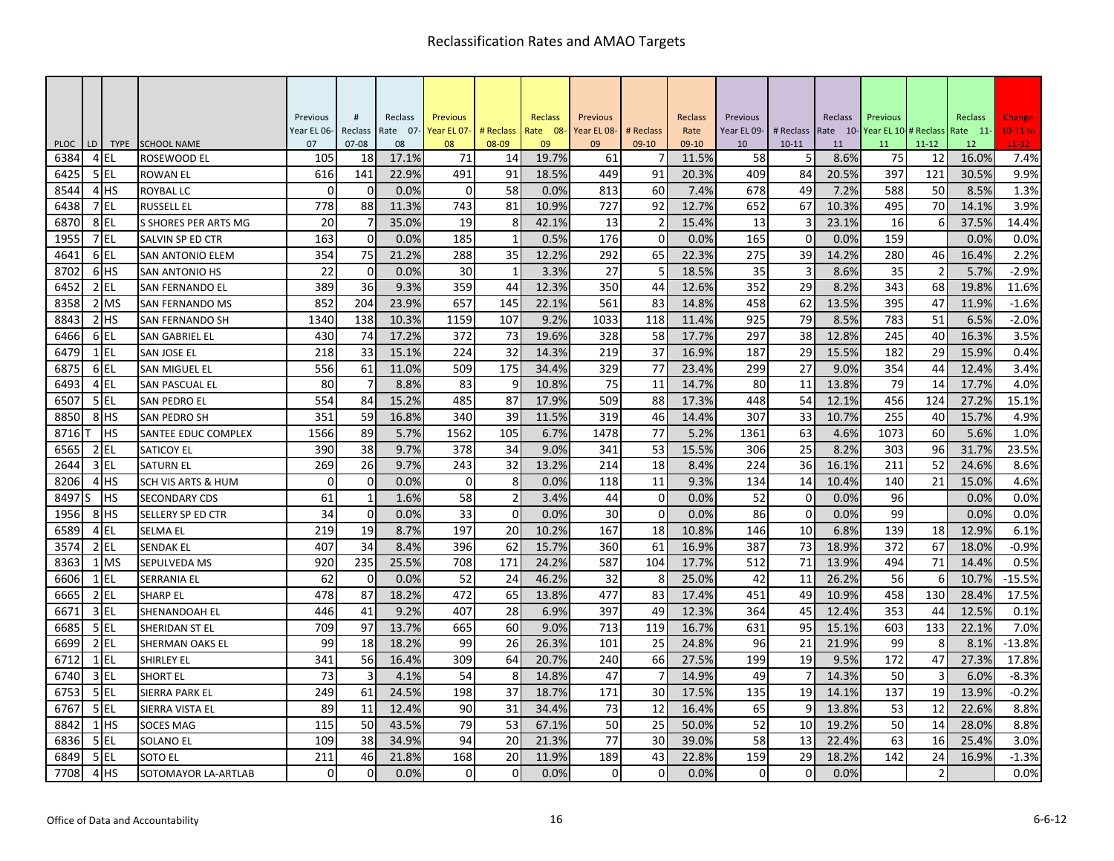|              |    |                  |                                       | Previous       | #              | Reclass     | <b>Previous</b> |                 | Reclass        | Previous    |             | Reclass        | Previous    |                | Reclass       | Previous    |                 | <b>Reclass</b> | Change            |
|--------------|----|------------------|---------------------------------------|----------------|----------------|-------------|-----------------|-----------------|----------------|-------------|-------------|----------------|-------------|----------------|---------------|-------------|-----------------|----------------|-------------------|
|              |    |                  |                                       | Year EL 06-    | Reclass        | Rate 07-    | Year EL 07-     | # Reclass       | Rate 08-       | Year EL 08- | # Reclass   | Rate           | Year EL 09- | # Reclass      | Rate 10-      | Year EL 10- | # Reclass       | Rate 11-       | $10-11$ to        |
| <b>PLOC</b>  | LD | TYPE             | <b>SCHOOL NAME</b>                    | 07<br>105      | $07 - 08$      | 08<br>17.1% | 08<br>71        | 08-09           | 09             | 09          | 09-10       | 09-10          | 10          | $10 - 11$<br>5 | 11            | 11          | $11 - 12$<br>12 | 12             | $11 - 12$<br>7.4% |
| 6384<br>6425 |    | 4 EL<br>5 EL     | <b>ROSEWOOD EL</b><br><b>ROWAN EL</b> | 616            | 18<br>141      | 22.9%       | 491             | 14<br>91        | 19.7%<br>18.5% | 61<br>449   | 91          | 11.5%<br>20.3% | 58<br>409   | 84             | 8.6%<br>20.5% | 75<br>397   | 121             | 16.0%<br>30.5% | 9.9%              |
| 8544         |    | 4 <sup>HS</sup>  | <b>ROYBAL LC</b>                      | $\overline{0}$ | $\overline{0}$ | 0.0%        | 0               | 58              | 0.0%           | 813         | 60          | 7.4%           | 678         | 49             | 7.2%          | 588         | 50              | 8.5%           | 1.3%              |
| 6438         |    | 7EL              | <b>RUSSELL EL</b>                     | 778            | 88             | 11.3%       | 743             | 81              | 10.9%          | 727         | 92          | 12.7%          | 652         | 67             | 10.3%         | 495         | 70              | 14.1%          | 3.9%              |
| 687C         |    | 8EL              | S SHORES PER ARTS MG                  | 20             | $\overline{7}$ | 35.0%       | 19              | 8               | 42.1%          | 13          |             | 15.4%          | 13          |                | 23.1%         | 16          | 6               | 37.5%          | 14.4%             |
| 1955         |    | 7EL              | SALVIN SP ED CTR                      | 163            | $\overline{0}$ | 0.0%        | 185             | $\mathbf{1}$    | 0.5%           | 176         | $\mathbf 0$ | 0.0%           | 165         | $\mathbf 0$    | 0.0%          | 159         |                 | 0.0%           | 0.0%              |
| 4641         |    | 6EL              | SAN ANTONIO ELEM                      | 354            | 75             | 21.2%       | 288             | 35              | 12.2%          | 292         | 65          | 22.3%          | 275         | 39             | 14.2%         | 280         | 46              | 16.4%          | 2.2%              |
| 8702         |    | 6 <sup>HS</sup>  | <b>SAN ANTONIO HS</b>                 | 22             | $\overline{0}$ | 0.0%        | 30              | $\mathbf{1}$    | 3.3%           | 27          | 5           | 18.5%          | 35          | 3              | 8.6%          | 35          | $\overline{2}$  | 5.7%           | $-2.9%$           |
| 6452         |    | $2$ EL           | <b>SAN FERNANDO EL</b>                | 389            | 36             | 9.3%        | 359             | 44              | 12.3%          | 350         | 44          | 12.6%          | 352         | 29             | 8.2%          | 343         | 68              | 19.8%          | 11.6%             |
| 8358         |    | 2 MS             | <b>SAN FERNANDO MS</b>                | 852            | 204            | 23.9%       | 657             | 145             | 22.1%          | 561         | 83          | 14.8%          | 458         | 62             | 13.5%         | 395         | 47              | 11.9%          | $-1.6%$           |
| 8843         |    | $2$ $HS$         | SAN FERNANDO SH                       | 1340           | 138            | 10.3%       | 1159            | 107             | 9.2%           | 1033        | 118         | 11.4%          | 925         | 79             | 8.5%          | 783         | 51              | 6.5%           | $-2.0%$           |
| 6466         |    | 6EL              | SAN GABRIEL EL                        | 430            | 74             | 17.2%       | 372             | 73              | 19.6%          | 328         | 58          | 17.7%          | 297         | 38             | 12.8%         | 245         | 40              | 16.3%          | 3.5%              |
| 6479         |    | $1$ EL           | <b>SAN JOSE EL</b>                    | 218            | 33             | 15.1%       | 224             | 32              | 14.3%          | 219         | 37          | 16.9%          | 187         | 29             | 15.5%         | 182         | 29              | 15.9%          | 0.4%              |
| 6875         |    | 6EL              | SAN MIGUEL EL                         | 556            | 61             | 11.0%       | 509             | 175             | 34.4%          | 329         | 77          | 23.4%          | 299         | 27             | 9.0%          | 354         | 44              | 12.4%          | 3.4%              |
| 6493         |    | 4 EL             | <b>SAN PASCUAL EL</b>                 | 80             | $\overline{7}$ | 8.8%        | 83              | 9               | 10.8%          | 75          | 11          | 14.7%          | 80          | 11             | 13.8%         | 79          | 14              | 17.7%          | 4.0%              |
| 6507         |    | 5 EL             | <b>SAN PEDRO EL</b>                   | 554            | 84             | 15.2%       | 485             | 87              | 17.9%          | 509         | 88          | 17.3%          | 448         | 54             | 12.1%         | 456         | 124             | 27.2%          | 15.1%             |
| 8850         |    | 8 <sup>HS</sup>  | <b>SAN PEDRO SH</b>                   | 351            | 59             | 16.8%       | 340             | 39              | 11.5%          | 319         | 46          | 14.4%          | 307         | 33             | 10.7%         | 255         | 40              | 15.7%          | 4.9%              |
| 8716         |    | IHS              | <b>SANTEE EDUC COMPLEX</b>            | 1566           | 89             | 5.7%        | 1562            | 105             | 6.7%           | 1478        | 77          | 5.2%           | 1361        | 63             | 4.6%          | 1073        | 60              | 5.6%           | 1.0%              |
| 6565         |    | $2$ EL           | <b>SATICOY EL</b>                     | 390            | 38             | 9.7%        | 378             | 34              | 9.0%           | 341         | 53          | 15.5%          | 306         | 25             | 8.2%          | 303         | 96              | 31.7%          | 23.5%             |
| 2644         |    | 3 <sub>IEL</sub> | <b>SATURN EL</b>                      | 269            | 26             | 9.7%        | 243             | 32              | 13.2%          | 214         | 18          | 8.4%           | 224         | 36             | 16.1%         | 211         | 52              | 24.6%          | 8.6%              |
| 8206         |    | 4 <sup>HS</sup>  | <b>SCH VIS ARTS &amp; HUM</b>         | $\Omega$       | $\Omega$       | 0.0%        | $\Omega$        | 8               | 0.0%           | 118         | 11          | 9.3%           | 134         | 14             | 10.4%         | 140         | 21              | 15.0%          | 4.6%              |
| 8497         |    | <b>IHS</b>       | <b>SECONDARY CDS</b>                  | 61             | $\mathbf{1}$   | 1.6%        | 58              | $\overline{2}$  | 3.4%           | 44          | $\mathbf 0$ | 0.0%           | 52          | $\mathbf 0$    | 0.0%          | 96          |                 | 0.0%           | 0.0%              |
| 1956         |    | 8 <sup>HS</sup>  | <b>SELLERY SP ED CTR</b>              | 34             | $\overline{0}$ | 0.0%        | 33              | $\mathbf{0}$    | 0.0%           | 30          | $\mathbf 0$ | 0.0%           | 86          | $\mathbf 0$    | 0.0%          | 99          |                 | 0.0%           | 0.0%              |
| 6589         |    | 4EL              | <b>SELMA EL</b>                       | 219            | 19             | 8.7%        | 197             | 20              | 10.2%          | 167         | 18          | 10.8%          | 146         | 10             | 6.8%          | 139         | 18              | 12.9%          | 6.1%              |
| 3574         |    | $2$ EL           | <b>SENDAK EL</b>                      | 407            | 34             | 8.4%        | 396             | 62              | 15.7%          | 360         | 61          | 16.9%          | 387         | 73             | 18.9%         | 372         | 67              | 18.0%          | $-0.9%$           |
| 8363         |    | 1 MS             | SEPULVEDA MS                          | 920            | 235            | 25.5%       | 708             | 171             | 24.2%          | 587         | 104         | 17.7%          | 512         | 71             | 13.9%         | 494         | 71              | 14.4%          | 0.5%              |
| 6606         |    | $1$ EL           | <b>SERRANIA EL</b>                    | 62             | $\overline{0}$ | 0.0%        | 52              | 24              | 46.2%          | 32          | 8           | 25.0%          | 42          | 11             | 26.2%         | 56          | 6               | 10.7%          | $-15.5%$          |
| 6665         |    | $2$ EL           | <b>SHARP EL</b>                       | 478            | 87             | 18.2%       | 472             | 65              | 13.8%          | 477         | 83          | 17.4%          | 451         | 49             | 10.9%         | 458         | 130             | 28.4%          | 17.5%             |
| 667          |    | 3 EL             | SHENANDOAH EL                         | 446            | 41             | 9.2%        | 407             | 28              | 6.9%           | 397         | 49          | 12.3%          | 364         | 45             | 12.4%         | 353         | 44              | 12.5%          | 0.1%              |
| 6685         |    | 5EL              | SHERIDAN ST EL                        | 709            | 97             | 13.7%       | 665             | 60              | 9.0%           | 713         | 119         | 16.7%          | 631         | 95             | 15.1%         | 603         | 133             | 22.1%          | 7.0%              |
| 6699         |    | $2$ EL           | SHERMAN OAKS EL                       | 99             | 18             | 18.2%       | 99              | 26              | 26.3%          | 101         | 25          | 24.8%          | 96          | 21             | 21.9%         | 99          | 8               | 8.1%           | $-13.8%$          |
| 6712         |    | $1$ EL           | <b>SHIRLEY EL</b>                     | 341            | 56             | 16.4%       | 309             | 64              | 20.7%          | 240         | 66          | 27.5%          | 199         | 19             | 9.5%          | 172         | 47              | 27.3%          | 17.8%             |
| 6740         |    | 3 EL             | <b>SHORT EL</b>                       | 73             | 3              | 4.1%        | 54              | 8               | 14.8%          | 47          |             | 14.9%          | 49          |                | 14.3%         | 50          | $\overline{3}$  | 6.0%           | $-8.3%$           |
| 6753         |    | 5EL              | SIERRA PARK EL                        | 249            | 61             | 24.5%       | 198             | $\overline{37}$ | 18.7%          | 171         | 30          | 17.5%          | 135         | 19             | 14.1%         | 137         | 19              | 13.9%          | $-0.2%$           |
| 6767         |    | $5$ EL           | SIERRA VISTA EL                       | 89             | 11             | 12.4%       | 90              | 31              | 34.4%          | 73          | 12          | 16.4%          | 65          | 9              | 13.8%         | 53          | 12              | 22.6%          | 8.8%              |
| 8842         |    | $1$ HS           | <b>SOCES MAG</b>                      | 115            | 50             | 43.5%       | 79              | 53              | 67.1%          | 50          | 25          | 50.0%          | 52          | 10             | 19.2%         | 50          | 14              | 28.0%          | 8.8%              |
| 6836         |    | $5$ EL           | <b>SOLANO EL</b>                      | 109            | 38             | 34.9%       | 94              | 20              | 21.3%          | 77          | 30          | 39.0%          | 58          | 13             | 22.4%         | 63          | 16              | 25.4%          | 3.0%              |
| 6849         |    | 5EL              | SOTO EL                               | 211            | 46             | 21.8%       | 168             | 20              | 11.9%          | 189         | 43          | 22.8%          | 159         | 29             | 18.2%         | 142         | 24              | 16.9%          | $-1.3%$           |
| 7708         |    | 4H <sub>S</sub>  | <b>SOTOMAYOR LA-ARTLAB</b>            | $\Omega$       | $\Omega$       | 0.0%        | $\Omega$        | $\Omega$        | 0.0%           | $\Omega$    | $\Omega$    | 0.0%           | $\Omega$    | $\mathbf 0$    | 0.0%          |             | $\overline{2}$  |                | 0.0%              |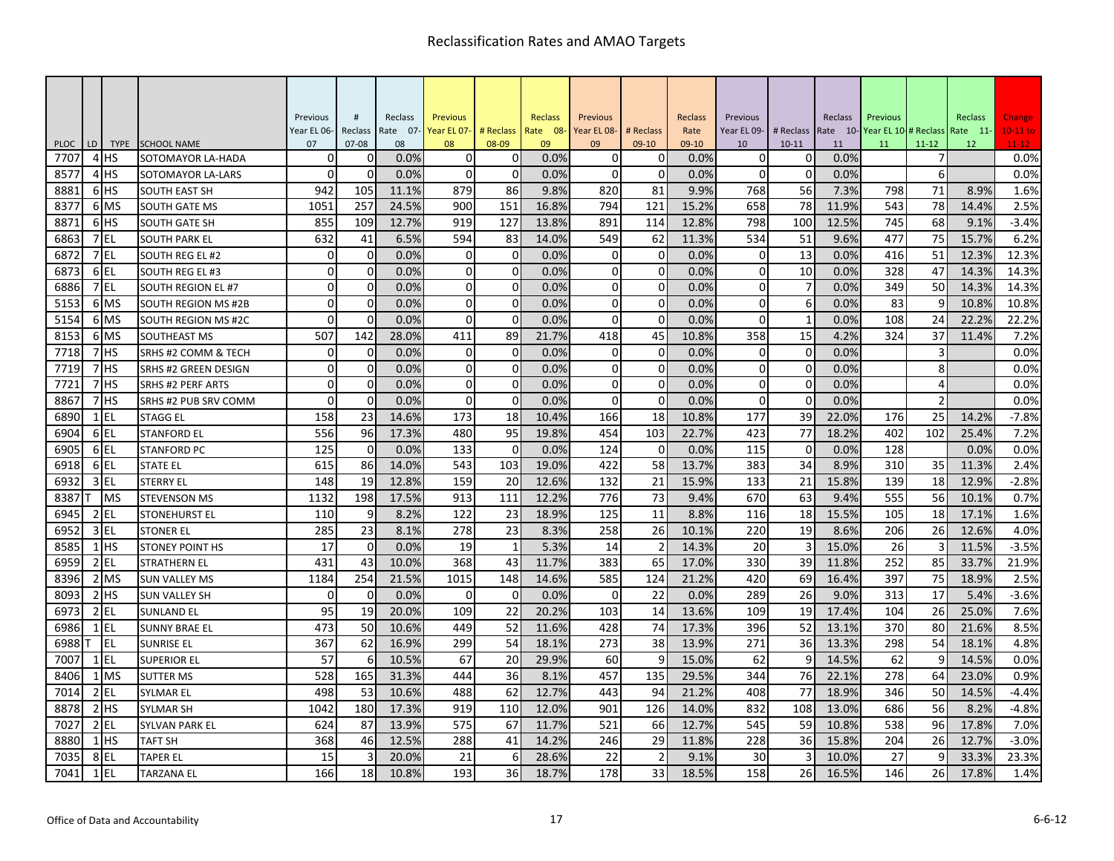|             |    |                 |                            | Previous    | #           | Reclass  | <b>Previous</b> |                | <b>Reclass</b> | Previous    |           | Reclass | Previous    |                | Reclass  | Previous             |                | Reclass  | Change     |
|-------------|----|-----------------|----------------------------|-------------|-------------|----------|-----------------|----------------|----------------|-------------|-----------|---------|-------------|----------------|----------|----------------------|----------------|----------|------------|
|             |    |                 |                            | Year EL 06- | Reclass     | Rate 07- | Year EL 07-     | # Reclass      | Rate 08-       | Year EL 08- | # Reclass | Rate    | Year EL 09- | # Reclass      | Rate 10- | Year EL 10-# Reclass |                | Rate 11- | $10-11$ to |
| <b>PLOC</b> | LD | <b>TYPE</b>     | <b>SCHOOL NAME</b>         | 07          | $07 - 08$   | 08       | 08              | 08-09          | 09             | 09          | 09-10     | 09-10   | 10          | $10 - 11$      | 11       | 11                   | $11 - 12$      | 12       | $11-12$    |
| 7707        |    | 4 HS            | SOTOMAYOR LA-HADA          | $\Omega$    | n           | 0.0%     | $\Omega$        | 0              | 0.0%           | $\Omega$    | O         | 0.0%    | 0           | 0              | 0.0%     |                      |                |          | 0.0%       |
| 8577        |    | 4H <sub>S</sub> | SOTOMAYOR LA-LARS          | $\Omega$    | $\Omega$    | 0.0%     | $\Omega$        | $\mathbf 0$    | 0.0%           | $\Omega$    | $\Omega$  | 0.0%    | $\Omega$    | $\mathbf 0$    | 0.0%     |                      | 6              |          | 0.0%       |
| 8881        |    | 6 <sup>HS</sup> | <b>SOUTH EAST SH</b>       | 942         | 105         | 11.1%    | 879             | 86             | 9.8%           | 820         | 81        | 9.9%    | 768         | 56             | 7.3%     | 798                  | 71             | 8.9%     | 1.6%       |
| 8377        |    | 6 MS            | <b>SOUTH GATE MS</b>       | 1051        | 257         | 24.5%    | 900             | 151            | 16.8%          | 794         | 121       | 15.2%   | 658         | 78             | 11.9%    | 543                  | 78             | 14.4%    | 2.5%       |
| 8871        |    | 6 <sup>HS</sup> | <b>SOUTH GATE SH</b>       | 855         | 109         | 12.7%    | 919             | 127            | 13.8%          | 891         | 114       | 12.8%   | 798         | 100            | 12.5%    | 745                  | 68             | 9.1%     | $-3.4%$    |
| 6863        |    | 7 EL            | <b>SOUTH PARK EL</b>       | 632         | 41          | 6.5%     | 594             | 83             | 14.0%          | 549         | 62        | 11.3%   | 534         | 51             | 9.6%     | 477                  | 75             | 15.7%    | 6.2%       |
| 6872        |    | 7EL             | SOUTH REG EL #2            | $\Omega$    | 0           | 0.0%     | $\Omega$        | 0              | 0.0%           | $\Omega$    | O         | 0.0%    | $\Omega$    | 13             | 0.0%     | 416                  | 51             | 12.3%    | 12.3%      |
| 6873        |    | 6 <sub>EL</sub> | <b>SOUTH REG EL #3</b>     | $\Omega$    | $\mathbf 0$ | 0.0%     | $\mathbf 0$     | $\mathbf 0$    | 0.0%           | $\Omega$    | 0         | 0.0%    | $\mathbf 0$ | 10             | 0.0%     | 328                  | 47             | 14.3%    | 14.3%      |
| 6886        |    | 7 EL            | <b>SOUTH REGION EL#7</b>   | $\Omega$    | 0           | 0.0%     | $\Omega$        | $\mathbf 0$    | 0.0%           | $\Omega$    | 0         | 0.0%    | 0           | $\overline{7}$ | 0.0%     | 349                  | 50             | 14.3%    | 14.3%      |
| 5153        |    | 6 MS            | <b>SOUTH REGION MS #2B</b> | $\Omega$    | $\mathbf 0$ | 0.0%     | $\Omega$        | $\mathbf 0$    | 0.0%           | $\Omega$    | 0         | 0.0%    | $\Omega$    | 6              | 0.0%     | 83                   | 9              | 10.8%    | 10.8%      |
| 5154        |    | 6 MS            | SOUTH REGION MS #2C        | $\Omega$    | $\Omega$    | 0.0%     | $\Omega$        | $\Omega$       | 0.0%           | $\Omega$    | $\Omega$  | 0.0%    | $\Omega$    | $\mathbf 1$    | 0.0%     | 108                  | 24             | 22.2%    | 22.2%      |
| 8153        |    | 6 MS            | <b>SOUTHEAST MS</b>        | 507         | 142         | 28.0%    | 411             | 89             | 21.7%          | 418         | 45        | 10.8%   | 358         | 15             | 4.2%     | 324                  | 37             | 11.4%    | 7.2%       |
| 7718        |    | 7 <sup>HS</sup> | SRHS #2 COMM & TECH        | $\Omega$    | $\mathbf 0$ | 0.0%     | $\mathbf 0$     | $\overline{0}$ | 0.0%           | $\mathbf 0$ | 0         | 0.0%    | $\mathbf 0$ | $\overline{0}$ | 0.0%     |                      | 3              |          | 0.0%       |
| 7719        |    | 7HS             | SRHS #2 GREEN DESIGN       | $\Omega$    | $\mathbf 0$ | 0.0%     | $\mathbf 0$     | $\mathbf 0$    | 0.0%           | $\Omega$    | 0         | 0.0%    | $\mathbf 0$ | $\mathbf 0$    | 0.0%     |                      | 8              |          | 0.0%       |
| 7723        |    | 7 <sup>HS</sup> | SRHS #2 PERF ARTS          | $\Omega$    | $\mathbf 0$ | 0.0%     | $\Omega$        | $\mathbf 0$    | 0.0%           | $\mathbf 0$ | 0         | 0.0%    | $\Omega$    | $\mathbf{0}$   | 0.0%     |                      | $\overline{a}$ |          | 0.0%       |
| 8867        |    | 7 <sup>HS</sup> | SRHS #2 PUB SRV COMM       | $\Omega$    | $\mathbf 0$ | 0.0%     | $\mathbf 0$     | $\mathbf 0$    | 0.0%           | $\Omega$    | 0         | 0.0%    | $\mathbf 0$ | $\mathbf 0$    | 0.0%     |                      | $\overline{2}$ |          | 0.0%       |
| 6890        |    | $1$ EL          | <b>STAGG EL</b>            | 158         | 23          | 14.6%    | 173             | 18             | 10.4%          | 166         | 18        | 10.8%   | 177         | 39             | 22.0%    | 176                  | 25             | 14.2%    | $-7.8%$    |
| 6904        |    | 6EL             | <b>STANFORD EL</b>         | 556         | 96          | 17.3%    | 480             | 95             | 19.8%          | 454         | 103       | 22.7%   | 423         | 77             | 18.2%    | 402                  | 102            | 25.4%    | 7.2%       |
| 6905        |    | 6EL             | <b>STANFORD PC</b>         | 125         | $\mathbf 0$ | 0.0%     | 133             | $\mathbf 0$    | 0.0%           | 124         | $\Omega$  | 0.0%    | 115         | $\mathbf 0$    | 0.0%     | 128                  |                | 0.0%     | 0.0%       |
| 6918        |    | 6EL             | <b>STATE EL</b>            | 615         | 86          | 14.0%    | 543             | 103            | 19.0%          | 422         | 58        | 13.7%   | 383         | 34             | 8.9%     | 310                  | 35             | 11.3%    | 2.4%       |
| 6932        |    | 3 EL            | <b>STERRY EL</b>           | 148         | 19          | 12.8%    | 159             | 20             | 12.6%          | 132         | 21        | 15.9%   | 133         | 21             | 15.8%    | 139                  | 18             | 12.9%    | $-2.8%$    |
| 8387        |    | <b>MS</b>       | <b>STEVENSON MS</b>        | 1132        | 198         | 17.5%    | 913             | 111            | 12.2%          | 776         | 73        | 9.4%    | 670         | 63             | 9.4%     | 555                  | 56             | 10.1%    | 0.7%       |
| 6945        |    | $2$ EL          | <b>STONEHURST EL</b>       | 110         | 9           | 8.2%     | 122             | 23             | 18.9%          | 125         | 11        | 8.8%    | 116         | 18             | 15.5%    | 105                  | 18             | 17.1%    | 1.6%       |
| 6952        |    | $3$ EL          | <b>STONER EL</b>           | 285         | 23          | 8.1%     | 278             | 23             | 8.3%           | 258         | 26        | 10.1%   | 220         | 19             | 8.6%     | 206                  | 26             | 12.6%    | 4.0%       |
| 8585        |    | $1$ HS          | <b>STONEY POINT HS</b>     | 17          | $\mathbf 0$ | 0.0%     | 19              | $\mathbf{1}$   | 5.3%           | 14          |           | 14.3%   | 20          | 3              | 15.0%    | 26                   | 3              | 11.5%    | $-3.5%$    |
| 6959        |    | $2$ EL          | STRATHERN EL               | 431         | 43          | 10.0%    | 368             | 43             | 11.7%          | 383         | 65        | 17.0%   | 330         | 39             | 11.8%    | 252                  | 85             | 33.7%    | 21.9%      |
| 8396        |    | 2 MS            | <b>SUN VALLEY MS</b>       | 1184        | 254         | 21.5%    | 1015            | 148            | 14.6%          | 585         | 124       | 21.2%   | 420         | 69             | 16.4%    | 397                  | 75             | 18.9%    | 2.5%       |
| 8093        |    | 2H <sub>5</sub> | <b>SUN VALLEY SH</b>       | $\Omega$    | $\Omega$    | 0.0%     | $\Omega$        | $\Omega$       | 0.0%           | $\Omega$    | 22        | 0.0%    | 289         | 26             | 9.0%     | 313                  | 17             | 5.4%     | $-3.6%$    |
| 6973        |    | $2$ EL          | <b>SUNLAND EL</b>          | 95          | 19          | 20.0%    | 109             | 22             | 20.2%          | 103         | 14        | 13.6%   | 109         | 19             | 17.4%    | 104                  | 26             | 25.0%    | 7.6%       |
| 6986        |    | $1$ EL          | <b>SUNNY BRAE EL</b>       | 473         | 50          | 10.6%    | 449             | 52             | 11.6%          | 428         | 74        | 17.3%   | 396         | 52             | 13.1%    | 370                  | 80             | 21.6%    | 8.5%       |
| 6988        |    | EL              | <b>SUNRISE EL</b>          | 367         | 62          | 16.9%    | 299             | 54             | 18.1%          | 273         | 38        | 13.9%   | 271         | 36             | 13.3%    | 298                  | 54             | 18.1%    | 4.8%       |
| 7007        |    | $1$ EL          | SUPERIOR EL                | 57          | 6           | 10.5%    | 67              | 20             | 29.9%          | 60          | q         | 15.0%   | 62          | 9              | 14.5%    | 62                   | 9              | 14.5%    | 0.0%       |
| 8406        |    | 1 MS            | <b>SUTTER MS</b>           | 528         | 165         | 31.3%    | 444             | 36             | 8.1%           | 457         | 135       | 29.5%   | 344         | 76             | 22.1%    | 278                  | 64             | 23.0%    | 0.9%       |
| 7014        |    | $2$ EL          | <b>SYLMAR EL</b>           | 498         | 53          | 10.6%    | 488             | 62             | 12.7%          | 443         | 94        | 21.2%   | 408         | 77             | 18.9%    | 346                  | 50             | 14.5%    | $-4.4%$    |
| 8878        |    | $2$ HS          | <b>SYLMAR SH</b>           | 1042        | 180         | 17.3%    | 919             | 110            | 12.0%          | 901         | 126       | 14.0%   | 832         | 108            | 13.0%    | 686                  | 56             | 8.2%     | $-4.8%$    |
| 7027        |    | $2$ EL          | <b>SYLVAN PARK EL</b>      | 624         | 87          | 13.9%    | 575             | 67             | 11.7%          | 521         | 66        | 12.7%   | 545         | 59             | 10.8%    | 538                  | 96             | 17.8%    | 7.0%       |
| 8880        |    | $1$ HS          | TAFT SH                    | 368         | 46          | 12.5%    | 288             | 41             | 14.2%          | 246         | 29        | 11.8%   | 228         | 36             | 15.8%    | 204                  | 26             | 12.7%    | $-3.0%$    |
| 7035        |    | 8EL             | TAPER EL                   | 15          | 3           | 20.0%    | 21              | 6              | 28.6%          | 22          |           | 9.1%    | 30          | 3              | 10.0%    | 27                   | 9              | 33.3%    | 23.3%      |
| 7041        |    | $1$ EL          | <b>TARZANA EL</b>          | 166         | 18          | 10.8%    | 193             | 36             | 18.7%          | 178         | 33        | 18.5%   | 158         | 26             | 16.5%    | 146                  | 26             | 17.8%    | 1.4%       |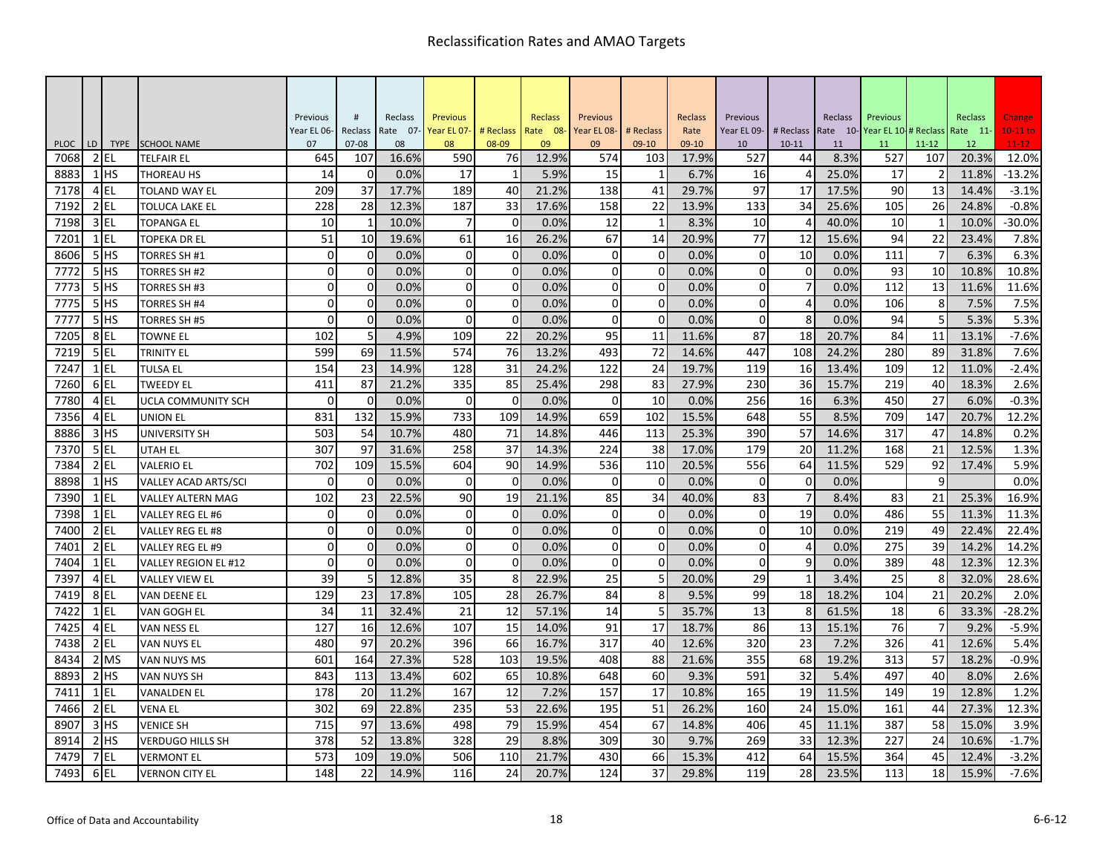|                  |    |                    |                             | Previous    | #                     | Reclass     | <b>Previous</b> |                    | Reclass       | Previous    |                  | Reclass       | Previous    |                      | Reclass       | Previous    |                      | Reclass        | Change            |
|------------------|----|--------------------|-----------------------------|-------------|-----------------------|-------------|-----------------|--------------------|---------------|-------------|------------------|---------------|-------------|----------------------|---------------|-------------|----------------------|----------------|-------------------|
|                  |    |                    |                             | Year EL 06- | Reclass               | Rate 07-    | Year EL 07-     | # Reclass          | Rate 08-      | Year EL 08- | # Reclass        | Rate          | Year EL 09- | # Reclass            | Rate 10-      | Year EL 10- | # Reclass            | Rate 11-       | $10-11$ to        |
| <b>PLOC</b>      | LD | <b>TYPE</b>        | <b>SCHOOL NAME</b>          | 07          | $07 - 08$             | 08<br>16.6% | 08              | 08-09              | 09            | 09          | $09-10$          | 09-10         | 10          | $10 - 11$            | 11            | 11          | $11 - 12$            | 12             | $11 - 12$         |
| 7068<br>8883     |    | $2$ EL<br>$1$ $HS$ | TELFAIR EL<br>THOREAU HS    | 645<br>14   | 107<br>$\overline{0}$ | 0.0%        | 590<br>17       | 76<br>$\mathbf{1}$ | 12.9%<br>5.9% | 574<br>15   | 103<br>1         | 17.9%<br>6.7% | 527<br>16   | 44<br>$\overline{4}$ | 8.3%<br>25.0% | 527<br>17   | 107<br>$\mathcal{P}$ | 20.3%<br>11.8% | 12.0%<br>$-13.2%$ |
| 7178             |    | 4EL                | TOLAND WAY EL               | 209         | 37                    | 17.7%       | 189             | 40                 | 21.2%         | 138         | 41               | 29.7%         | 97          | 17                   | 17.5%         | 90          | 13                   | 14.4%          | $-3.1%$           |
| 7192             |    | $2$ EL             | TOLUCA LAKE EL              | 228         | 28                    | 12.3%       | 187             | 33                 | 17.6%         | 158         | 22               | 13.9%         | 133         | 34                   | 25.6%         | 105         | 26                   | 24.8%          | $-0.8%$           |
| 7198             |    | $3$ EL             | TOPANGA EL                  | 10          | $\mathbf{1}$          | 10.0%       | $\overline{7}$  | $\Omega$           | 0.0%          | 12          | $\mathbf{1}$     | 8.3%          | 10          | $\Delta$             | 40.0%         | 10          | $\mathbf{1}$         | 10.0%          | $-30.0%$          |
| 7201             |    | $1$ EL             | TOPEKA DR EL                | 51          | 10                    | 19.6%       | 61              | 16                 | 26.2%         | 67          | 14               | 20.9%         | 77          | 12                   | 15.6%         | 94          | 22                   | 23.4%          | 7.8%              |
| 8606             |    | 5HS                | TORRES SH #1                | $\Omega$    | $\overline{0}$        | 0.0%        | $\Omega$        | $\mathbf 0$        | 0.0%          | $\Omega$    | $\Omega$         | 0.0%          | $\Omega$    | 10                   | 0.0%          | 111         | $\overline{7}$       | 6.3%           | 6.3%              |
| 7772             |    | $5$ HS             | TORRES SH #2                | $\Omega$    | $\overline{0}$        | 0.0%        | $\mathbf 0$     | $\mathbf 0$        | 0.0%          | $\mathbf 0$ | $\mathbf 0$      | 0.0%          | $\Omega$    | $\mathbf 0$          | 0.0%          | 93          | 10                   | 10.8%          | 10.8%             |
| 7773             |    | $5$ HS             | TORRES SH #3                | $\Omega$    | $\overline{0}$        | 0.0%        | $\Omega$        | $\mathbf 0$        | 0.0%          | $\Omega$    | $\overline{0}$   | 0.0%          | $\Omega$    | $\overline{7}$       | 0.0%          | 112         | 13                   | 11.6%          | 11.6%             |
| 7775             |    | 5HS                | TORRES SH #4                | $\Omega$    | $\overline{0}$        | 0.0%        | $\Omega$        | $\mathbf 0$        | 0.0%          | $\Omega$    | $\pmb{0}$        | 0.0%          | $\Omega$    | $\overline{4}$       | 0.0%          | 106         | 8                    | 7.5%           | 7.5%              |
| 7777             |    | 5H <sub>5</sub>    | TORRES SH #5                | $\Omega$    | $\Omega$              | 0.0%        | $\Omega$        | $\Omega$           | 0.0%          | $\Omega$    | $\Omega$         | 0.0%          | $\Omega$    | 8                    | 0.0%          | 94          | $\overline{5}$       | 5.3%           | 5.3%              |
| 7205             |    | 8EL                | TOWNE EL                    | 102         | 5                     | 4.9%        | 109             | 22                 | 20.2%         | 95          | 11               | 11.6%         | 87          | 18                   | 20.7%         | 84          | 11                   | 13.1%          | $-7.6%$           |
| 7219             |    | 5EL                | TRINITY EL                  | 599         | 69                    | 11.5%       | 574             | 76                 | 13.2%         | 493         | 72               | 14.6%         | 447         | 108                  | 24.2%         | 280         | 89                   | 31.8%          | 7.6%              |
| 7247             |    | $1$ EL             | TULSA EL                    | 154         | 23                    | 14.9%       | 128             | 31                 | 24.2%         | 122         | 24               | 19.7%         | 119         | 16                   | 13.4%         | 109         | 12                   | 11.0%          | $-2.4%$           |
| 7260             |    | 6EL                | <b>TWEEDY EL</b>            | 411         | 87                    | 21.2%       | 335             | 85                 | 25.4%         | 298         | 83               | 27.9%         | 230         | 36                   | 15.7%         | 219         | 40                   | 18.3%          | 2.6%              |
| 7780             |    | 4 EL               | <b>UCLA COMMUNITY SCH</b>   | $\Omega$    | $\mathbf 0$           | 0.0%        | $\mathbf 0$     | $\mathbf 0$        | 0.0%          | $\mathbf 0$ | 10               | 0.0%          | 256         | 16                   | 6.3%          | 450         | 27                   | 6.0%           | $-0.3%$           |
| 7356             |    | 4 EL               | <b>UNION EL</b>             | 831         | 132                   | 15.9%       | 733             | 109                | 14.9%         | 659         | 102              | 15.5%         | 648         | 55                   | 8.5%          | 709         | 147                  | 20.7%          | 12.2%             |
| 8886             |    | 3HS                | UNIVERSITY SH               | 503         | 54                    | 10.7%       | 480             | 71                 | 14.8%         | 446         | 113              | 25.3%         | 390         | 57                   | 14.6%         | 317         | 47                   | 14.8%          | 0.2%              |
| 7370             |    | 5EL                | <b>UTAH EL</b>              | 307         | 97                    | 31.6%       | 258             | 37                 | 14.3%         | 224         | 38               | 17.0%         | 179         | 20                   | 11.2%         | 168         | 21                   | 12.5%          | 1.3%              |
| 7384             |    | $2$ EL             | <b>VALERIO EL</b>           | 702         | 109                   | 15.5%       | 604             | 90                 | 14.9%         | 536         | 110              | 20.5%         | 556         | 64                   | 11.5%         | 529         | 92                   | 17.4%          | 5.9%              |
| 8898             |    | $1$ HS             | <b>VALLEY ACAD ARTS/SCI</b> | $\Omega$    | $\Omega$              | 0.0%        | $\Omega$        | $\Omega$           | 0.0%          | $\Omega$    | $\Omega$         | 0.0%          | $\Omega$    | $\mathbf 0$          | 0.0%          |             | 9                    |                | 0.0%              |
| 7390             |    | $1$ $EL$           | VALLEY ALTERN MAG           | 102         | 23                    | 22.5%       | 90              | 19                 | 21.1%         | 85          | 34               | 40.0%         | 83          | $\overline{7}$       | 8.4%          | 83          | 21                   | 25.3%          | 16.9%             |
| 7398             |    | $1$ EL             | VALLEY REG EL #6            | $\Omega$    | $\overline{0}$        | 0.0%        | $\mathbf 0$     | $\mathbf 0$        | 0.0%          | $\mathbf 0$ | $\mathbf 0$      | 0.0%          | $\Omega$    | 19                   | 0.0%          | 486         | 55                   | 11.3%          | 11.3%             |
| 7400             |    | $2$ EL             | VALLEY REG EL #8            | $\Omega$    | $\Omega$              | 0.0%        | $\Omega$        | $\Omega$           | 0.0%          | $\Omega$    | $\boldsymbol{0}$ | 0.0%          | $\Omega$    | 10                   | 0.0%          | 219         | 49                   | 22.4%          | 22.4%             |
| 7401             |    | $2$ EL             | VALLEY REG EL #9            | $\Omega$    | $\overline{0}$        | 0.0%        | $\mathbf 0$     | $\mathbf 0$        | 0.0%          | $\mathbf 0$ | $\mathbf 0$      | 0.0%          | $\Omega$    | $\overline{4}$       | 0.0%          | 275         | 39                   | 14.2%          | 14.2%             |
| 7404             |    | $1$ EL             | VALLEY REGION EL #12        | $\Omega$    | $\Omega$              | 0.0%        | $\Omega$        | $\Omega$           | 0.0%          | $\Omega$    | $\boldsymbol{0}$ | 0.0%          | $\Omega$    | 9                    | 0.0%          | 389         | 48                   | 12.3%          | 12.3%             |
| 7397             |    | 4 EL               | <b>VALLEY VIEW EL</b>       | 39          | 5                     | 12.8%       | 35              | 8                  | 22.9%         | 25          | 5                | 20.0%         | 29          | $\mathbf{1}$         | 3.4%          | 25          | 8                    | 32.0%          | 28.6%             |
| 7419             |    | 8EL                | <b>VAN DEENE EL</b>         | 129         | 23                    | 17.8%       | 105             | 28                 | 26.7%         | 84          | 8                | 9.5%          | 99          | 18                   | 18.2%         | 104         | 21                   | 20.2%          | 2.0%              |
| 7422             |    | $1$ EL             | VAN GOGH EL                 | 34          | 11                    | 32.4%       | 21              | 12                 | 57.1%         | 14          | 5                | 35.7%         | 13          | 8                    | 61.5%         | 18          | 6                    | 33.3%          | $-28.2%$          |
| 7425             |    | $4$ EL             | VAN NESS EL                 | 127         | 16                    | 12.6%       | 107             | 15                 | 14.0%         | 91          | 17               | 18.7%         | 86          | 13                   | 15.1%         | 76          | $\overline{7}$       | 9.2%           | $-5.9%$           |
| 7438             |    | $2$ EL             | <b>VAN NUYS EL</b>          | 480         | 97                    | 20.2%       | 396             | 66                 | 16.7%         | 317         | 40               | 12.6%         | 320         | 23                   | 7.2%          | 326         | 41                   | 12.6%          | 5.4%              |
| 8434             |    | 2 MS               | VAN NUYS MS                 | 601         | 164                   | 27.3%       | 528             | 103                | 19.5%         | 408         | 88               | 21.6%         | 355         | 68                   | 19.2%         | 313         | 57                   | 18.2%          | $-0.9%$           |
| 8893             |    | $2$ $HS$           | VAN NUYS SH                 | 843         | 113                   | 13.4%       | 602             | 65                 | 10.8%         | 648         | 60               | 9.3%          | 591         | 32                   | 5.4%          | 497         | 40                   | 8.0%           | 2.6%              |
| 7411             |    | $1$ EL             | <b>VANALDEN EL</b>          | 178         | 20                    | 11.2%       | 167             | 12                 | 7.2%          | 157         | 17               | 10.8%         | 165         | 19                   | 11.5%         | 149         | 19                   | 12.8%          | 1.2%              |
| 7466             |    | $2$ EL             | <b>VENA EL</b>              | 302         | 69                    | 22.8%       | 235             | 53                 | 22.6%         | 195         | 51               | 26.2%         | 160         | 24                   | 15.0%         | 161         | 44                   | 27.3%          | 12.3%             |
| 8907             |    | $3$ HS             | <b>VENICE SH</b>            | 715         | 97                    | 13.6%       | 498             | 79                 | 15.9%         | 454         | 67               | 14.8%         | 406         | 45                   | 11.1%         | 387         | 58                   | 15.0%          | 3.9%              |
| 8914             |    | $2$ HS             | <b>VERDUGO HILLS SH</b>     | 378         | 52                    | 13.8%       | 328             | 29                 | 8.8%          | 309         | 30               | 9.7%          | 269         | 33                   | 12.3%         | 227         | 24                   | 10.6%          | $-1.7%$           |
| 747 <sup>9</sup> |    | 7 EL               | <b>VERMONT EL</b>           | 573         | 109                   | 19.0%       | 506             | 110                | 21.7%         | 430         | 66               | 15.3%         | 412         | 64                   | 15.5%         | 364         | 45                   | 12.4%          | $-3.2%$           |
| 7493             |    | 6 <sub>EL</sub>    | <b>VERNON CITY EL</b>       | 148         | 22                    | 14.9%       | 116             | 24                 | 20.7%         | 124         | 37               | 29.8%         | 119         | 28                   | 23.5%         | 113         | 18                   | 15.9%          | $-7.6%$           |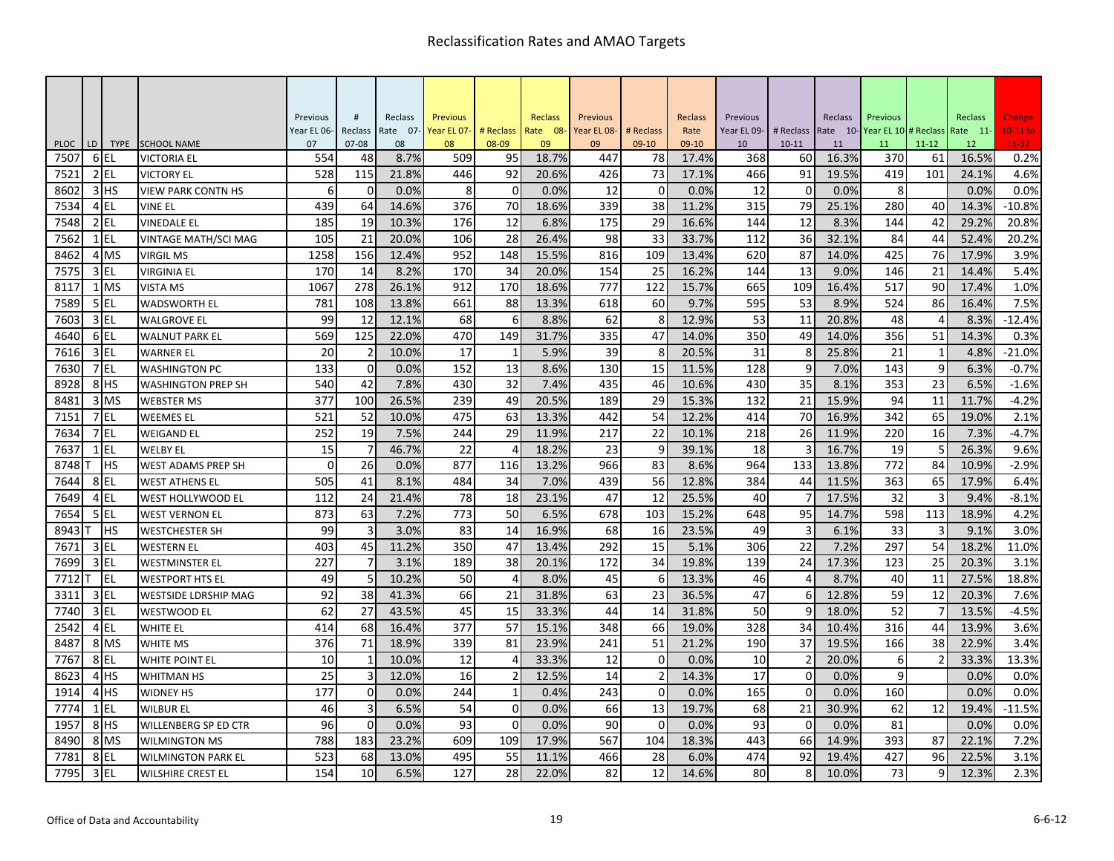|              |                |                 |                                         | Previous    | $\#$           | Reclass    | Previous    |                 | <b>Reclass</b> | Previous    |                | Reclass        | Previous    |                | Reclass        | Previous             |                          | <b>Reclass</b> | Change       |
|--------------|----------------|-----------------|-----------------------------------------|-------------|----------------|------------|-------------|-----------------|----------------|-------------|----------------|----------------|-------------|----------------|----------------|----------------------|--------------------------|----------------|--------------|
|              |                |                 |                                         | Year EL 06- | Reclass        | Rate 07-   | Year EL 07- | # Reclass       | Rate 08-       | Year EL 08- | # Reclass      | Rate           | Year EL 09- | # Reclass      | Rate 10-       | Year EL 10-# Reclass |                          | Rate 11-       | $10-11$ to   |
| <b>PLOC</b>  | LD<br>6        | <b>TYPE</b>     | <b>SCHOOL NAME</b>                      | 07          | $07 - 08$      | 08<br>8.7% | 08          | 08-09           | 09<br>18.7%    | 09          | $09-10$        | 09-10          | 10          | $10 - 11$      | 11             | 11                   | $11 - 12$                | 12             | $11 - 12$    |
| 7507<br>7521 |                | EL<br>$2$ EL    | <b>VICTORIA EL</b><br><b>VICTORY EL</b> | 554<br>528  | 48<br>115      | 21.8%      | 509<br>446  | 95<br>92        | 20.6%          | 447<br>426  | 78<br>73       | 17.4%<br>17.1% | 368<br>466  | 60<br>91       | 16.3%<br>19.5% | 370<br>419           | 61<br>101                | 16.5%<br>24.1% | 0.2%<br>4.6% |
| 8602         |                | 3H <sub>5</sub> | <b>VIEW PARK CONTN HS</b>               | 6           | $\mathbf 0$    | 0.0%       | 8           | 0               | 0.0%           | 12          | $\mathbf 0$    | 0.0%           | 12          | $\mathbf 0$    | 0.0%           | 8                    |                          | 0.0%           | 0.0%         |
| 7534         |                | $4$ EL          | VINE EL                                 | 439         | 64             | 14.6%      | 376         | 70              | 18.6%          | 339         | 38             | 11.2%          | 315         | 79             | 25.1%          | 280                  | 40                       | 14.3%          | $-10.8%$     |
| 7548         |                | $2$ EL          | <b>VINEDALE EL</b>                      | 185         | 19             | 10.3%      | 176         | 12              | 6.8%           | 175         | 29             | 16.6%          | 144         | 12             | 8.3%           | 144                  | 42                       | 29.2%          | 20.8%        |
| 7562         |                | $1$ EL          | VINTAGE MATH/SCI MAG                    | 105         | 21             | 20.0%      | 106         | 28              | 26.4%          | 98          | 33             | 33.7%          | 112         | 36             | 32.1%          | 84                   | 44                       | 52.4%          | 20.2%        |
| 8462         |                | 4 MS            | VIRGIL MS                               | 1258        | 156            | 12.4%      | 952         | 148             | 15.5%          | 816         | 109            | 13.4%          | 620         | 87             | 14.0%          | 425                  | 76                       | 17.9%          | 3.9%         |
| 7575         | $\overline{3}$ | EL              | <b>VIRGINIA EL</b>                      | 170         | 14             | 8.2%       | 170         | 34              | 20.0%          | 154         | 25             | 16.2%          | 144         | 13             | 9.0%           | 146                  | 21                       | 14.4%          | 5.4%         |
| 8117         |                | 1 MS            | <b>VISTA MS</b>                         | 1067        | 278            | 26.1%      | 912         | 170             | 18.6%          | 777         | 122            | 15.7%          | 665         | 109            | 16.4%          | 517                  | 90                       | 17.4%          | 1.0%         |
| 7589         |                | 5 EL            | <b>WADSWORTH EL</b>                     | 781         | 108            | 13.8%      | 661         | 88              | 13.3%          | 618         | 60             | 9.7%           | 595         | 53             | 8.9%           | 524                  | 86                       | 16.4%          | 7.5%         |
| 7603         |                | $3$ EL          | <b>WALGROVE EL</b>                      | 99          | 12             | 12.1%      | 68          | 6               | 8.8%           | 62          | 8              | 12.9%          | 53          | 11             | 20.8%          | 48                   | $\overline{4}$           | 8.3%           | $-12.4%$     |
| 4640         |                | 6EL             | <b>WALNUT PARK EL</b>                   | 569         | 125            | 22.0%      | 470         | 149             | 31.7%          | 335         | 47             | 14.0%          | 350         | 49             | 14.0%          | 356                  | 51                       | 14.3%          | 0.3%         |
| 7616         |                | $3$ EL          | <b>WARNER EL</b>                        | 20          | $\overline{2}$ | 10.0%      | 17          | 1               | 5.9%           | 39          | 8              | 20.5%          | 31          | 8              | 25.8%          | 21                   | 1                        | 4.8%           | $-21.0%$     |
| 7630         |                | 7EL             | WASHINGTON PC                           | 133         | $\mathbf 0$    | 0.0%       | 152         | 13              | 8.6%           | 130         | 15             | 11.5%          | 128         | 9              | 7.0%           | 143                  | 9                        | 6.3%           | $-0.7%$      |
| 8928         |                | 8 <sup>HS</sup> | <b>WASHINGTON PREP SH</b>               | 540         | 42             | 7.8%       | 430         | $\overline{32}$ | 7.4%           | 435         | 46             | 10.6%          | 430         | 35             | 8.1%           | 353                  | $\overline{23}$          | 6.5%           | $-1.6%$      |
| 8481         |                | 3 MS            | <b>WEBSTER MS</b>                       | 377         | 100            | 26.5%      | 239         | 49              | 20.5%          | 189         | 29             | 15.3%          | 132         | 21             | 15.9%          | 94                   | 11                       | 11.7%          | $-4.2%$      |
| 7151         |                | 7 EL            | <b>WEEMES EL</b>                        | 521         | 52             | 10.0%      | 475         | 63              | 13.3%          | 442         | 54             | 12.2%          | 414         | 70             | 16.9%          | 342                  | 65                       | 19.0%          | 2.1%         |
| 7634         |                | 7 EL            | WEIGAND EL                              | 252         | 19             | 7.5%       | 244         | 29              | 11.9%          | 217         | 22             | 10.1%          | 218         | 26             | 11.9%          | 220                  | 16                       | 7.3%           | $-4.7%$      |
| 7637         |                | <b>IEL</b>      | <b>WELBY EL</b>                         | 15          | $\overline{7}$ | 46.7%      | 22          | $\Delta$        | 18.2%          | 23          | 9              | 39.1%          | 18          |                | 16.7%          | 19                   | 5                        | 26.3%          | 9.6%         |
| 8748         |                | <b>HS</b>       | WEST ADAMS PREP SH                      | $\Omega$    | 26             | 0.0%       | 877         | 116             | 13.2%          | 966         | 83             | 8.6%           | 964         | 133            | 13.8%          | 772                  | 84                       | 10.9%          | $-2.9%$      |
| 7644         |                | 8EL             | <b>WEST ATHENS EL</b>                   | 505         | 41             | 8.1%       | 484         | 34              | 7.0%           | 439         | 56             | 12.8%          | 384         | 44             | 11.5%          | 363                  | 65                       | 17.9%          | 6.4%         |
| 7649         |                | 4 EL            | WEST HOLLYWOOD EL                       | 112         | 24             | 21.4%      | 78          | 18              | 23.1%          | 47          | 12             | 25.5%          | 40          |                | 17.5%          | 32                   | $\overline{3}$           | 9.4%           | $-8.1%$      |
| 7654         |                | $5$ EL          | <b>WEST VERNON EL</b>                   | 873         | 63             | 7.2%       | 773         | 50              | 6.5%           | 678         | 103            | 15.2%          | 648         | 95             | 14.7%          | 598                  | 113                      | 18.9%          | 4.2%         |
| 8943         |                | <b>HS</b>       | WESTCHESTER SH                          | 99          | 3              | 3.0%       | 83          | 14              | 16.9%          | 68          | 16             | 23.5%          | 49          | 3              | 6.1%           | 33                   | 3                        | 9.1%           | 3.0%         |
| 7671         |                | $3$ EL          | <b>WESTERN EL</b>                       | 403         | 45             | 11.2%      | 350         | 47              | 13.4%          | 292         | 15             | 5.1%           | 306         | 22             | 7.2%           | 297                  | 54                       | 18.2%          | 11.0%        |
| 7699         |                | $3$ EL          | WESTMINSTER EL                          | 227         | $\overline{7}$ | 3.1%       | 189         | 38              | 20.1%          | 172         | 34             | 19.8%          | 139         | 24             | 17.3%          | 123                  | 25                       | 20.3%          | 3.1%         |
| 7712         |                | EL.             | WESTPORT HTS EL                         | 49          | 5              | 10.2%      | 50          | $\overline{4}$  | 8.0%           | 45          | 6              | 13.3%          | 46          | $\overline{4}$ | 8.7%           | 40                   | 11                       | 27.5%          | 18.8%        |
| 3311         |                | 3 EL            | WESTSIDE LDRSHIP MAG                    | 92          | 38             | 41.3%      | 66          | 21              | 31.8%          | 63          | 23             | 36.5%          | 47          | 6              | 12.8%          | 59                   | 12                       | 20.3%          | 7.6%         |
| 7740         |                | 3 EL            | <b>WESTWOOD EL</b>                      | 62          | 27             | 43.5%      | 45          | 15              | 33.3%          | 44          | 14             | 31.8%          | 50          | 9              | 18.0%          | 52                   | 7                        | 13.5%          | $-4.5%$      |
| 2542         |                | 4EL             | WHITE EL                                | 414         | 68             | 16.4%      | 377         | 57              | 15.1%          | 348         | 66             | 19.0%          | 328         | 34             | 10.4%          | 316                  | 44                       | 13.9%          | 3.6%         |
| 8487         |                | 8 MS            | <b>WHITE MS</b>                         | 376         | 71             | 18.9%      | 339         | 81              | 23.9%          | 241         | 51             | 21.2%          | 190         | 37             | 19.5%          | 166                  | 38                       | 22.9%          | 3.4%         |
| 7767         |                | 8EL             | WHITE POINT EL                          | 10          | $\mathbf{1}$   | 10.0%      | 12          | $\overline{4}$  | 33.3%          | 12          | $\mathbf 0$    | 0.0%           | 10          | $\overline{2}$ | 20.0%          | 6                    | $\overline{\phantom{a}}$ | 33.3%          | 13.3%        |
| 8623         |                | 4H <sub>S</sub> | WHITMAN HS                              | 25          | 3              | 12.0%      | 16          | $\overline{2}$  | 12.5%          | 14          | $\overline{2}$ | 14.3%          | 17          | $\mathbf 0$    | 0.0%           | 9                    |                          | 0.0%           | 0.0%         |
| 1914         |                | 4 <sup>HS</sup> | <b>WIDNEY HS</b>                        | 177         | $\overline{0}$ | 0.0%       | 244         | 1               | 0.4%           | 243         | $\mathbf 0$    | 0.0%           | 165         | $\mathbf 0$    | 0.0%           | 160                  |                          | 0.0%           | 0.0%         |
| 7774         |                | $1$ EL          | <b>WILBUR EL</b>                        | 46          | $\overline{3}$ | 6.5%       | 54          | $\mathbf 0$     | 0.0%           | 66          | 13             | 19.7%          | 68          | 21             | 30.9%          | 62                   | 12                       | 19.4%          | $-11.5%$     |
| 1957         |                | 8 <sup>HS</sup> | WILLENBERG SP ED CTR                    | 96          | $\Omega$       | 0.0%       | 93          | $\mathbf 0$     | 0.0%           | 90          | $\Omega$       | 0.0%           | 93          | $\mathbf 0$    | 0.0%           | 81                   |                          | 0.0%           | 0.0%         |
| 8490         |                | 8 MS            | <b>WILMINGTON MS</b>                    | 788         | 183            | 23.2%      | 609         | 109             | 17.9%          | 567         | 104            | 18.3%          | 443         | 66             | 14.9%          | 393                  | 87                       | 22.1%          | 7.2%         |
| 7781         | 8              | EL              | <b>WILMINGTON PARK EL</b>               | 523         | 68             | 13.0%      | 495         | 55              | 11.1%          | 466         | 28             | 6.0%           | 474         | 92             | 19.4%          | 427                  | 96                       | 22.5%          | 3.1%         |
| 7795         |                | 3 EL            | <b>WILSHIRE CREST EL</b>                | 154         | 10             | 6.5%       | 127         | 28              | 22.0%          | 82          | 12             | 14.6%          | 80          | 8              | 10.0%          | 73                   | q                        | 12.3%          | 2.3%         |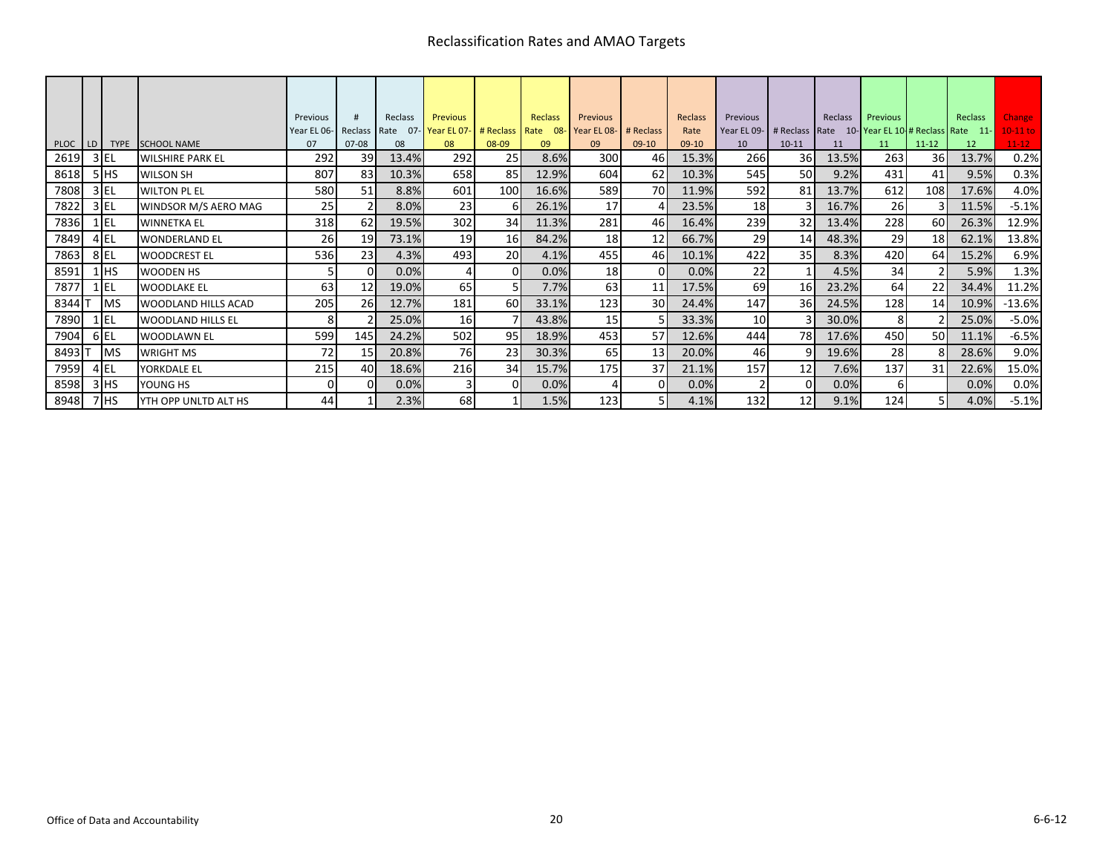|      |                 |                              | Previous            | #                        | Reclass | Previous                     |                  | Reclass  | Previous        |                 | Reclass | Previous        |                 | Reclass | Previous |                 | Reclass                                         | <b>Change</b> |
|------|-----------------|------------------------------|---------------------|--------------------------|---------|------------------------------|------------------|----------|-----------------|-----------------|---------|-----------------|-----------------|---------|----------|-----------------|-------------------------------------------------|---------------|
|      |                 |                              | Year EL 06- Reclass |                          |         | Rate 07-Year EL 07-# Reclass |                  | Rate 08- | Year EL 08-     | # Reclass       | Rate    | Year EL 09-     |                 |         |          |                 | # Reclass Rate 10-Year EL 10-# Reclass Rate 11- | $10-11$ to    |
|      |                 | PLOC   LD   TYPE SCHOOL NAME | 07                  | $07 - 08$                | 08      | 08                           | 08-09            | 09       | 09              | $09-10$         | 09-10   | 10              | $10 - 11$       | 11      | 11       | $11 - 12$       | 12                                              | $11 - 12$     |
| 2619 | $3$ EL          | <b>WILSHIRE PARK EL</b>      | 292                 | 39                       | 13.4%   | 292                          | 25 <sub>l</sub>  | 8.6%     | 300             | 46              | 15.3%   | 266             | 36              | 13.5%   | 263      | 36              | 13.7%                                           | 0.2%          |
| 8618 | 5HS             | <b>WILSON SH</b>             | 807                 | 83                       | 10.3%   | 658                          | 85I              | 12.9%    | 604             | <b>62</b>       | 10.3%   | 545             | <b>50</b>       | 9.2%    | 431      | 41              | 9.5%                                            | 0.3%          |
| 7808 | $3$ EL          | <b>WILTON PL EL</b>          | 580                 | 51                       | 8.8%    | 601                          | 100 <sup> </sup> | 16.6%    | 589             | <b>70</b>       | 11.9%   | 592             | 81              | 13.7%   | 612      | 108I            | 17.6%                                           | 4.0%          |
| 7822 | $3$ EL          | WINDSOR M/S AERO MAG         | 25                  | $\overline{\mathcal{L}}$ | 8.0%    | 23                           | 61               | 26.1%    | 17              |                 | 23.5%   | 18              |                 | 16.7%   | 26       |                 | 11.5%                                           | $-5.1%$       |
| 7836 | $1$ EL          | <b>WINNETKA EL</b>           | 318                 | 62                       | 19.5%   | 302                          | 34               | 11.3%    | 281             | 46              | 16.4%   | 239             | 32              | 13.4%   | 228      | 60I             | 26.3%                                           | 12.9%         |
| 7849 | 4EL             | <b>WONDERLAND EL</b>         | 26                  | 19                       | 73.1%   | 19                           | 16I              | 84.2%    | 18              | 12              | 66.7%   | 29              | 14              | 48.3%   | 29       | 18 <sup>1</sup> | 62.1%                                           | 13.8%         |
| 7863 | 8EL             | <b>WOODCREST EL</b>          | 536                 | 23                       | 4.3%    | 493                          | 20               | 4.1%     | 455             | 46              | 10.1%   | 422             | 35 <sub>l</sub> | 8.3%    | 420      | <b>64</b>       | 15.2%                                           | 6.9%          |
| 8591 | $1$ HS          | <b>WOODEN HS</b>             |                     | $\Omega$                 | 0.0%    |                              | $\Omega$         | 0.0%     | 18 <sub>l</sub> | ΩI              | 0.0%    | 22              |                 | 4.5%    | 34       |                 | 5.9%                                            | 1.3%          |
| 7877 | $1$ EL          | <b>WOODLAKE EL</b>           | 63                  | 12                       | 19.0%   | 65                           |                  | 7.7%     | 63              | 11              | 17.5%   | 69              | <b>16</b>       | 23.2%   | 64       | 22              | 34.4%                                           | 11.2%         |
| 8344 | <b>IMS</b>      | WOODLAND HILLS ACAD          | 205                 | <b>26</b>                | 12.7%   | 181                          | 60 <sup>I</sup>  | 33.1%    | 123             | 30 <sup>l</sup> | 24.4%   | 147             | 36              | 24.5%   | 128      | 14              | 10.9%                                           | $-13.6%$      |
| 7890 | $1$ $EL$        | <b>WOODLAND HILLS EL</b>     |                     |                          | 25.0%   | <b>16</b>                    |                  | 43.8%    | 15              | 51              | 33.3%   | 10 <sup>1</sup> | 31              | 30.0%   | 8        |                 | 25.0%                                           | $-5.0%$       |
| 7904 | 6 EL            | <b>WOODLAWN EL</b>           | 599                 | 145I                     | 24.2%   | 502                          | 95 <sub>l</sub>  | 18.9%    | 453             | 57I             | 12.6%   | 444             | 78I             | 17.6%   | 450      | <b>50</b>       | 11.1%                                           | $-6.5%$       |
| 8493 | <b>IMS</b>      | <b>WRIGHT MS</b>             | 72                  | 15 <sub>l</sub>          | 20.8%   | 76                           | 23 <sub>1</sub>  | 30.3%    | 65              | 13              | 20.0%   | 46              | 91              | 19.6%   | 28       |                 | 28.6%                                           | 9.0%          |
| 7959 | $4$ EL          | YORKDALE EL                  | 215                 | 40                       | 18.6%   | 216                          | 34               | 15.7%    | 175             | 37              | 21.1%   | 157             | 12              | 7.6%    | 137      | 31              | 22.6%                                           | 15.0%         |
| 8598 | $3$ HS          | YOUNG HS                     |                     | $\Omega$                 | 0.0%    |                              | $\Omega$         | 0.0%     |                 | οI              | 0.0%    |                 | ΩI              | 0.0%    | 6        |                 | 0.0%                                            | 0.0%          |
| 8948 | 7H <sub>5</sub> | YTH OPP UNLTD ALT HS         | 44                  |                          | 2.3%    | 68                           |                  | 1.5%     | 123             | 51              | 4.1%    | 132             | 12              | 9.1%    | 124      | 51              | 4.0%                                            | $-5.1%$       |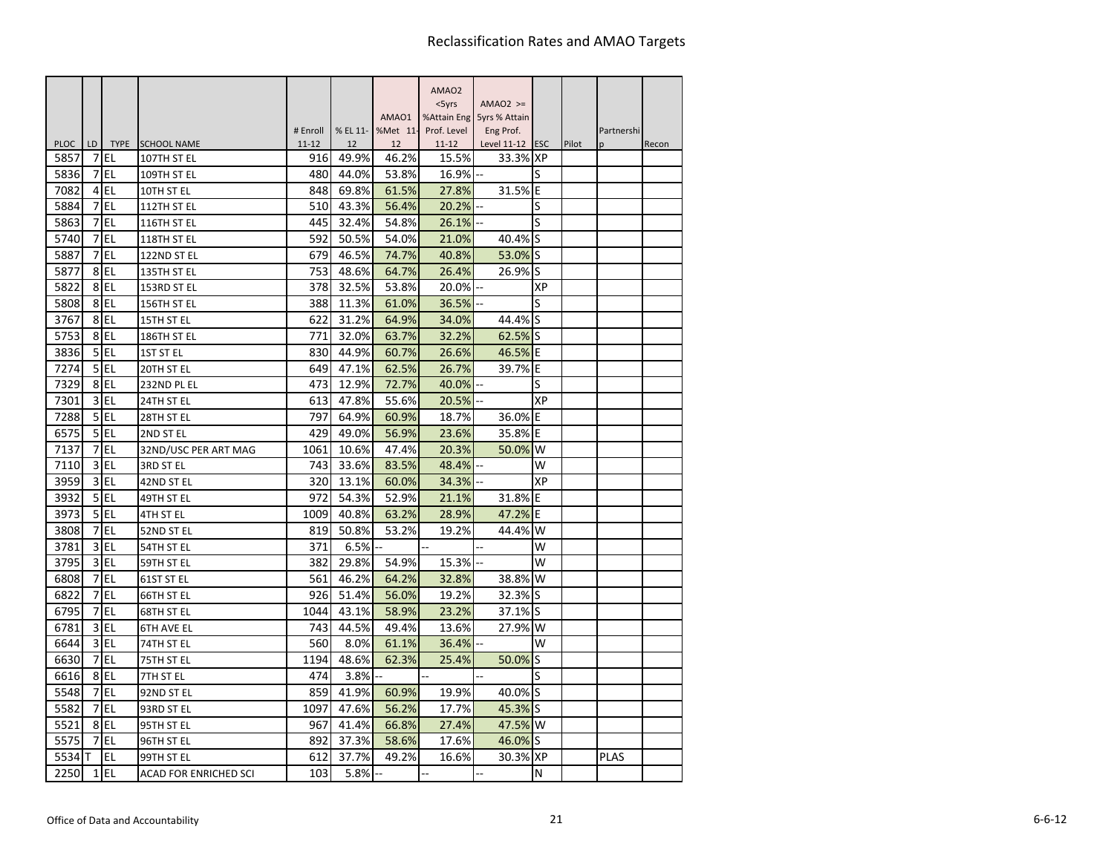|             |         |           |                              |                  |       |                         | AMAO <sub>2</sub>  |                             |    |       |             |       |
|-------------|---------|-----------|------------------------------|------------------|-------|-------------------------|--------------------|-----------------------------|----|-------|-------------|-------|
|             |         |           |                              |                  |       |                         | $<$ 5 $\gamma$ rs  | $AMAO2$ >=                  |    |       |             |       |
|             |         |           |                              |                  |       | AMA01                   |                    | %Attain Eng 5yrs % Attain   |    |       |             |       |
| <b>PLOC</b> |         |           | TYPE SCHOOL NAME             | # Enroll         | 12    | % EL 11- %Met 11-<br>12 | Prof. Level        | Eng Prof.                   |    |       | Partnershi  |       |
| 5857        | LD<br>7 | EL        | 107TH ST EL                  | $11 - 12$<br>916 | 49.9% | 46.2%                   | $11 - 12$<br>15.5% | Level 11-12 ESC<br>33.3% XP |    | Pilot | p           | Recon |
| 5836        | 7       | EL        | 109TH ST EL                  | 480              | 44.0% | 53.8%                   | 16.9%              |                             | S  |       |             |       |
| 7082        | 4       | <b>EL</b> | 10TH ST EL                   | 848              | 69.8% | 61.5%                   | 27.8%              | 31.5% E                     |    |       |             |       |
| 5884        | 7       | EL        | 112TH ST EL                  | 510              | 43.3% | 56.4%                   | 20.2%              |                             | S  |       |             |       |
| 5863        | 7       | lel.      | 116TH ST EL                  | 445              | 32.4% | 54.8%                   | 26.1%              |                             | S  |       |             |       |
| 5740        | 7       | EL        | 118TH ST EL                  | 592              | 50.5% | 54.0%                   | 21.0%              | 40.4% S                     |    |       |             |       |
| 5887        | 7       | EL        | 122ND ST EL                  | 679              | 46.5% | 74.7%                   | 40.8%              | 53.0%                       | ls |       |             |       |
| 5877        | 8       | EL        | 135TH ST EL                  | 753              | 48.6% | 64.7%                   | 26.4%              | 26.9% S                     |    |       |             |       |
| 5822        |         | 8EL       | 153RD ST EL                  | 378              | 32.5% | 53.8%                   | 20.0%              |                             | ХP |       |             |       |
| 5808        |         | 8EL       | 156TH ST EL                  | 388              | 11.3% | 61.0%                   | 36.5%              |                             | S  |       |             |       |
| 3767        |         | 8EL       | 15TH ST EL                   | 622              | 31.2% | 64.9%                   | 34.0%              | 44.4% S                     |    |       |             |       |
| 5753        | 8       | EL        | 186TH ST EL                  | 771              | 32.0% | 63.7%                   | 32.2%              | 62.5% S                     |    |       |             |       |
| 3836        | 5       | <b>EL</b> | <b>1ST ST EL</b>             | 830              | 44.9% | 60.7%                   | 26.6%              | 46.5% E                     |    |       |             |       |
| 7274        | 5       | l EL      | 20TH ST EL                   | 649              | 47.1% | 62.5%                   | 26.7%              | 39.7% E                     |    |       |             |       |
| 7329        | 8       | EL        | 232ND PL EL                  | 473              | 12.9% | 72.7%                   | 40.0%              |                             | S  |       |             |       |
| 7301        |         | $3$ EL    | 24TH ST EL                   | 613              | 47.8% | 55.6%                   | 20.5%              |                             | XP |       |             |       |
| 7288        | 5       | EL        | 28TH ST EL                   | 797              | 64.9% | 60.9%                   | 18.7%              | 36.0% E                     |    |       |             |       |
| 6575        |         | $5$ EL    | 2ND ST EL                    | 429              | 49.0% | 56.9%                   | 23.6%              | 35.8% E                     |    |       |             |       |
| 7137        | 7       | EL        | 32ND/USC PER ART MAG         | 1061             | 10.6% | 47.4%                   | 20.3%              | 50.0% W                     |    |       |             |       |
| 7110        | 3       | <b>EL</b> | 3RD ST EL                    | 743              | 33.6% | 83.5%                   | 48.4%              |                             | W  |       |             |       |
| 3959        | 3       | EL        | 42ND ST EL                   | 320              | 13.1% | 60.0%                   | 34.3%              |                             | XP |       |             |       |
| 3932        | 5       | I EL      | 49TH ST EL                   | 972              | 54.3% | 52.9%                   | 21.1%              | 31.8% E                     |    |       |             |       |
| 3973        | 5       | EL        | 4TH ST EL                    | 1009             | 40.8% | 63.2%                   | 28.9%              | 47.2% E                     |    |       |             |       |
| 3808        | 7       | EL        | 52ND ST EL                   | 819              | 50.8% | 53.2%                   | 19.2%              | 44.4% W                     |    |       |             |       |
| 3781        | 3       | EL        | 54TH ST EL                   | 371              | 6.5%  |                         |                    |                             | W  |       |             |       |
| 3795        | 3       | <b>EL</b> | 59TH ST EL                   | 382              | 29.8% | 54.9%                   | 15.3%              |                             | W  |       |             |       |
| 6808        | 7       | <b>EL</b> | 61ST ST EL                   | 561              | 46.2% | 64.2%                   | 32.8%              | 38.8%                       | W  |       |             |       |
| 6822        | 7       | EL        | 66TH ST EL                   | 926              | 51.4% | 56.0%                   | 19.2%              | 32.3% S                     |    |       |             |       |
| 6795        | 7       | EL.       | 68TH ST EL                   | 1044             | 43.1% | 58.9%                   | 23.2%              | 37.1% S                     |    |       |             |       |
| 6781        | 3       | l EL      | <b>6TH AVE EL</b>            | 743              | 44.5% | 49.4%                   | 13.6%              | 27.9% W                     |    |       |             |       |
| 6644        | 3       | EL        | 74TH ST EL                   | 560              | 8.0%  | 61.1%                   | 36.4%              |                             | W  |       |             |       |
| 6630        | 7       | lel.      | 75TH ST EL                   | 1194             | 48.6% | 62.3%                   | 25.4%              | 50.0% S                     |    |       |             |       |
| 6616        | 8       | EL        | 7TH ST EL                    | 474              | 3.8%  |                         |                    |                             | S  |       |             |       |
| 5548        | 7       | <b>EL</b> | 92ND ST EL                   | 859              | 41.9% | 60.9%                   | 19.9%              | 40.0% S                     |    |       |             |       |
| 5582        | 7       | EL        | 93RD ST EL                   | 1097             | 47.6% | 56.2%                   | 17.7%              | 45.3% S                     |    |       |             |       |
| 5521        | 8       | EL        | 95TH ST EL                   | 967              | 41.4% | 66.8%                   | 27.4%              | 47.5% W                     |    |       |             |       |
| 5575        | 7       | EL        | 96TH ST EL                   | 892              | 37.3% | 58.6%                   | 17.6%              | 46.0% S                     |    |       |             |       |
| 5534 IT     |         | <b>EL</b> | 99TH ST EL                   | 612              | 37.7% | 49.2%                   | 16.6%              | 30.3% XP                    |    |       | <b>PLAS</b> |       |
| 2250        | 1       | EL        | <b>ACAD FOR ENRICHED SCI</b> | 103              | 5.8%  |                         | ц,                 | $\overline{a}$              | N  |       |             |       |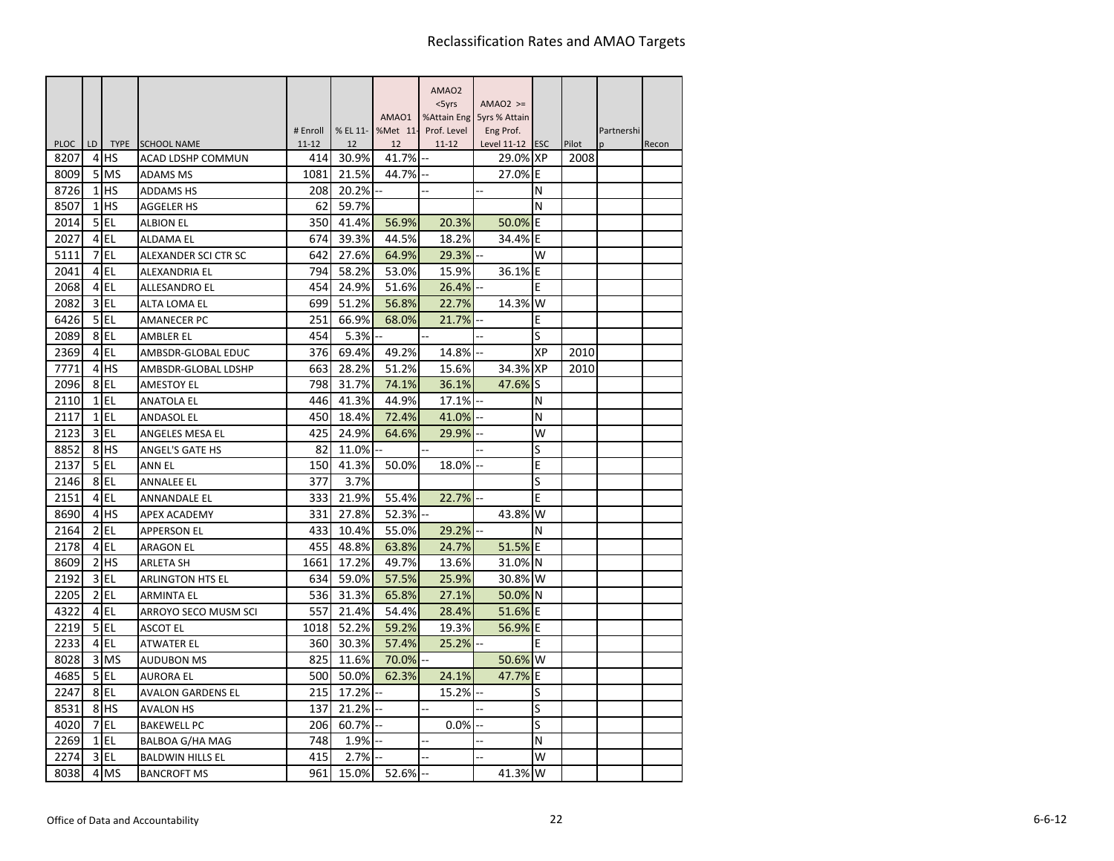|             |                         |                 |                          |                       |                |                | AMAO <sub>2</sub> |                             |    |               |                  |       |
|-------------|-------------------------|-----------------|--------------------------|-----------------------|----------------|----------------|-------------------|-----------------------------|----|---------------|------------------|-------|
|             |                         |                 |                          |                       |                |                | $<$ 5 $\gamma$ rs | $AMAO2$ >=                  |    |               |                  |       |
|             |                         |                 |                          |                       |                | AMAO1          | %Attain Eng       | 5yrs % Attain               |    |               |                  |       |
| <b>PLOC</b> | LD                      |                 | TYPE SCHOOL NAME         | # Enroll<br>$11 - 12$ | % EL 11-<br>12 | %Met 11-<br>12 | Prof. Level       | Eng Prof.                   |    |               | Partnershi<br>n. |       |
| 8207        | 4                       | HS              | ACAD LDSHP COMMUN        | 414                   | 30.9%          | 41.7%          | $11 - 12$         | Level 11-12 ESC<br>29.0% XP |    | Pilot<br>2008 |                  | Recon |
| 8009        | 5                       | <b>MS</b>       | <b>ADAMS MS</b>          | 1081                  | 21.5%          | 44.7%          |                   | 27.0% E                     |    |               |                  |       |
| 8726        | 1                       | <b>HS</b>       | ADDAMS HS                | 208                   | 20.2%          |                |                   |                             | N  |               |                  |       |
| 8507        | 1                       | HS              | <b>AGGELER HS</b>        | 62                    | 59.7%          |                |                   |                             | N  |               |                  |       |
| 2014        | 5                       | <b>EL</b>       | <b>ALBION EL</b>         | 350                   | 41.4%          | 56.9%          | 20.3%             | 50.0% E                     |    |               |                  |       |
| 2027        | $\overline{4}$          | EL              | ALDAMA EL                | 674                   | 39.3%          | 44.5%          | 18.2%             | 34.4%                       | E  |               |                  |       |
| 5111        | 7                       | EL              | ALEXANDER SCI CTR SC     | 642                   | 27.6%          | 64.9%          | 29.3%             |                             | W  |               |                  |       |
| 2041        | 4                       | EL              | ALEXANDRIA EL            | 794                   | 58.2%          | 53.0%          | 15.9%             | 36.1%                       | E  |               |                  |       |
| 2068        | 4                       | EL              | ALLESANDRO EL            | 454                   | 24.9%          | 51.6%          | 26.4%             |                             | E  |               |                  |       |
| 2082        | 3                       | EL              | ALTA LOMA EL             | 699                   | 51.2%          | 56.8%          | 22.7%             | 14.3%                       | W  |               |                  |       |
| 6426        |                         | 5 EL            | <b>AMANECER PC</b>       | 251                   | 66.9%          | 68.0%          | 21.7%             |                             | E  |               |                  |       |
| 2089        | 8                       | <b>EL</b>       | AMBLER EL                | 454                   | 5.3%           |                |                   |                             | S  |               |                  |       |
| 2369        | $\overline{4}$          | <b>EL</b>       | AMBSDR-GLOBAL EDUC       | 376                   | 69.4%          | 49.2%          | 14.8%             |                             | ХP | 2010          |                  |       |
| 7771        | $\overline{4}$          | <b>IHS</b>      | AMBSDR-GLOBAL LDSHP      | 663                   | 28.2%          | 51.2%          | 15.6%             | 34.3% XP                    |    | 2010          |                  |       |
| 2096        | 8                       | EL              | <b>AMESTOY EL</b>        | 798                   | 31.7%          | 74.1%          | 36.1%             | 47.6%                       | S  |               |                  |       |
| 2110        | $\mathbf{1}$            | <b>EL</b>       | <b>ANATOLA EL</b>        | 446                   | 41.3%          | 44.9%          | 17.1%             |                             | N  |               |                  |       |
| 2117        |                         | $1$ EL          | ANDASOL EL               | 450                   | 18.4%          | 72.4%          | 41.0%             |                             | N  |               |                  |       |
| 2123        | $\overline{\mathsf{3}}$ | EL              | ANGELES MESA EL          | 425                   | 24.9%          | 64.6%          | 29.9%             |                             | W  |               |                  |       |
| 8852        | 8                       | <b>HS</b>       | <b>ANGEL'S GATE HS</b>   | 82                    | 11.0%          |                |                   |                             | S  |               |                  |       |
| 2137        |                         | $5$ EL          | ANN EL                   | 150                   | 41.3%          | 50.0%          | 18.0%             |                             | E  |               |                  |       |
| 2146        |                         | 8EL             | <b>ANNALEE EL</b>        | 377                   | 3.7%           |                |                   |                             | S  |               |                  |       |
| 2151        | 4                       | EL              | <b>ANNANDALE EL</b>      | 333                   | 21.9%          | 55.4%          | 22.7%             |                             | E  |               |                  |       |
| 8690        | 4                       | <b>HS</b>       | <b>APEX ACADEMY</b>      | 331                   | 27.8%          | 52.3%          |                   | 43.8%                       | W  |               |                  |       |
| 2164        | $\overline{2}$          | EL              | APPERSON EL              | 433                   | 10.4%          | 55.0%          | 29.2%             |                             | N  |               |                  |       |
| 2178        |                         | 4EL             | <b>ARAGON EL</b>         | 455                   | 48.8%          | 63.8%          | 24.7%             | 51.5%                       | E  |               |                  |       |
| 8609        | $\overline{2}$          | <b>HS</b>       | ARLETA SH                | 1661                  | 17.2%          | 49.7%          | 13.6%             | 31.0% N                     |    |               |                  |       |
| 2192        | $\overline{3}$          | EL              | ARLINGTON HTS EL         | 634                   | 59.0%          | 57.5%          | 25.9%             | 30.8%                       | W  |               |                  |       |
| 2205        | $\overline{2}$          | EL              | <b>ARMINTA EL</b>        | 536                   | 31.3%          | 65.8%          | 27.1%             | 50.0% N                     |    |               |                  |       |
| 4322        | $\overline{4}$          | EL              | ARROYO SECO MUSM SCI     | 557                   | 21.4%          | 54.4%          | 28.4%             | 51.6% E                     |    |               |                  |       |
| 2219        |                         | 5 EL            | ASCOT EL                 | 1018                  | 52.2%          | 59.2%          | 19.3%             | 56.9% E                     |    |               |                  |       |
| 2233        | $\overline{4}$          | EL              | ATWATER EL               | 360                   | 30.3%          | 57.4%          | 25.2%             |                             | E  |               |                  |       |
| 8028        | 3                       | <b>MS</b>       | <b>AUDUBON MS</b>        | 825                   | 11.6%          | 70.0%          |                   | 50.6%                       | W  |               |                  |       |
| 4685        | 5 <sub>l</sub>          | EL              | <b>AURORA EL</b>         | 500                   | 50.0%          | 62.3%          | 24.1%             | 47.7%                       | E  |               |                  |       |
| 2247        |                         | 8EL             | <b>AVALON GARDENS EL</b> | 215                   | 17.2%          |                | 15.2%             |                             | S  |               |                  |       |
| 8531        |                         | 8 <sup>HS</sup> | AVALON HS                | 137                   | 21.2%          |                |                   |                             | S  |               |                  |       |
| 4020        | 7                       | EL              | <b>BAKEWELL PC</b>       | 206                   | 60.7%          | Ξ.             | 0.0%              |                             | S  |               |                  |       |
| 2269        | $\mathbf{1}$            | <b>EL</b>       | BALBOA G/HA MAG          | 748                   | 1.9%           | ä.             | ä,                |                             | N  |               |                  |       |
| 2274        | 3                       | <b>EL</b>       | <b>BALDWIN HILLS EL</b>  | 415                   | 2.7%           |                |                   |                             | W  |               |                  |       |
| 8038        | 4                       | MS              | <b>BANCROFT MS</b>       | 961                   | 15.0%          | 52.6%          |                   | 41.3%                       | W  |               |                  |       |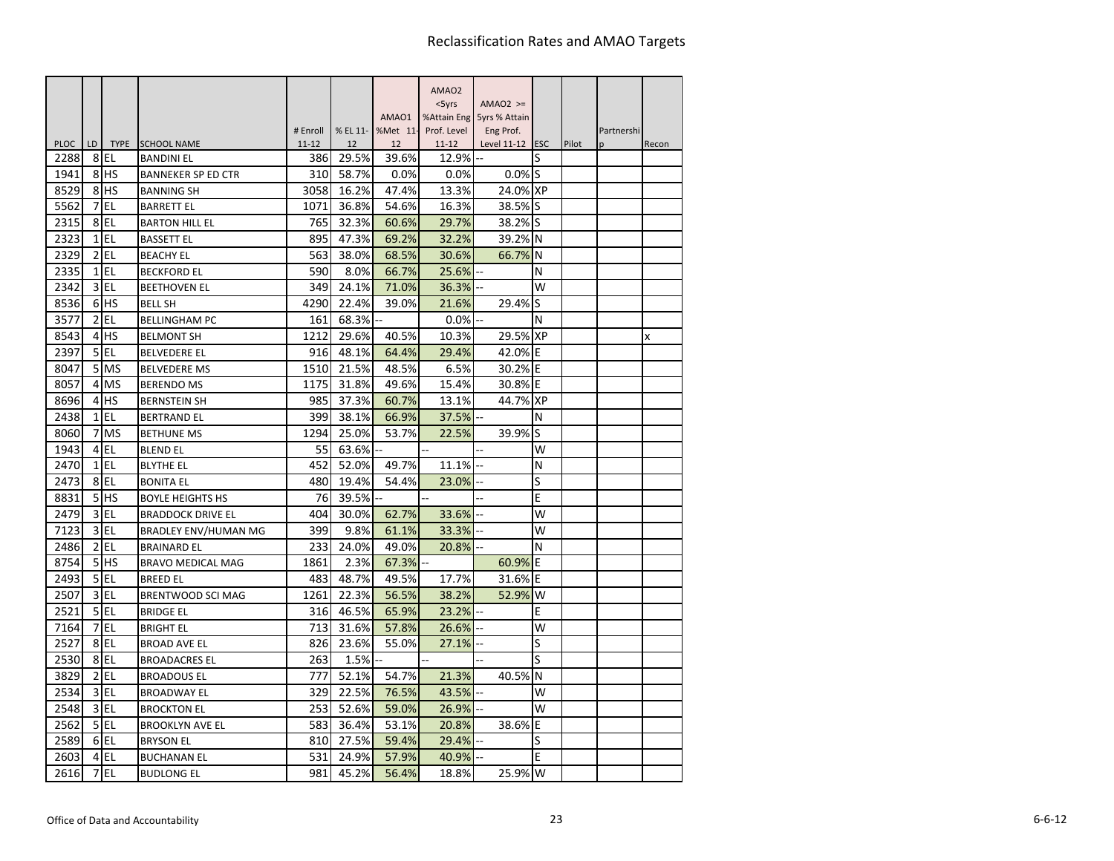|             |                |                 |                                         |                  |                |                | AMAO <sub>2</sub>  |                           |     |       |                 |       |
|-------------|----------------|-----------------|-----------------------------------------|------------------|----------------|----------------|--------------------|---------------------------|-----|-------|-----------------|-------|
|             |                |                 |                                         |                  |                |                | $<$ 5yrs           | $AMAO2$ >=                |     |       |                 |       |
|             |                |                 |                                         |                  |                | AMAO1          |                    | %Attain Eng 5yrs % Attain |     |       |                 |       |
| <b>PLOC</b> | LD.            | <b>TYPE</b>     |                                         | # Enroll         | % EL 11-<br>12 | %Met 11-<br>12 | Prof. Level        | Eng Prof.                 |     | Pilot | Partnershi<br>n |       |
| 2288        | 8              | l EL            | <b>SCHOOL NAME</b><br><b>BANDINI EL</b> | $11 - 12$<br>386 | 29.5%          | 39.6%          | $11 - 12$<br>12.9% | Level 11-12 ESC           | S   |       |                 | Recon |
| 1941        |                | 8 <sup>HS</sup> | <b>BANNEKER SP ED CTR</b>               | 310              | 58.7%          | 0.0%           | 0.0%               | 0.0%                      | lS  |       |                 |       |
| 8529        |                | 8 <sup>HS</sup> | <b>BANNING SH</b>                       | 3058             | 16.2%          | 47.4%          | 13.3%              | 24.0% XP                  |     |       |                 |       |
| 5562        | 7              | l EL            | <b>BARRETT EL</b>                       | 1071             | 36.8%          | 54.6%          | 16.3%              | 38.5%                     | lS. |       |                 |       |
| 2315        | 8              | l EL            | <b>BARTON HILL EL</b>                   | 765              | 32.3%          | 60.6%          | 29.7%              | 38.2% S                   |     |       |                 |       |
| 2323        |                | $1$ EL          | <b>BASSETT EL</b>                       | 895              | 47.3%          | 69.2%          | 32.2%              | 39.2%                     | N   |       |                 |       |
| 2329        |                | $2$ EL          | <b>BEACHY EL</b>                        | 563              | 38.0%          | 68.5%          | 30.6%              | 66.7%                     | N   |       |                 |       |
| 2335        | $\mathbf{1}$   | EL              | <b>BECKFORD EL</b>                      | 590              | 8.0%           | 66.7%          | 25.6%              |                           | N   |       |                 |       |
| 2342        | $\overline{3}$ | EL              | <b>BEETHOVEN EL</b>                     | 349              | 24.1%          | 71.0%          | 36.3%              |                           | W   |       |                 |       |
| 8536        |                | 6 <sup>HS</sup> | <b>BELL SH</b>                          | 4290             | 22.4%          | 39.0%          | 21.6%              | 29.4%                     | S   |       |                 |       |
| 3577        |                | $2$ EL          | <b>BELLINGHAM PC</b>                    | 161              | 68.3%          |                | $0.0\%$            |                           | N   |       |                 |       |
| 8543        | 4              | <b>HS</b>       | <b>BELMONT SH</b>                       | 1212             | 29.6%          | 40.5%          | 10.3%              | 29.5% XP                  |     |       |                 | X     |
| 2397        | 5 <sup>1</sup> | l EL            | <b>BELVEDERE EL</b>                     | 916              | 48.1%          | 64.4%          | 29.4%              | 42.0%                     | E   |       |                 |       |
| 8047        |                | 5 MS            | <b>BELVEDERE MS</b>                     | 1510             | 21.5%          | 48.5%          | 6.5%               | 30.2% E                   |     |       |                 |       |
| 8057        | 4              | <b>MS</b>       | <b>BERENDO MS</b>                       | 1175             | 31.8%          | 49.6%          | 15.4%              | 30.8%                     | ΙE  |       |                 |       |
| 8696        | $\overline{4}$ | <b>HS</b>       | <b>BERNSTEIN SH</b>                     | 985              | 37.3%          | 60.7%          | 13.1%              | 44.7% XP                  |     |       |                 |       |
| 2438        |                | $1$ EL          | <b>BERTRAND EL</b>                      | 399              | 38.1%          | 66.9%          | 37.5%              |                           | N   |       |                 |       |
| 8060        |                | 7 MS            | <b>BETHUNE MS</b>                       | 1294             | 25.0%          | 53.7%          | 22.5%              | 39.9%                     | S   |       |                 |       |
| 1943        |                | 4 EL            | <b>BLEND EL</b>                         | 55               | 63.6%          |                |                    |                           | W   |       |                 |       |
| 2470        |                | $1$ EL          | <b>BLYTHE EL</b>                        | 452              | 52.0%          | 49.7%          | 11.1%              | ä,                        | N   |       |                 |       |
| 2473        |                | 8EL             | <b>BONITA EL</b>                        | 480              | 19.4%          | 54.4%          | 23.0%              |                           | S   |       |                 |       |
| 8831        | 5              | lhs             | <b>BOYLE HEIGHTS HS</b>                 | 76               | 39.5%          |                |                    | ä,                        | E   |       |                 |       |
| 2479        | $\overline{3}$ | l EL            | <b>BRADDOCK DRIVE EL</b>                | 404              | 30.0%          | 62.7%          | 33.6%              |                           | W   |       |                 |       |
| 7123        |                | $3$ EL          | <b>BRADLEY ENV/HUMAN MG</b>             | 399              | 9.8%           | 61.1%          | 33.3%              |                           | W   |       |                 |       |
| 2486        | $\overline{2}$ | EL              | <b>BRAINARD EL</b>                      | 233              | 24.0%          | 49.0%          | 20.8%              |                           | N   |       |                 |       |
| 8754        | 5 <sup>1</sup> | <b>HS</b>       | <b>BRAVO MEDICAL MAG</b>                | 1861             | 2.3%           | 67.3%          |                    | 60.9%                     | E   |       |                 |       |
| 2493        | 5 <sup>1</sup> | EL              | <b>BREED EL</b>                         | 483              | 48.7%          | 49.5%          | 17.7%              | 31.6%                     | Ε   |       |                 |       |
| 2507        |                | $3$ EL          | <b>BRENTWOOD SCI MAG</b>                | 1261             | 22.3%          | 56.5%          | 38.2%              | 52.9%                     | W   |       |                 |       |
| 2521        | 5 <sup>1</sup> | EL              | <b>BRIDGE EL</b>                        | 316              | 46.5%          | 65.9%          | 23.2%              |                           | E   |       |                 |       |
| 7164        | $\overline{7}$ | EL              | <b>BRIGHT EL</b>                        | 713              | 31.6%          | 57.8%          | 26.6%              |                           | W   |       |                 |       |
| 2527        | 8              | EL              | <b>BROAD AVE EL</b>                     | 826              | 23.6%          | 55.0%          | 27.1%              |                           | S   |       |                 |       |
| 2530        | 8              | EL              | <b>BROADACRES EL</b>                    | 263              | 1.5%           |                |                    |                           | S   |       |                 |       |
| 3829        | $\overline{2}$ | EL              | <b>BROADOUS EL</b>                      | 777              | 52.1%          | 54.7%          | 21.3%              | 40.5%                     | N   |       |                 |       |
| 2534        | $\overline{3}$ | EL              | <b>BROADWAY EL</b>                      | 329              | 22.5%          | 76.5%          | 43.5%              |                           | w   |       |                 |       |
| 2548        |                | 3 EL            | <b>BROCKTON EL</b>                      | 253              | 52.6%          | 59.0%          | 26.9%              |                           | W   |       |                 |       |
| 2562        | 5 <sup>1</sup> | l EL            | <b>BROOKLYN AVE EL</b>                  | 583              | 36.4%          | 53.1%          | 20.8%              | 38.6%                     | E   |       |                 |       |
| 2589        |                | 6EL             | <b>BRYSON EL</b>                        | 810              | 27.5%          | 59.4%          | 29.4%              |                           | S   |       |                 |       |
| 2603        |                | 4 EL            | <b>BUCHANAN EL</b>                      | 531              | 24.9%          | 57.9%          | 40.9%              |                           | E   |       |                 |       |
| 2616        | 7              | EL              | <b>BUDLONG EL</b>                       | 981              | 45.2%          | 56.4%          | 18.8%              | 25.9%                     | W   |       |                 |       |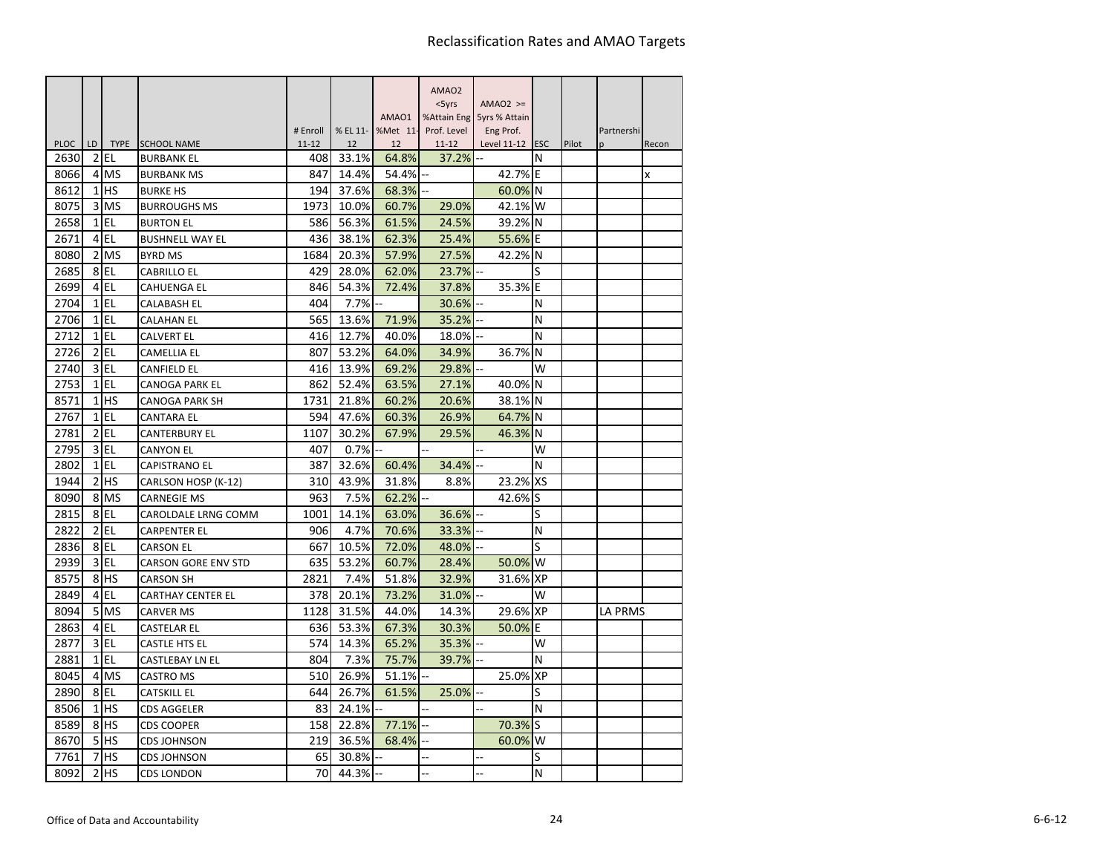|                     |                      |                     |                                                |                  |                |                | AMAO <sub>2</sub>  |                           |           |       |            |       |
|---------------------|----------------------|---------------------|------------------------------------------------|------------------|----------------|----------------|--------------------|---------------------------|-----------|-------|------------|-------|
|                     |                      |                     |                                                |                  |                |                | $<$ 5yrs           | $AMAO2$ >=                |           |       |            |       |
|                     |                      |                     |                                                |                  |                | AMAO1          |                    | %Attain Eng 5yrs % Attain |           |       |            |       |
|                     |                      |                     |                                                | # Enroll         | % EL 11-       | %Met 11-       | Prof. Level        | Eng Prof.                 |           |       | Partnershi |       |
| <b>PLOC</b><br>2630 | LD<br>$\overline{2}$ | <b>TYPE</b><br>IEL. | <b>SCHOOL NAME</b><br><b>BURBANK EL</b>        | $11 - 12$<br>408 | 12<br>33.1%    | 12<br>64.8%    | $11 - 12$<br>37.2% | Level 11-12 ESC           | N         | Pilot | p          | Recon |
| 8066                |                      | 4 MS                | <b>BURBANK MS</b>                              | 847              | 14.4%          | 54.4%          |                    | 42.7% E                   |           |       |            | X     |
| 8612                |                      | $1$ HS              | <b>BURKE HS</b>                                | 194              | 37.6%          | 68.3%          |                    | 60.0% N                   |           |       |            |       |
| 8075                |                      | 3 MS                | <b>BURROUGHS MS</b>                            | 1973             | 10.0%          | 60.7%          | 29.0%              | 42.1% W                   |           |       |            |       |
| 2658                |                      | $1$ EL              | <b>BURTON EL</b>                               | 586              | 56.3%          | 61.5%          | 24.5%              | 39.2% N                   |           |       |            |       |
| 2671                |                      | 4 EL                | <b>BUSHNELL WAY EL</b>                         | 436              | 38.1%          | 62.3%          | 25.4%              | 55.6%                     | ΙE        |       |            |       |
| 8080                |                      | 2 MS                | <b>BYRD MS</b>                                 | 1684             | 20.3%          | 57.9%          | 27.5%              | 42.2% N                   |           |       |            |       |
| 2685                |                      | 8EL                 | <b>CABRILLO EL</b>                             | 429              | 28.0%          | 62.0%          | 23.7%              |                           | S         |       |            |       |
| 2699                |                      | 4 EL                | <b>CAHUENGA EL</b>                             | 846              | 54.3%          | 72.4%          | 37.8%              | 35.3%                     | E         |       |            |       |
| 2704                |                      | $1$ EL              | CALABASH EL                                    | 404              | 7.7%           |                | 30.6%              |                           | N         |       |            |       |
| 2706                |                      | $1$ EL              | <b>CALAHAN EL</b>                              | 565              | 13.6%          | 71.9%          | 35.2%              |                           | N         |       |            |       |
| 2712                |                      | $1$ $EL$            | <b>CALVERT EL</b>                              | 416              | 12.7%          | 40.0%          | 18.0%              |                           | N         |       |            |       |
| 2726                |                      | $2$ EL              | CAMELLIA EL                                    | 807              | 53.2%          | 64.0%          | 34.9%              | 36.7%                     | ΙN        |       |            |       |
| 2740                |                      | $3$ EL              | <b>CANFIELD EL</b>                             | 416              | 13.9%          | 69.2%          | 29.8%              |                           | W         |       |            |       |
| 2753                | 1                    | EL                  | <b>CANOGA PARK EL</b>                          | 862              | 52.4%          | 63.5%          | 27.1%              | 40.0%                     | ΙN        |       |            |       |
| 8571                |                      | $1$ HS              | <b>CANOGA PARK SH</b>                          | 1731             | 21.8%          | 60.2%          | 20.6%              | 38.1% N                   |           |       |            |       |
| 2767                |                      | $1$ EL              | CANTARA EL                                     | 594              | 47.6%          | 60.3%          | 26.9%              | 64.7% N                   |           |       |            |       |
| 2781                | $\overline{2}$       | EL                  | <b>CANTERBURY EL</b>                           | 1107             | 30.2%          | 67.9%          | 29.5%              | 46.3%                     | N         |       |            |       |
| 2795                | $\overline{3}$       | EL                  | <b>CANYON EL</b>                               | 407              | 0.7%           |                |                    |                           | W         |       |            |       |
| 2802                |                      | $1$ EL              | <b>CAPISTRANO EL</b>                           | 387              | 32.6%          | 60.4%          | 34.4%              |                           | N         |       |            |       |
| 1944                | 2                    | <b>IHS</b>          |                                                | 310              | 43.9%          | 31.8%          | 8.8%               | 23.2%                     | <b>XS</b> |       |            |       |
| 8090                | 8                    | <b>MS</b>           | CARLSON HOSP (K-12)                            | 963              |                |                |                    | 42.6%                     | lS        |       |            |       |
| 2815                |                      | 8EL                 | <b>CARNEGIE MS</b><br>CAROLDALE LRNG COMM      | 1001             | 7.5%           | 62.2%<br>63.0% | 36.6%              |                           | S         |       |            |       |
| 2822                |                      | $2$ EL              |                                                | 906              | 14.1%<br>4.7%  | 70.6%          |                    |                           | N         |       |            |       |
| 2836                | 8                    | EL                  | CARPENTER EL                                   | 667              | 10.5%          |                | 33.3%              |                           | S         |       |            |       |
| 2939                | $\overline{3}$       | l EL                | <b>CARSON EL</b>                               |                  |                | 72.0%          | 48.0%              |                           | W         |       |            |       |
| 8575                |                      | 8 <sup>HS</sup>     | <b>CARSON GORE ENV STD</b><br><b>CARSON SH</b> | 635<br>2821      | 53.2%<br>7.4%  | 60.7%<br>51.8% | 28.4%<br>32.9%     | 50.0%<br>31.6%            | <b>XP</b> |       |            |       |
| 2849                | $\overline{4}$       | l EL                |                                                | 378              | 20.1%          | 73.2%          | 31.0%              |                           | W         |       |            |       |
| 8094                | 5                    | <b>MS</b>           | <b>CARTHAY CENTER EL</b>                       | 1128             |                |                |                    | 29.6% XP                  |           |       |            |       |
| 2863                |                      | $4$ EL              | <b>CARVER MS</b>                               | 636              | 31.5%<br>53.3% | 44.0%<br>67.3% | 14.3%<br>30.3%     | 50.0%                     | ΙE        |       | LA PRMS    |       |
| 2877                | $\overline{3}$       | l EL                | CASTELAR EL                                    | 574              | 14.3%          | 65.2%          | 35.3%              |                           | W         |       |            |       |
| 2881                | $1\overline{ }$      | EL                  | CASTLE HTS EL                                  | 804              | 7.3%           |                | 39.7%              |                           | N         |       |            |       |
|                     |                      |                     | <b>CASTLEBAY LN EL</b>                         |                  |                | 75.7%          |                    |                           |           |       |            |       |
| 8045                | $\overline{4}$       | <b>MS</b>           | <b>CASTRO MS</b>                               | 510              | 26.9%          | 51.1%          |                    | 25.0% XP                  |           |       |            |       |
| 2890                |                      | 8EL                 | CATSKILL EL                                    | 644              | 26.7%          | 61.5%          | 25.0%              |                           | S<br>N    |       |            |       |
| 8506                |                      | $1$ $HS$            | <b>CDS AGGELER</b>                             | 83               | 24.1%          |                |                    |                           |           |       |            |       |
| 8589                | 8                    | <b>HS</b>           | <b>CDS COOPER</b>                              | 158              | 22.8%          | 77.1%          |                    | 70.3% S                   |           |       |            |       |
| 8670                |                      | 5H <sub>S</sub>     | <b>CDS JOHNSON</b>                             | 219              | 36.5%          | 68.4%          |                    | 60.0%                     | W         |       |            |       |
| 7761                | 7                    | lhs                 | CDS JOHNSON                                    | 65               | 30.8%          |                |                    |                           | S         |       |            |       |
| 8092                | $\overline{2}$       | <b>HS</b>           | <b>CDS LONDON</b>                              | 70               | 44.3%          |                | ä,                 |                           | N         |       |            |       |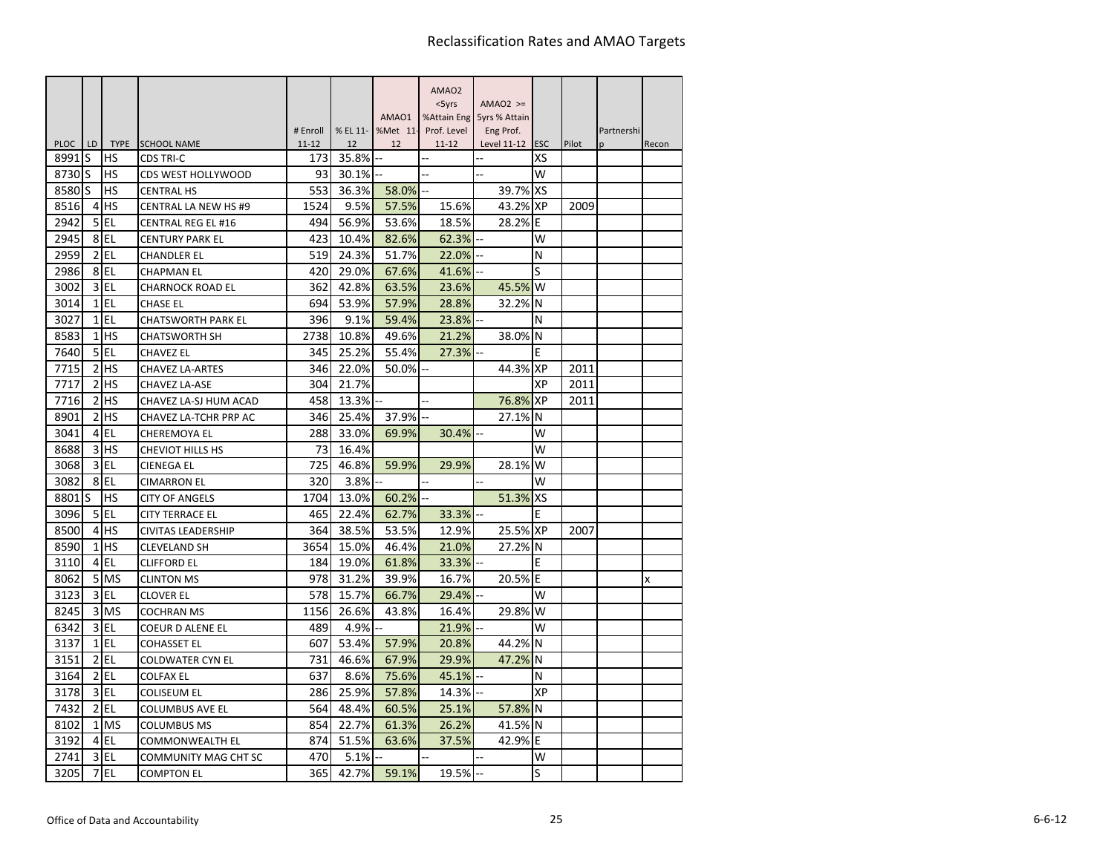|             |                |                 |                             |                  |             |          | AMAO <sub>2</sub> |                  |                  |       |            |       |
|-------------|----------------|-----------------|-----------------------------|------------------|-------------|----------|-------------------|------------------|------------------|-------|------------|-------|
|             |                |                 |                             |                  |             |          | $<$ 5yrs          | $AMAO2$ >=       |                  |       |            |       |
|             |                |                 |                             |                  |             | AMAO1    | %Attain Eng       | 5yrs % Attain    |                  |       |            |       |
| <b>PLOC</b> |                | <b>TYPE</b>     | <b>SCHOOL NAME</b>          | # Enroll         | % EL 11-    | %Met 11- | Prof. Level       | Eng Prof.        |                  |       | Partnershi |       |
| 8991        | LD<br>S        | HS              | <b>CDS TRI-C</b>            | $11 - 12$<br>173 | 12<br>35.8% | 12       | $11 - 12$         | Level 11-12<br>4 | <b>ESC</b><br>XS | Pilot | p          | Recon |
| 8730        | lS             | HS              | <b>CDS WEST HOLLYWOOD</b>   | 93               | 30.1%       |          |                   | ÷.               | W                |       |            |       |
| 8580        | lS             | HS              | <b>CENTRAL HS</b>           | 553              | 36.3%       | 58.0%    |                   | 39.7%            | XS               |       |            |       |
| 8516        | $\overline{4}$ | lhs             | <b>CENTRAL LA NEW HS #9</b> | 1524             | 9.5%        | 57.5%    | 15.6%             | 43.2%            | <b>XP</b>        | 2009  |            |       |
| 2942        | 5 <sub>l</sub> | <b>EL</b>       | <b>CENTRAL REG EL #16</b>   | 494              | 56.9%       | 53.6%    | 18.5%             | 28.2%            | ΙE               |       |            |       |
| 2945        |                | 8EL             | <b>CENTURY PARK EL</b>      | 423              | 10.4%       | 82.6%    | 62.3%             |                  | W                |       |            |       |
| 2959        |                | $2$ EL          | CHANDLER EL                 | 519              | 24.3%       | 51.7%    | 22.0%             |                  | N                |       |            |       |
| 2986        |                | 8EL             | <b>CHAPMAN EL</b>           | 420              | 29.0%       | 67.6%    | 41.6%             |                  | S                |       |            |       |
| 3002        |                | 3 EL            | <b>CHARNOCK ROAD EL</b>     | 362              | 42.8%       | 63.5%    | 23.6%             | 45.5%            | W                |       |            |       |
| 3014        |                | $1$ EL          | <b>CHASE EL</b>             | 694              | 53.9%       | 57.9%    | 28.8%             | 32.2%            | N                |       |            |       |
| 3027        |                | $1$ EL          | <b>CHATSWORTH PARK EL</b>   | 396              | 9.1%        | 59.4%    | 23.8%             |                  | N                |       |            |       |
| 8583        |                | $1$ HS          | <b>CHATSWORTH SH</b>        | 2738             | 10.8%       | 49.6%    | 21.2%             | 38.0%            | N                |       |            |       |
| 7640        |                | 5 EL            | <b>CHAVEZ EL</b>            | 345              | 25.2%       | 55.4%    | 27.3%             |                  | E                |       |            |       |
| 7715        |                | $2$ $HS$        | <b>CHAVEZ LA-ARTES</b>      | 346              | 22.0%       | 50.0%    |                   | 44.3%            | <b>XP</b>        | 2011  |            |       |
| 7717        | $\overline{2}$ | <b>HS</b>       | CHAVEZ LA-ASE               | 304              | 21.7%       |          |                   |                  | XP               | 2011  |            |       |
| 7716        | 2              | <b>HS</b>       | CHAVEZ LA-SJ HUM ACAD       | 458              | 13.3%       |          |                   | 76.8%            | <b>XP</b>        | 2011  |            |       |
| 8901        | $\overline{2}$ | <b>HS</b>       | CHAVEZ LA-TCHR PRP AC       | 346              | 25.4%       | 37.9%    |                   | 27.1%            | N                |       |            |       |
| 3041        |                | 4EL             | <b>CHEREMOYA EL</b>         | 288              | 33.0%       | 69.9%    | 30.4%             |                  | W                |       |            |       |
| 8688        | $\overline{3}$ | <b>HS</b>       | <b>CHEVIOT HILLS HS</b>     | 73               | 16.4%       |          |                   |                  | W                |       |            |       |
| 3068        |                | 3 EL            | <b>CIENEGA EL</b>           | 725              | 46.8%       | 59.9%    | 29.9%             | 28.1%            | W                |       |            |       |
| 3082        |                | 8EL             | <b>CIMARRON EL</b>          | 320              | 3.8%        |          |                   |                  | W                |       |            |       |
| 8801        | S              | HS              | <b>CITY OF ANGELS</b>       | 1704             | 13.0%       | 60.2%    |                   | 51.3%            | XS               |       |            |       |
| 3096        |                | 5 EL            | <b>CITY TERRACE EL</b>      | 465              | 22.4%       | 62.7%    | 33.3%             |                  | E                |       |            |       |
| 8500        |                | 4 <sup>HS</sup> | <b>CIVITAS LEADERSHIP</b>   | 364              | 38.5%       | 53.5%    | 12.9%             | 25.5%            | <b>XP</b>        | 2007  |            |       |
| 8590        |                | $1$ $HS$        | <b>CLEVELAND SH</b>         | 3654             | 15.0%       | 46.4%    | 21.0%             | 27.2%            | N                |       |            |       |
| 3110        | 4              | <b>EL</b>       | <b>CLIFFORD EL</b>          | 184              | 19.0%       | 61.8%    | 33.3%             |                  | E                |       |            |       |
| 8062        | 5 <sub>l</sub> | <b>MS</b>       | <b>CLINTON MS</b>           | 978              | 31.2%       | 39.9%    | 16.7%             | 20.5%            | Ε                |       |            | x     |
| 3123        |                | 3 EL            | <b>CLOVER EL</b>            | 578              | 15.7%       | 66.7%    | 29.4%             |                  | w                |       |            |       |
| 8245        |                | 3 MS            | <b>COCHRAN MS</b>           | 1156             | 26.6%       | 43.8%    | 16.4%             | 29.8%            | W                |       |            |       |
| 6342        |                | 3 EL            | <b>COEUR D ALENE EL</b>     | 489              | 4.9%        |          | 21.9%             |                  | W                |       |            |       |
| 3137        |                | $1$ EL          | <b>COHASSET EL</b>          | 607              | 53.4%       | 57.9%    | 20.8%             | 44.2%            | N                |       |            |       |
| 3151        | $\overline{2}$ | EL              | <b>COLDWATER CYN EL</b>     | 731              | 46.6%       | 67.9%    | 29.9%             | 47.2%            | N                |       |            |       |
| 3164        |                | 2 EL            | <b>COLFAX EL</b>            | 637              | 8.6%        | 75.6%    | 45.1%             |                  | N                |       |            |       |
| 3178        |                | 3EL             | <b>COLISEUM EL</b>          | 286              | 25.9%       | 57.8%    | 14.3%             |                  | XP               |       |            |       |
| 7432        |                | 2 EL            | <b>COLUMBUS AVE EL</b>      | 564              | 48.4%       | 60.5%    | 25.1%             | 57.8%            | N                |       |            |       |
| 8102        | 1 <sup>1</sup> | <b>MS</b>       | <b>COLUMBUS MS</b>          | 854              | 22.7%       | 61.3%    | 26.2%             | 41.5%            | N                |       |            |       |
| 3192        |                | 4 EL            | <b>COMMONWEALTH EL</b>      | 874              | 51.5%       | 63.6%    | 37.5%             | 42.9%            | E                |       |            |       |
| 2741        |                | 3 EL            | <b>COMMUNITY MAG CHT SC</b> | 470              | 5.1%        |          |                   |                  | W                |       |            |       |
| 3205        |                | 7 EL            | <b>COMPTON EL</b>           | 365              | 42.7%       | 59.1%    | 19.5%             |                  | S                |       |            |       |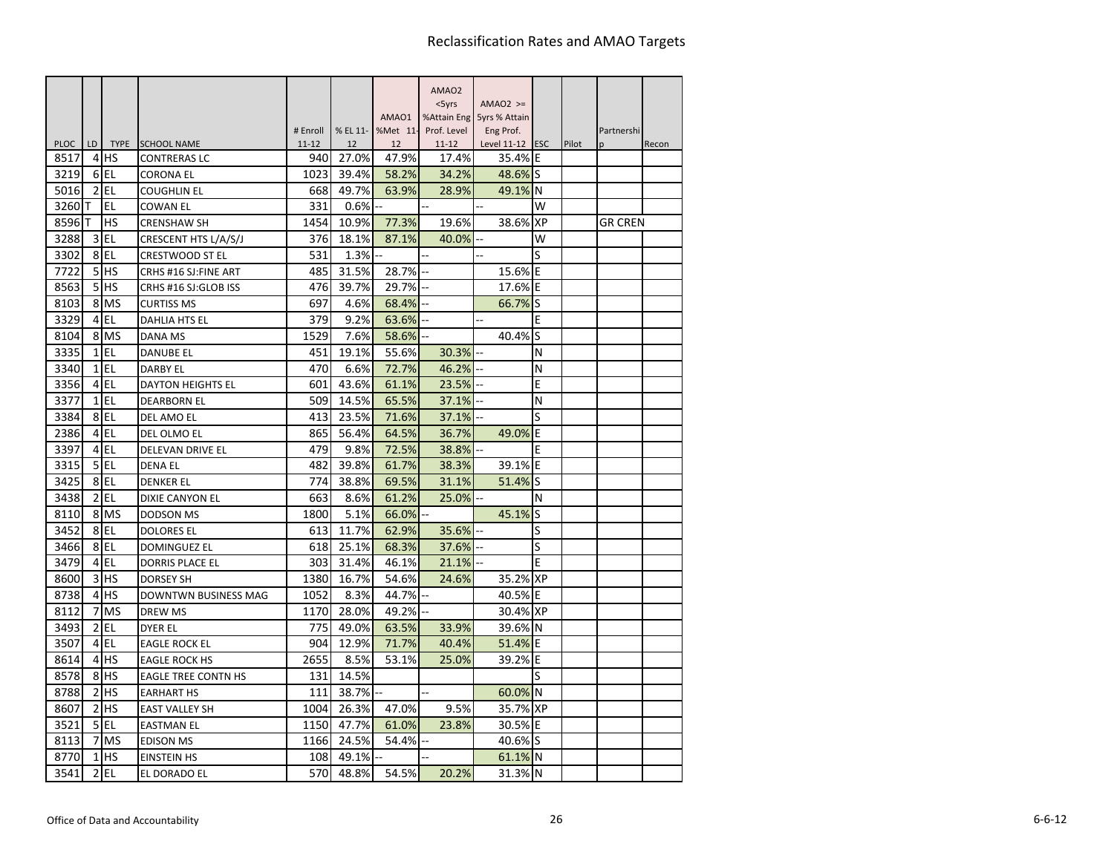|             |                |             |                                           |                  |             |             | AMAO <sub>2</sub>  |                            |           |       |            |       |
|-------------|----------------|-------------|-------------------------------------------|------------------|-------------|-------------|--------------------|----------------------------|-----------|-------|------------|-------|
|             |                |             |                                           |                  |             |             | $<$ 5yrs           | $AMAO2$ >=                 |           |       |            |       |
|             |                |             |                                           |                  |             | AMAO1       |                    | %Attain Eng 5yrs % Attain  |           |       |            |       |
| <b>PLOC</b> | LD             | <b>TYPE</b> |                                           | # Enroll         | % EL 11-    | %Met 11-    | Prof. Level        | Eng Prof.                  |           |       | Partnershi |       |
| 8517        | 4              | <b>IHS</b>  | <b>SCHOOL NAME</b><br><b>CONTRERAS LC</b> | $11 - 12$<br>940 | 12<br>27.0% | 12<br>47.9% | $11 - 12$<br>17.4% | Level 11-12 ESC<br>35.4% E |           | Pilot | p          | Recon |
| 3219        | 6              | EL          | <b>CORONA EL</b>                          | 1023             | 39.4%       | 58.2%       | 34.2%              | 48.6% S                    |           |       |            |       |
| 5016        |                | $2$ EL      | <b>COUGHLIN EL</b>                        | 668              | 49.7%       | 63.9%       | 28.9%              | 49.1% N                    |           |       |            |       |
| 3260        | т              | EL          | <b>COWAN EL</b>                           | 331              | 0.6%        |             |                    |                            | w         |       |            |       |
| 8596        | т              | HS          | <b>CRENSHAW SH</b>                        | 1454             | 10.9%       | 77.3%       | 19.6%              | 38.6%                      | <b>XP</b> |       | GR CREN    |       |
| 3288        | 3              | <b>EL</b>   | CRESCENT HTS L/A/S/J                      | 376              | 18.1%       | 87.1%       | 40.0%              |                            | W         |       |            |       |
| 3302        |                | 8EL         | <b>CRESTWOOD ST EL</b>                    | 531              | 1.3%        |             |                    |                            | S         |       |            |       |
| 7722        | 5 <sup>1</sup> | <b>HS</b>   | CRHS #16 SJ: FINE ART                     | 485              | 31.5%       | 28.7%       |                    | 15.6%                      | E         |       |            |       |
| 8563        | 5 <sup>1</sup> | <b>HS</b>   | CRHS #16 SJ:GLOB ISS                      | 476              | 39.7%       | 29.7%       |                    | 17.6%                      | E         |       |            |       |
| 8103        |                | 8 MS        | <b>CURTISS MS</b>                         | 697              | 4.6%        | 68.4%       |                    | 66.7%                      | lS        |       |            |       |
| 3329        | $\overline{4}$ | EL          | <b>DAHLIA HTS EL</b>                      | 379              | 9.2%        | 63.6%       |                    | ÷.                         | E         |       |            |       |
| 8104        | 8              | <b>MS</b>   | DANA MS                                   | 1529             | 7.6%        | 58.6%       |                    | 40.4%                      | S         |       |            |       |
| 3335        |                | $1$ EL      | <b>DANUBE EL</b>                          | 451              | 19.1%       | 55.6%       | 30.3%              |                            | N         |       |            |       |
| 3340        |                | $1$ EL      | <b>DARBY EL</b>                           | 470              | 6.6%        | 72.7%       | 46.2%              |                            | N         |       |            |       |
| 3356        | $\overline{4}$ | EL          | <b>DAYTON HEIGHTS EL</b>                  | 601              | 43.6%       | 61.1%       | 23.5%              |                            | E         |       |            |       |
| 3377        |                | $1$ $EL$    | <b>DEARBORN EL</b>                        | 509              | 14.5%       | 65.5%       | 37.1%              |                            | N         |       |            |       |
| 3384        |                | 8EL         | DEL AMO EL                                | 413              | 23.5%       | 71.6%       | 37.1%              |                            |           |       |            |       |
| 2386        |                | 4 EL        | DEL OLMO EL                               | 865              | 56.4%       | 64.5%       | 36.7%              | 49.0%                      | ΙE        |       |            |       |
| 3397        |                | 4 EL        | DELEVAN DRIVE EL                          | 479              | 9.8%        | 72.5%       | 38.8%              |                            | E         |       |            |       |
| 3315        |                | 5 EL        | <b>DENA EL</b>                            | 482              | 39.8%       | 61.7%       | 38.3%              | 39.1%                      | E         |       |            |       |
| 3425        |                | 8 EL        | <b>DENKER EL</b>                          | 774              | 38.8%       | 69.5%       | 31.1%              | 51.4%                      | lS        |       |            |       |
| 3438        | $\overline{2}$ | EL          | DIXIE CANYON EL                           | 663              | 8.6%        | 61.2%       | 25.0%              |                            | N         |       |            |       |
| 8110        |                | 8 MS        | <b>DODSON MS</b>                          | 1800             | 5.1%        | 66.0%       |                    | 45.1%                      | lS        |       |            |       |
| 3452        | 8              | EL          | <b>DOLORES EL</b>                         | 613              | 11.7%       | 62.9%       | 35.6%              |                            | S         |       |            |       |
| 3466        | 8              | l EL        | <b>DOMINGUEZ EL</b>                       | 618              | 25.1%       | 68.3%       | 37.6%              |                            | S         |       |            |       |
| 3479        |                | 4 EL        | <b>DORRIS PLACE EL</b>                    | 303              | 31.4%       | 46.1%       | 21.1%              |                            | E         |       |            |       |
| 8600        | 3              | lhs         | <b>DORSEY SH</b>                          | 1380             | 16.7%       | 54.6%       | 24.6%              | 35.2%                      | <b>XP</b> |       |            |       |
| 8738        | $\overline{4}$ | <b>HS</b>   | DOWNTWN BUSINESS MAG                      | 1052             | 8.3%        | 44.7%       |                    | 40.5%                      | E         |       |            |       |
| 8112        | 7              | <b>MS</b>   | <b>DREW MS</b>                            | 1170             | 28.0%       | 49.2%       |                    | 30.4% XP                   |           |       |            |       |
| 3493        | 2              | EL          | DYER EL                                   | 775              | 49.0%       | 63.5%       | 33.9%              | 39.6% N                    |           |       |            |       |
| 3507        | $\overline{4}$ | l EL        | <b>EAGLE ROCK EL</b>                      | 904              | 12.9%       | 71.7%       | 40.4%              | 51.4%                      | E         |       |            |       |
| 8614        | 4              | lhs         | <b>EAGLE ROCK HS</b>                      | 2655             | 8.5%        | 53.1%       | 25.0%              | 39.2%                      | E         |       |            |       |
| 8578        | 8              | <b>HS</b>   | <b>EAGLE TREE CONTN HS</b>                | 131              | 14.5%       |             |                    |                            | S         |       |            |       |
| 8788        | $\overline{2}$ | <b>HS</b>   | <b>EARHART HS</b>                         | 111              | 38.7%       |             |                    | 60.0% N                    |           |       |            |       |
| 8607        | $\overline{2}$ | lhs         | <b>EAST VALLEY SH</b>                     | 1004             | 26.3%       | 47.0%       | 9.5%               | 35.7% XP                   |           |       |            |       |
| 3521        | 5 <sub>l</sub> | EL          | <b>EASTMAN EL</b>                         | 1150             | 47.7%       | 61.0%       | 23.8%              | 30.5% E                    |           |       |            |       |
| 8113        | 7              | <b>MS</b>   | <b>EDISON MS</b>                          | 1166             | 24.5%       | 54.4%       |                    | 40.6% S                    |           |       |            |       |
| 8770        | 1              | <b>IHS</b>  | <b>EINSTEIN HS</b>                        | 108              | 49.1%       |             |                    | 61.1% N                    |           |       |            |       |
| 3541        | $\overline{2}$ | EL          | EL DORADO EL                              | 570              | 48.8%       | 54.5%       | 20.2%              | 31.3% N                    |           |       |            |       |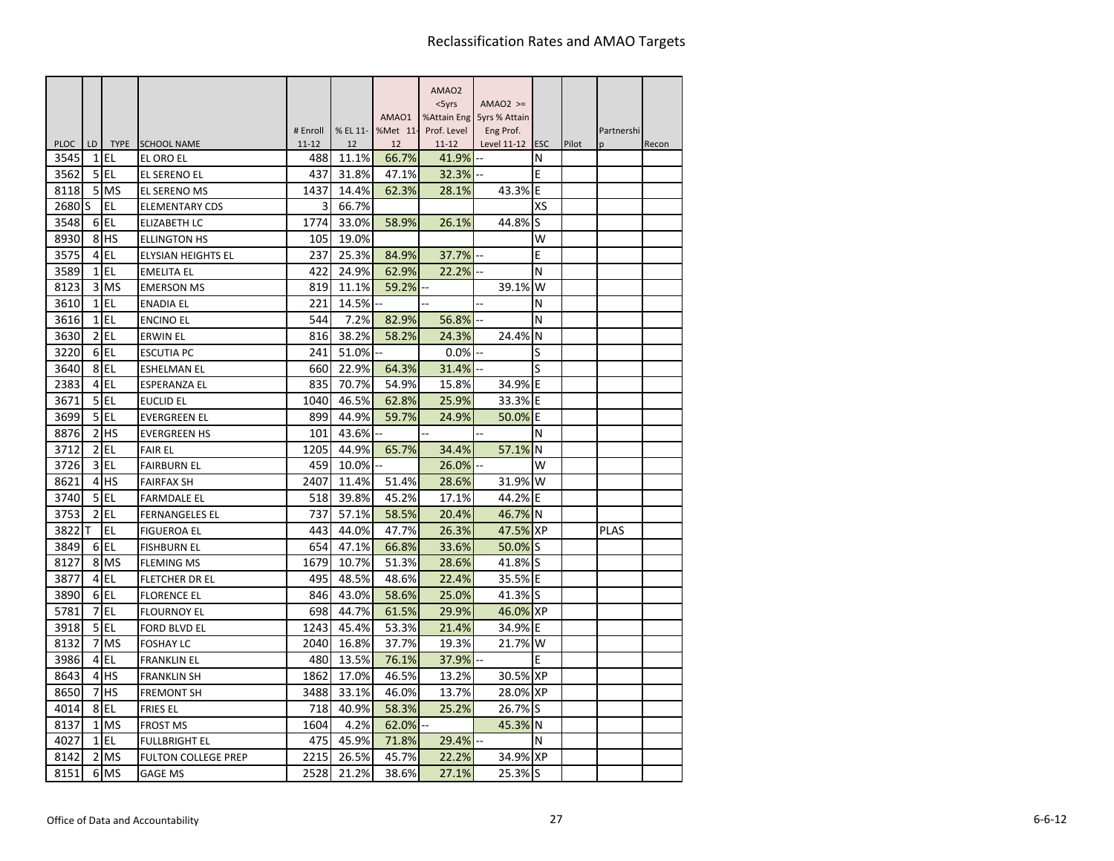|             |                |           |                            |                       |                |                | AMAO <sub>2</sub>        |                           |            |       |             |       |
|-------------|----------------|-----------|----------------------------|-----------------------|----------------|----------------|--------------------------|---------------------------|------------|-------|-------------|-------|
|             |                |           |                            |                       |                |                | $<$ 5yrs                 | $AMAO2$ >=                |            |       |             |       |
|             |                |           |                            |                       |                | AMAO1          |                          | %Attain Eng 5yrs % Attain |            |       |             |       |
| <b>PLOC</b> | LD             | TYPE      | <b>SCHOOL NAME</b>         | # Enroll<br>$11 - 12$ | % EL 11-<br>12 | %Met 11-<br>12 | Prof. Level<br>$11 - 12$ | Eng Prof.                 | <b>ESC</b> | Pilot | Partnershi  |       |
| 3545        | 1              | EL        | EL ORO EL                  | 488                   | 11.1%          | 66.7%          | 41.9%                    | Level 11-12<br>ä,         | N          |       | p           | Recon |
| 3562        | 5              | EL        | EL SERENO EL               | 437                   | 31.8%          | 47.1%          | 32.3%                    |                           | Ε          |       |             |       |
| 8118        | 5              | <b>MS</b> | EL SERENO MS               | 1437                  | 14.4%          | 62.3%          | 28.1%                    | 43.3%                     | E          |       |             |       |
| 2680        | S.             | EL        | <b>ELEMENTARY CDS</b>      | 3                     | 66.7%          |                |                          |                           | XS         |       |             |       |
| 3548        | 6              | EL        | <b>ELIZABETH LC</b>        | 1774                  | 33.0%          | 58.9%          | 26.1%                    | 44.8%                     | S          |       |             |       |
| 8930        | 8              | <b>HS</b> | ELLINGTON HS               | 105                   | 19.0%          |                |                          |                           | W          |       |             |       |
| 3575        | 4              | EL        | ELYSIAN HEIGHTS EL         | 237                   | 25.3%          | 84.9%          | 37.7%                    |                           | E          |       |             |       |
| 3589        | $\mathbf{1}$   | EL        | <b>EMELITA EL</b>          | 422                   | 24.9%          | 62.9%          | 22.2%                    | Ц.                        | N          |       |             |       |
| 8123        | 3              | MS        | <b>EMERSON MS</b>          | 819                   | 11.1%          | 59.2%          |                          | 39.1%                     | W          |       |             |       |
| 3610        | 1              | EL        | <b>ENADIA EL</b>           | 221                   | 14.5%          |                |                          |                           | N          |       |             |       |
| 3616        | 1              | EL        | <b>ENCINO EL</b>           | 544                   | 7.2%           | 82.9%          | 56.8%                    |                           | N          |       |             |       |
| 3630        | 2              | EL        | ERWIN EL                   | 816                   | 38.2%          | 58.2%          | 24.3%                    | 24.4%                     | N          |       |             |       |
| 3220        |                | 6EL       | <b>ESCUTIA PC</b>          | 241                   | 51.0%          |                | 0.0%                     |                           | S          |       |             |       |
| 3640        |                | 8EL       | <b>ESHELMAN EL</b>         | 660                   | 22.9%          | 64.3%          | 31.4%                    |                           | S          |       |             |       |
| 2383        | 4              | EL        | <b>ESPERANZA EL</b>        | 835                   | 70.7%          | 54.9%          | 15.8%                    | 34.9%                     | E          |       |             |       |
| 3671        | 5 <sup>1</sup> | EL        | <b>EUCLID EL</b>           | 1040                  | 46.5%          | 62.8%          | 25.9%                    | 33.3% E                   |            |       |             |       |
| 3699        | 5              | EL        | <b>EVERGREEN EL</b>        | 899                   | 44.9%          | 59.7%          | 24.9%                    | 50.0%                     | E          |       |             |       |
| 8876        | 2              | <b>HS</b> | <b>EVERGREEN HS</b>        | 101                   | 43.6%          |                |                          |                           | N          |       |             |       |
| 3712        | 2              | EL        | <b>FAIR EL</b>             | 1205                  | 44.9%          | 65.7%          | 34.4%                    | 57.1%                     | N          |       |             |       |
| 3726        | 3              | EL        | <b>FAIRBURN EL</b>         | 459                   | 10.0%          |                | 26.0%                    |                           | W          |       |             |       |
| 8621        | 4              | <b>HS</b> | <b>FAIRFAX SH</b>          | 2407                  | 11.4%          | 51.4%          | 28.6%                    | 31.9%                     | W          |       |             |       |
| 3740        | 5              | EL        | <b>FARMDALE EL</b>         | 518                   | 39.8%          | 45.2%          | 17.1%                    | 44.2%                     | E          |       |             |       |
| 3753        | 2              | EL        | <b>FERNANGELES EL</b>      | 737                   | 57.1%          | 58.5%          | 20.4%                    | 46.7% N                   |            |       |             |       |
| 3822        |                | EL        | <b>FIGUEROA EL</b>         | 443                   | 44.0%          | 47.7%          | 26.3%                    | 47.5%                     | <b>XP</b>  |       | <b>PLAS</b> |       |
| 3849        | 6              | EL        | <b>FISHBURN EL</b>         | 654                   | 47.1%          | 66.8%          | 33.6%                    | 50.0%                     | lS         |       |             |       |
| 8127        | 8              | <b>MS</b> | <b>FLEMING MS</b>          | 1679                  | 10.7%          | 51.3%          | 28.6%                    | 41.8%                     | lS         |       |             |       |
| 3877        | 4              | EL        | FLETCHER DR EL             | 495                   | 48.5%          | 48.6%          | 22.4%                    | 35.5%                     | E          |       |             |       |
| 3890        | 6              | EL        | <b>FLORENCE EL</b>         | 846                   | 43.0%          | 58.6%          | 25.0%                    | 41.3%                     | S          |       |             |       |
| 5781        | 7              | EL        | <b>FLOURNOY EL</b>         | 698                   | 44.7%          | 61.5%          | 29.9%                    | 46.0% XP                  |            |       |             |       |
| 3918        | 5              | <b>EL</b> | <b>FORD BLVD EL</b>        | 1243                  | 45.4%          | 53.3%          | 21.4%                    | 34.9%                     | ΙE         |       |             |       |
| 8132        | 7              | <b>MS</b> | <b>FOSHAY LC</b>           | 2040                  | 16.8%          | 37.7%          | 19.3%                    | 21.7%                     | W          |       |             |       |
| 3986        | 4              | EL.       | <b>FRANKLIN EL</b>         | 480                   | 13.5%          | 76.1%          | 37.9%                    |                           | E          |       |             |       |
| 8643        | 4              | <b>HS</b> | <b>FRANKLIN SH</b>         | 1862                  | 17.0%          | 46.5%          | 13.2%                    | 30.5% XP                  |            |       |             |       |
| 8650        |                | HS        | <b>FREMONT SH</b>          | 3488                  | 33.1%          | 46.0%          | 13.7%                    | 28.0% XP                  |            |       |             |       |
| 4014        | 8              | <b>EL</b> | <b>FRIES EL</b>            | 718                   | 40.9%          | 58.3%          | 25.2%                    | 26.7%                     | lS         |       |             |       |
| 8137        | 1              | MS        | <b>FROST MS</b>            | 1604                  | 4.2%           | 62.0%          |                          | 45.3%                     | N          |       |             |       |
| 4027        | $\mathbf{1}$   | <b>EL</b> | <b>FULLBRIGHT EL</b>       | 475                   | 45.9%          | 71.8%          | 29.4%                    |                           | N          |       |             |       |
| 8142        | 2              | <b>MS</b> | <b>FULTON COLLEGE PREP</b> | 2215                  | 26.5%          | 45.7%          | 22.2%                    | 34.9% XP                  |            |       |             |       |
| 8151        | 6              | <b>MS</b> | <b>GAGE MS</b>             | 2528                  | 21.2%          | 38.6%          | 27.1%                    | 25.3% S                   |            |       |             |       |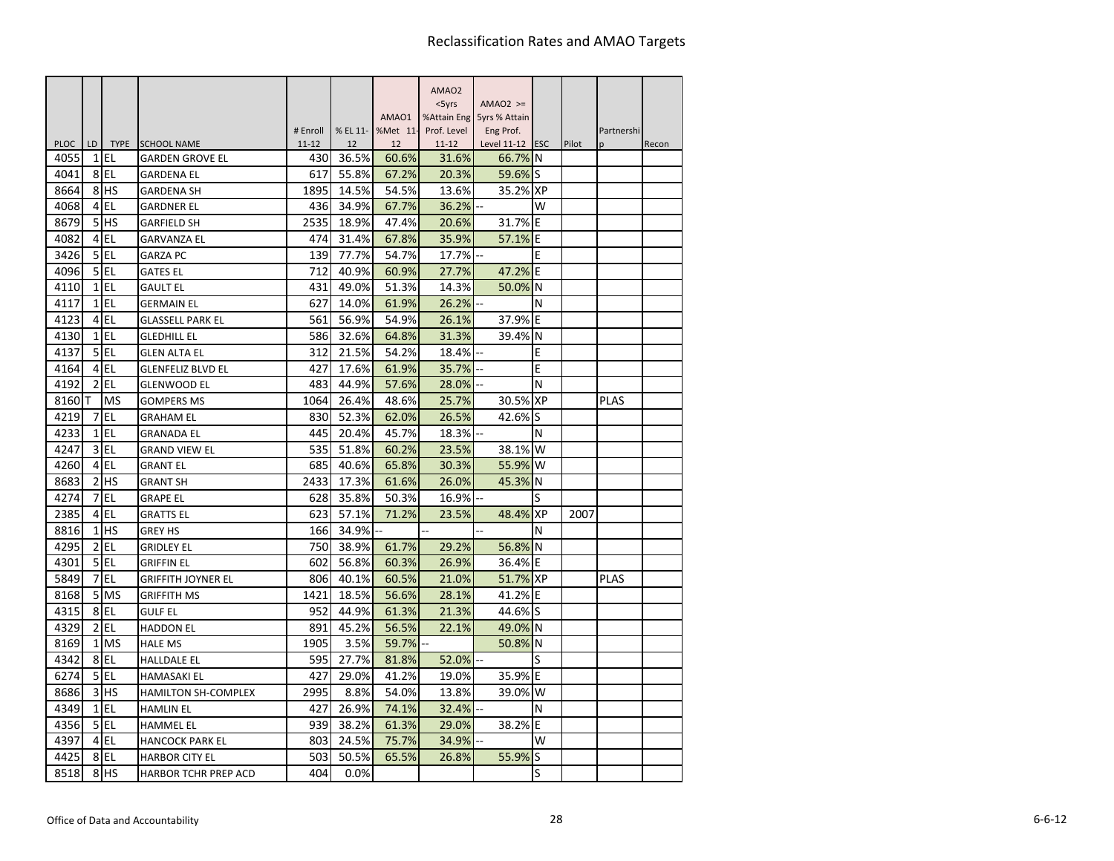|                     |                |                   |                                             |                  |                |                   | AMAO <sub>2</sub> |                            |           |       |              |       |
|---------------------|----------------|-------------------|---------------------------------------------|------------------|----------------|-------------------|-------------------|----------------------------|-----------|-------|--------------|-------|
|                     |                |                   |                                             |                  |                |                   | $<$ 5yrs          | $AMAO2$ >=                 |           |       |              |       |
|                     |                |                   |                                             |                  |                | AMAO1             | %Attain Eng       | 5yrs % Attain              |           |       |              |       |
|                     |                |                   |                                             | # Enroll         |                | % EL 11- %Met 11- | Prof. Level       | Eng Prof.                  |           |       | Partnershi   |       |
| <b>PLOC</b><br>4055 | LD<br>1        | <b>TYPE</b><br>EL | <b>SCHOOL NAME</b>                          | $11 - 12$<br>430 | 12<br>36.5%    | 12<br>60.6%       | $11 - 12$         | Level 11-12 ESC<br>66.7% N |           | Pilot | <sub>n</sub> | Recon |
| 4041                | 8              | EL                | <b>GARDEN GROVE EL</b><br><b>GARDENA EL</b> | 617              | 55.8%          | 67.2%             | 31.6%<br>20.3%    | 59.6% S                    |           |       |              |       |
| 8664                | 8              | <b>HS</b>         |                                             | 1895             | 14.5%          | 54.5%             | 13.6%             | 35.2%l                     | <b>XP</b> |       |              |       |
|                     | 4              | EL                | GARDENA SH                                  |                  |                |                   |                   |                            | W         |       |              |       |
| 4068<br>8679        | 5              | <b>HS</b>         | <b>GARDNER EL</b>                           | 436<br>2535      | 34.9%<br>18.9% | 67.7%<br>47.4%    | 36.2%<br>20.6%    |                            |           |       |              |       |
|                     |                |                   | <b>GARFIELD SH</b>                          |                  |                |                   |                   | 31.7% E                    |           |       |              |       |
| 4082                | 4              | EL                | <b>GARVANZA EL</b>                          | 474              | 31.4%          | 67.8%             | 35.9%             | 57.1%                      | ΙE        |       |              |       |
| 3426                | 5              | EL                | <b>GARZA PC</b>                             | 139              | 77.7%          | 54.7%             | 17.7%             |                            | E         |       |              |       |
| 4096                | 5              | <b>EL</b>         | <b>GATES EL</b>                             | 712              | 40.9%          | 60.9%             | 27.7%             | 47.2%                      | E         |       |              |       |
| 4110                | 1              | EL                | <b>GAULT EL</b>                             | 431              | 49.0%          | 51.3%             | 14.3%             | 50.0%                      | N         |       |              |       |
| 4117                | 1              | EL                | <b>GERMAIN EL</b>                           | 627              | 14.0%          | 61.9%             | 26.2%             |                            | N         |       |              |       |
| 4123                | 4              | EL                | GLASSELL PARK EL                            | 561              | 56.9%          | 54.9%             | 26.1%             | 37.9%                      | E         |       |              |       |
| 4130                | $\mathbf{1}$   | EL                | <b>GLEDHILL EL</b>                          | 586              | 32.6%          | 64.8%             | 31.3%             | 39.4%                      | N         |       |              |       |
| 4137                | 5              | EL                | GLEN ALTA EL                                | 312              | 21.5%          | 54.2%             | 18.4%             |                            | E         |       |              |       |
| 4164                | 4              | EL                | GLENFELIZ BLVD EL                           | 427              | 17.6%          | 61.9%             | 35.7%             |                            | E         |       |              |       |
| 4192                | $\overline{2}$ | EL                | <b>GLENWOOD EL</b>                          | 483              | 44.9%          | 57.6%             | 28.0%             |                            | N         |       |              |       |
| 8160                | т              | MS                | <b>GOMPERS MS</b>                           | 1064             | 26.4%          | 48.6%             | 25.7%             | 30.5% XP                   |           |       | <b>PLAS</b>  |       |
| 4219                | 7              | EL                | <b>GRAHAM EL</b>                            | 830              | 52.3%          | 62.0%             | 26.5%             | 42.6%                      | S         |       |              |       |
| 4233                | 1              | EL                | <b>GRANADA EL</b>                           | 445              | 20.4%          | 45.7%             | 18.3%             |                            | N         |       |              |       |
| 4247                | 3              | EL                | <b>GRAND VIEW EL</b>                        | 535              | 51.8%          | 60.2%             | 23.5%             | 38.1% W                    |           |       |              |       |
| 4260                | 4              | EL                | <b>GRANT EL</b>                             | 685              | 40.6%          | 65.8%             | 30.3%             | 55.9%                      | W         |       |              |       |
| 8683                | 2              | HS                | <b>GRANT SH</b>                             | 2433             | 17.3%          | 61.6%             | 26.0%             | 45.3%                      | N         |       |              |       |
| 4274                | 7              | EL                | <b>GRAPE EL</b>                             | 628              | 35.8%          | 50.3%             | 16.9%             |                            | S         |       |              |       |
| 2385                | 4              | EL                | <b>GRATTS EL</b>                            | 623              | 57.1%          | 71.2%             | 23.5%             | 48.4%                      | <b>XP</b> | 2007  |              |       |
| 8816                | 1              | <b>HS</b>         | <b>GREY HS</b>                              | 166              | 34.9%          |                   |                   |                            | N         |       |              |       |
| 4295                | 2              | EL                | <b>GRIDLEY EL</b>                           | 750              | 38.9%          | 61.7%             | 29.2%             | 56.8% N                    |           |       |              |       |
| 4301                | 5              | EL                | <b>GRIFFIN EL</b>                           | 602              | 56.8%          | 60.3%             | 26.9%             | 36.4% E                    |           |       |              |       |
| 5849                | 7              | EL                | <b>GRIFFITH JOYNER EL</b>                   | 806              | 40.1%          | 60.5%             | 21.0%             | 51.7% XP                   |           |       | <b>PLAS</b>  |       |
| 8168                | 5              | <b>MS</b>         | <b>GRIFFITH MS</b>                          | 1421             | 18.5%          | 56.6%             | 28.1%             | 41.2% E                    |           |       |              |       |
| 4315                | 8              | <b>EL</b>         | <b>GULF EL</b>                              | 952              | 44.9%          | 61.3%             | 21.3%             | 44.6%                      | lS        |       |              |       |
| 4329                | $\overline{2}$ | EL                | <b>HADDON EL</b>                            | 891              | 45.2%          | 56.5%             | 22.1%             | 49.0% N                    |           |       |              |       |
| 8169                | $\mathbf{1}$   | <b>MS</b>         | <b>HALE MS</b>                              | 1905             | 3.5%           | 59.7%             |                   | 50.8%                      | N         |       |              |       |
| 4342                | 8              | <b>EL</b>         | <b>HALLDALE EL</b>                          | 595              | 27.7%          | 81.8%             | 52.0%             |                            | S         |       |              |       |
| 6274                | 5              | EL                | HAMASAKI EL                                 | 427              | 29.0%          | 41.2%             | 19.0%             | 35.9% E                    |           |       |              |       |
| 8686                | 3              | HS                | <b>HAMILTON SH-COMPLEX</b>                  | 2995             | 8.8%           | 54.0%             | 13.8%             | 39.0%                      | W         |       |              |       |
| 4349                | $\mathbf{1}$   | EL                | HAMLIN EL                                   | 427              | 26.9%          | 74.1%             | 32.4%             |                            | N         |       |              |       |
| 4356                | 5              | EL                | <b>HAMMEL EL</b>                            | 939              | 38.2%          | 61.3%             | 29.0%             | 38.2% E                    |           |       |              |       |
| 4397                | 4              | EL                | <b>HANCOCK PARK EL</b>                      | 803              | 24.5%          | 75.7%             | 34.9%             |                            | W         |       |              |       |
| 4425                | 8              | <b>EL</b>         | <b>HARBOR CITY EL</b>                       | 503              | 50.5%          | 65.5%             | 26.8%             | 55.9%                      | S         |       |              |       |
| 8518                | 8              | HS                |                                             | 404              | 0.0%           |                   |                   |                            | S         |       |              |       |
|                     |                |                   | <b>HARBOR TCHR PREP ACD</b>                 |                  |                |                   |                   |                            |           |       |              |       |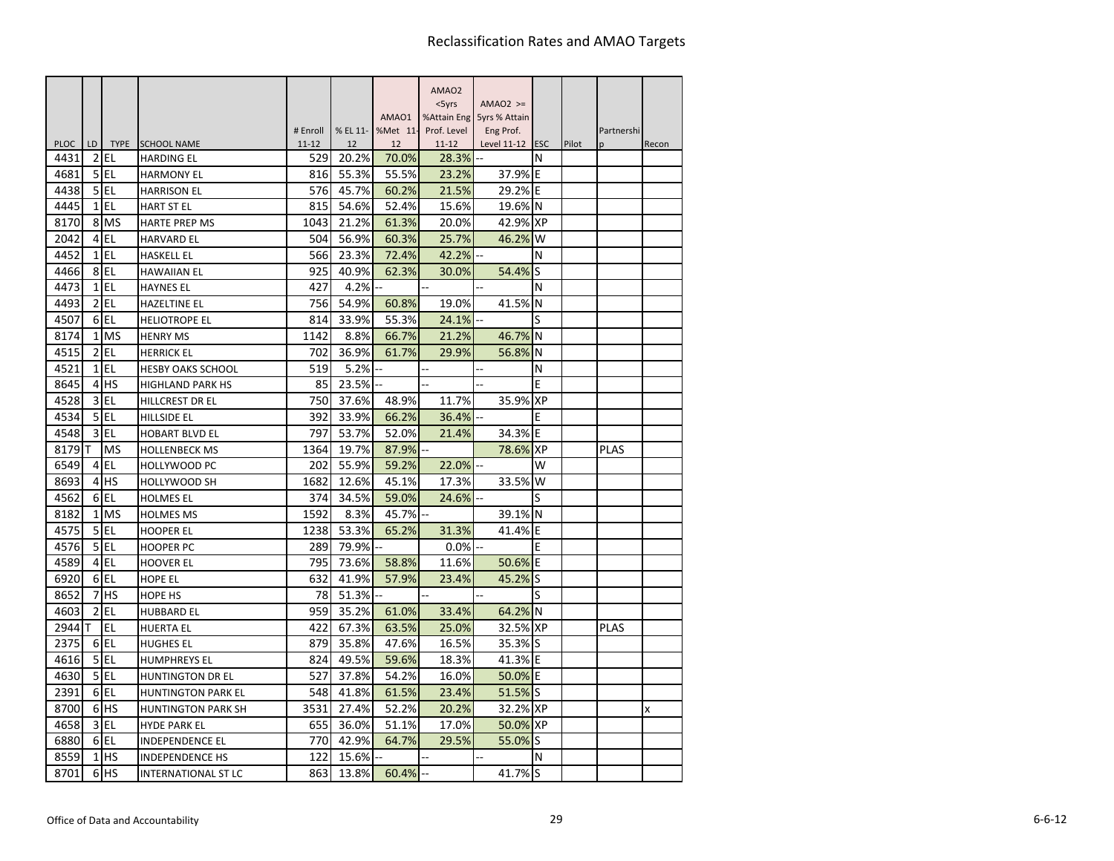|                     |                |                   |                                         |                  |             |                   | AMAO <sub>2</sub>  |                           |    |       |             |       |
|---------------------|----------------|-------------------|-----------------------------------------|------------------|-------------|-------------------|--------------------|---------------------------|----|-------|-------------|-------|
|                     |                |                   |                                         |                  |             |                   | $<$ 5yrs           | $AMAO2$ >=                |    |       |             |       |
|                     |                |                   |                                         |                  |             | AMA01             |                    | %Attain Eng 5yrs % Attain |    |       |             |       |
|                     |                |                   |                                         | # Enroll         |             | % EL 11- %Met 11- | Prof. Level        | Eng Prof.                 |    |       | Partnershi  |       |
| <b>PLOC</b><br>4431 | LD<br>2        | <b>TYPE</b><br>EL | <b>SCHOOL NAME</b><br><b>HARDING EL</b> | $11 - 12$<br>529 | 12<br>20.2% | 12<br>70.0%       | $11 - 12$<br>28.3% | Level $11-12$ ESC         | N  | Pilot | n           | Recon |
| 4681                | 5              | EL                | <b>HARMONY EL</b>                       | 816              | 55.3%       | 55.5%             | 23.2%              | 37.9% E                   |    |       |             |       |
| 4438                | 5              | <b>EL</b>         | <b>HARRISON EL</b>                      | 576              | 45.7%       | 60.2%             | 21.5%              | 29.2% E                   |    |       |             |       |
| 4445                | 1              | EL                | <b>HART ST EL</b>                       | 815              | 54.6%       | 52.4%             | 15.6%              | 19.6% N                   |    |       |             |       |
| 8170                | 8              | MS                | <b>HARTE PREP MS</b>                    | 1043             | 21.2%       | 61.3%             | 20.0%              | 42.9% XP                  |    |       |             |       |
| 2042                | 4              | EL                | <b>HARVARD EL</b>                       | 504              | 56.9%       | 60.3%             | 25.7%              | 46.2%                     | W  |       |             |       |
| 4452                | 1              | EL                | <b>HASKELL EL</b>                       | 566              | 23.3%       | 72.4%             | 42.2%              |                           | N  |       |             |       |
| 4466                | 8              | EL                | <b>HAWAIIAN EL</b>                      | 925              | 40.9%       | 62.3%             | 30.0%              | 54.4%                     | ls |       |             |       |
| 4473                | 1              | EL                | <b>HAYNES EL</b>                        | 427              | 4.2%        |                   |                    |                           | N  |       |             |       |
| 4493                | 2              | EL                | <b>HAZELTINE EL</b>                     | 756              | 54.9%       | 60.8%             | 19.0%              | 41.5%                     | N  |       |             |       |
| 4507                | 6              | EL                | <b>HELIOTROPE EL</b>                    | 814              | 33.9%       | 55.3%             | 24.1%              |                           | S  |       |             |       |
| 8174                | 1              | <b>MS</b>         | <b>HENRY MS</b>                         | 1142             | 8.8%        | 66.7%             | 21.2%              | 46.7%                     | ΙN |       |             |       |
| 4515                | $\overline{2}$ | <b>EL</b>         | <b>HERRICK EL</b>                       | 702              | 36.9%       | 61.7%             | 29.9%              | 56.8%                     | ΙN |       |             |       |
| 4521                | $\mathbf{1}$   | l EL              | <b>HESBY OAKS SCHOOL</b>                | 519              | 5.2%        |                   |                    |                           | N  |       |             |       |
| 8645                | 4              | HS                | <b>HIGHLAND PARK HS</b>                 | 85               | 23.5%       |                   |                    |                           | E  |       |             |       |
| 4528                | 3              | EL                | HILLCREST DR EL                         | 750              | 37.6%       | 48.9%             | 11.7%              | 35.9% XP                  |    |       |             |       |
| 4534                | 5              | EL                | HILLSIDE EL                             | 392              | 33.9%       | 66.2%             | 36.4%              |                           | E  |       |             |       |
| 4548                | 3              | EL                | <b>HOBART BLVD EL</b>                   | 797              | 53.7%       | 52.0%             | 21.4%              | 34.3%                     | E  |       |             |       |
| 8179                | т              | <b>MS</b>         | <b>HOLLENBECK MS</b>                    | 1364             | 19.7%       | 87.9%             |                    | 78.6% XP                  |    |       | <b>PLAS</b> |       |
| 6549                | 4              | EL                | HOLLYWOOD PC                            | 202              | 55.9%       | 59.2%             | 22.0%              |                           | W  |       |             |       |
| 8693                |                | 4 <sub>HS</sub>   | HOLLYWOOD SH                            | 1682             | 12.6%       | 45.1%             | 17.3%              | 33.5%                     | W  |       |             |       |
| 4562                | 6              | EL                | <b>HOLMES EL</b>                        | 374              | 34.5%       | 59.0%             | 24.6%              |                           | S  |       |             |       |
| 8182                | 1              | MS                | <b>HOLMES MS</b>                        | 1592             | 8.3%        | 45.7%             |                    | 39.1% N                   |    |       |             |       |
| 4575                | 5              | EL                | <b>HOOPER EL</b>                        | 1238             | 53.3%       | 65.2%             | 31.3%              | 41.4%                     | ΙE |       |             |       |
| 4576                | 5              | EL                |                                         | 289              | 79.9%       |                   | 0.0%               |                           | E  |       |             |       |
| 4589                | 4              | EL                | <b>HOOPER PC</b>                        | 795              | 73.6%       | 58.8%             | 11.6%              | 50.6%                     | ΙE |       |             |       |
| 6920                |                | $6$ EL            | <b>HOOVER EL</b><br>HOPE EL             | 632              | 41.9%       | 57.9%             | 23.4%              | 45.2% S                   |    |       |             |       |
| 8652                |                | 7 HS              | HOPE HS                                 | 78               | 51.3%       |                   |                    |                           | S  |       |             |       |
| 4603                | $\overline{2}$ | EL                | <b>HUBBARD EL</b>                       | 959              | 35.2%       | 61.0%             | 33.4%              | 64.2% N                   |    |       |             |       |
| 2944                |                | EL                | <b>HUERTA EL</b>                        | 422              | 67.3%       | 63.5%             | 25.0%              | 32.5% XP                  |    |       | <b>PLAS</b> |       |
| 2375                | 6              | EL                | <b>HUGHES EL</b>                        | 879              | 35.8%       | 47.6%             | 16.5%              | 35.3%                     | lS |       |             |       |
| 4616                | 5              | EL                | <b>HUMPHREYS EL</b>                     | 824              | 49.5%       | 59.6%             | 18.3%              | 41.3% E                   |    |       |             |       |
|                     |                |                   |                                         |                  |             |                   |                    |                           |    |       |             |       |
| 4630                | 5              | EL<br>EL          | <b>HUNTINGTON DR EL</b>                 | 527<br>548       | 37.8%       | 54.2%             | 16.0%              | 50.0% E                   |    |       |             |       |
| 2391                | 6              |                   | <b>HUNTINGTON PARK EL</b>               |                  | 41.8%       | 61.5%             | 23.4%              | $51.5\%$ S<br>32.2% XP    |    |       |             |       |
| 8700                |                | 6 <sup>HS</sup>   | <b>HUNTINGTON PARK SH</b>               | 3531             | 27.4%       | 52.2%             | 20.2%              |                           |    |       |             | X     |
| 4658                | 3              | EL                | <b>HYDE PARK EL</b>                     | 655              | 36.0%       | 51.1%             | 17.0%              | 50.0% XP                  |    |       |             |       |
| 6880                |                | 6EL               | INDEPENDENCE EL                         | 770              | 42.9%       | 64.7%             | 29.5%              | 55.0% S                   |    |       |             |       |
| 8559                |                | $1$ $HS$          | <b>INDEPENDENCE HS</b>                  | 122              | 15.6%       |                   |                    |                           | N  |       |             |       |
| 8701                | 6              | HS                | <b>INTERNATIONAL ST LC</b>              | 863              | 13.8%       | 60.4%             |                    | 41.7% S                   |    |       |             |       |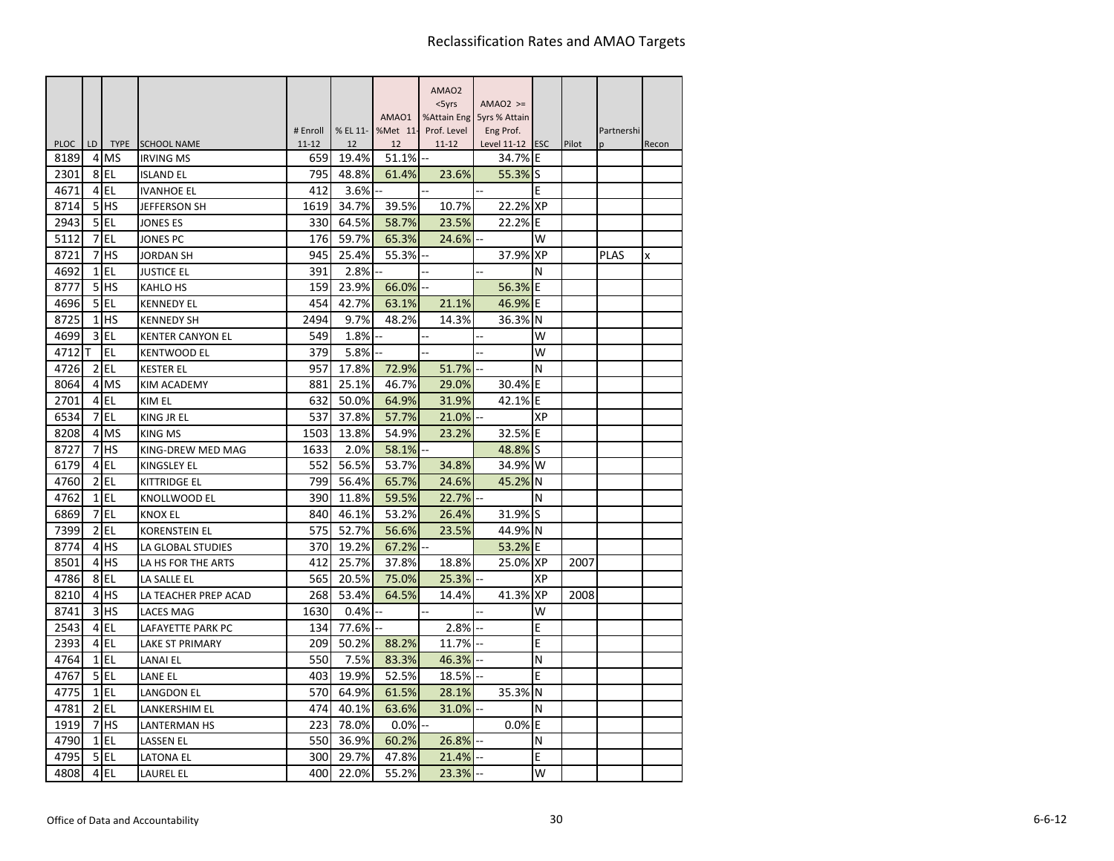|             |                |             |                         |                       |                |                | AMAO <sub>2</sub>        |                              |           |       |                  |       |
|-------------|----------------|-------------|-------------------------|-----------------------|----------------|----------------|--------------------------|------------------------------|-----------|-------|------------------|-------|
|             |                |             |                         |                       |                |                | $<$ 5yrs                 | $AMAO2$ >=                   |           |       |                  |       |
|             |                |             |                         |                       |                | AMAO1          |                          | %Attain Eng 5yrs % Attain    |           |       |                  |       |
| <b>PLOC</b> | LD             | <b>TYPE</b> | <b>SCHOOL NAME</b>      | # Enroll<br>$11 - 12$ | % EL 11-<br>12 | %Met 11-<br>12 | Prof. Level<br>$11 - 12$ | Eng Prof.<br>Level 11-12 ESC |           | Pilot | Partnershi<br>p. | Recon |
| 8189        | 4              | MS          | <b>IRVING MS</b>        | 659                   | 19.4%          | 51.1%          | 44                       | 34.7% E                      |           |       |                  |       |
| 2301        | 8              | EL          | <b>ISLAND EL</b>        | 795                   | 48.8%          | 61.4%          | 23.6%                    | 55.3%                        | S         |       |                  |       |
| 4671        | $\overline{4}$ | EL          | <b>IVANHOE EL</b>       | 412                   | 3.6%           |                |                          |                              | E         |       |                  |       |
| 8714        | 5              | <b>HS</b>   | <b>JEFFERSON SH</b>     | 1619                  | 34.7%          | 39.5%          | 10.7%                    | 22.2% XP                     |           |       |                  |       |
| 2943        | 5              | EL          | <b>JONES ES</b>         | 330                   | 64.5%          | 58.7%          | 23.5%                    | 22.2%                        | ΙE        |       |                  |       |
| 5112        | 7              | EL          | <b>JONES PC</b>         | 176                   | 59.7%          | 65.3%          | 24.6%                    |                              | W         |       |                  |       |
| 8721        | 7              | <b>HS</b>   | <b>JORDAN SH</b>        | 945                   | 25.4%          | 55.3%          |                          | 37.9%                        | <b>XP</b> |       | <b>PLAS</b>      | x     |
| 4692        | $\mathbf{1}$   | EL          | <b>JUSTICE EL</b>       | 391                   | 2.8%           |                |                          | Щ.                           | N         |       |                  |       |
| 8777        | 5              | <b>HS</b>   | <b>KAHLO HS</b>         | 159                   | 23.9%          | 66.0%          |                          | 56.3%                        | E         |       |                  |       |
| 4696        | 5              | <b>EL</b>   | <b>KENNEDY EL</b>       | 454                   | 42.7%          | 63.1%          | 21.1%                    | 46.9%                        | E         |       |                  |       |
| 8725        | $\mathbf{1}$   | HS          | <b>KENNEDY SH</b>       | 2494                  | 9.7%           | 48.2%          | 14.3%                    | 36.3%                        | N         |       |                  |       |
| 4699        | 3              | EL          | <b>KENTER CANYON EL</b> | 549                   | 1.8%           |                |                          | ä.                           | W         |       |                  |       |
| 4712        | т              | EL          | <b>KENTWOOD EL</b>      | 379                   | 5.8%           |                |                          | ÷.                           | W         |       |                  |       |
| 4726        | 2              | EL          | <b>KESTER EL</b>        | 957                   | 17.8%          | 72.9%          | 51.7%                    |                              | N         |       |                  |       |
| 8064        | $\overline{a}$ | <b>MS</b>   | <b>KIM ACADEMY</b>      | 881                   | 25.1%          | 46.7%          | 29.0%                    | 30.4%                        | E         |       |                  |       |
| 2701        | 4 <sub>l</sub> | EL          | KIM EL                  | 632                   | 50.0%          | 64.9%          | 31.9%                    | 42.1%                        | ΙE        |       |                  |       |
| 6534        | 7              | <b>EL</b>   | KING JR EL              | 537                   | 37.8%          | 57.7%          | 21.0%                    |                              | XP        |       |                  |       |
| 8208        | $\overline{4}$ | <b>MS</b>   | <b>KING MS</b>          | 1503                  | 13.8%          | 54.9%          | 23.2%                    | 32.5%                        | ΙE        |       |                  |       |
| 8727        | 7              | HS          | KING-DREW MED MAG       | 1633                  | 2.0%           | 58.1%          |                          | 48.8%                        | lS        |       |                  |       |
| 6179        | 4              | EL          | KINGSLEY EL             | 552                   | 56.5%          | 53.7%          | 34.8%                    | 34.9%                        | W         |       |                  |       |
| 4760        | 2              | EL          | <b>KITTRIDGE EL</b>     | 799                   | 56.4%          | 65.7%          | 24.6%                    | 45.2%                        | N         |       |                  |       |
| 4762        | $\mathbf{1}$   | EL          | KNOLLWOOD EL            | 390                   | 11.8%          | 59.5%          | 22.7%                    |                              | N         |       |                  |       |
| 6869        | 7              | EL          | <b>KNOX EL</b>          | 840                   | 46.1%          | 53.2%          | 26.4%                    | 31.9%                        | lS        |       |                  |       |
| 7399        | 2              | EL          | <b>KORENSTEIN EL</b>    | 575                   | 52.7%          | 56.6%          | 23.5%                    | 44.9%                        | N         |       |                  |       |
| 8774        | 4              | HS          | LA GLOBAL STUDIES       | 370                   | 19.2%          | 67.2%          |                          | 53.2%                        | E         |       |                  |       |
| 8501        | 4              | <b>HS</b>   | LA HS FOR THE ARTS      | 412                   | 25.7%          | 37.8%          | 18.8%                    | 25.0% XP                     |           | 2007  |                  |       |
| 4786        | 8              | EL          | LA SALLE EL             | 565                   | 20.5%          | 75.0%          | 25.3%                    |                              | XP        |       |                  |       |
| 8210        | 4              | HS          | LA TEACHER PREP ACAD    | 268                   | 53.4%          | 64.5%          | 14.4%                    | 41.3%                        | <b>XP</b> | 2008  |                  |       |
| 8741        | 3              | <b>HS</b>   | <b>LACES MAG</b>        | 1630                  | 0.4%           |                |                          |                              | W         |       |                  |       |
| 2543        | 4              | EL          | LAFAYETTE PARK PC       | 134                   | 77.6%          |                | 2.8%                     |                              | E         |       |                  |       |
| 2393        | 4              | EL          | <b>LAKE ST PRIMARY</b>  | 209                   | 50.2%          | 88.2%          | 11.7%                    |                              | E         |       |                  |       |
| 4764        | $\mathbf{1}$   | EL          | LANAI EL                | 550                   | 7.5%           | 83.3%          | 46.3%                    |                              | N         |       |                  |       |
| 4767        | 5              | EL          | LANE EL                 | 403                   | 19.9%          | 52.5%          | 18.5%                    |                              | Е         |       |                  |       |
| 4775        | $\mathbf{1}$   | EL          | LANGDON EL              | 570                   | 64.9%          | 61.5%          | 28.1%                    | 35.3%                        | N         |       |                  |       |
| 4781        | $\overline{2}$ | EL          | LANKERSHIM EL           | 474                   | 40.1%          | 63.6%          | 31.0%                    |                              | N         |       |                  |       |
| 1919        | 7              | HS          | <b>LANTERMAN HS</b>     | 223                   | 78.0%          | 0.0%           |                          | 0.0%                         | E         |       |                  |       |
| 4790        | $\mathbf{1}$   | <b>EL</b>   | LASSEN EL               | 550                   | 36.9%          | 60.2%          | 26.8%                    |                              | N         |       |                  |       |
| 4795        | 5              | EL          | LATONA EL               | 300                   | 29.7%          | 47.8%          | 21.4%                    |                              | E         |       |                  |       |
| 4808        | 4              | EL          | <b>LAUREL EL</b>        | 400                   | 22.0%          | 55.2%          | 23.3%                    |                              | W         |       |                  |       |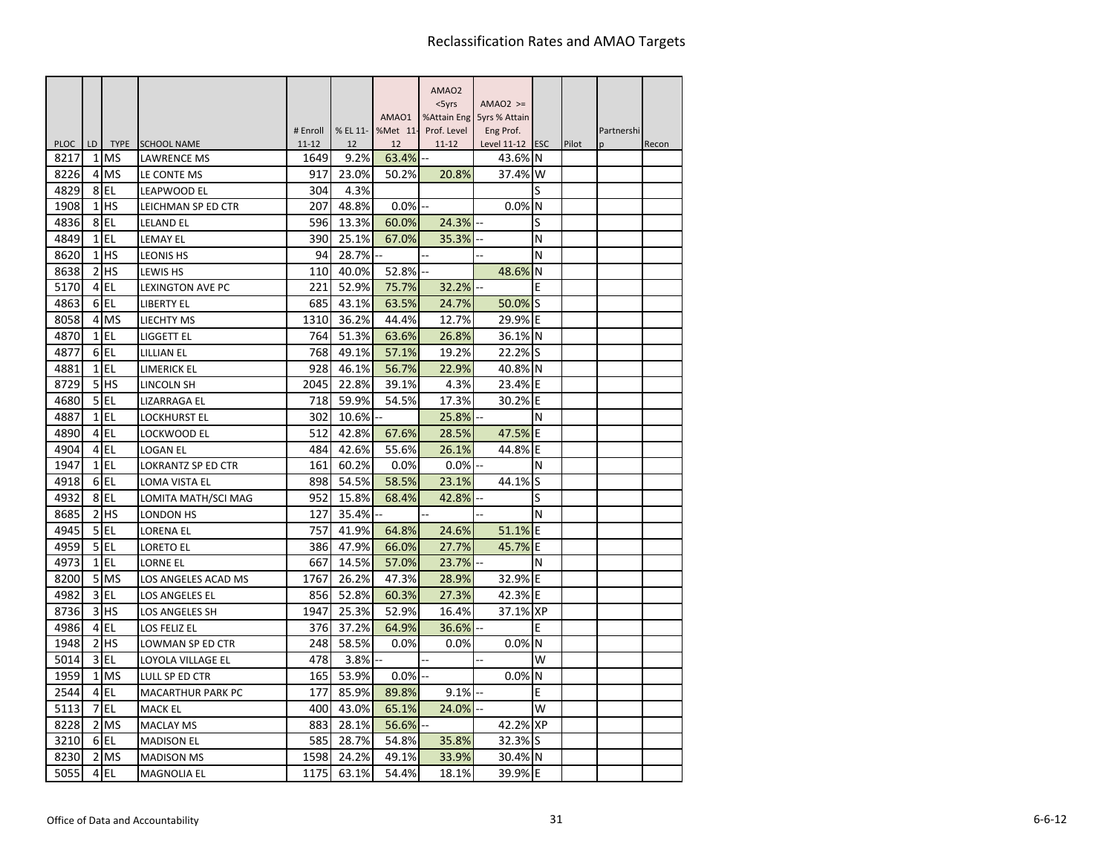|                     |                 |                          |                                   |                   |            |             | AMAO <sub>2</sub> |                           |          |       |            |       |
|---------------------|-----------------|--------------------------|-----------------------------------|-------------------|------------|-------------|-------------------|---------------------------|----------|-------|------------|-------|
|                     |                 |                          |                                   |                   |            |             | $<$ 5yrs          | $AMAO2$ >=                |          |       |            |       |
|                     |                 |                          |                                   |                   |            | AMAO1       |                   | %Attain Eng 5yrs % Attain |          |       |            |       |
|                     |                 |                          |                                   | # Enroll          | % EL 11-   | %Met 11-    | Prof. Level       | Eng Prof.                 |          |       | Partnershi |       |
| <b>PLOC</b><br>8217 | LD<br>1         | <b>TYPE</b><br><b>MS</b> | <b>SCHOOL NAME</b><br>LAWRENCE MS | $11 - 12$<br>1649 | 12<br>9.2% | 12<br>63.4% | $11 - 12$         | Level 11-12 ESC<br>43.6%  | N        | Pilot | n          | Recon |
| 8226                | $\overline{4}$  | <b>MS</b>                | LE CONTE MS                       | 917               | 23.0%      | 50.2%       | 20.8%             | 37.4%                     | W        |       |            |       |
| 4829                |                 | 8EL                      | LEAPWOOD EL                       | 304               | 4.3%       |             |                   |                           | S        |       |            |       |
| 1908                | 1               | <b>HS</b>                | LEICHMAN SP ED CTR                | 207               | 48.8%      | 0.0%        |                   | 0.0%                      | N        |       |            |       |
| 4836                | 8               | l EL                     | <b>LELAND EL</b>                  | 596               | 13.3%      | 60.0%       | 24.3%             |                           | S        |       |            |       |
| 4849                | $\mathbf{1}$    | EL                       | <b>LEMAY EL</b>                   | 390               | 25.1%      | 67.0%       | 35.3%             |                           | N        |       |            |       |
| 8620                | $1\vert$        | <b>HS</b>                | <b>LEONIS HS</b>                  | 94                | 28.7%      |             |                   |                           | N        |       |            |       |
| 8638                | $\overline{2}$  | lhs                      | LEWIS HS                          | 110               | 40.0%      | 52.8%       |                   | 48.6%                     | N        |       |            |       |
| 5170                | $\overline{4}$  | EL                       | LEXINGTON AVE PC                  | 221               | 52.9%      | 75.7%       | 32.2%             |                           | Ε        |       |            |       |
| 4863                |                 | $6$ EL                   | <b>LIBERTY EL</b>                 | 685               | 43.1%      | 63.5%       | 24.7%             | 50.0%                     | S        |       |            |       |
| 8058                |                 | 4 MS                     | LIECHTY MS                        | 1310              | 36.2%      | 44.4%       | 12.7%             | 29.9% E                   |          |       |            |       |
| 4870                |                 | $1$ EL                   | LIGGETT EL                        | 764               | 51.3%      | 63.6%       | 26.8%             | 36.1%                     | <b>N</b> |       |            |       |
| 4877                |                 | 6 <sub>EL</sub>          | LILLIAN EL                        | 768               | 49.1%      | 57.1%       | 19.2%             | 22.2%                     | lS       |       |            |       |
| 4881                |                 | $1$ EL                   | LIMERICK EL                       | 928               | 46.1%      | 56.7%       | 22.9%             | 40.8% N                   |          |       |            |       |
| 8729                | 5               | <b>HS</b>                | LINCOLN SH                        | 2045              | 22.8%      | 39.1%       | 4.3%              | 23.4%                     | ΙE       |       |            |       |
| 4680                | 5 <sub>l</sub>  | EL                       | LIZARRAGA EL                      | 718               | 59.9%      | 54.5%       | 17.3%             | 30.2%                     | E        |       |            |       |
| 4887                |                 | $1$ EL                   | <b>LOCKHURST EL</b>               | 302               | 10.6%      |             | 25.8%             |                           | N        |       |            |       |
| 4890                |                 | 4 EL                     | LOCKWOOD EL                       | 512               | 42.8%      | 67.6%       | 28.5%             | 47.5%                     | E        |       |            |       |
| 4904                | $\overline{4}$  | EL                       | <b>LOGAN EL</b>                   | 484               | 42.6%      | 55.6%       | 26.1%             | 44.8%                     | E        |       |            |       |
| 1947                |                 | $1$ EL                   | <b>LOKRANTZ SP ED CTR</b>         | 161               | 60.2%      | 0.0%        | 0.0%              |                           | N        |       |            |       |
| 4918                |                 | 6EL                      | LOMA VISTA EL                     | 898               | 54.5%      | 58.5%       | 23.1%             | 44.1%                     | S        |       |            |       |
| 4932                | 8               | <b>EL</b>                | LOMITA MATH/SCI MAG               | 952               | 15.8%      | 68.4%       | 42.8%             |                           | S        |       |            |       |
| 8685                | $\overline{2}$  | <b>HS</b>                | <b>LONDON HS</b>                  | 127               | 35.4%      |             |                   |                           | N        |       |            |       |
| 4945                | 5               | EL                       | LORENA EL                         | 757               | 41.9%      | 64.8%       | 24.6%             | 51.1%                     | E        |       |            |       |
| 4959                | 5 <sup>1</sup>  | EL                       | <b>LORETO EL</b>                  | 386               | 47.9%      | 66.0%       | 27.7%             | 45.7%                     | E        |       |            |       |
| 4973                | $1\overline{ }$ | l EL                     | <b>LORNE EL</b>                   | 667               | 14.5%      | 57.0%       | 23.7%             |                           | N        |       |            |       |
| 8200                | 5 <sup>1</sup>  | <b>MS</b>                | LOS ANGELES ACAD MS               | 1767              | 26.2%      | 47.3%       | 28.9%             | 32.9%                     | E        |       |            |       |
| 4982                | $\overline{3}$  | EL                       | <b>LOS ANGELES EL</b>             | 856               | 52.8%      | 60.3%       | 27.3%             | 42.3%                     | E        |       |            |       |
| 8736                | 3               | <b>HS</b>                | LOS ANGELES SH                    | 1947              | 25.3%      | 52.9%       | 16.4%             | 37.1% XP                  |          |       |            |       |
| 4986                |                 | 4 EL                     | <b>LOS FELIZ EL</b>               | 376               | 37.2%      | 64.9%       | 36.6%             |                           | E        |       |            |       |
| 1948                | $\overline{2}$  | <b>HS</b>                | LOWMAN SP ED CTR                  | 248               | 58.5%      | 0.0%        | 0.0%              | 0.0%                      | N        |       |            |       |
| 5014                | $\overline{3}$  | l EL                     | LOYOLA VILLAGE EL                 | 478               | 3.8%       |             |                   |                           | W        |       |            |       |
| 1959                | $\mathbf{1}$    | <b>MS</b>                | LULL SP ED CTR                    | 165               | 53.9%      | $0.0\%$     |                   | 0.0%                      | N        |       |            |       |
| 2544                | $\overline{4}$  | EL                       | <b>MACARTHUR PARK PC</b>          | 177               | 85.9%      | 89.8%       | 9.1%              |                           | E        |       |            |       |
| 5113                |                 | 7 EL                     | <b>MACK EL</b>                    | 400               | 43.0%      | 65.1%       | 24.0%             |                           | W        |       |            |       |
| 8228                |                 | 2 MS                     | <b>MACLAY MS</b>                  | 883               | 28.1%      | 56.6%       |                   | 42.2% XP                  |          |       |            |       |
| 3210                |                 | 6EL                      | <b>MADISON EL</b>                 | 585               | 28.7%      | 54.8%       | 35.8%             | 32.3% S                   |          |       |            |       |
| 8230                | $\overline{2}$  | <b>MS</b>                | <b>MADISON MS</b>                 | 1598              | 24.2%      | 49.1%       | 33.9%             | 30.4%                     | IN.      |       |            |       |
| 5055                | $\overline{4}$  | <b>EL</b>                | <b>MAGNOLIA EL</b>                | 1175              | 63.1%      | 54.4%       | 18.1%             | 39.9%                     | IΕ       |       |            |       |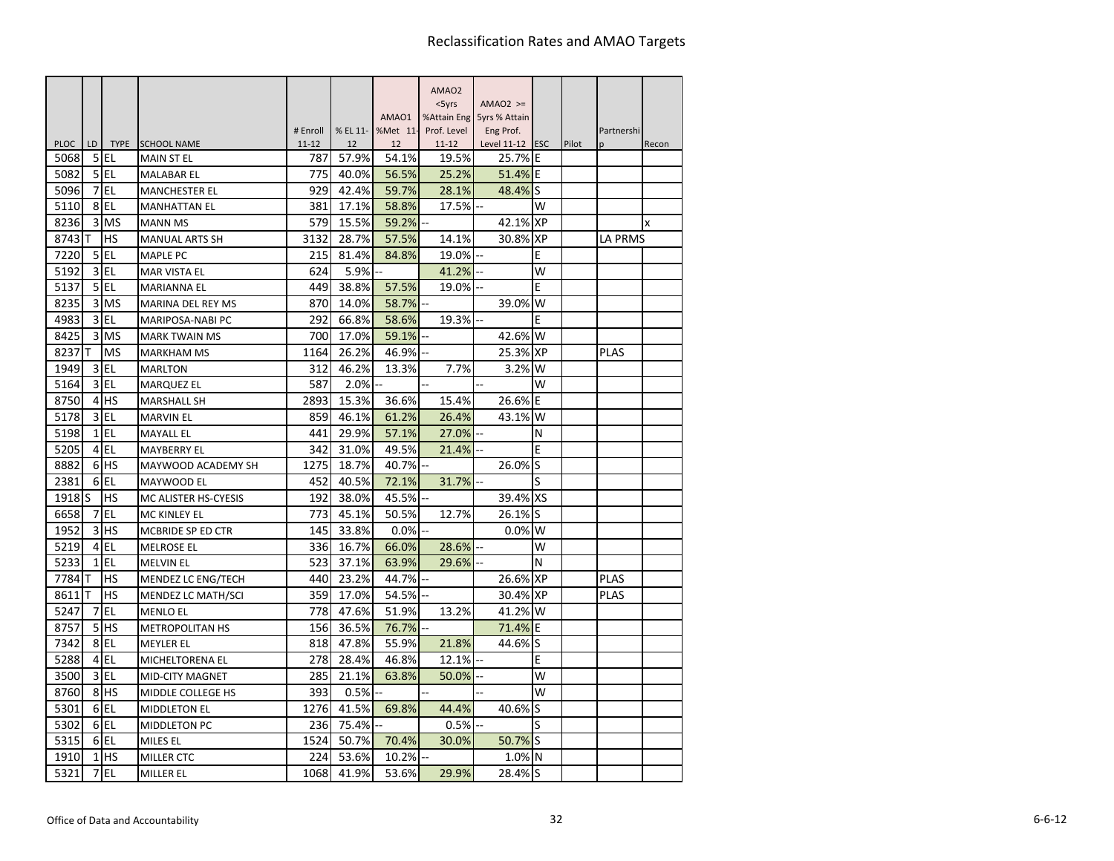|             |                |             |                        |                       |                |                | AMAO <sub>2</sub>        |                                |            |       |                            |       |
|-------------|----------------|-------------|------------------------|-----------------------|----------------|----------------|--------------------------|--------------------------------|------------|-------|----------------------------|-------|
|             |                |             |                        |                       |                |                | $<$ 5 $\gamma$ rs        | $AMAO2$ >=                     |            |       |                            |       |
|             |                |             |                        |                       |                | AMAO1          |                          | %Attain Eng 5yrs % Attain      |            |       |                            |       |
| <b>PLOC</b> | LD.            | <b>TYPE</b> | <b>SCHOOL NAME</b>     | # Enroll<br>$11 - 12$ | % EL 11-<br>12 | %Met 11-<br>12 | Prof. Level<br>$11 - 12$ | Eng Prof.<br>Level $11-12$ ESC |            | Pilot | Partnershi<br><sub>n</sub> | Recon |
| 5068        | 5              | EL          | <b>MAIN ST EL</b>      | 787                   | 57.9%          | 54.1%          | 19.5%                    | 25.7% E                        |            |       |                            |       |
| 5082        |                | 5 EL        | <b>MALABAR EL</b>      | 775                   | 40.0%          | 56.5%          | 25.2%                    | 51.4% E                        |            |       |                            |       |
| 5096        | 7              | EL          | <b>MANCHESTER EL</b>   | 929                   | 42.4%          | 59.7%          | 28.1%                    | 48.4%                          | lS         |       |                            |       |
| 5110        |                | 8EL         | <b>MANHATTAN EL</b>    | 381                   | 17.1%          | 58.8%          | 17.5%                    |                                | W          |       |                            |       |
| 8236        | 3              | <b>MS</b>   | <b>MANN MS</b>         | 579                   | 15.5%          | 59.2%          |                          | 42.1% XP                       |            |       |                            | X     |
| 8743        | т              | <b>HS</b>   | <b>MANUAL ARTS SH</b>  | 3132                  | 28.7%          | 57.5%          | 14.1%                    | 30.8% XP                       |            |       | <b>LA PRMS</b>             |       |
| 7220        | 5              | EL          | <b>MAPLE PC</b>        | 215                   | 81.4%          | 84.8%          | 19.0%                    |                                | E          |       |                            |       |
| 5192        | 3              | EL          | MAR VISTA EL           | 624                   | 5.9%           |                | 41.2%                    |                                | W          |       |                            |       |
| 5137        | 5 <sub>l</sub> | EL          | <b>MARIANNA EL</b>     | 449                   | 38.8%          | 57.5%          | 19.0%                    |                                | Ε          |       |                            |       |
| 8235        | 3              | <b>MS</b>   | MARINA DEL REY MS      | 870                   | 14.0%          | 58.7%          |                          | 39.0%                          | W          |       |                            |       |
| 4983        | $\overline{3}$ | l EL        | MARIPOSA-NABI PC       | 292                   | 66.8%          | 58.6%          | 19.3%                    |                                | E          |       |                            |       |
| 8425        | 3              | <b>MS</b>   | <b>MARK TWAIN MS</b>   | 700                   | 17.0%          | 59.1%          |                          | 42.6%                          | lW         |       |                            |       |
| 8237        | т              | <b>MS</b>   | <b>MARKHAM MS</b>      | 1164                  | 26.2%          | 46.9%          |                          | 25.3%                          | <b>IXP</b> |       | <b>PLAS</b>                |       |
| 1949        | $\overline{3}$ | EL          | <b>MARLTON</b>         | 312                   | 46.2%          | 13.3%          | 7.7%                     | 3.2% W                         |            |       |                            |       |
| 5164        | $\overline{3}$ | l EL        | <b>MARQUEZ EL</b>      | 587                   | 2.0%           |                | ä.                       | ÷.                             | W          |       |                            |       |
| 8750        | $\overline{4}$ | <b>HS</b>   | <b>MARSHALL SH</b>     | 2893                  | 15.3%          | 36.6%          | 15.4%                    | 26.6%                          | ΙE         |       |                            |       |
| 5178        |                | $3$ EL      | <b>MARVIN EL</b>       | 859                   | 46.1%          | 61.2%          | 26.4%                    | 43.1%                          | W          |       |                            |       |
| 5198        |                | $1$ EL      | <b>MAYALL EL</b>       | 441                   | 29.9%          | 57.1%          | 27.0%                    |                                | N          |       |                            |       |
| 5205        |                | 4 EL        | <b>MAYBERRY EL</b>     | 342                   | 31.0%          | 49.5%          | 21.4%                    |                                | Ε          |       |                            |       |
| 8882        |                | 6 HS        | MAYWOOD ACADEMY SH     | 1275                  | 18.7%          | 40.7%          |                          | 26.0%                          | lS         |       |                            |       |
| 2381        |                | 6EL         | MAYWOOD EL             | 452                   | 40.5%          | 72.1%          | 31.7%                    |                                | S          |       |                            |       |
| 1918        | lS             | <b>HS</b>   | MC ALISTER HS-CYESIS   | 192                   | 38.0%          | 45.5%          |                          | 39.4% XS                       |            |       |                            |       |
| 6658        | 7              | <b>EL</b>   | MC KINLEY EL           | 773                   | 45.1%          | 50.5%          | 12.7%                    | 26.1%                          | lS         |       |                            |       |
| 1952        | 3              | <b>HS</b>   | MCBRIDE SP ED CTR      | 145                   | 33.8%          | 0.0%           |                          | $0.0\%$ W                      |            |       |                            |       |
| 5219        | $\overline{4}$ | EL          | <b>MELROSE EL</b>      | 336                   | 16.7%          | 66.0%          | 28.6%                    |                                | w          |       |                            |       |
| 5233        | $\mathbf{1}$   | l EL        | <b>MELVIN EL</b>       | 523                   | 37.1%          | 63.9%          | 29.6%                    |                                | N          |       |                            |       |
| 7784        |                | HS          | MENDEZ LC ENG/TECH     | 440                   | 23.2%          | 44.7%          |                          | 26.6%                          | <b>XP</b>  |       | <b>PLAS</b>                |       |
| 8611        | т              | HS          | MENDEZ LC MATH/SCI     | 359                   | 17.0%          | 54.5%          |                          | 30.4% XP                       |            |       | <b>PLAS</b>                |       |
| 5247        | 7              | <b>EL</b>   | <b>MENLO EL</b>        | 778                   | 47.6%          | 51.9%          | 13.2%                    | 41.2%                          | W          |       |                            |       |
| 8757        | 5 <sup>1</sup> | <b>I</b> HS | <b>METROPOLITAN HS</b> | 156                   | 36.5%          | 76.7%          |                          | 71.4%                          | E          |       |                            |       |
| 7342        |                | 8EL         | <b>MEYLER EL</b>       | 818                   | 47.8%          | 55.9%          | 21.8%                    | 44.6%                          | S          |       |                            |       |
| 5288        | $\overline{4}$ | EL          | MICHELTORENA EL        | 278                   | 28.4%          | 46.8%          | 12.1%                    |                                | E          |       |                            |       |
| 3500        | $\overline{3}$ | EL          | <b>MID-CITY MAGNET</b> | 285                   | 21.1%          | 63.8%          | 50.0%                    |                                | W          |       |                            |       |
| 8760        | 8              | <b>HS</b>   | MIDDLE COLLEGE HS      | 393                   | 0.5%           |                |                          |                                | W          |       |                            |       |
| 5301        |                | 6EL         | <b>MIDDLETON EL</b>    | 1276                  | 41.5%          | 69.8%          | 44.4%                    | 40.6%                          | lS         |       |                            |       |
| 5302        |                | 6 EL        | MIDDLETON PC           | 236                   | 75.4%          |                | 0.5%                     |                                | S          |       |                            |       |
| 5315        |                | 6EL         | MILES EL               | 1524                  | 50.7%          | 70.4%          | 30.0%                    | 50.7% S                        |            |       |                            |       |
| 1910        | $1\vert$       | <b>I</b> HS | <b>MILLER CTC</b>      | 224                   | 53.6%          | 10.2%          |                          | 1.0% N                         |            |       |                            |       |
| 5321        | 7              | <b>EL</b>   | <b>MILLER EL</b>       | 1068                  | 41.9%          | 53.6%          | 29.9%                    | 28.4% S                        |            |       |                            |       |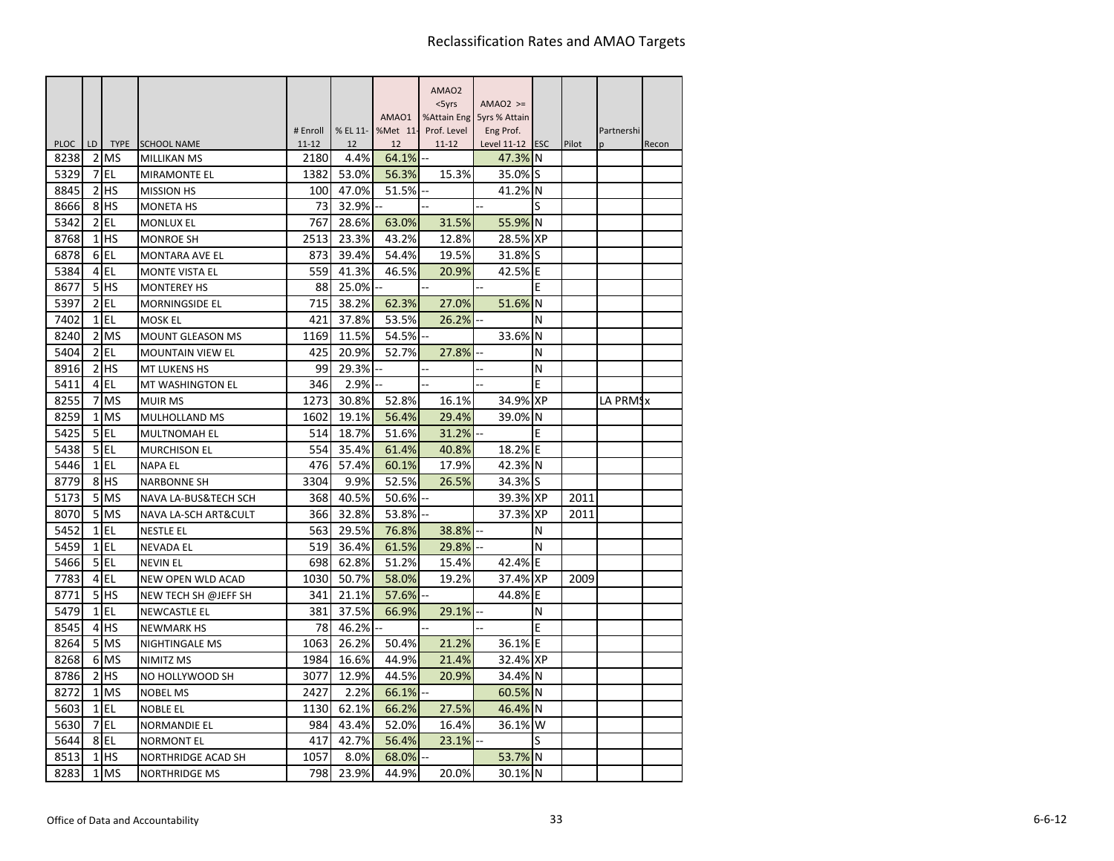|                     |                |                           |                                   |                   |            |             | AMAO <sub>2</sub> |                            |           |       |            |       |
|---------------------|----------------|---------------------------|-----------------------------------|-------------------|------------|-------------|-------------------|----------------------------|-----------|-------|------------|-------|
|                     |                |                           |                                   |                   |            |             | $<$ 5yrs          | $AMAO2$ >=                 |           |       |            |       |
|                     |                |                           |                                   |                   |            | AMAO1       |                   | %Attain Eng 5yrs % Attain  |           |       |            |       |
|                     |                |                           |                                   | # Enroll          | % EL 11-   | %Met 11-    | Prof. Level       | Eng Prof.                  |           |       | Partnershi |       |
| <b>PLOC</b><br>8238 | LD<br>2        | <b>TYPE</b><br><b>IMS</b> | <b>SCHOOL NAME</b><br>MILLIKAN MS | $11 - 12$<br>2180 | 12<br>4.4% | 12<br>64.1% | $11 - 12$<br>$-$  | Level 11-12 ESC<br>47.3% N |           | Pilot | D          | Recon |
| 5329                | 7              | EL                        | <b>MIRAMONTE EL</b>               | 1382              | 53.0%      | 56.3%       | 15.3%             | 35.0%                      | lS        |       |            |       |
| 8845                |                | $2$ HS                    | <b>MISSION HS</b>                 | 100               | 47.0%      | 51.5%       |                   | 41.2%                      | N         |       |            |       |
| 8666                |                | 8 <sup>HS</sup>           | <b>MONETA HS</b>                  | 73                | 32.9%      |             |                   |                            | S         |       |            |       |
| 5342                | $\overline{2}$ | EL                        | <b>MONLUX EL</b>                  | 767               | 28.6%      | 63.0%       | 31.5%             | 55.9%                      | N         |       |            |       |
| 8768                | $1\vert$       | <b>I</b> HS               | <b>MONROE SH</b>                  | 2513              | 23.3%      | 43.2%       | 12.8%             | 28.5%                      | <b>XP</b> |       |            |       |
| 6878                |                | 6EL                       | <b>MONTARA AVE EL</b>             | 873               | 39.4%      | 54.4%       | 19.5%             | 31.8%                      | lS        |       |            |       |
| 5384                | $\overline{4}$ | EL                        | <b>MONTE VISTA EL</b>             | 559               | 41.3%      | 46.5%       | 20.9%             | 42.5%                      | E         |       |            |       |
| 8677                |                | 5H                        | <b>MONTEREY HS</b>                | 88                | 25.0%      |             |                   |                            | E         |       |            |       |
| 5397                |                | $2$ EL                    | <b>MORNINGSIDE EL</b>             | 715               | 38.2%      | 62.3%       | 27.0%             | 51.6%                      | N         |       |            |       |
| 7402                |                | $1$ $EL$                  | <b>MOSK EL</b>                    | 421               | 37.8%      | 53.5%       | 26.2%             |                            | N         |       |            |       |
| 8240                | $\overline{2}$ | <b>MS</b>                 | <b>MOUNT GLEASON MS</b>           | 1169              | 11.5%      | 54.5%       |                   | 33.6%                      | N         |       |            |       |
| 5404                | $\overline{2}$ | <b>EL</b>                 | <b>MOUNTAIN VIEW EL</b>           | 425               | 20.9%      | 52.7%       | 27.8%             |                            | N         |       |            |       |
| 8916                | $\overline{2}$ | <b>HS</b>                 | <b>MT LUKENS HS</b>               | 99                | 29.3%      |             |                   |                            | N         |       |            |       |
| 5411                | 4              | <b>EL</b>                 | MT WASHINGTON EL                  | 346               | 2.9%       |             |                   |                            | E         |       |            |       |
| 8255                |                | 7 MS                      | <b>MUIR MS</b>                    | 1273              | 30.8%      | 52.8%       | 16.1%             | 34.9% XP                   |           |       | LA PRMS x  |       |
| 8259                | $\mathbf{1}$   | <b>MS</b>                 | MULHOLLAND MS                     | 1602              | 19.1%      | 56.4%       | 29.4%             | 39.0%                      | N         |       |            |       |
| 5425                | 5              | l EL                      | <b>MULTNOMAH EL</b>               | 514               | 18.7%      | 51.6%       | 31.2%             |                            | E         |       |            |       |
| 5438                | 5 <sub>l</sub> | EL                        | <b>MURCHISON EL</b>               | 554               | 35.4%      | 61.4%       | 40.8%             | 18.2%                      | E         |       |            |       |
| 5446                |                | $1$ EL                    | <b>NAPA EL</b>                    | 476               | 57.4%      | 60.1%       | 17.9%             | 42.3%                      | N         |       |            |       |
| 8779                |                | 8 <sub>IHS</sub>          | <b>NARBONNE SH</b>                | 3304              | 9.9%       | 52.5%       | 26.5%             | 34.3%                      | lS        |       |            |       |
| 5173                | 5              | <b>MS</b>                 | NAVA LA-BUS&TECH SCH              | 368               | 40.5%      | 50.6%       |                   | 39.3% XP                   |           | 2011  |            |       |
| 8070                |                | 5 MS                      | NAVA LA-SCH ART&CULT              | 366               | 32.8%      | 53.8%       |                   | 37.3%                      | <b>XP</b> | 2011  |            |       |
| 5452                | $\mathbf{1}$   | EL                        | <b>NESTLE EL</b>                  | 563               | 29.5%      | 76.8%       | 38.8%             |                            | N         |       |            |       |
| 5459                | $\mathbf{1}$   | EL                        | <b>NEVADA EL</b>                  | 519               | 36.4%      | 61.5%       | 29.8%             |                            | N         |       |            |       |
| 5466                | 5 <sub>l</sub> | l EL                      | <b>NEVIN EL</b>                   | 698               | 62.8%      | 51.2%       | 15.4%             | 42.4%                      | E         |       |            |       |
| 7783                | $\overline{4}$ | EL                        | NEW OPEN WLD ACAD                 | 1030              | 50.7%      | 58.0%       | 19.2%             | 37.4%                      | <b>XP</b> | 2009  |            |       |
| 8771                | 5              | <b>HS</b>                 | NEW TECH SH @JEFF SH              | 341               | 21.1%      | 57.6%       |                   | 44.8%                      | Ε         |       |            |       |
| 5479                | $\mathbf{1}$   | EL                        | <b>NEWCASTLE EL</b>               | 381               | 37.5%      | 66.9%       | 29.1%             |                            | N         |       |            |       |
| 8545                |                | 4 <sub>HS</sub>           | <b>NEWMARK HS</b>                 | 78                | 46.2%      |             |                   |                            | E         |       |            |       |
| 8264                | 5              | <b>MS</b>                 | <b>NIGHTINGALE MS</b>             | 1063              | 26.2%      | 50.4%       | 21.2%             | 36.1%                      | E         |       |            |       |
| 8268                |                | 6 MS                      | NIMITZ MS                         | 1984              | 16.6%      | 44.9%       | 21.4%             | 32.4% XP                   |           |       |            |       |
| 8786                | $\overline{2}$ | <b>HS</b>                 | NO HOLLYWOOD SH                   | 3077              | 12.9%      | 44.5%       | 20.9%             | 34.4%                      | <b>N</b>  |       |            |       |
| 8272                | 1              | <b>MS</b>                 | <b>NOBEL MS</b>                   | 2427              | 2.2%       | 66.1%       |                   | 60.5%                      | N         |       |            |       |
| 5603                | 1              | l EL                      | <b>NOBLE EL</b>                   | 1130              | 62.1%      | 66.2%       | 27.5%             | 46.4%                      | N         |       |            |       |
| 5630                | 7              | <b>EL</b>                 | <b>NORMANDIE EL</b>               | 984               | 43.4%      | 52.0%       | 16.4%             | 36.1%                      | W         |       |            |       |
| 5644                |                | 8EL                       | <b>NORMONT EL</b>                 | 417               | 42.7%      | 56.4%       | 23.1%             |                            | S         |       |            |       |
| 8513                |                | 1 <sub>HS</sub>           | <b>NORTHRIDGE ACAD SH</b>         | 1057              | 8.0%       | 68.0%       |                   | 53.7%                      | N         |       |            |       |
| 8283                | 1              | <b>MS</b>                 | <b>NORTHRIDGE MS</b>              | 798               | 23.9%      | 44.9%       | 20.0%             | 30.1%                      | ΙN        |       |            |       |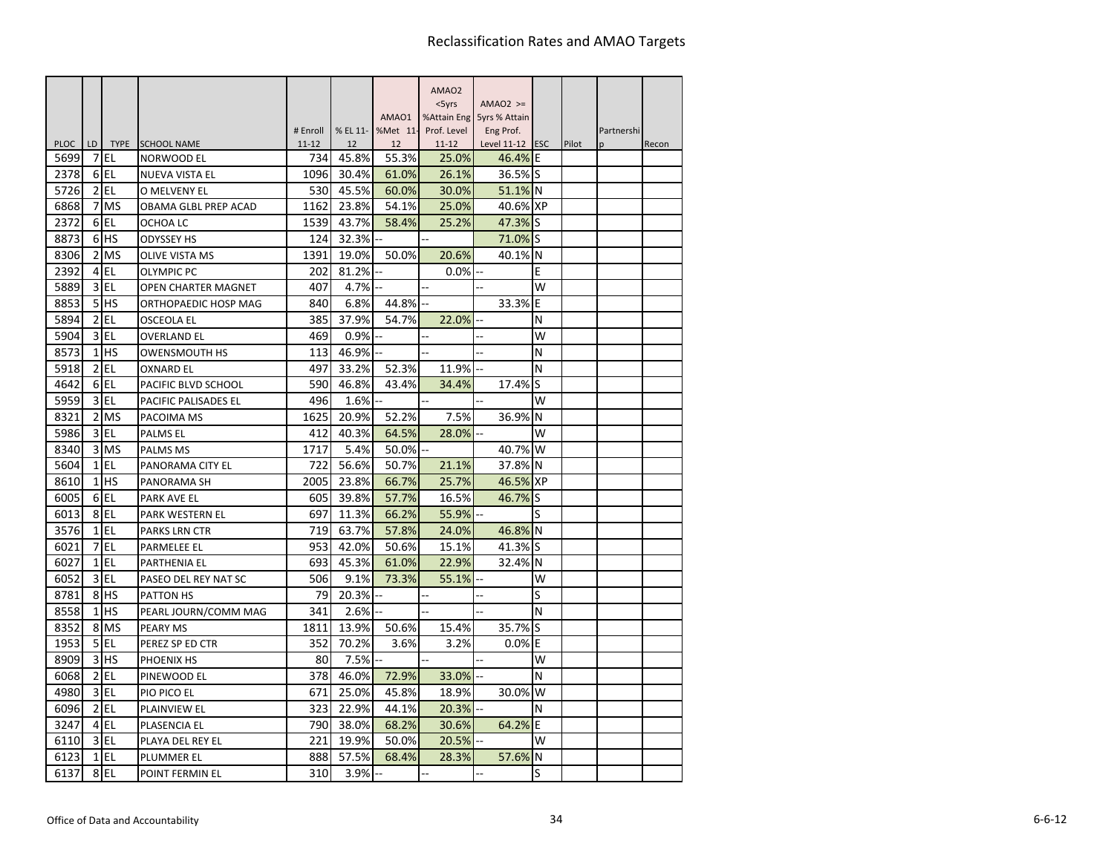|                                 |                          |                                  |                  |             |             | AMAO <sub>2</sub>  |                            |    |       |            |       |
|---------------------------------|--------------------------|----------------------------------|------------------|-------------|-------------|--------------------|----------------------------|----|-------|------------|-------|
|                                 |                          |                                  |                  |             |             | $<$ 5yrs           | $AMAO2$ >=                 |    |       |            |       |
|                                 |                          |                                  |                  |             | AMAO1       |                    | %Attain Eng 5yrs % Attain  |    |       |            |       |
|                                 |                          |                                  | # Enroll         | % EL 11-    | %Met 11-    | Prof. Level        | Eng Prof.                  |    |       | Partnershi |       |
| <b>PLOC</b><br>LD.<br>5699<br>7 | <b>TYPE</b><br><b>EL</b> | <b>SCHOOL NAME</b><br>NORWOOD EL | $11 - 12$<br>734 | 12<br>45.8% | 12<br>55.3% | $11 - 12$<br>25.0% | Level $11-12$ ESC<br>46.4% | ΙE | Pilot | n          | Recon |
| 2378                            | 6 <sub>IEL</sub>         | NUEVA VISTA EL                   | 1096             | 30.4%       | 61.0%       | 26.1%              | 36.5% S                    |    |       |            |       |
| 5726                            | $2$ EL                   | O MELVENY EL                     | 530              | 45.5%       | 60.0%       | 30.0%              | 51.1% N                    |    |       |            |       |
| 6868<br>7                       | <b>IMS</b>               | OBAMA GLBL PREP ACAD             | 1162             | 23.8%       | 54.1%       | 25.0%              | 40.6% XP                   |    |       |            |       |
| 2372<br>6                       | EL                       | OCHOA LC                         | 1539             | 43.7%       | 58.4%       | 25.2%              | 47.3% S                    |    |       |            |       |
| 8873                            | 6 <sup>HS</sup>          | <b>ODYSSEY HS</b>                | 124              | 32.3%       |             |                    | 71.0%                      | lS |       |            |       |
| 8306<br>$\overline{2}$          | <b>MS</b>                | <b>OLIVE VISTA MS</b>            | 1391             | 19.0%       | 50.0%       | 20.6%              | 40.1%                      | N  |       |            |       |
| 2392<br>$\overline{4}$          | EL                       | <b>OLYMPIC PC</b>                | 202              | 81.2%       |             | 0.0%               |                            | E  |       |            |       |
| 5889<br>$\overline{3}$          | EL                       | OPEN CHARTER MAGNET              | 407              | 4.7%        |             |                    |                            | W  |       |            |       |
| 5 <sup>1</sup><br>8853          | <b>HS</b>                | ORTHOPAEDIC HOSP MAG             | 840              | 6.8%        | 44.8%       |                    | 33.3%                      | E  |       |            |       |
| $\overline{2}$<br>5894          | l EL                     | OSCEOLA EL                       | 385              | 37.9%       | 54.7%       | 22.0%              |                            | N  |       |            |       |
| 3<br>5904                       | EL                       | <b>OVERLAND EL</b>               | 469              | 0.9%        |             |                    | Ξ.                         | W  |       |            |       |
| 8573<br>$\mathbf{1}$            | lhs                      | <b>OWENSMOUTH HS</b>             | 113              | 46.9%       |             |                    |                            | N  |       |            |       |
| 5918                            | $2$ EL                   | <b>OXNARD EL</b>                 | 497              | 33.2%       | 52.3%       | 11.9%              |                            | N  |       |            |       |
| 4642                            | 6EL                      | PACIFIC BLVD SCHOOL              | 590              | 46.8%       | 43.4%       | 34.4%              | 17.4%                      | S  |       |            |       |
| 5959<br>$\overline{3}$          | l EL                     | PACIFIC PALISADES EL             | 496              | 1.6%        |             |                    |                            | w  |       |            |       |
| 8321                            | 2 MS                     | PACOIMA MS                       | 1625             | 20.9%       | 52.2%       | 7.5%               | 36.9%                      | N  |       |            |       |
| 5986                            | 3 EL                     | <b>PALMSEL</b>                   | 412              | 40.3%       | 64.5%       | 28.0%              |                            | W  |       |            |       |
| 8340<br>3                       | <b>MS</b>                | <b>PALMS MS</b>                  | 1717             | 5.4%        | 50.0%       |                    | 40.7%                      | W  |       |            |       |
| 5604                            | $1$ EL                   | PANORAMA CITY EL                 | 722              | 56.6%       | 50.7%       | 21.1%              | 37.8% N                    |    |       |            |       |
| 8610                            | $1$ HS                   | PANORAMA SH                      | 2005             | 23.8%       | 66.7%       | 25.7%              | 46.5% XP                   |    |       |            |       |
| 6005<br>6                       | EL                       | <b>PARK AVE EL</b>               | 605              | 39.8%       | 57.7%       | 16.5%              | 46.7%                      | lS |       |            |       |
| 6013                            | 8EL                      | PARK WESTERN EL                  | 697              | 11.3%       | 66.2%       | 55.9%              |                            | S  |       |            |       |
| 3576                            | $1$ EL                   | <b>PARKS LRN CTR</b>             | 719              | 63.7%       | 57.8%       | 24.0%              | 46.8% N                    |    |       |            |       |
| 6021<br>7                       | EL                       | <b>PARMELEE EL</b>               | 953              | 42.0%       | 50.6%       | 15.1%              | 41.3%                      | S  |       |            |       |
| 6027<br>$1\overline{ }$         | EL                       | <b>PARTHENIA EL</b>              | 693              | 45.3%       | 61.0%       | 22.9%              | 32.4%                      | N  |       |            |       |
| 6052                            | 3 EL                     | PASEO DEL REY NAT SC             | 506              | 9.1%        | 73.3%       | 55.1%              |                            | W  |       |            |       |
| 8781                            | 8 <sup>HS</sup>          | <b>PATTON HS</b>                 | 79               | 20.3%       |             |                    |                            | S  |       |            |       |
| $\mathbf{1}$<br>8558            | lhs                      | PEARL JOURN/COMM MAG             | 341              | 2.6%        |             |                    |                            | N  |       |            |       |
| 8352                            | 8 MS                     | <b>PEARY MS</b>                  | 1811             | 13.9%       | 50.6%       | 15.4%              | 35.7%                      | S  |       |            |       |
| 1953<br>5                       | l EL                     | PEREZ SP ED CTR                  | 352              | 70.2%       | 3.6%        | 3.2%               | 0.0%                       | E  |       |            |       |
| 8909<br>3                       | lhs                      | PHOENIX HS                       | 80               | 7.5%        |             |                    |                            | W  |       |            |       |
| $\overline{2}$<br>6068          | EL                       | PINEWOOD EL                      | 378              | 46.0%       | 72.9%       | 33.0%              |                            | N  |       |            |       |
| 4980<br>$\overline{3}$          | EL                       | PIO PICO EL                      | 671              | 25.0%       | 45.8%       | 18.9%              | 30.0%                      | W  |       |            |       |
| 6096                            | $2$ EL                   | <b>PLAINVIEW EL</b>              | 323              | 22.9%       | 44.1%       | 20.3%              |                            | N  |       |            |       |
| 3247<br>4                       | l EL                     | PLASENCIA EL                     | 790              | 38.0%       | 68.2%       | 30.6%              | 64.2%                      | E  |       |            |       |
| 6110                            | $3$ EL                   | PLAYA DEL REY EL                 | 221              | 19.9%       | 50.0%       | 20.5%              |                            | W  |       |            |       |
| 6123                            | $1$ $EL$                 | <b>PLUMMER EL</b>                | 888              | 57.5%       | 68.4%       | 28.3%              | 57.6%                      | N  |       |            |       |
| 6137                            | 8EL                      | POINT FERMIN EL                  | 310              | 3.9%        |             |                    | ä,                         | S  |       |            |       |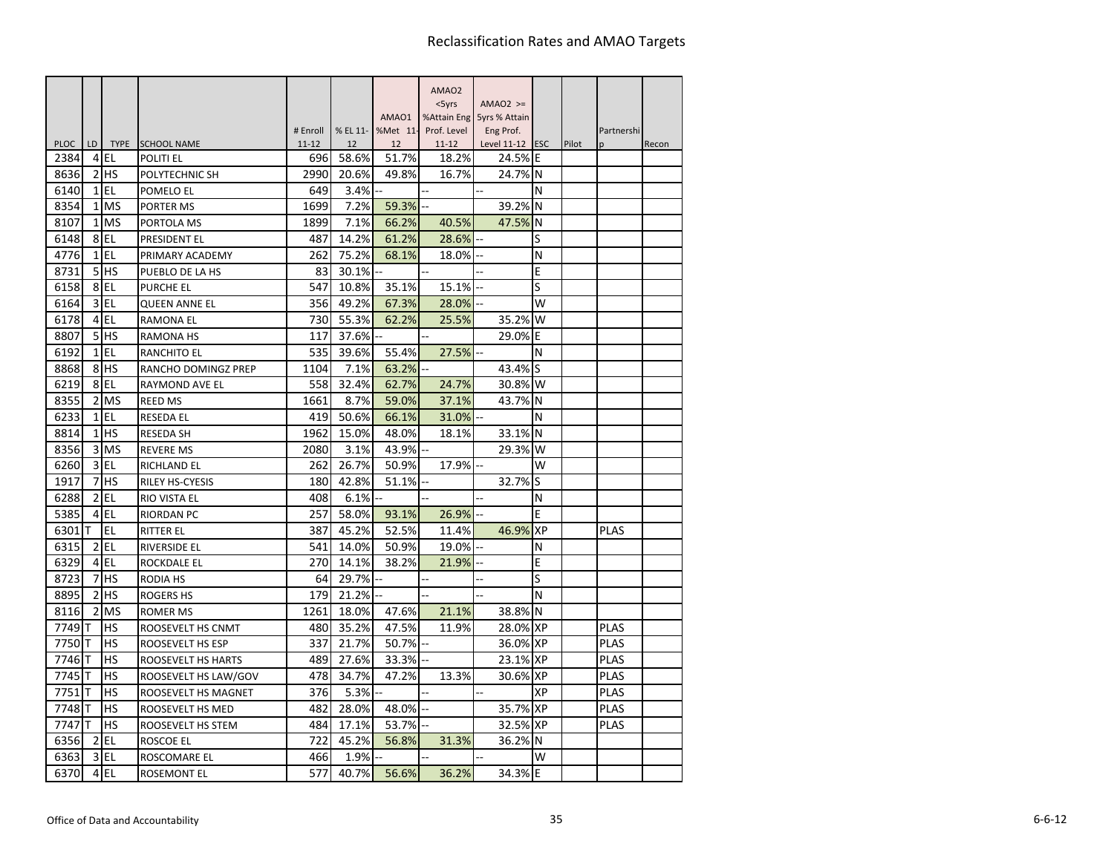|                     |                      |                 |                               |                  |             |             | AMAO <sub>2</sub>  |                           |           |       |             |       |
|---------------------|----------------------|-----------------|-------------------------------|------------------|-------------|-------------|--------------------|---------------------------|-----------|-------|-------------|-------|
|                     |                      |                 |                               |                  |             |             | $<$ 5yrs           | $AMAO2$ >=                |           |       |             |       |
|                     |                      |                 |                               |                  |             | AMAO1       |                    | %Attain Eng 5yrs % Attain |           |       |             |       |
|                     |                      |                 |                               | # Enroll         | % EL 11-    | %Met 11-    | Prof. Level        | Eng Prof.                 |           |       | Partnershi  |       |
| <b>PLOC</b><br>2384 | LD<br>$\overline{4}$ | l EL            | TYPE SCHOOL NAME<br>POLITI EL | $11 - 12$<br>696 | 12<br>58.6% | 12<br>51.7% | $11 - 12$<br>18.2% | Level 11-12 ESC<br>24.5%  | E         | Pilot | n           | Recon |
| 8636                | 2                    | <b>IHS</b>      | POLYTECHNIC SH                | 2990             | 20.6%       | 49.8%       | 16.7%              | 24.7% N                   |           |       |             |       |
| 6140                |                      | $1$ $EL$        | POMELO EL                     | 649              | 3.4%        |             |                    |                           | N         |       |             |       |
| 8354                |                      | 1 MS            | PORTER MS                     | 1699             | 7.2%        | 59.3%       |                    | 39.2%                     | N         |       |             |       |
| 8107                | $1\overline{ }$      | <b>MS</b>       | PORTOLA MS                    | 1899             | 7.1%        | 66.2%       | 40.5%              | 47.5% N                   |           |       |             |       |
| 6148                |                      | 8EL             | <b>PRESIDENT EL</b>           | 487              | 14.2%       | 61.2%       | 28.6%              |                           | S         |       |             |       |
| 4776                |                      | $1$ EL          | PRIMARY ACADEMY               | 262              | 75.2%       | 68.1%       | 18.0%              |                           | N         |       |             |       |
| 8731                |                      | 5 <sup>HS</sup> | PUEBLO DE LA HS               | 83               | 30.1%       |             |                    |                           | E         |       |             |       |
| 6158                |                      | 8EL             | <b>PURCHE EL</b>              | 547              | 10.8%       | 35.1%       | 15.1%              |                           | S         |       |             |       |
| 6164                | $\overline{3}$       | EL              | <b>QUEEN ANNE EL</b>          | 356              | 49.2%       | 67.3%       | 28.0%              |                           | W         |       |             |       |
| 6178                |                      | 4 EL            | <b>RAMONA EL</b>              | 730              | 55.3%       | 62.2%       | 25.5%              | 35.2%                     | W         |       |             |       |
| 8807                | 5                    | <b>HS</b>       | <b>RAMONA HS</b>              | 117              | 37.6%       |             |                    | 29.0%                     | E         |       |             |       |
| 6192                | $\mathbf{1}$         | l EL            | <b>RANCHITO EL</b>            | 535              | 39.6%       | 55.4%       | 27.5%              |                           | N         |       |             |       |
| 8868                |                      | 8 <sub>HS</sub> | RANCHO DOMINGZ PREP           | 1104             | 7.1%        | 63.2%       |                    | 43.4%                     | lS        |       |             |       |
| 6219                |                      | 8EL             | RAYMOND AVE EL                | 558              | 32.4%       | 62.7%       | 24.7%              | 30.8%                     | W         |       |             |       |
| 8355                | $\overline{2}$       | <b>IMS</b>      | <b>REED MS</b>                | 1661             | 8.7%        | 59.0%       | 37.1%              | 43.7%                     | N         |       |             |       |
| 6233                |                      | $1$ EL          | <b>RESEDA EL</b>              | 419              | 50.6%       | 66.1%       | 31.0%              |                           | N         |       |             |       |
| 8814                |                      | $1$ $HS$        | <b>RESEDA SH</b>              | 1962             | 15.0%       | 48.0%       | 18.1%              | 33.1%                     | N         |       |             |       |
| 8356                | $\overline{3}$       | <b>MS</b>       | <b>REVERE MS</b>              | 2080             | 3.1%        | 43.9%       |                    | 29.3%                     | W         |       |             |       |
| 6260                |                      | $3$ EL          | RICHLAND EL                   | 262              | 26.7%       | 50.9%       | 17.9%              |                           | W         |       |             |       |
| 1917                |                      | 7 <sup>HS</sup> | RILEY HS-CYESIS               | 180              | 42.8%       | 51.1%       |                    | 32.7%                     | S         |       |             |       |
| 6288                | $\overline{2}$       | <b>EL</b>       | <b>RIO VISTA EL</b>           | 408              | 6.1%        |             |                    |                           | N         |       |             |       |
| 5385                | 4                    | EL              | <b>RIORDAN PC</b>             | 257              | 58.0%       | 93.1%       | 26.9%              |                           | E         |       |             |       |
| 6301                |                      | <b>EL</b>       | <b>RITTER EL</b>              | 387              | 45.2%       | 52.5%       | 11.4%              | 46.9%                     | <b>XP</b> |       | <b>PLAS</b> |       |
| 6315                | 2                    | EL              | <b>RIVERSIDE EL</b>           | 541              | 14.0%       | 50.9%       | 19.0%              |                           | N         |       |             |       |
| 6329                | $\overline{4}$       | EL              | <b>ROCKDALE EL</b>            | 270              | 14.1%       | 38.2%       | 21.9%              |                           | E         |       |             |       |
| 8723                | 7                    | <b>HS</b>       | RODIA HS                      | 64               | 29.7%       |             |                    |                           | S         |       |             |       |
| 8895                | 2                    | <b>HS</b>       | <b>ROGERS HS</b>              | 179              | 21.2%       |             |                    |                           | N         |       |             |       |
| 8116                | $\overline{2}$       | <b>MS</b>       | <b>ROMER MS</b>               | 1261             | 18.0%       | 47.6%       | 21.1%              | 38.8% N                   |           |       |             |       |
| 7749                | IΤ                   | <b>HS</b>       | ROOSEVELT HS CNMT             | 480              | 35.2%       | 47.5%       | 11.9%              | 28.0% XP                  |           |       | <b>PLAS</b> |       |
| 7750                | ΙT                   | <b>HS</b>       | ROOSEVELT HS ESP              | 337              | 21.7%       | 50.7%       |                    | 36.0% XP                  |           |       | <b>PLAS</b> |       |
| 7746                |                      | <b>HS</b>       | ROOSEVELT HS HARTS            | 489              | 27.6%       | 33.3%       |                    | 23.1% XP                  |           |       | <b>PLAS</b> |       |
| 7745                | lΤ                   | HS              | ROOSEVELT HS LAW/GOV          | 478              | 34.7%       | 47.2%       | 13.3%              | 30.6% XP                  |           |       | <b>PLAS</b> |       |
| 7751                | т                    | HS              | ROOSEVELT HS MAGNET           | 376              | 5.3%        |             |                    |                           | XP        |       | <b>PLAS</b> |       |
| 7748                | lΤ                   | <b>HS</b>       | ROOSEVELT HS MED              | 482              | 28.0%       | 48.0%       |                    | 35.7% XP                  |           |       | <b>PLAS</b> |       |
| 7747                | т                    | HS              | ROOSEVELT HS STEM             | 484              | 17.1%       | 53.7%       |                    | 32.5% XP                  |           |       | <b>PLAS</b> |       |
| 6356                | 2                    | l EL            | ROSCOE EL                     | 722              | 45.2%       | 56.8%       | 31.3%              | 36.2%                     | N         |       |             |       |
| 6363                | 3                    | l EL            | ROSCOMARE EL                  | 466              | 1.9%        |             |                    |                           | W         |       |             |       |
| 6370                |                      | $4$ EL          | <b>ROSEMONT EL</b>            | 577              | 40.7%       | 56.6%       | 36.2%              | 34.3%                     | ΙE        |       |             |       |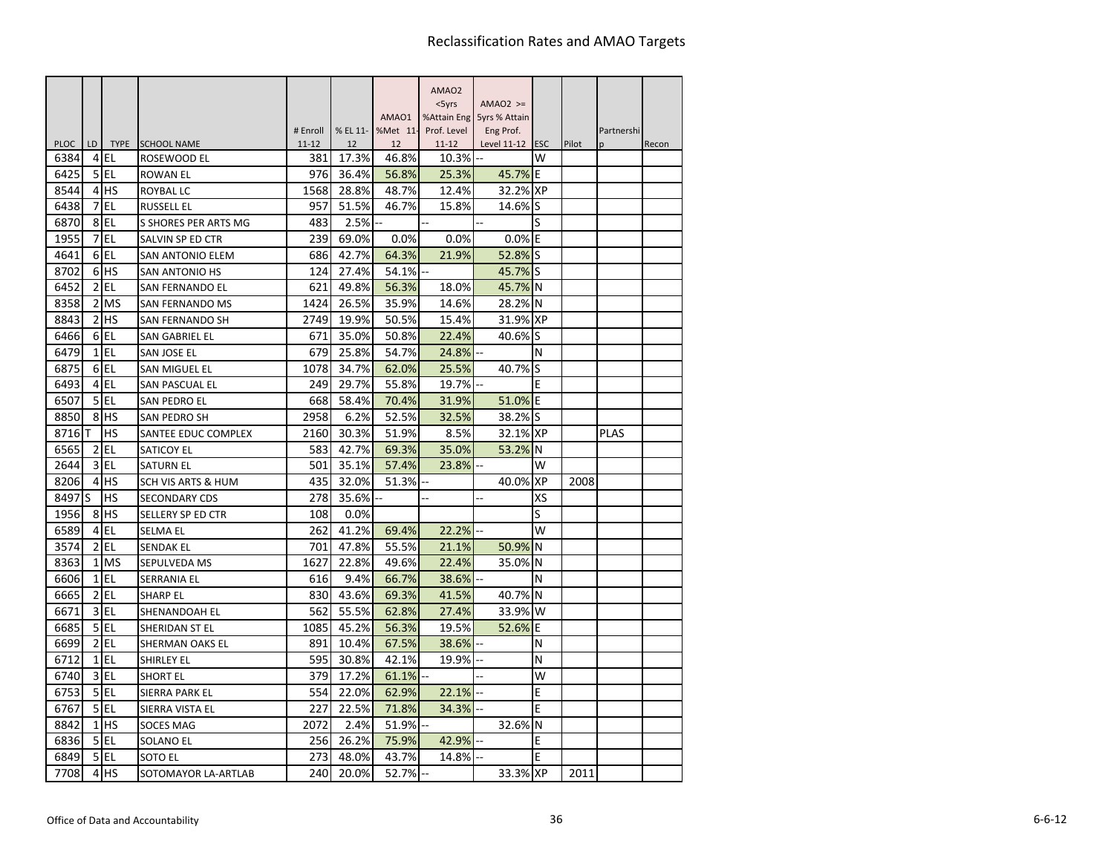| $<$ 5yrs<br>$AMAO2$ >=<br>AMAO1<br>%Attain Eng 5yrs % Attain<br># Enroll<br>% EL 11-<br>%Met 11-<br>Prof. Level<br>Eng Prof.<br>Partnershi<br><b>PLOC</b><br><b>TYPE</b><br>LD<br><b>SCHOOL NAME</b><br>$11 - 12$<br>12<br>$11 - 12$<br>Level 11-12<br><b>ESC</b><br>Pilot<br>12<br>Recon<br>n<br>W<br>6384<br>l EL<br>17.3%<br>46.8%<br>10.3%<br>4<br>381<br>ROSEWOOD EL<br>45.7%<br>6425<br>5<br>l El<br>976<br>36.4%<br>56.8%<br>25.3%<br>ΙE<br><b>ROWAN EL</b><br>lhs<br>8544<br>1568<br>32.2%<br><b>XP</b><br>4<br>28.8%<br>48.7%<br>12.4%<br>ROYBAL LC<br>l EL<br>6438<br>7<br>957<br>51.5%<br>46.7%<br>15.8%<br>14.6%<br>lS<br><b>RUSSELL EL</b><br>8<br>l EL<br>6870<br>483<br>2.5%<br>S<br>S SHORES PER ARTS MG<br>1955<br>EL<br>0.0%<br>7<br>239<br>69.0%<br>0.0%<br>0.0%<br>ΙE<br>SALVIN SP ED CTR<br>EL<br>4641<br>6<br>686<br>42.7%<br>52.8%<br>lS<br>64.3%<br>21.9%<br><b>SAN ANTONIO ELEM</b><br>8702<br><b>HS</b><br>6<br>124<br>27.4%<br>54.1%<br>45.7% S<br><b>SAN ANTONIO HS</b><br><b>EL</b><br>6452<br>2<br>621<br>49.8%<br>45.7% N<br>SAN FERNANDO EL<br>56.3%<br>18.0%<br>$\overline{2}$<br><b>MS</b><br>8358<br>1424<br>26.5%<br>35.9%<br>14.6%<br>28.2%<br>N<br><b>SAN FERNANDO MS</b><br>lhs<br>$\overline{2}$<br>31.9% XP<br>8843<br><b>SAN FERNANDO SH</b><br>2749<br>19.9%<br>50.5%<br>15.4%<br>EL<br>6466<br>6<br>671<br>35.0%<br>50.8%<br>22.4%<br>40.6%<br>S<br>SAN GABRIEL EL<br>6479<br>$1\overline{ }$<br>EL<br>679<br>25.8%<br>54.7%<br>24.8%<br>N<br>SAN JOSE EL<br>6875<br>6 <sub>IEL</sub><br>25.5%<br>40.7%<br>S<br>1078<br>34.7%<br>62.0%<br><b>SAN MIGUEL EL</b><br>EL<br>6493<br>249<br>29.7%<br>19.7%<br>4<br><b>SAN PASCUAL EL</b><br>55.8%<br>E<br>l EL<br>51.0%<br>6507<br>5 <sub>l</sub><br>668<br>58.4%<br>70.4%<br>31.9%<br>E<br>SAN PEDRO EL<br>8 <sup>HS</sup><br>2958<br>6.2%<br>32.5%<br>38.2%<br>S<br>8850<br>52.5%<br>SAN PEDRO SH<br><b>HS</b><br><b>PLAS</b><br>8716<br>2160<br>30.3%<br>51.9%<br>8.5%<br>32.1% XP<br>SANTEE EDUC COMPLEX<br>l EL<br>42.7%<br>35.0%<br>53.2%<br>6565<br>2<br>583<br>69.3%<br><b>SATICOY EL</b><br>IN<br>$3$ EL<br>2644<br>501<br>35.1%<br>57.4%<br>23.8%<br>W<br><b>SATURN EL</b><br><b>HS</b><br>435<br>32.0%<br>40.0%<br><b>XP</b><br>8206<br>$\overline{4}$<br>51.3%<br>2008<br><b>SCH VIS ARTS &amp; HUM</b><br><b>HS</b><br>8497<br>S<br>278<br>35.6%<br>XS<br>SECONDARY CDS<br><b>HS</b><br>1956<br>8<br>108<br>S<br>SELLERY SP ED CTR<br>0.0%<br>EL<br>W<br>6589<br>262<br>41.2%<br>22.2%<br>$\overline{4}$<br>69.4%<br><b>SELMA EL</b><br>EL<br>47.8%<br>50.9%<br>3574<br>2<br>701<br>55.5%<br>N<br><b>SENDAK EL</b><br>21.1%<br>8363<br><b>MS</b><br>1627<br>22.8%<br>35.0%<br>$\mathbf{1}$<br>49.6%<br>22.4%<br>N<br>SEPULVEDA MS<br>6606<br>l EL<br>616<br>9.4%<br>$\mathbf{1}$<br>66.7%<br>38.6%<br>N<br>SERRANIA EL<br>EL<br>40.7%<br>N<br>6665<br>$\overline{2}$<br>830<br>43.6%<br>69.3%<br>41.5%<br><b>SHARP EL</b><br><b>EL</b><br>3<br>33.9%<br>6671<br>SHENANDOAH EL<br>562<br>55.5%<br>62.8%<br>27.4%<br>W<br>5 <sub>EL</sub><br>52.6%<br>1085<br>45.2%<br>56.3%<br>19.5%<br>E<br>6685<br>SHERIDAN ST EL<br>$\overline{2}$<br>EL<br>6699<br>891<br>10.4%<br>67.5%<br>38.6%<br>N<br>SHERMAN OAKS EL<br>EL<br>6712<br>$\mathbf{1}$<br>595<br>30.8%<br>42.1%<br>19.9%<br>N<br><b>SHIRLEY EL</b><br>$\overline{3}$<br>EL<br>379<br>w<br>6740<br><b>SHORT EL</b><br>17.2%<br>61.1%<br>EL<br>5 <sup>1</sup><br>6753<br>554<br>22.0%<br>62.9%<br>22.1%<br>E<br><b>SIERRA PARK EL</b><br>5 EL<br>E<br>6767<br>SIERRA VISTA EL<br>227<br>22.5%<br>71.8%<br>34.3%<br>$\mathbf{1}$<br><b>HS</b><br>8842<br>2072<br>2.4%<br>51.9%<br>N<br><b>SOCES MAG</b><br>32.6%<br>$5$ EL<br>256<br>26.2%<br>75.9%<br>42.9%<br>6836<br><b>SOLANO EL</b><br>E<br>6849<br>l EL<br>273<br>48.0%<br>14.8%<br>E<br>5<br>43.7%<br>SOTO EL |  |  |  | AMAO <sub>2</sub> |  |  |  |
|---------------------------------------------------------------------------------------------------------------------------------------------------------------------------------------------------------------------------------------------------------------------------------------------------------------------------------------------------------------------------------------------------------------------------------------------------------------------------------------------------------------------------------------------------------------------------------------------------------------------------------------------------------------------------------------------------------------------------------------------------------------------------------------------------------------------------------------------------------------------------------------------------------------------------------------------------------------------------------------------------------------------------------------------------------------------------------------------------------------------------------------------------------------------------------------------------------------------------------------------------------------------------------------------------------------------------------------------------------------------------------------------------------------------------------------------------------------------------------------------------------------------------------------------------------------------------------------------------------------------------------------------------------------------------------------------------------------------------------------------------------------------------------------------------------------------------------------------------------------------------------------------------------------------------------------------------------------------------------------------------------------------------------------------------------------------------------------------------------------------------------------------------------------------------------------------------------------------------------------------------------------------------------------------------------------------------------------------------------------------------------------------------------------------------------------------------------------------------------------------------------------------------------------------------------------------------------------------------------------------------------------------------------------------------------------------------------------------------------------------------------------------------------------------------------------------------------------------------------------------------------------------------------------------------------------------------------------------------------------------------------------------------------------------------------------------------------------------------------------------------------------------------------------------------------------------------------------------------------------------------------------------------------------------------------------------------------------------------------------------------------------------------------------------------------------------------------------------------------------------------------------------------------------------------------------------------------------------------------------------------------------------------------------------------------------------------------------------------------------------------------------------------------------------------------------------------|--|--|--|-------------------|--|--|--|
|                                                                                                                                                                                                                                                                                                                                                                                                                                                                                                                                                                                                                                                                                                                                                                                                                                                                                                                                                                                                                                                                                                                                                                                                                                                                                                                                                                                                                                                                                                                                                                                                                                                                                                                                                                                                                                                                                                                                                                                                                                                                                                                                                                                                                                                                                                                                                                                                                                                                                                                                                                                                                                                                                                                                                                                                                                                                                                                                                                                                                                                                                                                                                                                                                                                                                                                                                                                                                                                                                                                                                                                                                                                                                                                                                                                                                           |  |  |  |                   |  |  |  |
|                                                                                                                                                                                                                                                                                                                                                                                                                                                                                                                                                                                                                                                                                                                                                                                                                                                                                                                                                                                                                                                                                                                                                                                                                                                                                                                                                                                                                                                                                                                                                                                                                                                                                                                                                                                                                                                                                                                                                                                                                                                                                                                                                                                                                                                                                                                                                                                                                                                                                                                                                                                                                                                                                                                                                                                                                                                                                                                                                                                                                                                                                                                                                                                                                                                                                                                                                                                                                                                                                                                                                                                                                                                                                                                                                                                                                           |  |  |  |                   |  |  |  |
|                                                                                                                                                                                                                                                                                                                                                                                                                                                                                                                                                                                                                                                                                                                                                                                                                                                                                                                                                                                                                                                                                                                                                                                                                                                                                                                                                                                                                                                                                                                                                                                                                                                                                                                                                                                                                                                                                                                                                                                                                                                                                                                                                                                                                                                                                                                                                                                                                                                                                                                                                                                                                                                                                                                                                                                                                                                                                                                                                                                                                                                                                                                                                                                                                                                                                                                                                                                                                                                                                                                                                                                                                                                                                                                                                                                                                           |  |  |  |                   |  |  |  |
|                                                                                                                                                                                                                                                                                                                                                                                                                                                                                                                                                                                                                                                                                                                                                                                                                                                                                                                                                                                                                                                                                                                                                                                                                                                                                                                                                                                                                                                                                                                                                                                                                                                                                                                                                                                                                                                                                                                                                                                                                                                                                                                                                                                                                                                                                                                                                                                                                                                                                                                                                                                                                                                                                                                                                                                                                                                                                                                                                                                                                                                                                                                                                                                                                                                                                                                                                                                                                                                                                                                                                                                                                                                                                                                                                                                                                           |  |  |  |                   |  |  |  |
|                                                                                                                                                                                                                                                                                                                                                                                                                                                                                                                                                                                                                                                                                                                                                                                                                                                                                                                                                                                                                                                                                                                                                                                                                                                                                                                                                                                                                                                                                                                                                                                                                                                                                                                                                                                                                                                                                                                                                                                                                                                                                                                                                                                                                                                                                                                                                                                                                                                                                                                                                                                                                                                                                                                                                                                                                                                                                                                                                                                                                                                                                                                                                                                                                                                                                                                                                                                                                                                                                                                                                                                                                                                                                                                                                                                                                           |  |  |  |                   |  |  |  |
|                                                                                                                                                                                                                                                                                                                                                                                                                                                                                                                                                                                                                                                                                                                                                                                                                                                                                                                                                                                                                                                                                                                                                                                                                                                                                                                                                                                                                                                                                                                                                                                                                                                                                                                                                                                                                                                                                                                                                                                                                                                                                                                                                                                                                                                                                                                                                                                                                                                                                                                                                                                                                                                                                                                                                                                                                                                                                                                                                                                                                                                                                                                                                                                                                                                                                                                                                                                                                                                                                                                                                                                                                                                                                                                                                                                                                           |  |  |  |                   |  |  |  |
|                                                                                                                                                                                                                                                                                                                                                                                                                                                                                                                                                                                                                                                                                                                                                                                                                                                                                                                                                                                                                                                                                                                                                                                                                                                                                                                                                                                                                                                                                                                                                                                                                                                                                                                                                                                                                                                                                                                                                                                                                                                                                                                                                                                                                                                                                                                                                                                                                                                                                                                                                                                                                                                                                                                                                                                                                                                                                                                                                                                                                                                                                                                                                                                                                                                                                                                                                                                                                                                                                                                                                                                                                                                                                                                                                                                                                           |  |  |  |                   |  |  |  |
|                                                                                                                                                                                                                                                                                                                                                                                                                                                                                                                                                                                                                                                                                                                                                                                                                                                                                                                                                                                                                                                                                                                                                                                                                                                                                                                                                                                                                                                                                                                                                                                                                                                                                                                                                                                                                                                                                                                                                                                                                                                                                                                                                                                                                                                                                                                                                                                                                                                                                                                                                                                                                                                                                                                                                                                                                                                                                                                                                                                                                                                                                                                                                                                                                                                                                                                                                                                                                                                                                                                                                                                                                                                                                                                                                                                                                           |  |  |  |                   |  |  |  |
|                                                                                                                                                                                                                                                                                                                                                                                                                                                                                                                                                                                                                                                                                                                                                                                                                                                                                                                                                                                                                                                                                                                                                                                                                                                                                                                                                                                                                                                                                                                                                                                                                                                                                                                                                                                                                                                                                                                                                                                                                                                                                                                                                                                                                                                                                                                                                                                                                                                                                                                                                                                                                                                                                                                                                                                                                                                                                                                                                                                                                                                                                                                                                                                                                                                                                                                                                                                                                                                                                                                                                                                                                                                                                                                                                                                                                           |  |  |  |                   |  |  |  |
|                                                                                                                                                                                                                                                                                                                                                                                                                                                                                                                                                                                                                                                                                                                                                                                                                                                                                                                                                                                                                                                                                                                                                                                                                                                                                                                                                                                                                                                                                                                                                                                                                                                                                                                                                                                                                                                                                                                                                                                                                                                                                                                                                                                                                                                                                                                                                                                                                                                                                                                                                                                                                                                                                                                                                                                                                                                                                                                                                                                                                                                                                                                                                                                                                                                                                                                                                                                                                                                                                                                                                                                                                                                                                                                                                                                                                           |  |  |  |                   |  |  |  |
|                                                                                                                                                                                                                                                                                                                                                                                                                                                                                                                                                                                                                                                                                                                                                                                                                                                                                                                                                                                                                                                                                                                                                                                                                                                                                                                                                                                                                                                                                                                                                                                                                                                                                                                                                                                                                                                                                                                                                                                                                                                                                                                                                                                                                                                                                                                                                                                                                                                                                                                                                                                                                                                                                                                                                                                                                                                                                                                                                                                                                                                                                                                                                                                                                                                                                                                                                                                                                                                                                                                                                                                                                                                                                                                                                                                                                           |  |  |  |                   |  |  |  |
|                                                                                                                                                                                                                                                                                                                                                                                                                                                                                                                                                                                                                                                                                                                                                                                                                                                                                                                                                                                                                                                                                                                                                                                                                                                                                                                                                                                                                                                                                                                                                                                                                                                                                                                                                                                                                                                                                                                                                                                                                                                                                                                                                                                                                                                                                                                                                                                                                                                                                                                                                                                                                                                                                                                                                                                                                                                                                                                                                                                                                                                                                                                                                                                                                                                                                                                                                                                                                                                                                                                                                                                                                                                                                                                                                                                                                           |  |  |  |                   |  |  |  |
|                                                                                                                                                                                                                                                                                                                                                                                                                                                                                                                                                                                                                                                                                                                                                                                                                                                                                                                                                                                                                                                                                                                                                                                                                                                                                                                                                                                                                                                                                                                                                                                                                                                                                                                                                                                                                                                                                                                                                                                                                                                                                                                                                                                                                                                                                                                                                                                                                                                                                                                                                                                                                                                                                                                                                                                                                                                                                                                                                                                                                                                                                                                                                                                                                                                                                                                                                                                                                                                                                                                                                                                                                                                                                                                                                                                                                           |  |  |  |                   |  |  |  |
|                                                                                                                                                                                                                                                                                                                                                                                                                                                                                                                                                                                                                                                                                                                                                                                                                                                                                                                                                                                                                                                                                                                                                                                                                                                                                                                                                                                                                                                                                                                                                                                                                                                                                                                                                                                                                                                                                                                                                                                                                                                                                                                                                                                                                                                                                                                                                                                                                                                                                                                                                                                                                                                                                                                                                                                                                                                                                                                                                                                                                                                                                                                                                                                                                                                                                                                                                                                                                                                                                                                                                                                                                                                                                                                                                                                                                           |  |  |  |                   |  |  |  |
|                                                                                                                                                                                                                                                                                                                                                                                                                                                                                                                                                                                                                                                                                                                                                                                                                                                                                                                                                                                                                                                                                                                                                                                                                                                                                                                                                                                                                                                                                                                                                                                                                                                                                                                                                                                                                                                                                                                                                                                                                                                                                                                                                                                                                                                                                                                                                                                                                                                                                                                                                                                                                                                                                                                                                                                                                                                                                                                                                                                                                                                                                                                                                                                                                                                                                                                                                                                                                                                                                                                                                                                                                                                                                                                                                                                                                           |  |  |  |                   |  |  |  |
|                                                                                                                                                                                                                                                                                                                                                                                                                                                                                                                                                                                                                                                                                                                                                                                                                                                                                                                                                                                                                                                                                                                                                                                                                                                                                                                                                                                                                                                                                                                                                                                                                                                                                                                                                                                                                                                                                                                                                                                                                                                                                                                                                                                                                                                                                                                                                                                                                                                                                                                                                                                                                                                                                                                                                                                                                                                                                                                                                                                                                                                                                                                                                                                                                                                                                                                                                                                                                                                                                                                                                                                                                                                                                                                                                                                                                           |  |  |  |                   |  |  |  |
|                                                                                                                                                                                                                                                                                                                                                                                                                                                                                                                                                                                                                                                                                                                                                                                                                                                                                                                                                                                                                                                                                                                                                                                                                                                                                                                                                                                                                                                                                                                                                                                                                                                                                                                                                                                                                                                                                                                                                                                                                                                                                                                                                                                                                                                                                                                                                                                                                                                                                                                                                                                                                                                                                                                                                                                                                                                                                                                                                                                                                                                                                                                                                                                                                                                                                                                                                                                                                                                                                                                                                                                                                                                                                                                                                                                                                           |  |  |  |                   |  |  |  |
|                                                                                                                                                                                                                                                                                                                                                                                                                                                                                                                                                                                                                                                                                                                                                                                                                                                                                                                                                                                                                                                                                                                                                                                                                                                                                                                                                                                                                                                                                                                                                                                                                                                                                                                                                                                                                                                                                                                                                                                                                                                                                                                                                                                                                                                                                                                                                                                                                                                                                                                                                                                                                                                                                                                                                                                                                                                                                                                                                                                                                                                                                                                                                                                                                                                                                                                                                                                                                                                                                                                                                                                                                                                                                                                                                                                                                           |  |  |  |                   |  |  |  |
|                                                                                                                                                                                                                                                                                                                                                                                                                                                                                                                                                                                                                                                                                                                                                                                                                                                                                                                                                                                                                                                                                                                                                                                                                                                                                                                                                                                                                                                                                                                                                                                                                                                                                                                                                                                                                                                                                                                                                                                                                                                                                                                                                                                                                                                                                                                                                                                                                                                                                                                                                                                                                                                                                                                                                                                                                                                                                                                                                                                                                                                                                                                                                                                                                                                                                                                                                                                                                                                                                                                                                                                                                                                                                                                                                                                                                           |  |  |  |                   |  |  |  |
|                                                                                                                                                                                                                                                                                                                                                                                                                                                                                                                                                                                                                                                                                                                                                                                                                                                                                                                                                                                                                                                                                                                                                                                                                                                                                                                                                                                                                                                                                                                                                                                                                                                                                                                                                                                                                                                                                                                                                                                                                                                                                                                                                                                                                                                                                                                                                                                                                                                                                                                                                                                                                                                                                                                                                                                                                                                                                                                                                                                                                                                                                                                                                                                                                                                                                                                                                                                                                                                                                                                                                                                                                                                                                                                                                                                                                           |  |  |  |                   |  |  |  |
|                                                                                                                                                                                                                                                                                                                                                                                                                                                                                                                                                                                                                                                                                                                                                                                                                                                                                                                                                                                                                                                                                                                                                                                                                                                                                                                                                                                                                                                                                                                                                                                                                                                                                                                                                                                                                                                                                                                                                                                                                                                                                                                                                                                                                                                                                                                                                                                                                                                                                                                                                                                                                                                                                                                                                                                                                                                                                                                                                                                                                                                                                                                                                                                                                                                                                                                                                                                                                                                                                                                                                                                                                                                                                                                                                                                                                           |  |  |  |                   |  |  |  |
|                                                                                                                                                                                                                                                                                                                                                                                                                                                                                                                                                                                                                                                                                                                                                                                                                                                                                                                                                                                                                                                                                                                                                                                                                                                                                                                                                                                                                                                                                                                                                                                                                                                                                                                                                                                                                                                                                                                                                                                                                                                                                                                                                                                                                                                                                                                                                                                                                                                                                                                                                                                                                                                                                                                                                                                                                                                                                                                                                                                                                                                                                                                                                                                                                                                                                                                                                                                                                                                                                                                                                                                                                                                                                                                                                                                                                           |  |  |  |                   |  |  |  |
|                                                                                                                                                                                                                                                                                                                                                                                                                                                                                                                                                                                                                                                                                                                                                                                                                                                                                                                                                                                                                                                                                                                                                                                                                                                                                                                                                                                                                                                                                                                                                                                                                                                                                                                                                                                                                                                                                                                                                                                                                                                                                                                                                                                                                                                                                                                                                                                                                                                                                                                                                                                                                                                                                                                                                                                                                                                                                                                                                                                                                                                                                                                                                                                                                                                                                                                                                                                                                                                                                                                                                                                                                                                                                                                                                                                                                           |  |  |  |                   |  |  |  |
|                                                                                                                                                                                                                                                                                                                                                                                                                                                                                                                                                                                                                                                                                                                                                                                                                                                                                                                                                                                                                                                                                                                                                                                                                                                                                                                                                                                                                                                                                                                                                                                                                                                                                                                                                                                                                                                                                                                                                                                                                                                                                                                                                                                                                                                                                                                                                                                                                                                                                                                                                                                                                                                                                                                                                                                                                                                                                                                                                                                                                                                                                                                                                                                                                                                                                                                                                                                                                                                                                                                                                                                                                                                                                                                                                                                                                           |  |  |  |                   |  |  |  |
|                                                                                                                                                                                                                                                                                                                                                                                                                                                                                                                                                                                                                                                                                                                                                                                                                                                                                                                                                                                                                                                                                                                                                                                                                                                                                                                                                                                                                                                                                                                                                                                                                                                                                                                                                                                                                                                                                                                                                                                                                                                                                                                                                                                                                                                                                                                                                                                                                                                                                                                                                                                                                                                                                                                                                                                                                                                                                                                                                                                                                                                                                                                                                                                                                                                                                                                                                                                                                                                                                                                                                                                                                                                                                                                                                                                                                           |  |  |  |                   |  |  |  |
|                                                                                                                                                                                                                                                                                                                                                                                                                                                                                                                                                                                                                                                                                                                                                                                                                                                                                                                                                                                                                                                                                                                                                                                                                                                                                                                                                                                                                                                                                                                                                                                                                                                                                                                                                                                                                                                                                                                                                                                                                                                                                                                                                                                                                                                                                                                                                                                                                                                                                                                                                                                                                                                                                                                                                                                                                                                                                                                                                                                                                                                                                                                                                                                                                                                                                                                                                                                                                                                                                                                                                                                                                                                                                                                                                                                                                           |  |  |  |                   |  |  |  |
|                                                                                                                                                                                                                                                                                                                                                                                                                                                                                                                                                                                                                                                                                                                                                                                                                                                                                                                                                                                                                                                                                                                                                                                                                                                                                                                                                                                                                                                                                                                                                                                                                                                                                                                                                                                                                                                                                                                                                                                                                                                                                                                                                                                                                                                                                                                                                                                                                                                                                                                                                                                                                                                                                                                                                                                                                                                                                                                                                                                                                                                                                                                                                                                                                                                                                                                                                                                                                                                                                                                                                                                                                                                                                                                                                                                                                           |  |  |  |                   |  |  |  |
|                                                                                                                                                                                                                                                                                                                                                                                                                                                                                                                                                                                                                                                                                                                                                                                                                                                                                                                                                                                                                                                                                                                                                                                                                                                                                                                                                                                                                                                                                                                                                                                                                                                                                                                                                                                                                                                                                                                                                                                                                                                                                                                                                                                                                                                                                                                                                                                                                                                                                                                                                                                                                                                                                                                                                                                                                                                                                                                                                                                                                                                                                                                                                                                                                                                                                                                                                                                                                                                                                                                                                                                                                                                                                                                                                                                                                           |  |  |  |                   |  |  |  |
|                                                                                                                                                                                                                                                                                                                                                                                                                                                                                                                                                                                                                                                                                                                                                                                                                                                                                                                                                                                                                                                                                                                                                                                                                                                                                                                                                                                                                                                                                                                                                                                                                                                                                                                                                                                                                                                                                                                                                                                                                                                                                                                                                                                                                                                                                                                                                                                                                                                                                                                                                                                                                                                                                                                                                                                                                                                                                                                                                                                                                                                                                                                                                                                                                                                                                                                                                                                                                                                                                                                                                                                                                                                                                                                                                                                                                           |  |  |  |                   |  |  |  |
|                                                                                                                                                                                                                                                                                                                                                                                                                                                                                                                                                                                                                                                                                                                                                                                                                                                                                                                                                                                                                                                                                                                                                                                                                                                                                                                                                                                                                                                                                                                                                                                                                                                                                                                                                                                                                                                                                                                                                                                                                                                                                                                                                                                                                                                                                                                                                                                                                                                                                                                                                                                                                                                                                                                                                                                                                                                                                                                                                                                                                                                                                                                                                                                                                                                                                                                                                                                                                                                                                                                                                                                                                                                                                                                                                                                                                           |  |  |  |                   |  |  |  |
|                                                                                                                                                                                                                                                                                                                                                                                                                                                                                                                                                                                                                                                                                                                                                                                                                                                                                                                                                                                                                                                                                                                                                                                                                                                                                                                                                                                                                                                                                                                                                                                                                                                                                                                                                                                                                                                                                                                                                                                                                                                                                                                                                                                                                                                                                                                                                                                                                                                                                                                                                                                                                                                                                                                                                                                                                                                                                                                                                                                                                                                                                                                                                                                                                                                                                                                                                                                                                                                                                                                                                                                                                                                                                                                                                                                                                           |  |  |  |                   |  |  |  |
|                                                                                                                                                                                                                                                                                                                                                                                                                                                                                                                                                                                                                                                                                                                                                                                                                                                                                                                                                                                                                                                                                                                                                                                                                                                                                                                                                                                                                                                                                                                                                                                                                                                                                                                                                                                                                                                                                                                                                                                                                                                                                                                                                                                                                                                                                                                                                                                                                                                                                                                                                                                                                                                                                                                                                                                                                                                                                                                                                                                                                                                                                                                                                                                                                                                                                                                                                                                                                                                                                                                                                                                                                                                                                                                                                                                                                           |  |  |  |                   |  |  |  |
|                                                                                                                                                                                                                                                                                                                                                                                                                                                                                                                                                                                                                                                                                                                                                                                                                                                                                                                                                                                                                                                                                                                                                                                                                                                                                                                                                                                                                                                                                                                                                                                                                                                                                                                                                                                                                                                                                                                                                                                                                                                                                                                                                                                                                                                                                                                                                                                                                                                                                                                                                                                                                                                                                                                                                                                                                                                                                                                                                                                                                                                                                                                                                                                                                                                                                                                                                                                                                                                                                                                                                                                                                                                                                                                                                                                                                           |  |  |  |                   |  |  |  |
|                                                                                                                                                                                                                                                                                                                                                                                                                                                                                                                                                                                                                                                                                                                                                                                                                                                                                                                                                                                                                                                                                                                                                                                                                                                                                                                                                                                                                                                                                                                                                                                                                                                                                                                                                                                                                                                                                                                                                                                                                                                                                                                                                                                                                                                                                                                                                                                                                                                                                                                                                                                                                                                                                                                                                                                                                                                                                                                                                                                                                                                                                                                                                                                                                                                                                                                                                                                                                                                                                                                                                                                                                                                                                                                                                                                                                           |  |  |  |                   |  |  |  |
|                                                                                                                                                                                                                                                                                                                                                                                                                                                                                                                                                                                                                                                                                                                                                                                                                                                                                                                                                                                                                                                                                                                                                                                                                                                                                                                                                                                                                                                                                                                                                                                                                                                                                                                                                                                                                                                                                                                                                                                                                                                                                                                                                                                                                                                                                                                                                                                                                                                                                                                                                                                                                                                                                                                                                                                                                                                                                                                                                                                                                                                                                                                                                                                                                                                                                                                                                                                                                                                                                                                                                                                                                                                                                                                                                                                                                           |  |  |  |                   |  |  |  |
|                                                                                                                                                                                                                                                                                                                                                                                                                                                                                                                                                                                                                                                                                                                                                                                                                                                                                                                                                                                                                                                                                                                                                                                                                                                                                                                                                                                                                                                                                                                                                                                                                                                                                                                                                                                                                                                                                                                                                                                                                                                                                                                                                                                                                                                                                                                                                                                                                                                                                                                                                                                                                                                                                                                                                                                                                                                                                                                                                                                                                                                                                                                                                                                                                                                                                                                                                                                                                                                                                                                                                                                                                                                                                                                                                                                                                           |  |  |  |                   |  |  |  |
|                                                                                                                                                                                                                                                                                                                                                                                                                                                                                                                                                                                                                                                                                                                                                                                                                                                                                                                                                                                                                                                                                                                                                                                                                                                                                                                                                                                                                                                                                                                                                                                                                                                                                                                                                                                                                                                                                                                                                                                                                                                                                                                                                                                                                                                                                                                                                                                                                                                                                                                                                                                                                                                                                                                                                                                                                                                                                                                                                                                                                                                                                                                                                                                                                                                                                                                                                                                                                                                                                                                                                                                                                                                                                                                                                                                                                           |  |  |  |                   |  |  |  |
|                                                                                                                                                                                                                                                                                                                                                                                                                                                                                                                                                                                                                                                                                                                                                                                                                                                                                                                                                                                                                                                                                                                                                                                                                                                                                                                                                                                                                                                                                                                                                                                                                                                                                                                                                                                                                                                                                                                                                                                                                                                                                                                                                                                                                                                                                                                                                                                                                                                                                                                                                                                                                                                                                                                                                                                                                                                                                                                                                                                                                                                                                                                                                                                                                                                                                                                                                                                                                                                                                                                                                                                                                                                                                                                                                                                                                           |  |  |  |                   |  |  |  |
|                                                                                                                                                                                                                                                                                                                                                                                                                                                                                                                                                                                                                                                                                                                                                                                                                                                                                                                                                                                                                                                                                                                                                                                                                                                                                                                                                                                                                                                                                                                                                                                                                                                                                                                                                                                                                                                                                                                                                                                                                                                                                                                                                                                                                                                                                                                                                                                                                                                                                                                                                                                                                                                                                                                                                                                                                                                                                                                                                                                                                                                                                                                                                                                                                                                                                                                                                                                                                                                                                                                                                                                                                                                                                                                                                                                                                           |  |  |  |                   |  |  |  |
|                                                                                                                                                                                                                                                                                                                                                                                                                                                                                                                                                                                                                                                                                                                                                                                                                                                                                                                                                                                                                                                                                                                                                                                                                                                                                                                                                                                                                                                                                                                                                                                                                                                                                                                                                                                                                                                                                                                                                                                                                                                                                                                                                                                                                                                                                                                                                                                                                                                                                                                                                                                                                                                                                                                                                                                                                                                                                                                                                                                                                                                                                                                                                                                                                                                                                                                                                                                                                                                                                                                                                                                                                                                                                                                                                                                                                           |  |  |  |                   |  |  |  |
|                                                                                                                                                                                                                                                                                                                                                                                                                                                                                                                                                                                                                                                                                                                                                                                                                                                                                                                                                                                                                                                                                                                                                                                                                                                                                                                                                                                                                                                                                                                                                                                                                                                                                                                                                                                                                                                                                                                                                                                                                                                                                                                                                                                                                                                                                                                                                                                                                                                                                                                                                                                                                                                                                                                                                                                                                                                                                                                                                                                                                                                                                                                                                                                                                                                                                                                                                                                                                                                                                                                                                                                                                                                                                                                                                                                                                           |  |  |  |                   |  |  |  |
| 7708<br><b>HS</b><br>240<br>20.0%<br>33.3%<br><b>XP</b><br>4<br>52.7%<br>2011<br>SOTOMAYOR LA-ARTLAB                                                                                                                                                                                                                                                                                                                                                                                                                                                                                                                                                                                                                                                                                                                                                                                                                                                                                                                                                                                                                                                                                                                                                                                                                                                                                                                                                                                                                                                                                                                                                                                                                                                                                                                                                                                                                                                                                                                                                                                                                                                                                                                                                                                                                                                                                                                                                                                                                                                                                                                                                                                                                                                                                                                                                                                                                                                                                                                                                                                                                                                                                                                                                                                                                                                                                                                                                                                                                                                                                                                                                                                                                                                                                                                      |  |  |  |                   |  |  |  |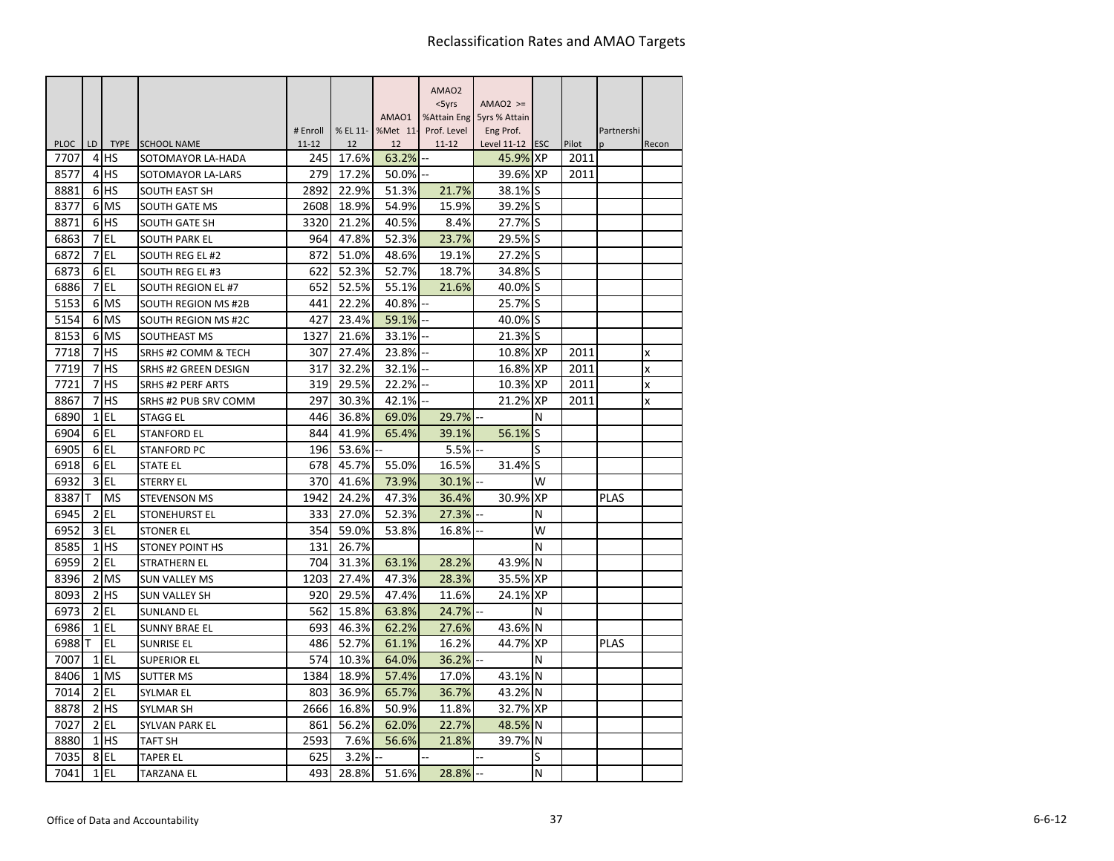|                     |                 |                          |                                         |                  |             |             | AMAO <sub>2</sub> |                             |           |               |                 |       |
|---------------------|-----------------|--------------------------|-----------------------------------------|------------------|-------------|-------------|-------------------|-----------------------------|-----------|---------------|-----------------|-------|
|                     |                 |                          |                                         |                  |             |             | $<$ 5yrs          | $AMAO2$ >=                  |           |               |                 |       |
|                     |                 |                          |                                         |                  |             | AMA01       | %Attain Eng       | 5yrs % Attain               |           |               |                 |       |
|                     |                 |                          |                                         | # Enroll         | % EL 11-    | %Met 11-    | Prof. Level       | Eng Prof.                   |           |               | Partnershi<br>n |       |
| <b>PLOC</b><br>7707 | LD<br>4         | <b>TYPE</b><br><b>HS</b> | <b>SCHOOL NAME</b><br>SOTOMAYOR LA-HADA | $11 - 12$<br>245 | 12<br>17.6% | 12<br>63.2% | $11 - 12$<br>--   | Level 11-12 ESC<br>45.9% XP |           | Pilot<br>2011 |                 | Recon |
| 8577                | $\overline{4}$  | <b>IHS</b>               | SOTOMAYOR LA-LARS                       | 279              | 17.2%       | 50.0%       |                   | 39.6% XP                    |           | 2011          |                 |       |
| 8881                |                 | 6 <sup>HS</sup>          | SOUTH EAST SH                           | 2892             | 22.9%       | 51.3%       | 21.7%             | 38.1% S                     |           |               |                 |       |
| 8377                |                 | 6 MS                     | <b>SOUTH GATE MS</b>                    | 2608             | 18.9%       | 54.9%       | 15.9%             | 39.2% S                     |           |               |                 |       |
| 8871                | 6               | <b>HS</b>                | <b>SOUTH GATE SH</b>                    | 3320             | 21.2%       | 40.5%       | 8.4%              | 27.7% S                     |           |               |                 |       |
| 6863                | 7               | l EL                     | <b>SOUTH PARK EL</b>                    | 964              | 47.8%       | 52.3%       | 23.7%             | 29.5% S                     |           |               |                 |       |
| 6872                | 7               | EL                       | SOUTH REG EL #2                         | 872              | 51.0%       | 48.6%       | 19.1%             | 27.2%                       | ls        |               |                 |       |
| 6873                | 6               | EL                       | <b>SOUTH REG EL #3</b>                  | 622              | 52.3%       | 52.7%       | 18.7%             | 34.8% S                     |           |               |                 |       |
| 6886                | 7               | EL                       | SOUTH REGION EL #7                      | 652              | 52.5%       | 55.1%       | 21.6%             | 40.0% S                     |           |               |                 |       |
| 5153                | 6               | <b>MS</b>                | SOUTH REGION MS #2B                     | 441              | 22.2%       | 40.8%       |                   | 25.7% S                     |           |               |                 |       |
| 5154                | 6               | <b>MS</b>                | SOUTH REGION MS #2C                     | 427              | 23.4%       | 59.1%       |                   | 40.0%                       | IS        |               |                 |       |
| 8153                | 6               | <b>MS</b>                | <b>SOUTHEAST MS</b>                     | 1327             | 21.6%       | 33.1%       |                   | 21.3% S                     |           |               |                 |       |
| 7718                | 7               | <b>HS</b>                | SRHS #2 COMM & TECH                     | 307              | 27.4%       | 23.8%       |                   | 10.8% XP                    |           | 2011          |                 | X     |
| 7719                | 7               | <b>HS</b>                | <b>SRHS #2 GREEN DESIGN</b>             | 317              | 32.2%       | 32.1%       |                   | 16.8% XP                    |           | 2011          |                 | x     |
| 7721                | 7               | <b>HS</b>                | <b>SRHS #2 PERF ARTS</b>                | 319              | 29.5%       | 22.2%       |                   | 10.3% XP                    |           | 2011          |                 | x     |
| 8867                | 7               | <b>IHS</b>               | SRHS #2 PUB SRV COMM                    | 297              | 30.3%       | 42.1%       |                   | 21.2% XP                    |           | 2011          |                 | X     |
| 6890                | $1\overline{ }$ | EL                       | <b>STAGG EL</b>                         | 446              | 36.8%       | 69.0%       | 29.7%             |                             | N         |               |                 |       |
| 6904                |                 | 6 <sub>IEL</sub>         | <b>STANFORD EL</b>                      | 844              | 41.9%       | 65.4%       | 39.1%             | 56.1%                       | lS        |               |                 |       |
| 6905                | 6               | EL                       | <b>STANFORD PC</b>                      | 196              | 53.6%       |             | 5.5%              |                             | S         |               |                 |       |
| 6918                |                 | 6EL                      | <b>STATE EL</b>                         | 678              | 45.7%       | 55.0%       | 16.5%             | 31.4% S                     |           |               |                 |       |
| 6932                | $\overline{3}$  | EL                       | <b>STERRY EL</b>                        | 370              | 41.6%       | 73.9%       | 30.1%             |                             | W         |               |                 |       |
| 8387                |                 | <b>MS</b>                | <b>STEVENSON MS</b>                     | 1942             | 24.2%       | 47.3%       | 36.4%             | 30.9%                       | <b>XP</b> |               | <b>PLAS</b>     |       |
| 6945                | $\overline{2}$  | EL                       | STONEHURST EL                           | 333              | 27.0%       | 52.3%       | 27.3%             |                             | N         |               |                 |       |
| 6952                |                 | $3$ EL                   | <b>STONER EL</b>                        | 354              | 59.0%       | 53.8%       | 16.8%             |                             | W         |               |                 |       |
| 8585                | $\mathbf{1}$    | <b>HS</b>                | <b>STONEY POINT HS</b>                  | 131              | 26.7%       |             |                   |                             | N         |               |                 |       |
| 6959                | $\overline{2}$  | EL                       | <b>STRATHERN EL</b>                     | 704              | 31.3%       | 63.1%       | 28.2%             | 43.9%                       | ΙN        |               |                 |       |
| 8396                | $\overline{2}$  | <b>MS</b>                | <b>SUN VALLEY MS</b>                    | 1203             | 27.4%       | 47.3%       | 28.3%             | 35.5%                       | <b>XP</b> |               |                 |       |
| 8093                | 2               | <b>HS</b>                | <b>SUN VALLEY SH</b>                    | 920              | 29.5%       | 47.4%       | 11.6%             | 24.1% XP                    |           |               |                 |       |
| 6973                | $\overline{2}$  | EL                       | <b>SUNLAND EL</b>                       | 562              | 15.8%       | 63.8%       | 24.7%             |                             | N         |               |                 |       |
| 6986                | 1               | EL                       | <b>SUNNY BRAE EL</b>                    | 693              | 46.3%       | 62.2%       | 27.6%             | 43.6%                       | ΙN        |               |                 |       |
| 6988                |                 | EL                       | <b>SUNRISE EL</b>                       | 486              | 52.7%       | 61.1%       | 16.2%             | 44.7%                       | <b>XP</b> |               | <b>PLAS</b>     |       |
| 7007                | $\mathbf{1}$    | <b>EL</b>                | <b>SUPERIOR EL</b>                      | 574              | 10.3%       | 64.0%       | 36.2%             |                             | N         |               |                 |       |
| 8406                |                 | 1 MS                     | <b>SUTTER MS</b>                        | 1384             | 18.9%       | 57.4%       | 17.0%             | 43.1% N                     |           |               |                 |       |
| 7014                | $\overline{2}$  | <b>EL</b>                | <b>SYLMAR EL</b>                        | 803              | 36.9%       | 65.7%       | 36.7%             | 43.2% N                     |           |               |                 |       |
| 8878                |                 | $2$ $HS$                 | <b>SYLMAR SH</b>                        | 2666             | 16.8%       | 50.9%       | 11.8%             | 32.7% XP                    |           |               |                 |       |
| 7027                | $\overline{2}$  | EL                       | SYLVAN PARK EL                          | 861              | 56.2%       | 62.0%       | 22.7%             | 48.5% N                     |           |               |                 |       |
| 8880                |                 | $1$ $HS$                 | <b>TAFT SH</b>                          | 2593             | 7.6%        | 56.6%       | 21.8%             | 39.7% N                     |           |               |                 |       |
| 7035                |                 | 8EL                      | <b>TAPER EL</b>                         | 625              | 3.2%        |             |                   |                             | S         |               |                 |       |
| 7041                | $1\overline{ }$ | EL                       | <b>TARZANA EL</b>                       | 493              | 28.8%       | 51.6%       | 28.8%             |                             | N         |               |                 |       |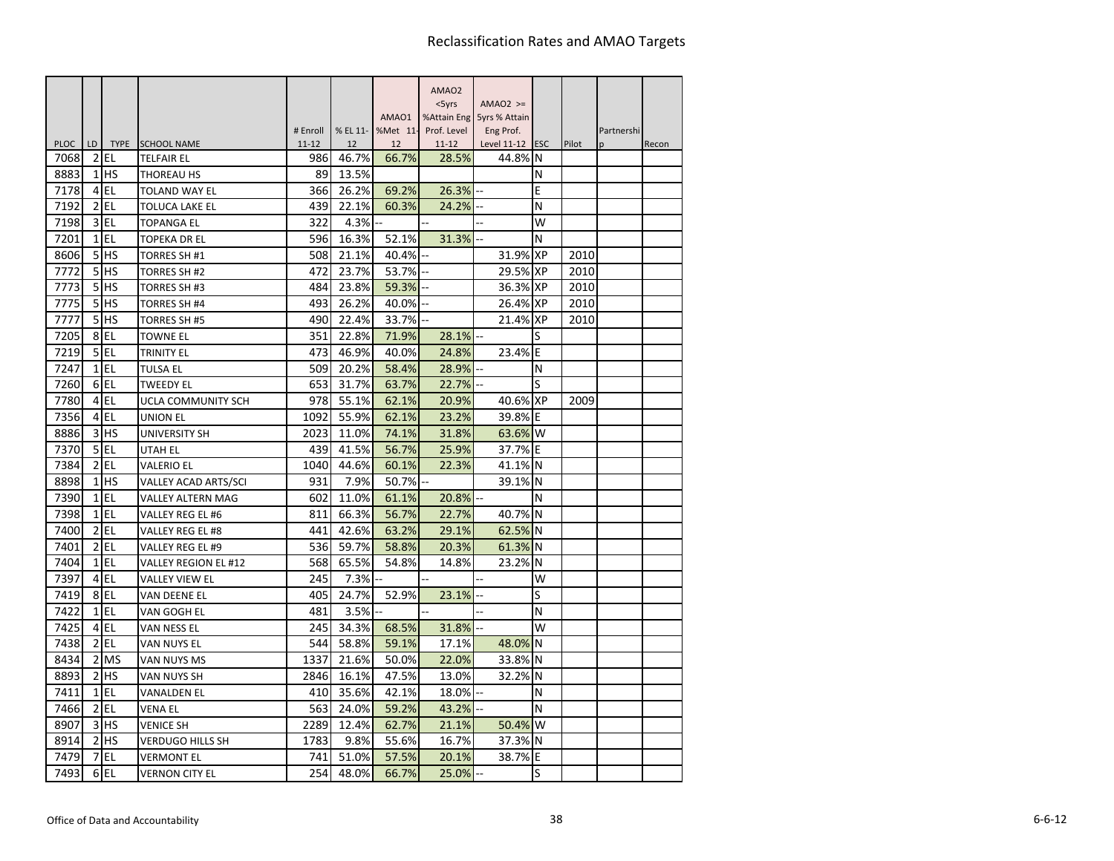|                     |                |                 |                                       |                  |             |                   | AMAO <sub>2</sub>  |                            |    |       |            |       |
|---------------------|----------------|-----------------|---------------------------------------|------------------|-------------|-------------------|--------------------|----------------------------|----|-------|------------|-------|
|                     |                |                 |                                       |                  |             |                   | $<$ 5yrs           | $AMAO2$ >=                 |    |       |            |       |
|                     |                |                 |                                       |                  |             | AMAO1             |                    | %Attain Eng 5yrs % Attain  |    |       |            |       |
|                     | LD.            |                 |                                       | # Enroll         |             | % EL 11- %Met 11- | Prof. Level        | Eng Prof.                  |    |       | Partnershi |       |
| <b>PLOC</b><br>7068 | 2              | <b>EL</b>       | TYPE SCHOOL NAME<br><b>TELFAIR EL</b> | $11 - 12$<br>986 | 12<br>46.7% | 12<br>66.7%       | $11 - 12$<br>28.5% | Level 11-12 ESC<br>44.8% N |    | Pilot | n          | Recon |
| 8883                |                | $1$ HS          | <b>THOREAU HS</b>                     | 89               | 13.5%       |                   |                    |                            | N  |       |            |       |
| 7178                | $\overline{4}$ | EL              | <b>TOLAND WAY EL</b>                  | 366              | 26.2%       | 69.2%             | 26.3%              |                            | E  |       |            |       |
| 7192                | $\overline{2}$ | l EL            | <b>TOLUCA LAKE EL</b>                 | 439              | 22.1%       | 60.3%             | 24.2%              |                            | N  |       |            |       |
| 7198                | 3              | l EL            | <b>TOPANGA EL</b>                     | 322              | 4.3%        |                   |                    |                            | W  |       |            |       |
| 7201                | $\mathbf{1}$   | <b>EL</b>       | <b>TOPEKA DR EL</b>                   | 596              | 16.3%       | 52.1%             | 31.3%              |                            | N  |       |            |       |
| 8606                | 5 <sub>l</sub> | lhs             | <b>TORRES SH #1</b>                   | 508              | 21.1%       | 40.4%             |                    | 31.9% XP                   |    | 2010  |            |       |
| 7772                | 5 <sup>1</sup> | lhs             | TORRES SH #2                          | 472              | 23.7%       | 53.7%             | Ξ.                 | 29.5% XP                   |    | 2010  |            |       |
| 7773                | 5              | <b>HS</b>       | TORRES SH #3                          | 484              | 23.8%       | 59.3%             |                    | 36.3% XP                   |    | 2010  |            |       |
| 7775                | 5 <sub>l</sub> | <b>HS</b>       | <b>TORRES SH #4</b>                   | 493              | 26.2%       | 40.0%             |                    | 26.4% XP                   |    | 2010  |            |       |
| 7777                | 5 <sup>1</sup> | <b>HS</b>       | <b>TORRES SH #5</b>                   | 490              | 22.4%       | 33.7%             |                    | 21.4% XP                   |    | 2010  |            |       |
| 7205                | 8              | EL              | <b>TOWNE EL</b>                       | 351              | 22.8%       | 71.9%             | 28.1%              |                            | S  |       |            |       |
| 7219                | 5 <sub>l</sub> | EL              | TRINITY EL                            | 473              | 46.9%       | 40.0%             | 24.8%              | 23.4%                      | ΙE |       |            |       |
| 7247                |                | $1$ EL          | <b>TULSA EL</b>                       | 509              | 20.2%       | 58.4%             | 28.9%              |                            | N  |       |            |       |
| 7260                |                | $6$ EL          | <b>TWEEDY EL</b>                      | 653              | 31.7%       | 63.7%             | 22.7%              |                            | S  |       |            |       |
| 7780                |                | 4 EL            | UCLA COMMUNITY SCH                    | 978              | 55.1%       | 62.1%             | 20.9%              | 40.6% XP                   |    | 2009  |            |       |
| 7356                |                | $4$ EL          | UNION EL                              | 1092             | 55.9%       | 62.1%             | 23.2%              | 39.8% E                    |    |       |            |       |
| 8886                |                | 3H <sub>5</sub> | UNIVERSITY SH                         | 2023             | 11.0%       | 74.1%             | 31.8%              | 63.6% W                    |    |       |            |       |
| 7370                | 5 <sub>l</sub> | EL              | UTAH EL                               | 439              | 41.5%       | 56.7%             | 25.9%              | 37.7% E                    |    |       |            |       |
| 7384                |                | $2$ EL          | <b>VALERIO EL</b>                     | 1040             | 44.6%       | 60.1%             | 22.3%              | 41.1% N                    |    |       |            |       |
| 8898                |                | $1$ HS          | VALLEY ACAD ARTS/SCI                  | 931              | 7.9%        | 50.7%             |                    | 39.1% N                    |    |       |            |       |
| 7390                | $\mathbf{1}$   | EL              | VALLEY ALTERN MAG                     | 602              | 11.0%       | 61.1%             | 20.8%              |                            | N  |       |            |       |
| 7398                | $\mathbf{1}$   | l EL            | VALLEY REG EL #6                      | 811              | 66.3%       | 56.7%             | 22.7%              | 40.7% N                    |    |       |            |       |
| 7400                |                | $2$ EL          | VALLEY REG EL #8                      | 441              | 42.6%       | 63.2%             | 29.1%              | 62.5% N                    |    |       |            |       |
| 7401                | $\overline{2}$ | EL              | VALLEY REG EL #9                      | 536              | 59.7%       | 58.8%             | 20.3%              | 61.3% N                    |    |       |            |       |
| 7404                |                | $1$ EL          | VALLEY REGION EL #12                  | 568              | 65.5%       | 54.8%             | 14.8%              | 23.2% N                    |    |       |            |       |
| 7397                |                | 4 EL            | VALLEY VIEW EL                        | 245              | 7.3%        |                   |                    |                            | W  |       |            |       |
| 7419                |                | 8EL             | VAN DEENE EL                          | 405              | 24.7%       | 52.9%             | 23.1%              |                            | S  |       |            |       |
| 7422                | 1              | EL              | VAN GOGH EL                           | 481              | 3.5%        |                   |                    |                            | N  |       |            |       |
| 7425                |                | $4$ EL          | VAN NESS EL                           | 245              | 34.3%       | 68.5%             | 31.8%              |                            | W  |       |            |       |
| 7438                |                | $2$ EL          | VAN NUYS EL                           | 544              | 58.8%       | 59.1%             | 17.1%              | 48.0%                      | ΙN |       |            |       |
| 8434                |                | 2 MS            | VAN NUYS MS                           | 1337             | 21.6%       | 50.0%             | 22.0%              | 33.8% N                    |    |       |            |       |
| 8893                |                | $2$ $HS$        | VAN NUYS SH                           | 2846             | 16.1%       | 47.5%             | 13.0%              | 32.2% N                    |    |       |            |       |
| 7411                | $\mathbf{1}$   | <b>EL</b>       | VANALDEN EL                           | 410              | 35.6%       | 42.1%             | 18.0%              |                            | N  |       |            |       |
| 7466                |                | $2$ EL          | <b>VENA EL</b>                        | 563              | 24.0%       | 59.2%             | 43.2%              |                            | N  |       |            |       |
| 8907                |                | $3$ HS          | <b>VENICE SH</b>                      | 2289             | 12.4%       | 62.7%             | 21.1%              | 50.4% W                    |    |       |            |       |
| 8914                |                | $2$ $HS$        | <b>VERDUGO HILLS SH</b>               | 1783             | 9.8%        | 55.6%             | 16.7%              | 37.3% N                    |    |       |            |       |
| 7479                | 7              | <b>EL</b>       | VERMONT EL                            | 741              | 51.0%       | 57.5%             | 20.1%              | 38.7% E                    |    |       |            |       |
| 7493                |                | 6EL             | <b>VERNON CITY EL</b>                 | 254              | 48.0%       | 66.7%             | 25.0%              |                            | S  |       |            |       |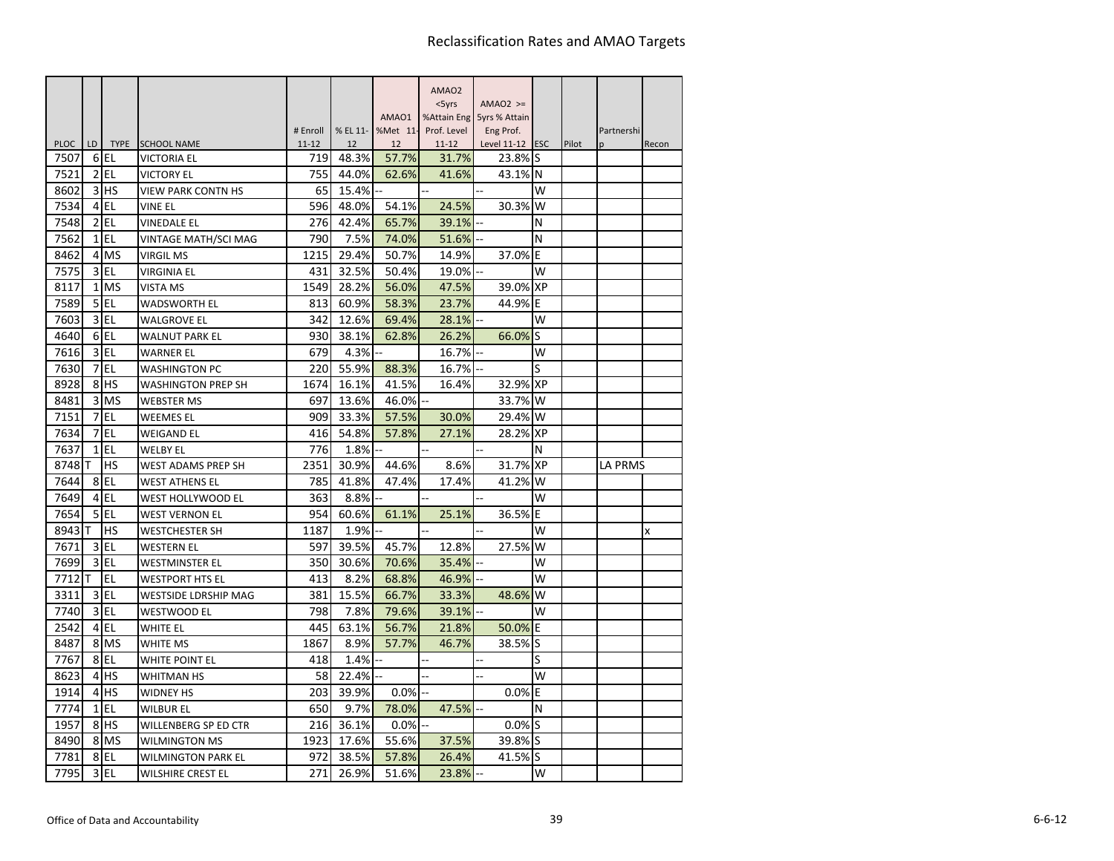|                     |                 |                   |                                          |                  |                |                | AMAO <sub>2</sub>  |                            |           |       |            |       |
|---------------------|-----------------|-------------------|------------------------------------------|------------------|----------------|----------------|--------------------|----------------------------|-----------|-------|------------|-------|
|                     |                 |                   |                                          |                  |                |                | $<$ 5 $\gamma$ rs  | $AMAO2$ >=                 |           |       |            |       |
|                     |                 |                   |                                          |                  |                | AMAO1          |                    | %Attain Eng 5yrs % Attain  |           |       |            |       |
|                     |                 |                   |                                          | # Enroll         | % EL 11-       | %Met 11-       | Prof. Level        | Eng Prof.                  |           |       | Partnershi |       |
| <b>PLOC</b><br>7507 | LD.<br>6        | <b>TYPE</b><br>EL | <b>SCHOOL NAME</b><br><b>VICTORIA EL</b> | $11 - 12$<br>719 | 12<br>48.3%    | 12<br>57.7%    | $11 - 12$<br>31.7% | Level 11-12 ESC<br>23.8% S |           | Pilot | n          | Recon |
| 7521                | $\overline{2}$  | EL                | <b>VICTORY EL</b>                        | 755              | 44.0%          | 62.6%          | 41.6%              | 43.1% N                    |           |       |            |       |
| 8602                | 3               | lhs               |                                          | 65               | 15.4%          |                |                    |                            | W         |       |            |       |
|                     | $\overline{4}$  | EL                | VIEW PARK CONTN HS                       |                  |                |                | 24.5%              | 30.3%                      | W         |       |            |       |
| 7534<br>7548        | $\overline{2}$  | l EL              | <b>VINE EL</b><br><b>VINEDALE EL</b>     | 596<br>276       | 48.0%<br>42.4% | 54.1%<br>65.7% | 39.1%              |                            | N         |       |            |       |
|                     |                 | $1$ EL            |                                          | 790              | 7.5%           |                |                    |                            | N         |       |            |       |
| 7562                |                 |                   | VINTAGE MATH/SCI MAG                     |                  |                | 74.0%          | 51.6%              |                            |           |       |            |       |
| 8462                | $\overline{4}$  | <b>MS</b>         | <b>VIRGIL MS</b>                         | 1215             | 29.4%          | 50.7%          | 14.9%              | 37.0%                      | E         |       |            |       |
| 7575                | 3               | <b>EL</b>         | VIRGINIA EL                              | 431              | 32.5%          | 50.4%          | 19.0%              |                            | W         |       |            |       |
| 8117                | 1               | <b>MS</b>         | VISTA MS                                 | 1549             | 28.2%          | 56.0%          | 47.5%              | 39.0% XP                   |           |       |            |       |
| 7589                | 5               | EL                | <b>WADSWORTH EL</b>                      | 813              | 60.9%          | 58.3%          | 23.7%              | 44.9%                      | E         |       |            |       |
| 7603                | $\overline{3}$  | l EL              | <b>WALGROVE EL</b>                       | 342              | 12.6%          | 69.4%          | 28.1%              |                            | W         |       |            |       |
| 4640                | 6               | EL                | <b>WALNUT PARK EL</b>                    | 930              | 38.1%          | 62.8%          | 26.2%              | 66.0%                      | S         |       |            |       |
| 7616                | $\overline{3}$  | <b>EL</b>         | WARNER EL                                | 679              | 4.3%           |                | 16.7%              |                            | W         |       |            |       |
| 7630                |                 | 7EL               | <b>WASHINGTON PC</b>                     | 220              | 55.9%          | 88.3%          | 16.7%              |                            | S         |       |            |       |
| 8928                | 8               | <b>HS</b>         | <b>WASHINGTON PREP SH</b>                | 1674             | 16.1%          | 41.5%          | 16.4%              | 32.9% XP                   |           |       |            |       |
| 8481                | 3               | <b>MS</b>         | <b>WEBSTER MS</b>                        | 697              | 13.6%          | 46.0%          |                    | 33.7%                      | W         |       |            |       |
| 7151                | 7               | <b>EL</b>         | <b>WEEMES EL</b>                         | 909              | 33.3%          | 57.5%          | 30.0%              | 29.4%                      | W         |       |            |       |
| 7634                | 7               | EL                | <b>WEIGAND EL</b>                        | 416              | 54.8%          | 57.8%          | 27.1%              | 28.2% XP                   |           |       |            |       |
| 7637                | $\mathbf{1}$    | l EL              | <b>WELBY EL</b>                          | 776              | 1.8%           |                |                    |                            | N         |       |            |       |
| 8748                | т               | HS                | <b>WEST ADAMS PREP SH</b>                | 2351             | 30.9%          | 44.6%          | 8.6%               | 31.7%                      | <b>XP</b> |       | LA PRMS    |       |
| 7644                |                 | 8EL               | <b>WEST ATHENS EL</b>                    | 785              | 41.8%          | 47.4%          | 17.4%              | 41.2%                      | W         |       |            |       |
| 7649                | 4               | <b>EL</b>         | <b>WEST HOLLYWOOD EL</b>                 | 363              | 8.8%           |                |                    |                            | W         |       |            |       |
| 7654                | 5               | EL                | <b>WEST VERNON EL</b>                    | 954              | 60.6%          | 61.1%          | 25.1%              | 36.5%                      | E         |       |            |       |
| 8943                |                 | <b>HS</b>         | <b>WESTCHESTER SH</b>                    | 1187             | 1.9%           |                |                    |                            | W         |       |            | x     |
| 7671                | 3               | <b>EL</b>         | <b>WESTERN EL</b>                        | 597              | 39.5%          | 45.7%          | 12.8%              | 27.5%                      | W         |       |            |       |
| 7699                | 3               | <b>EL</b>         | <b>WESTMINSTER EL</b>                    | 350              | 30.6%          | 70.6%          | 35.4%              |                            | W         |       |            |       |
| 7712                |                 | EL                | <b>WESTPORT HTS EL</b>                   | 413              | 8.2%           | 68.8%          | 46.9%              |                            | W         |       |            |       |
| 3311                | $\overline{3}$  | EL                | <b>WESTSIDE LDRSHIP MAG</b>              | 381              | 15.5%          | 66.7%          | 33.3%              | 48.6%                      | W         |       |            |       |
| 7740                | 3               | <b>EL</b>         | <b>WESTWOOD EL</b>                       | 798              | 7.8%           | 79.6%          | 39.1%              |                            | W         |       |            |       |
| 2542                |                 | 4 EL              | <b>WHITE EL</b>                          | 445              | 63.1%          | 56.7%          | 21.8%              | 50.0%                      | E         |       |            |       |
| 8487                |                 | 8 MS              | <b>WHITE MS</b>                          | 1867             | 8.9%           | 57.7%          | 46.7%              | 38.5%                      | lS        |       |            |       |
| 7767                | 8               | l EL              | <b>WHITE POINT EL</b>                    | 418              | 1.4%           |                | L.                 |                            | S         |       |            |       |
| 8623                | $\overline{4}$  | <b>IHS</b>        | <b>WHITMAN HS</b>                        | 58               | 22.4%          |                |                    |                            | w         |       |            |       |
| 1914                | 4               | <b>HS</b>         | <b>WIDNEY HS</b>                         | 203              | 39.9%          | $0.0\%$        |                    | $0.0\%$                    | E         |       |            |       |
| 7774                | $1\overline{ }$ | l EL              | <b>WILBUR EL</b>                         | 650              | 9.7%           | 78.0%          | 47.5%              |                            | N         |       |            |       |
| 1957                | 8               | <b>HS</b>         | WILLENBERG SP ED CTR                     | 216              | 36.1%          | $0.0\%$        |                    | $0.0\%$ S                  |           |       |            |       |
| 8490                |                 | 8 MS              | <b>WILMINGTON MS</b>                     | 1923             | 17.6%          | 55.6%          | 37.5%              | 39.8% S                    |           |       |            |       |
| 7781                | 8               | l EL              | WILMINGTON PARK EL                       | 972              | 38.5%          | 57.8%          | 26.4%              | 41.5%                      | lS        |       |            |       |
| 7795                |                 | $3$ EL            | <b>WILSHIRE CREST EL</b>                 | 271              | 26.9%          | 51.6%          | 23.8%              |                            | W         |       |            |       |
|                     |                 |                   |                                          |                  |                |                |                    |                            |           |       |            |       |